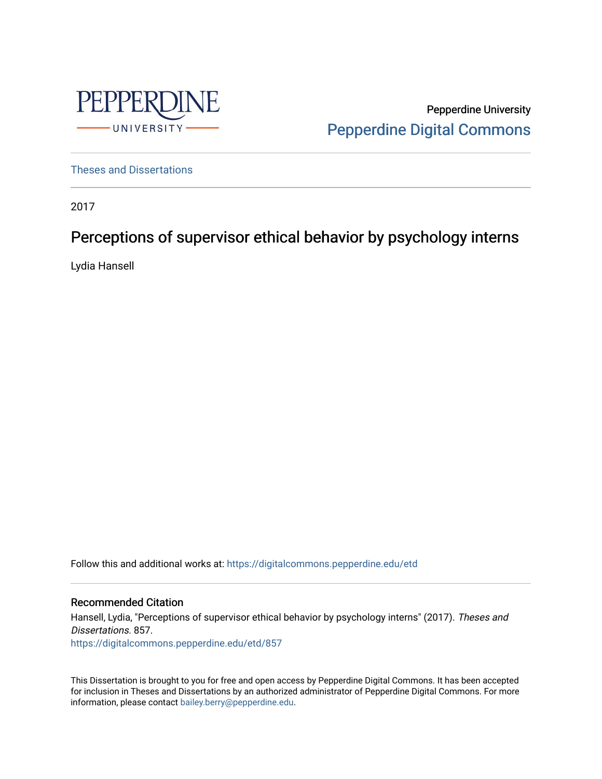

Pepperdine University [Pepperdine Digital Commons](https://digitalcommons.pepperdine.edu/) 

[Theses and Dissertations](https://digitalcommons.pepperdine.edu/etd)

2017

# Perceptions of supervisor ethical behavior by psychology interns

Lydia Hansell

Follow this and additional works at: [https://digitalcommons.pepperdine.edu/etd](https://digitalcommons.pepperdine.edu/etd?utm_source=digitalcommons.pepperdine.edu%2Fetd%2F857&utm_medium=PDF&utm_campaign=PDFCoverPages) 

## Recommended Citation

Hansell, Lydia, "Perceptions of supervisor ethical behavior by psychology interns" (2017). Theses and Dissertations. 857. [https://digitalcommons.pepperdine.edu/etd/857](https://digitalcommons.pepperdine.edu/etd/857?utm_source=digitalcommons.pepperdine.edu%2Fetd%2F857&utm_medium=PDF&utm_campaign=PDFCoverPages) 

This Dissertation is brought to you for free and open access by Pepperdine Digital Commons. It has been accepted for inclusion in Theses and Dissertations by an authorized administrator of Pepperdine Digital Commons. For more information, please contact [bailey.berry@pepperdine.edu.](mailto:bailey.berry@pepperdine.edu)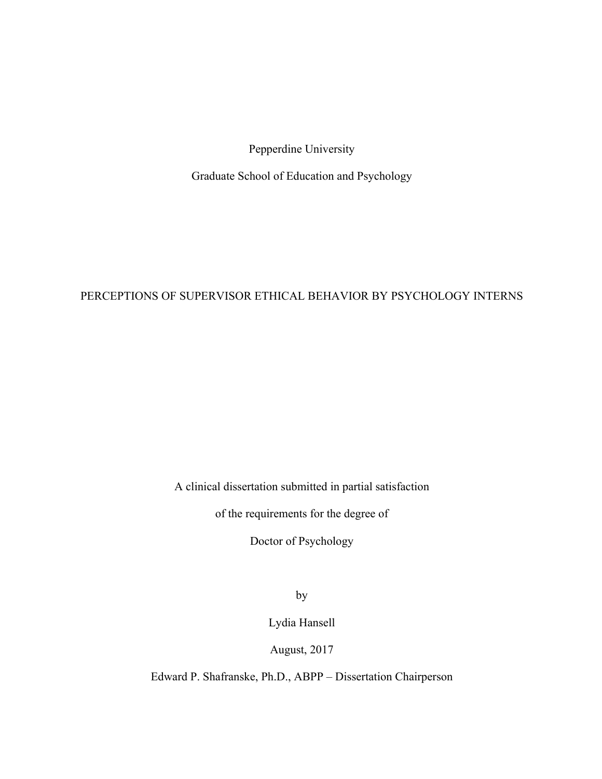Pepperdine University

Graduate School of Education and Psychology

# PERCEPTIONS OF SUPERVISOR ETHICAL BEHAVIOR BY PSYCHOLOGY INTERNS

A clinical dissertation submitted in partial satisfaction

of the requirements for the degree of

Doctor of Psychology

by

Lydia Hansell

August, 2017

Edward P. Shafranske, Ph.D., ABPP – Dissertation Chairperson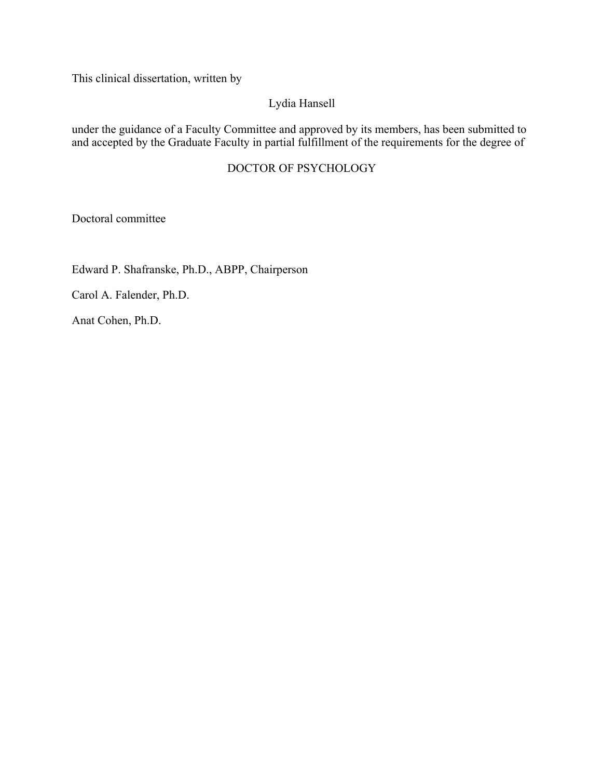This clinical dissertation, written by

# Lydia Hansell

under the guidance of a Faculty Committee and approved by its members, has been submitted to and accepted by the Graduate Faculty in partial fulfillment of the requirements for the degree of

# DOCTOR OF PSYCHOLOGY

Doctoral committee

Edward P. Shafranske, Ph.D., ABPP, Chairperson

Carol A. Falender, Ph.D.

Anat Cohen, Ph.D.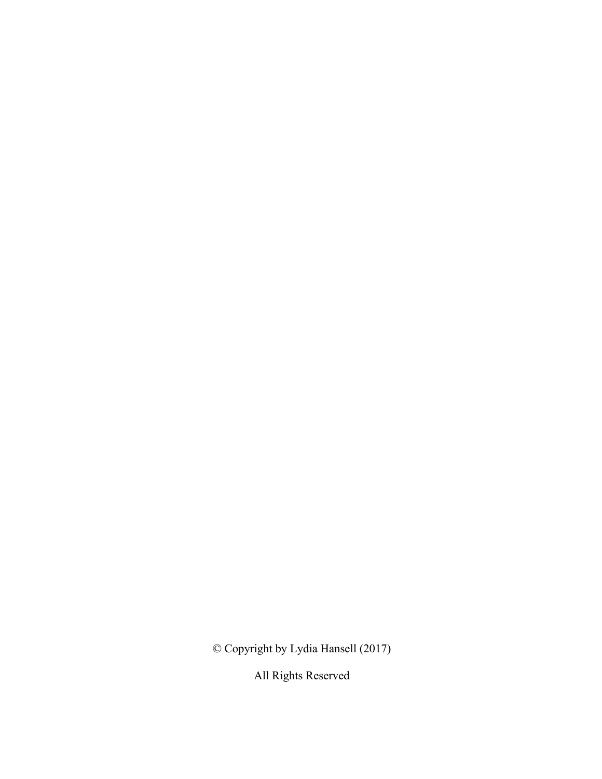© Copyright by Lydia Hansell (2017)

All Rights Reserved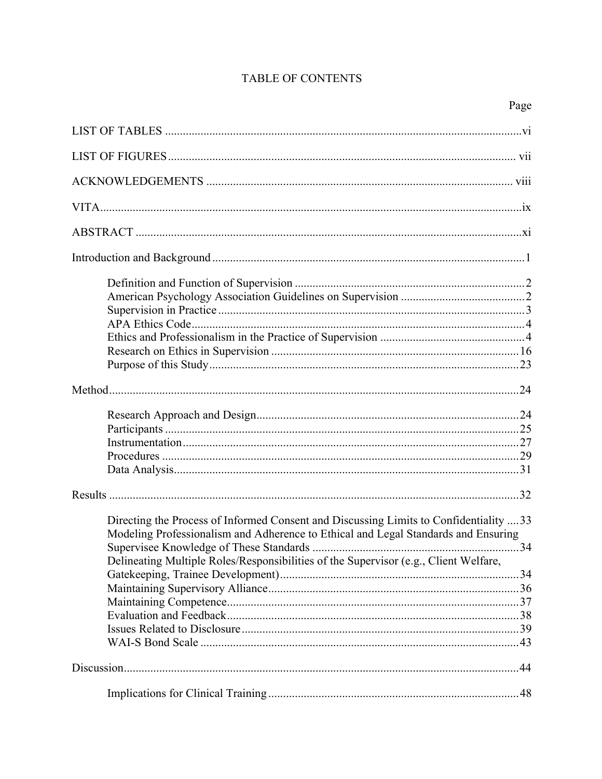# TABLE OF CONTENTS

| Directing the Process of Informed Consent and Discussing Limits to Confidentiality  33 |  |
|----------------------------------------------------------------------------------------|--|
| Modeling Professionalism and Adherence to Ethical and Legal Standards and Ensuring     |  |
|                                                                                        |  |
| Delineating Multiple Roles/Responsibilities of the Supervisor (e.g., Client Welfare,   |  |
|                                                                                        |  |
|                                                                                        |  |
|                                                                                        |  |
|                                                                                        |  |
|                                                                                        |  |
|                                                                                        |  |
|                                                                                        |  |
|                                                                                        |  |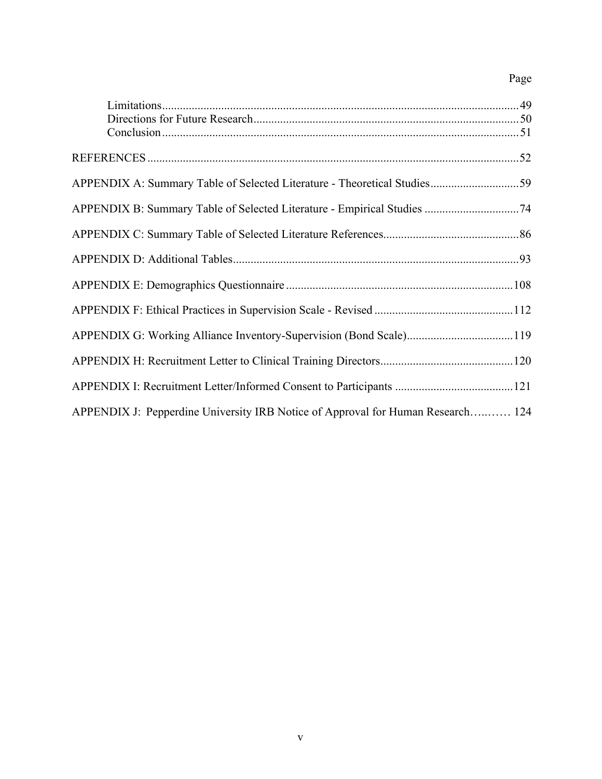# Page

| APPENDIX G: Working Alliance Inventory-Supervision (Bond Scale)119              |  |
|---------------------------------------------------------------------------------|--|
|                                                                                 |  |
|                                                                                 |  |
| APPENDIX J: Pepperdine University IRB Notice of Approval for Human Research 124 |  |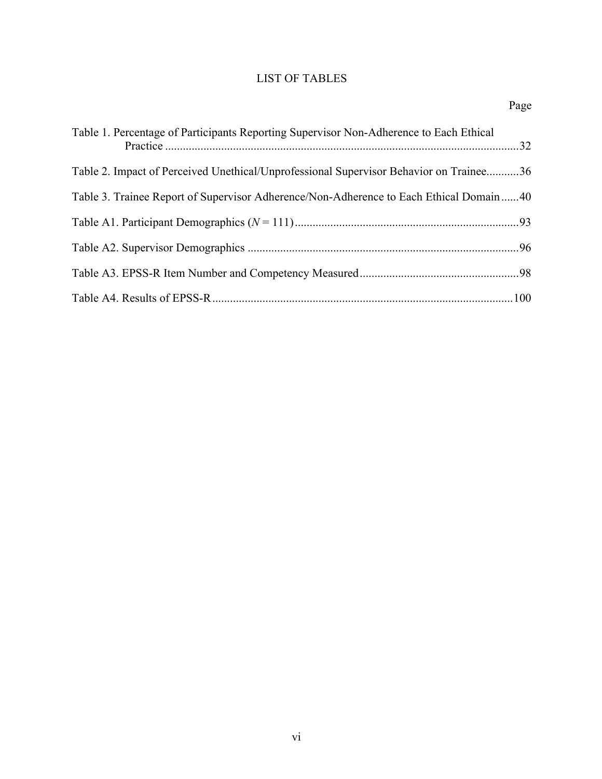# LIST OF TABLES

| Table 1. Percentage of Participants Reporting Supervisor Non-Adherence to Each Ethical |  |
|----------------------------------------------------------------------------------------|--|
| Table 2. Impact of Perceived Unethical/Unprofessional Supervisor Behavior on Trainee36 |  |
| Table 3. Trainee Report of Supervisor Adherence/Non-Adherence to Each Ethical Domain40 |  |
|                                                                                        |  |
|                                                                                        |  |
|                                                                                        |  |
|                                                                                        |  |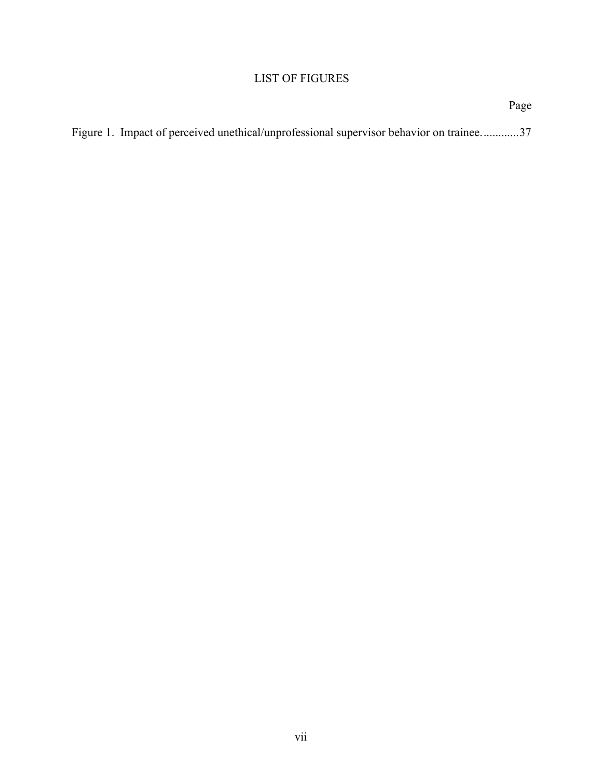# LIST OF FIGURES

|                                                                                         | Page |
|-----------------------------------------------------------------------------------------|------|
| Figure 1. Impact of perceived unethical/unprofessional supervisor behavior on trainee37 |      |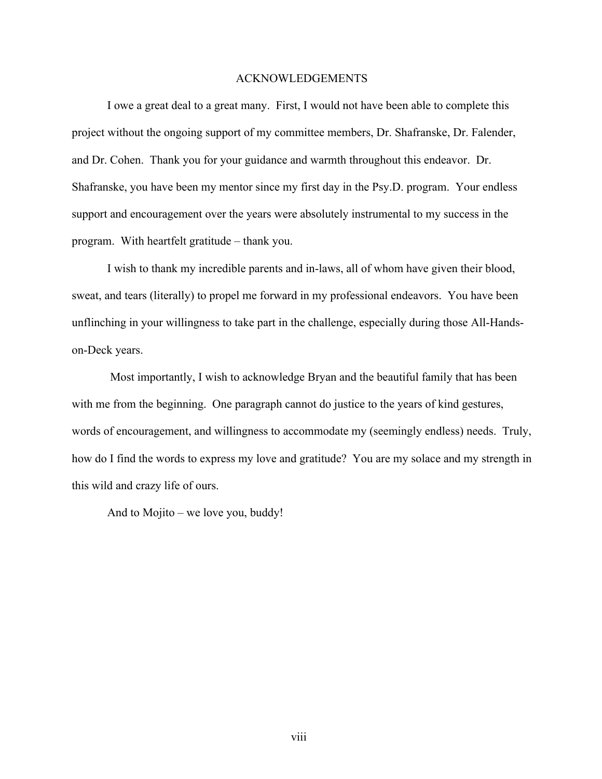### ACKNOWLEDGEMENTS

I owe a great deal to a great many. First, I would not have been able to complete this project without the ongoing support of my committee members, Dr. Shafranske, Dr. Falender, and Dr. Cohen. Thank you for your guidance and warmth throughout this endeavor. Dr. Shafranske, you have been my mentor since my first day in the Psy.D. program. Your endless support and encouragement over the years were absolutely instrumental to my success in the program. With heartfelt gratitude – thank you.

I wish to thank my incredible parents and in-laws, all of whom have given their blood, sweat, and tears (literally) to propel me forward in my professional endeavors. You have been unflinching in your willingness to take part in the challenge, especially during those All-Handson-Deck years.

Most importantly, I wish to acknowledge Bryan and the beautiful family that has been with me from the beginning. One paragraph cannot do justice to the years of kind gestures, words of encouragement, and willingness to accommodate my (seemingly endless) needs. Truly, how do I find the words to express my love and gratitude? You are my solace and my strength in this wild and crazy life of ours.

And to Mojito – we love you, buddy!

viii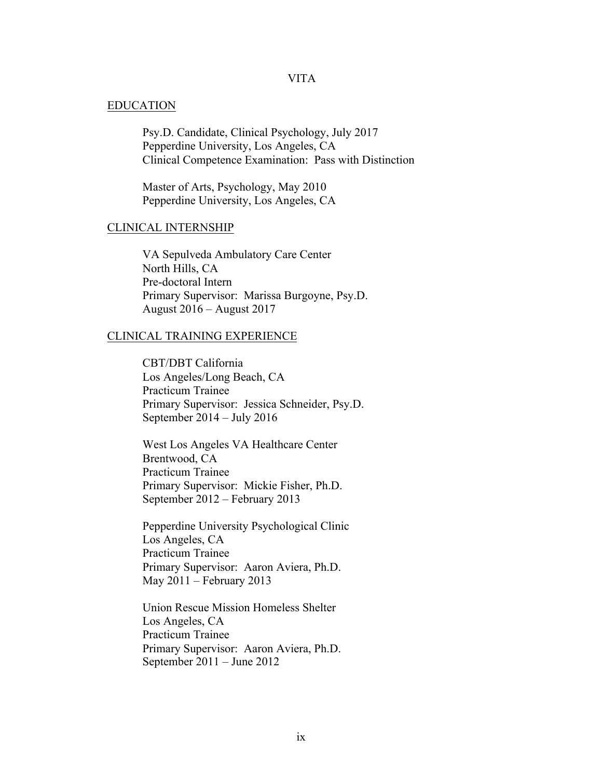# VITA

#### EDUCATION

Psy.D. Candidate, Clinical Psychology, July 2017 Pepperdine University, Los Angeles, CA Clinical Competence Examination: Pass with Distinction

Master of Arts, Psychology, May 2010 Pepperdine University, Los Angeles, CA

### CLINICAL INTERNSHIP

VA Sepulveda Ambulatory Care Center North Hills, CA Pre-doctoral Intern Primary Supervisor: Marissa Burgoyne, Psy.D. August 2016 – August 2017

### CLINICAL TRAINING EXPERIENCE

CBT/DBT California Los Angeles/Long Beach, CA Practicum Trainee Primary Supervisor: Jessica Schneider, Psy.D. September 2014 – July 2016

West Los Angeles VA Healthcare Center Brentwood, CA Practicum Trainee Primary Supervisor: Mickie Fisher, Ph.D. September 2012 – February 2013

Pepperdine University Psychological Clinic Los Angeles, CA Practicum Trainee Primary Supervisor: Aaron Aviera, Ph.D. May 2011 – February 2013

Union Rescue Mission Homeless Shelter Los Angeles, CA Practicum Trainee Primary Supervisor: Aaron Aviera, Ph.D. September 2011 – June 2012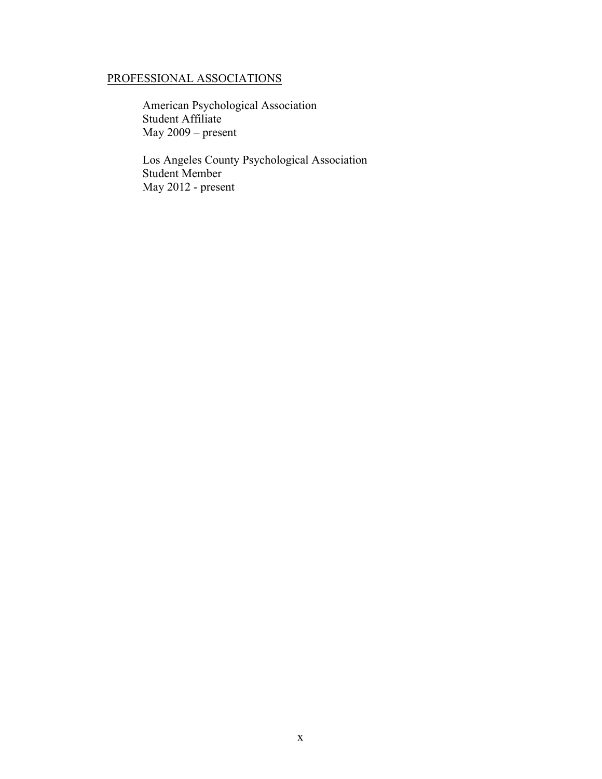# PROFESSIONAL ASSOCIATIONS

American Psychological Association Student Affiliate May 2009 – present

Los Angeles County Psychological Association Student Member May 2012 - present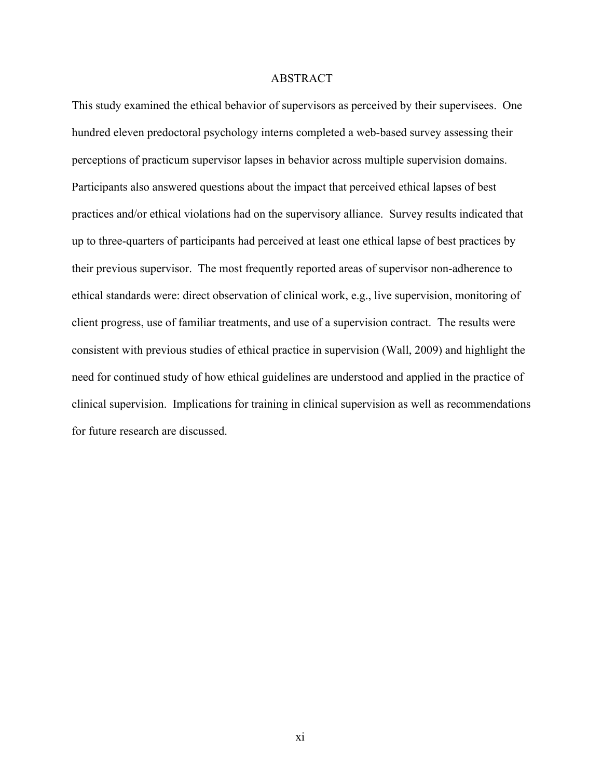### ABSTRACT

This study examined the ethical behavior of supervisors as perceived by their supervisees. One hundred eleven predoctoral psychology interns completed a web-based survey assessing their perceptions of practicum supervisor lapses in behavior across multiple supervision domains. Participants also answered questions about the impact that perceived ethical lapses of best practices and/or ethical violations had on the supervisory alliance. Survey results indicated that up to three-quarters of participants had perceived at least one ethical lapse of best practices by their previous supervisor. The most frequently reported areas of supervisor non-adherence to ethical standards were: direct observation of clinical work, e.g., live supervision, monitoring of client progress, use of familiar treatments, and use of a supervision contract. The results were consistent with previous studies of ethical practice in supervision (Wall, 2009) and highlight the need for continued study of how ethical guidelines are understood and applied in the practice of clinical supervision. Implications for training in clinical supervision as well as recommendations for future research are discussed.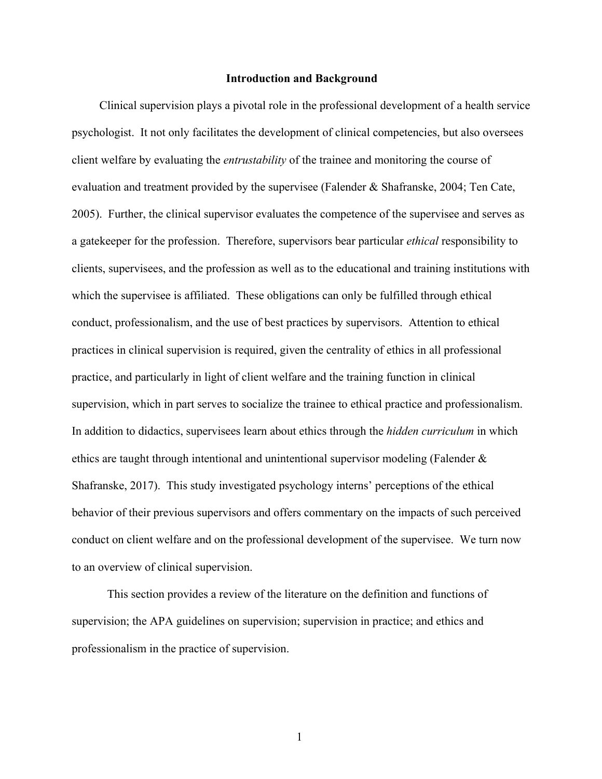#### **Introduction and Background**

Clinical supervision plays a pivotal role in the professional development of a health service psychologist. It not only facilitates the development of clinical competencies, but also oversees client welfare by evaluating the *entrustability* of the trainee and monitoring the course of evaluation and treatment provided by the supervisee (Falender & Shafranske, 2004; Ten Cate, 2005). Further, the clinical supervisor evaluates the competence of the supervisee and serves as a gatekeeper for the profession. Therefore, supervisors bear particular *ethical* responsibility to clients, supervisees, and the profession as well as to the educational and training institutions with which the supervisee is affiliated. These obligations can only be fulfilled through ethical conduct, professionalism, and the use of best practices by supervisors. Attention to ethical practices in clinical supervision is required, given the centrality of ethics in all professional practice, and particularly in light of client welfare and the training function in clinical supervision, which in part serves to socialize the trainee to ethical practice and professionalism. In addition to didactics, supervisees learn about ethics through the *hidden curriculum* in which ethics are taught through intentional and unintentional supervisor modeling (Falender  $\&$ Shafranske, 2017). This study investigated psychology interns' perceptions of the ethical behavior of their previous supervisors and offers commentary on the impacts of such perceived conduct on client welfare and on the professional development of the supervisee. We turn now to an overview of clinical supervision.

This section provides a review of the literature on the definition and functions of supervision; the APA guidelines on supervision; supervision in practice; and ethics and professionalism in the practice of supervision.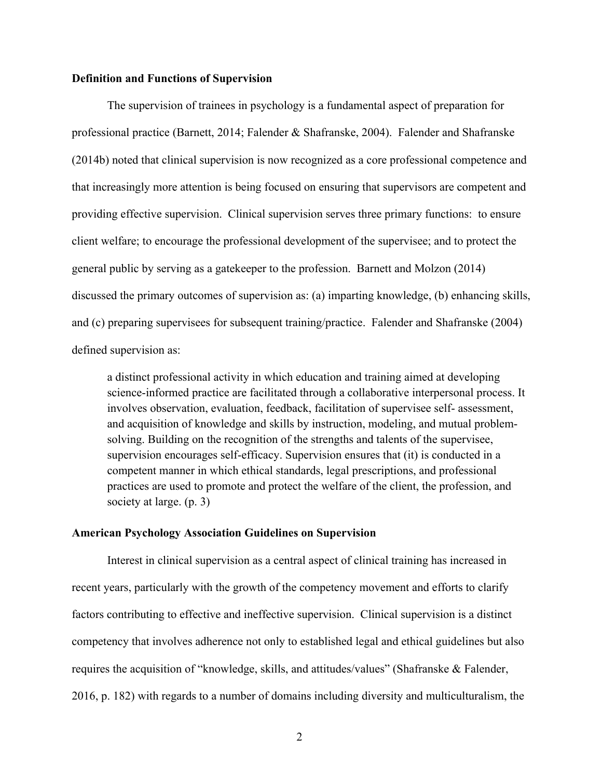## **Definition and Functions of Supervision**

The supervision of trainees in psychology is a fundamental aspect of preparation for professional practice (Barnett, 2014; Falender & Shafranske, 2004). Falender and Shafranske (2014b) noted that clinical supervision is now recognized as a core professional competence and that increasingly more attention is being focused on ensuring that supervisors are competent and providing effective supervision. Clinical supervision serves three primary functions: to ensure client welfare; to encourage the professional development of the supervisee; and to protect the general public by serving as a gatekeeper to the profession. Barnett and Molzon (2014) discussed the primary outcomes of supervision as: (a) imparting knowledge, (b) enhancing skills, and (c) preparing supervisees for subsequent training/practice. Falender and Shafranske (2004) defined supervision as:

a distinct professional activity in which education and training aimed at developing science-informed practice are facilitated through a collaborative interpersonal process. It involves observation, evaluation, feedback, facilitation of supervisee self- assessment, and acquisition of knowledge and skills by instruction, modeling, and mutual problemsolving. Building on the recognition of the strengths and talents of the supervisee, supervision encourages self-efficacy. Supervision ensures that (it) is conducted in a competent manner in which ethical standards, legal prescriptions, and professional practices are used to promote and protect the welfare of the client, the profession, and society at large. (p. 3)

### **American Psychology Association Guidelines on Supervision**

Interest in clinical supervision as a central aspect of clinical training has increased in recent years, particularly with the growth of the competency movement and efforts to clarify factors contributing to effective and ineffective supervision. Clinical supervision is a distinct competency that involves adherence not only to established legal and ethical guidelines but also requires the acquisition of "knowledge, skills, and attitudes/values" (Shafranske & Falender, 2016, p. 182) with regards to a number of domains including diversity and multiculturalism, the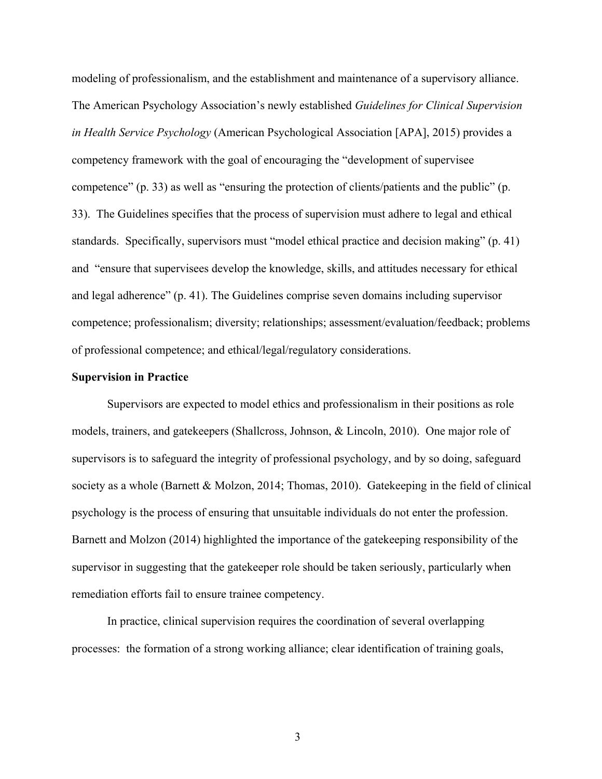modeling of professionalism, and the establishment and maintenance of a supervisory alliance. The American Psychology Association's newly established *Guidelines for Clinical Supervision in Health Service Psychology* (American Psychological Association [APA], 2015) provides a competency framework with the goal of encouraging the "development of supervisee competence" (p. 33) as well as "ensuring the protection of clients/patients and the public" (p. 33). The Guidelines specifies that the process of supervision must adhere to legal and ethical standards. Specifically, supervisors must "model ethical practice and decision making" (p. 41) and "ensure that supervisees develop the knowledge, skills, and attitudes necessary for ethical and legal adherence" (p. 41). The Guidelines comprise seven domains including supervisor competence; professionalism; diversity; relationships; assessment/evaluation/feedback; problems of professional competence; and ethical/legal/regulatory considerations.

#### **Supervision in Practice**

Supervisors are expected to model ethics and professionalism in their positions as role models, trainers, and gatekeepers (Shallcross, Johnson, & Lincoln, 2010). One major role of supervisors is to safeguard the integrity of professional psychology, and by so doing, safeguard society as a whole (Barnett & Molzon, 2014; Thomas, 2010). Gatekeeping in the field of clinical psychology is the process of ensuring that unsuitable individuals do not enter the profession. Barnett and Molzon (2014) highlighted the importance of the gatekeeping responsibility of the supervisor in suggesting that the gatekeeper role should be taken seriously, particularly when remediation efforts fail to ensure trainee competency.

In practice, clinical supervision requires the coordination of several overlapping processes: the formation of a strong working alliance; clear identification of training goals,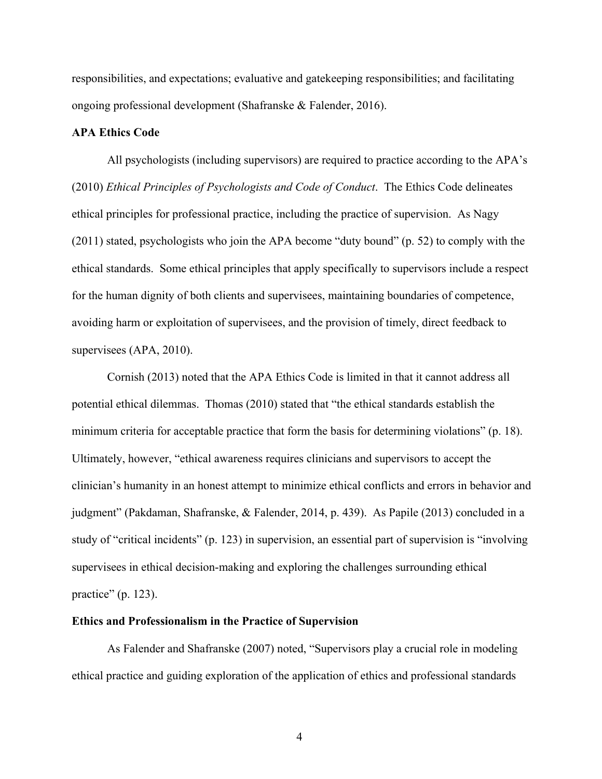responsibilities, and expectations; evaluative and gatekeeping responsibilities; and facilitating ongoing professional development (Shafranske & Falender, 2016).

## **APA Ethics Code**

All psychologists (including supervisors) are required to practice according to the APA's (2010) *Ethical Principles of Psychologists and Code of Conduct*. The Ethics Code delineates ethical principles for professional practice, including the practice of supervision. As Nagy (2011) stated, psychologists who join the APA become "duty bound" (p. 52) to comply with the ethical standards. Some ethical principles that apply specifically to supervisors include a respect for the human dignity of both clients and supervisees, maintaining boundaries of competence, avoiding harm or exploitation of supervisees, and the provision of timely, direct feedback to supervisees (APA, 2010).

Cornish (2013) noted that the APA Ethics Code is limited in that it cannot address all potential ethical dilemmas. Thomas (2010) stated that "the ethical standards establish the minimum criteria for acceptable practice that form the basis for determining violations" (p. 18). Ultimately, however, "ethical awareness requires clinicians and supervisors to accept the clinician's humanity in an honest attempt to minimize ethical conflicts and errors in behavior and judgment" (Pakdaman, Shafranske, & Falender, 2014, p. 439). As Papile (2013) concluded in a study of "critical incidents" (p. 123) in supervision, an essential part of supervision is "involving supervisees in ethical decision-making and exploring the challenges surrounding ethical practice" (p. 123).

### **Ethics and Professionalism in the Practice of Supervision**

As Falender and Shafranske (2007) noted, "Supervisors play a crucial role in modeling ethical practice and guiding exploration of the application of ethics and professional standards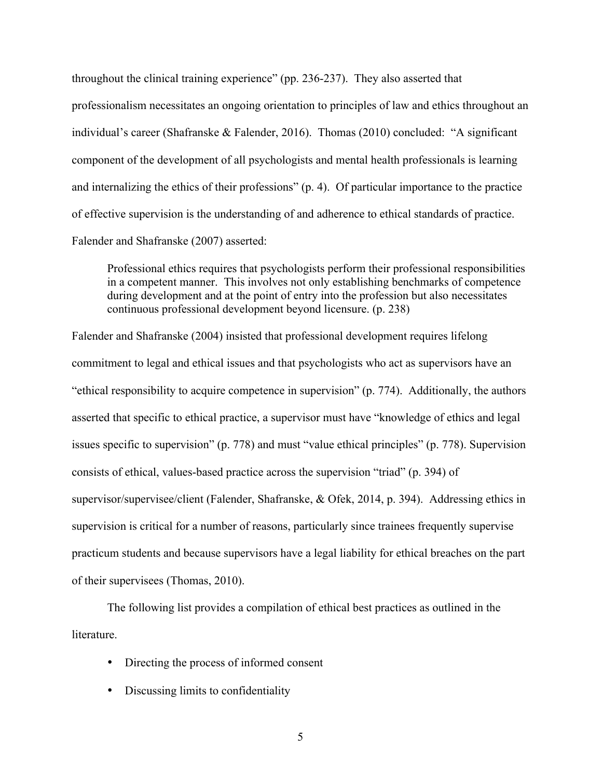throughout the clinical training experience" (pp. 236-237). They also asserted that professionalism necessitates an ongoing orientation to principles of law and ethics throughout an individual's career (Shafranske & Falender, 2016). Thomas (2010) concluded: "A significant component of the development of all psychologists and mental health professionals is learning and internalizing the ethics of their professions" (p. 4). Of particular importance to the practice of effective supervision is the understanding of and adherence to ethical standards of practice. Falender and Shafranske (2007) asserted:

Professional ethics requires that psychologists perform their professional responsibilities in a competent manner. This involves not only establishing benchmarks of competence during development and at the point of entry into the profession but also necessitates continuous professional development beyond licensure. (p. 238)

Falender and Shafranske (2004) insisted that professional development requires lifelong commitment to legal and ethical issues and that psychologists who act as supervisors have an "ethical responsibility to acquire competence in supervision" (p. 774). Additionally, the authors asserted that specific to ethical practice, a supervisor must have "knowledge of ethics and legal issues specific to supervision" (p. 778) and must "value ethical principles" (p. 778). Supervision consists of ethical, values-based practice across the supervision "triad" (p. 394) of supervisor/supervisee/client (Falender, Shafranske, & Ofek, 2014, p. 394). Addressing ethics in supervision is critical for a number of reasons, particularly since trainees frequently supervise practicum students and because supervisors have a legal liability for ethical breaches on the part of their supervisees (Thomas, 2010).

The following list provides a compilation of ethical best practices as outlined in the literature.

- Directing the process of informed consent
- Discussing limits to confidentiality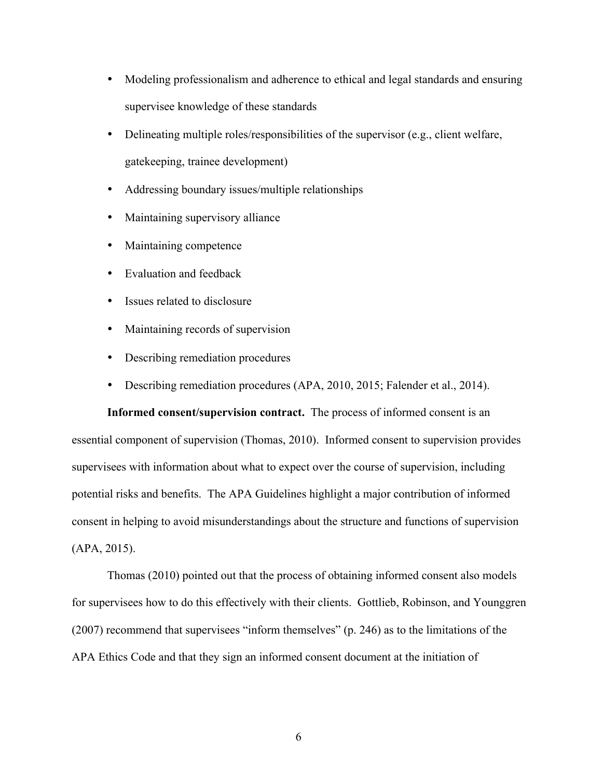- Modeling professionalism and adherence to ethical and legal standards and ensuring supervisee knowledge of these standards
- Delineating multiple roles/responsibilities of the supervisor (e.g., client welfare, gatekeeping, trainee development)
- Addressing boundary issues/multiple relationships
- Maintaining supervisory alliance
- Maintaining competence
- Evaluation and feedback
- Issues related to disclosure
- Maintaining records of supervision
- Describing remediation procedures
- Describing remediation procedures (APA, 2010, 2015; Falender et al., 2014).

**Informed consent/supervision contract.** The process of informed consent is an essential component of supervision (Thomas, 2010). Informed consent to supervision provides supervisees with information about what to expect over the course of supervision, including potential risks and benefits. The APA Guidelines highlight a major contribution of informed consent in helping to avoid misunderstandings about the structure and functions of supervision (APA, 2015).

Thomas (2010) pointed out that the process of obtaining informed consent also models for supervisees how to do this effectively with their clients. Gottlieb, Robinson, and Younggren (2007) recommend that supervisees "inform themselves" (p. 246) as to the limitations of the APA Ethics Code and that they sign an informed consent document at the initiation of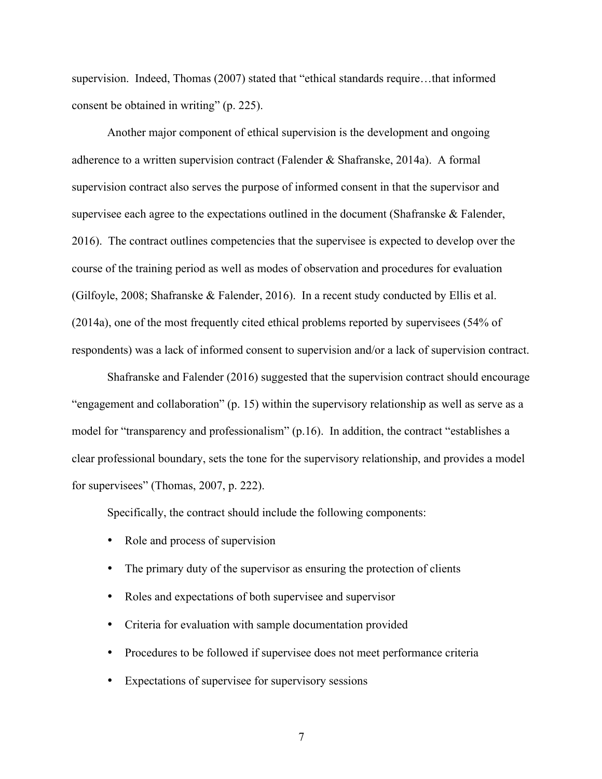supervision. Indeed, Thomas (2007) stated that "ethical standards require…that informed consent be obtained in writing" (p. 225).

Another major component of ethical supervision is the development and ongoing adherence to a written supervision contract (Falender & Shafranske, 2014a). A formal supervision contract also serves the purpose of informed consent in that the supervisor and supervisee each agree to the expectations outlined in the document (Shafranske & Falender, 2016). The contract outlines competencies that the supervisee is expected to develop over the course of the training period as well as modes of observation and procedures for evaluation (Gilfoyle, 2008; Shafranske & Falender, 2016). In a recent study conducted by Ellis et al. (2014a), one of the most frequently cited ethical problems reported by supervisees (54% of respondents) was a lack of informed consent to supervision and/or a lack of supervision contract.

Shafranske and Falender (2016) suggested that the supervision contract should encourage "engagement and collaboration" (p. 15) within the supervisory relationship as well as serve as a model for "transparency and professionalism" (p.16). In addition, the contract "establishes a clear professional boundary, sets the tone for the supervisory relationship, and provides a model for supervisees" (Thomas, 2007, p. 222).

Specifically, the contract should include the following components:

- Role and process of supervision
- The primary duty of the supervisor as ensuring the protection of clients
- Roles and expectations of both supervisee and supervisor
- Criteria for evaluation with sample documentation provided
- Procedures to be followed if supervisee does not meet performance criteria
- Expectations of supervisee for supervisory sessions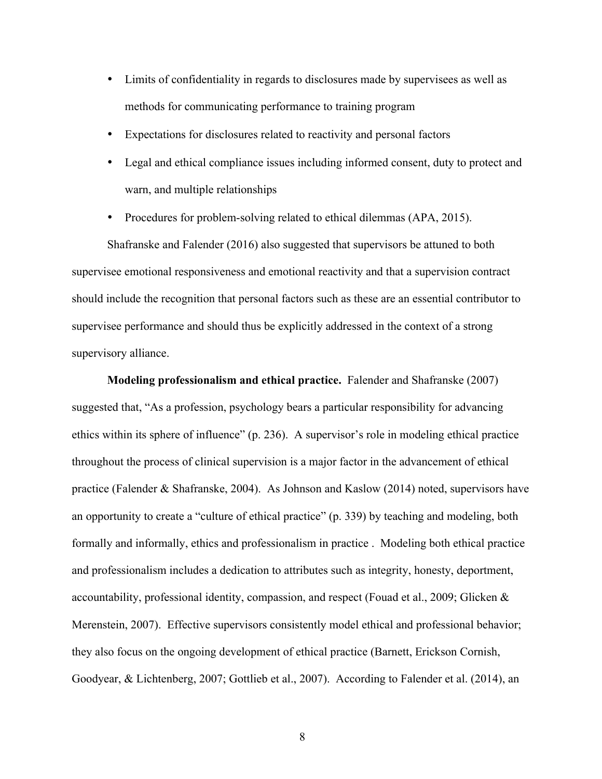- Limits of confidentiality in regards to disclosures made by supervisees as well as methods for communicating performance to training program
- Expectations for disclosures related to reactivity and personal factors
- Legal and ethical compliance issues including informed consent, duty to protect and warn, and multiple relationships
- Procedures for problem-solving related to ethical dilemmas (APA, 2015).

Shafranske and Falender (2016) also suggested that supervisors be attuned to both supervisee emotional responsiveness and emotional reactivity and that a supervision contract should include the recognition that personal factors such as these are an essential contributor to supervisee performance and should thus be explicitly addressed in the context of a strong supervisory alliance.

**Modeling professionalism and ethical practice.** Falender and Shafranske (2007) suggested that, "As a profession, psychology bears a particular responsibility for advancing ethics within its sphere of influence" (p. 236). A supervisor's role in modeling ethical practice throughout the process of clinical supervision is a major factor in the advancement of ethical practice (Falender & Shafranske, 2004). As Johnson and Kaslow (2014) noted, supervisors have an opportunity to create a "culture of ethical practice" (p. 339) by teaching and modeling, both formally and informally, ethics and professionalism in practice . Modeling both ethical practice and professionalism includes a dedication to attributes such as integrity, honesty, deportment, accountability, professional identity, compassion, and respect (Fouad et al., 2009; Glicken & Merenstein, 2007). Effective supervisors consistently model ethical and professional behavior; they also focus on the ongoing development of ethical practice (Barnett, Erickson Cornish, Goodyear, & Lichtenberg, 2007; Gottlieb et al., 2007). According to Falender et al. (2014), an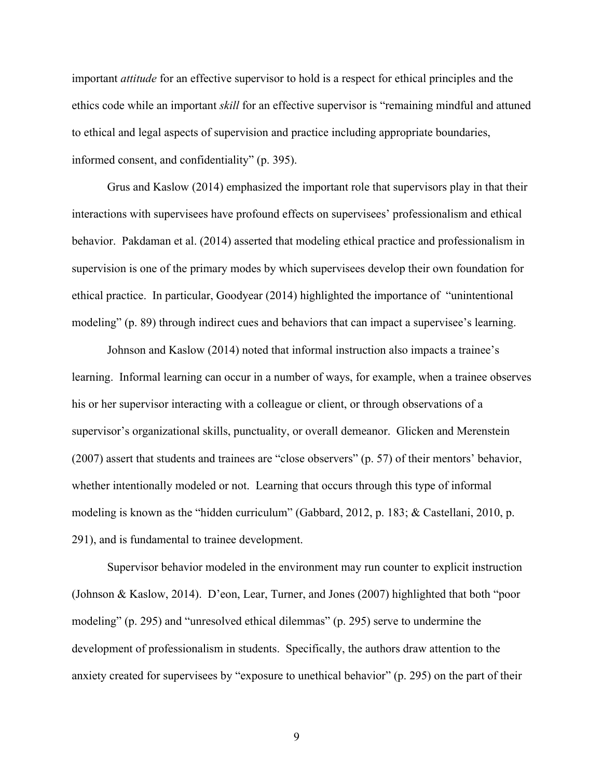important *attitude* for an effective supervisor to hold is a respect for ethical principles and the ethics code while an important *skill* for an effective supervisor is "remaining mindful and attuned to ethical and legal aspects of supervision and practice including appropriate boundaries, informed consent, and confidentiality" (p. 395).

Grus and Kaslow (2014) emphasized the important role that supervisors play in that their interactions with supervisees have profound effects on supervisees' professionalism and ethical behavior. Pakdaman et al. (2014) asserted that modeling ethical practice and professionalism in supervision is one of the primary modes by which supervisees develop their own foundation for ethical practice. In particular, Goodyear (2014) highlighted the importance of "unintentional modeling" (p. 89) through indirect cues and behaviors that can impact a supervisee's learning.

Johnson and Kaslow (2014) noted that informal instruction also impacts a trainee's learning. Informal learning can occur in a number of ways, for example, when a trainee observes his or her supervisor interacting with a colleague or client, or through observations of a supervisor's organizational skills, punctuality, or overall demeanor. Glicken and Merenstein (2007) assert that students and trainees are "close observers" (p. 57) of their mentors' behavior, whether intentionally modeled or not. Learning that occurs through this type of informal modeling is known as the "hidden curriculum" (Gabbard, 2012, p. 183; & Castellani, 2010, p. 291), and is fundamental to trainee development.

Supervisor behavior modeled in the environment may run counter to explicit instruction (Johnson & Kaslow, 2014). D'eon, Lear, Turner, and Jones (2007) highlighted that both "poor modeling" (p. 295) and "unresolved ethical dilemmas" (p. 295) serve to undermine the development of professionalism in students. Specifically, the authors draw attention to the anxiety created for supervisees by "exposure to unethical behavior" (p. 295) on the part of their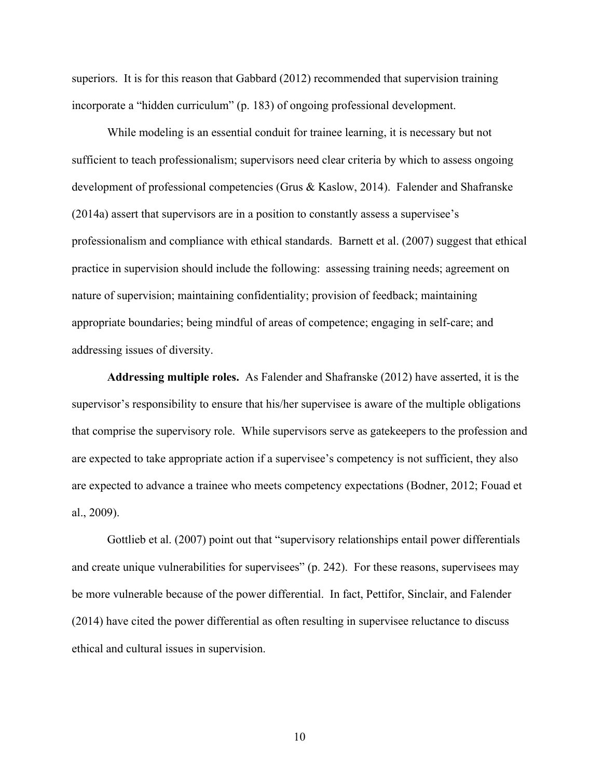superiors. It is for this reason that Gabbard (2012) recommended that supervision training incorporate a "hidden curriculum" (p. 183) of ongoing professional development.

While modeling is an essential conduit for trainee learning, it is necessary but not sufficient to teach professionalism; supervisors need clear criteria by which to assess ongoing development of professional competencies (Grus & Kaslow, 2014). Falender and Shafranske (2014a) assert that supervisors are in a position to constantly assess a supervisee's professionalism and compliance with ethical standards. Barnett et al. (2007) suggest that ethical practice in supervision should include the following: assessing training needs; agreement on nature of supervision; maintaining confidentiality; provision of feedback; maintaining appropriate boundaries; being mindful of areas of competence; engaging in self-care; and addressing issues of diversity.

**Addressing multiple roles.** As Falender and Shafranske (2012) have asserted, it is the supervisor's responsibility to ensure that his/her supervisee is aware of the multiple obligations that comprise the supervisory role. While supervisors serve as gatekeepers to the profession and are expected to take appropriate action if a supervisee's competency is not sufficient, they also are expected to advance a trainee who meets competency expectations (Bodner, 2012; Fouad et al., 2009).

Gottlieb et al. (2007) point out that "supervisory relationships entail power differentials and create unique vulnerabilities for supervisees" (p. 242). For these reasons, supervisees may be more vulnerable because of the power differential. In fact, Pettifor, Sinclair, and Falender (2014) have cited the power differential as often resulting in supervisee reluctance to discuss ethical and cultural issues in supervision.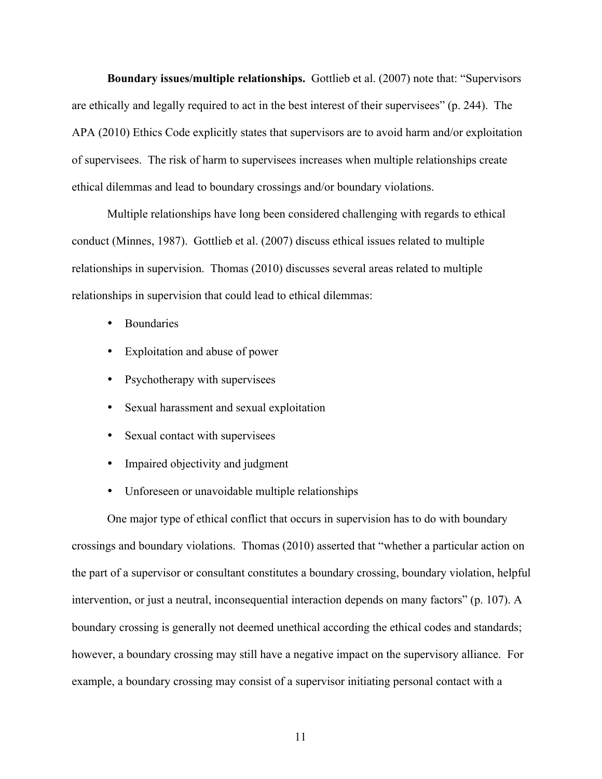**Boundary issues/multiple relationships.** Gottlieb et al. (2007) note that: "Supervisors are ethically and legally required to act in the best interest of their supervisees" (p. 244). The APA (2010) Ethics Code explicitly states that supervisors are to avoid harm and/or exploitation of supervisees. The risk of harm to supervisees increases when multiple relationships create ethical dilemmas and lead to boundary crossings and/or boundary violations.

Multiple relationships have long been considered challenging with regards to ethical conduct (Minnes, 1987). Gottlieb et al. (2007) discuss ethical issues related to multiple relationships in supervision. Thomas (2010) discusses several areas related to multiple relationships in supervision that could lead to ethical dilemmas:

- Boundaries
- Exploitation and abuse of power
- Psychotherapy with supervisees
- Sexual harassment and sexual exploitation
- Sexual contact with supervisees
- Impaired objectivity and judgment
- Unforeseen or unavoidable multiple relationships

One major type of ethical conflict that occurs in supervision has to do with boundary crossings and boundary violations. Thomas (2010) asserted that "whether a particular action on the part of a supervisor or consultant constitutes a boundary crossing, boundary violation, helpful intervention, or just a neutral, inconsequential interaction depends on many factors" (p. 107). A boundary crossing is generally not deemed unethical according the ethical codes and standards; however, a boundary crossing may still have a negative impact on the supervisory alliance. For example, a boundary crossing may consist of a supervisor initiating personal contact with a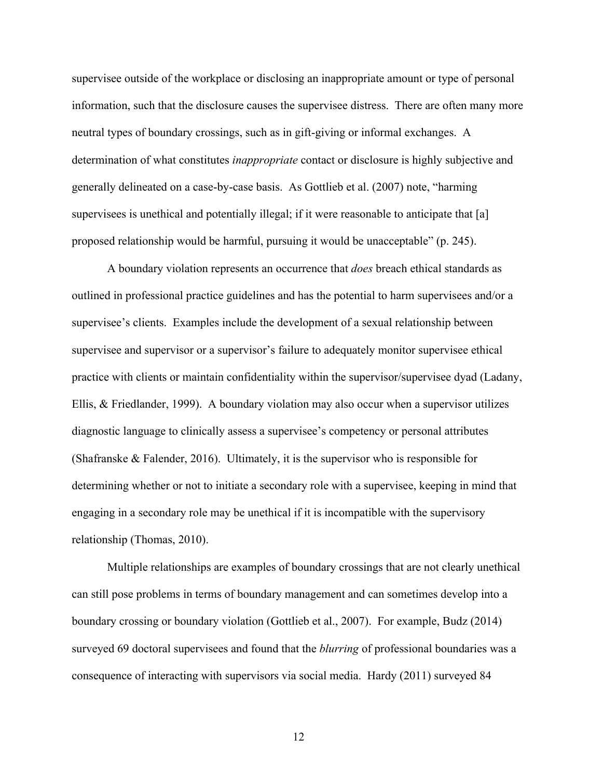supervisee outside of the workplace or disclosing an inappropriate amount or type of personal information, such that the disclosure causes the supervisee distress. There are often many more neutral types of boundary crossings, such as in gift-giving or informal exchanges. A determination of what constitutes *inappropriate* contact or disclosure is highly subjective and generally delineated on a case-by-case basis. As Gottlieb et al. (2007) note, "harming supervisees is unethical and potentially illegal; if it were reasonable to anticipate that [a] proposed relationship would be harmful, pursuing it would be unacceptable" (p. 245).

A boundary violation represents an occurrence that *does* breach ethical standards as outlined in professional practice guidelines and has the potential to harm supervisees and/or a supervisee's clients. Examples include the development of a sexual relationship between supervisee and supervisor or a supervisor's failure to adequately monitor supervisee ethical practice with clients or maintain confidentiality within the supervisor/supervisee dyad (Ladany, Ellis, & Friedlander, 1999). A boundary violation may also occur when a supervisor utilizes diagnostic language to clinically assess a supervisee's competency or personal attributes (Shafranske  $\&$  Falender, 2016). Ultimately, it is the supervisor who is responsible for determining whether or not to initiate a secondary role with a supervisee, keeping in mind that engaging in a secondary role may be unethical if it is incompatible with the supervisory relationship (Thomas, 2010).

Multiple relationships are examples of boundary crossings that are not clearly unethical can still pose problems in terms of boundary management and can sometimes develop into a boundary crossing or boundary violation (Gottlieb et al., 2007). For example, Budz (2014) surveyed 69 doctoral supervisees and found that the *blurring* of professional boundaries was a consequence of interacting with supervisors via social media. Hardy (2011) surveyed 84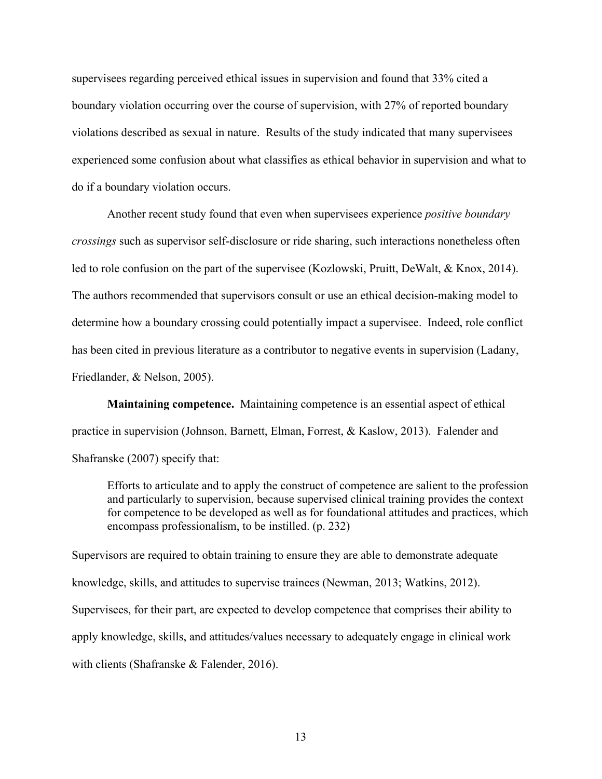supervisees regarding perceived ethical issues in supervision and found that 33% cited a boundary violation occurring over the course of supervision, with 27% of reported boundary violations described as sexual in nature. Results of the study indicated that many supervisees experienced some confusion about what classifies as ethical behavior in supervision and what to do if a boundary violation occurs.

Another recent study found that even when supervisees experience *positive boundary crossings* such as supervisor self-disclosure or ride sharing, such interactions nonetheless often led to role confusion on the part of the supervisee (Kozlowski, Pruitt, DeWalt, & Knox, 2014). The authors recommended that supervisors consult or use an ethical decision-making model to determine how a boundary crossing could potentially impact a supervisee. Indeed, role conflict has been cited in previous literature as a contributor to negative events in supervision (Ladany, Friedlander, & Nelson, 2005).

**Maintaining competence.** Maintaining competence is an essential aspect of ethical practice in supervision (Johnson, Barnett, Elman, Forrest, & Kaslow, 2013). Falender and Shafranske (2007) specify that:

Efforts to articulate and to apply the construct of competence are salient to the profession and particularly to supervision, because supervised clinical training provides the context for competence to be developed as well as for foundational attitudes and practices, which encompass professionalism, to be instilled. (p. 232)

Supervisors are required to obtain training to ensure they are able to demonstrate adequate knowledge, skills, and attitudes to supervise trainees (Newman, 2013; Watkins, 2012). Supervisees, for their part, are expected to develop competence that comprises their ability to apply knowledge, skills, and attitudes/values necessary to adequately engage in clinical work with clients (Shafranske & Falender, 2016).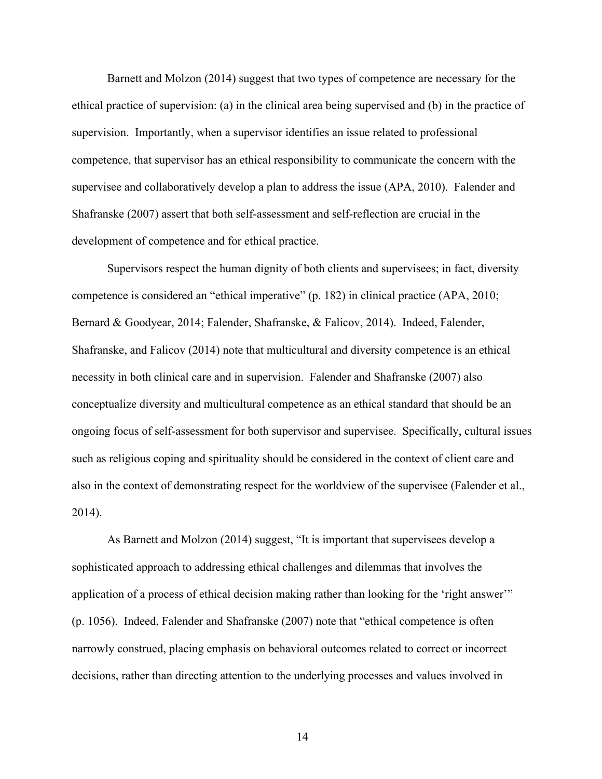Barnett and Molzon (2014) suggest that two types of competence are necessary for the ethical practice of supervision: (a) in the clinical area being supervised and (b) in the practice of supervision. Importantly, when a supervisor identifies an issue related to professional competence, that supervisor has an ethical responsibility to communicate the concern with the supervisee and collaboratively develop a plan to address the issue (APA, 2010). Falender and Shafranske (2007) assert that both self-assessment and self-reflection are crucial in the development of competence and for ethical practice.

Supervisors respect the human dignity of both clients and supervisees; in fact, diversity competence is considered an "ethical imperative" (p. 182) in clinical practice (APA, 2010; Bernard & Goodyear, 2014; Falender, Shafranske, & Falicov, 2014). Indeed, Falender, Shafranske, and Falicov (2014) note that multicultural and diversity competence is an ethical necessity in both clinical care and in supervision. Falender and Shafranske (2007) also conceptualize diversity and multicultural competence as an ethical standard that should be an ongoing focus of self-assessment for both supervisor and supervisee. Specifically, cultural issues such as religious coping and spirituality should be considered in the context of client care and also in the context of demonstrating respect for the worldview of the supervisee (Falender et al., 2014).

As Barnett and Molzon (2014) suggest, "It is important that supervisees develop a sophisticated approach to addressing ethical challenges and dilemmas that involves the application of a process of ethical decision making rather than looking for the 'right answer'" (p. 1056). Indeed, Falender and Shafranske (2007) note that "ethical competence is often narrowly construed, placing emphasis on behavioral outcomes related to correct or incorrect decisions, rather than directing attention to the underlying processes and values involved in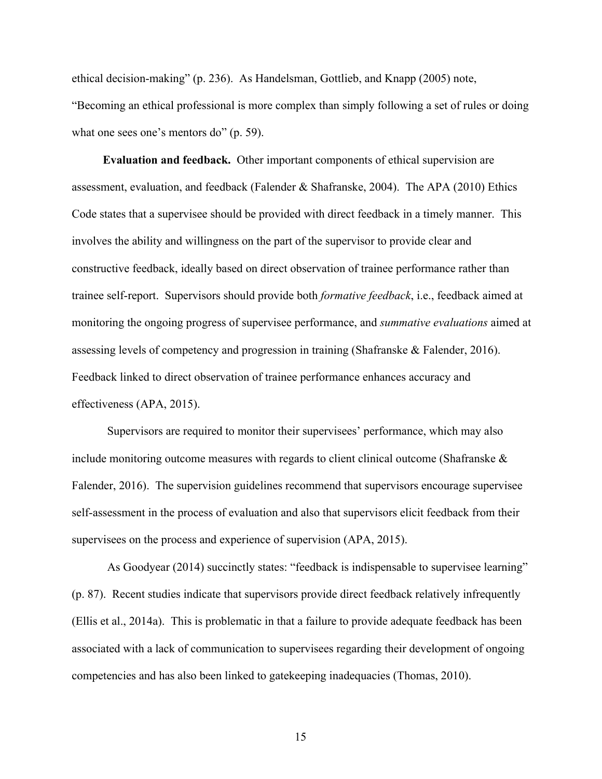ethical decision-making" (p. 236). As Handelsman, Gottlieb, and Knapp (2005) note, "Becoming an ethical professional is more complex than simply following a set of rules or doing what one sees one's mentors do" (p. 59).

**Evaluation and feedback.** Other important components of ethical supervision are assessment, evaluation, and feedback (Falender  $\&$  Shafranske, 2004). The APA (2010) Ethics Code states that a supervisee should be provided with direct feedback in a timely manner. This involves the ability and willingness on the part of the supervisor to provide clear and constructive feedback, ideally based on direct observation of trainee performance rather than trainee self-report. Supervisors should provide both *formative feedback*, i.e., feedback aimed at monitoring the ongoing progress of supervisee performance, and *summative evaluations* aimed at assessing levels of competency and progression in training (Shafranske & Falender, 2016). Feedback linked to direct observation of trainee performance enhances accuracy and effectiveness (APA, 2015).

Supervisors are required to monitor their supervisees' performance, which may also include monitoring outcome measures with regards to client clinical outcome (Shafranske  $\&$ Falender, 2016). The supervision guidelines recommend that supervisors encourage supervisee self-assessment in the process of evaluation and also that supervisors elicit feedback from their supervisees on the process and experience of supervision (APA, 2015).

As Goodyear (2014) succinctly states: "feedback is indispensable to supervisee learning" (p. 87). Recent studies indicate that supervisors provide direct feedback relatively infrequently (Ellis et al., 2014a). This is problematic in that a failure to provide adequate feedback has been associated with a lack of communication to supervisees regarding their development of ongoing competencies and has also been linked to gatekeeping inadequacies (Thomas, 2010).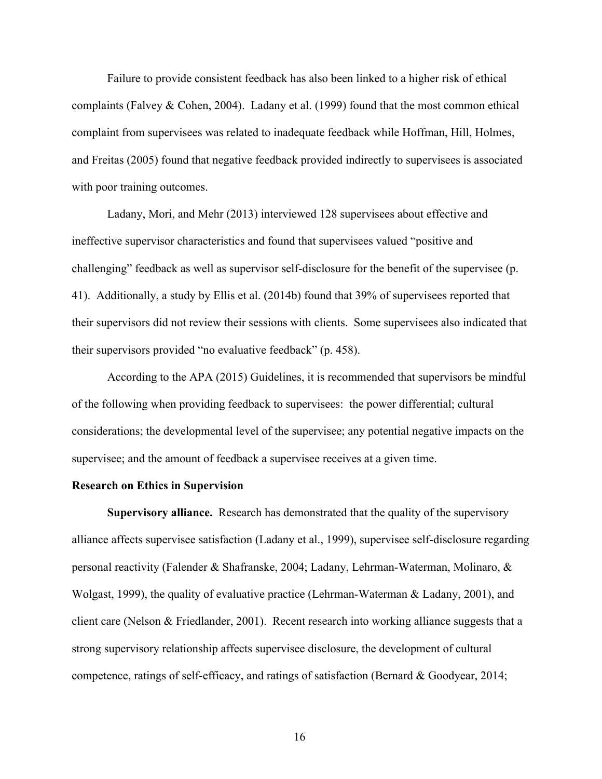Failure to provide consistent feedback has also been linked to a higher risk of ethical complaints (Falvey & Cohen, 2004). Ladany et al. (1999) found that the most common ethical complaint from supervisees was related to inadequate feedback while Hoffman, Hill, Holmes, and Freitas (2005) found that negative feedback provided indirectly to supervisees is associated with poor training outcomes.

Ladany, Mori, and Mehr (2013) interviewed 128 supervisees about effective and ineffective supervisor characteristics and found that supervisees valued "positive and challenging" feedback as well as supervisor self-disclosure for the benefit of the supervisee (p. 41). Additionally, a study by Ellis et al. (2014b) found that 39% of supervisees reported that their supervisors did not review their sessions with clients. Some supervisees also indicated that their supervisors provided "no evaluative feedback" (p. 458).

According to the APA (2015) Guidelines, it is recommended that supervisors be mindful of the following when providing feedback to supervisees: the power differential; cultural considerations; the developmental level of the supervisee; any potential negative impacts on the supervisee; and the amount of feedback a supervisee receives at a given time.

### **Research on Ethics in Supervision**

**Supervisory alliance.** Research has demonstrated that the quality of the supervisory alliance affects supervisee satisfaction (Ladany et al., 1999), supervisee self-disclosure regarding personal reactivity (Falender & Shafranske, 2004; Ladany, Lehrman-Waterman, Molinaro, & Wolgast, 1999), the quality of evaluative practice (Lehrman-Waterman & Ladany, 2001), and client care (Nelson  $&$  Friedlander, 2001). Recent research into working alliance suggests that a strong supervisory relationship affects supervisee disclosure, the development of cultural competence, ratings of self-efficacy, and ratings of satisfaction (Bernard & Goodyear, 2014;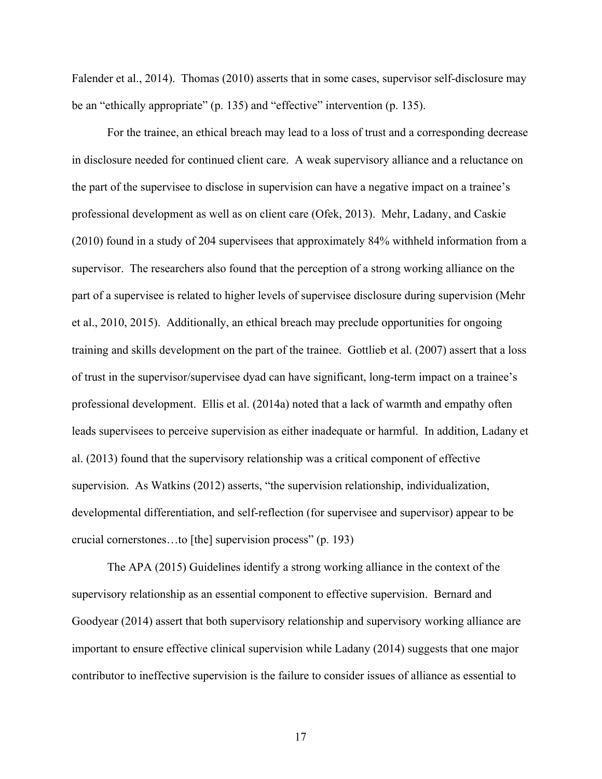Falender et al., 2014). Thomas (2010) asserts that in some cases, supervisor self-disclosure may be an "ethically appropriate" (p. 135) and "effective" intervention (p. 135).

For the trainee, an ethical breach may lead to a loss of trust and a corresponding decrease in disclosure needed for continued client care. A weak supervisory alliance and a reluctance on the part of the supervisee to disclose in supervision can have a negative impact on a trainee's professional development as well as on client care (Ofek, 2013). Mehr, Ladany, and Caskie (2010) found in a study of 204 supervisees that approximately 84% withheld information from a supervisor. The researchers also found that the perception of a strong working alliance on the part of a supervisee is related to higher levels of supervisee disclosure during supervision (Mehr et al., 2010, 2015). Additionally, an ethical breach may preclude opportunities for ongoing training and skills development on the part of the trainee. Gottlieb et al. (2007) assert that a loss of trust in the supervisor/supervisee dyad can have significant, long-term impact on a trainee's professional development. Ellis et al. (2014a) noted that a lack of warmth and empathy often leads supervisees to perceive supervision as either inadequate or harmful. In addition, Ladany et al. (2013) found that the supervisory relationship was a critical component of effective supervision. As Watkins (2012) asserts, "the supervision relationship, individualization, developmental differentiation, and self-reflection (for supervisee and supervisor) appear to be crucial cornerstones…to [the] supervision process" (p. 193)

The APA (2015) Guidelines identify a strong working alliance in the context of the supervisory relationship as an essential component to effective supervision. Bernard and Goodyear (2014) assert that both supervisory relationship and supervisory working alliance are important to ensure effective clinical supervision while Ladany (2014) suggests that one major contributor to ineffective supervision is the failure to consider issues of alliance as essential to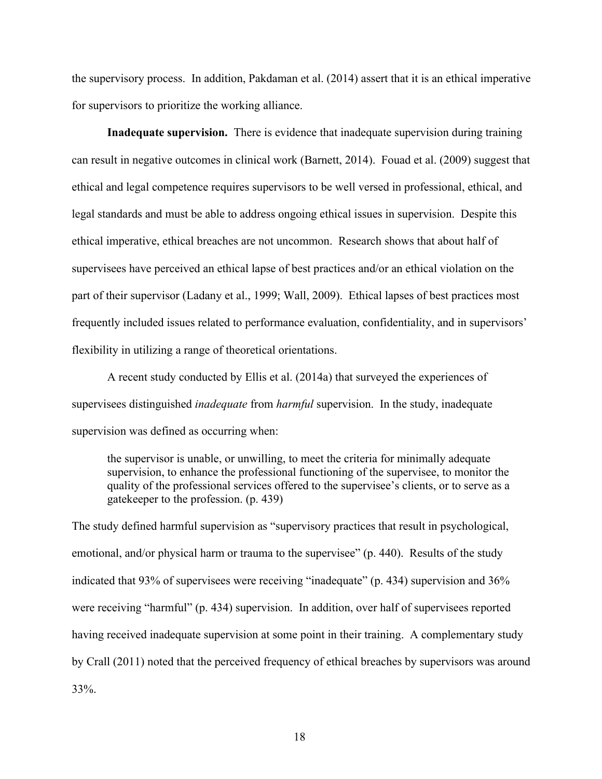the supervisory process. In addition, Pakdaman et al. (2014) assert that it is an ethical imperative for supervisors to prioritize the working alliance.

**Inadequate supervision.** There is evidence that inadequate supervision during training can result in negative outcomes in clinical work (Barnett, 2014). Fouad et al. (2009) suggest that ethical and legal competence requires supervisors to be well versed in professional, ethical, and legal standards and must be able to address ongoing ethical issues in supervision. Despite this ethical imperative, ethical breaches are not uncommon. Research shows that about half of supervisees have perceived an ethical lapse of best practices and/or an ethical violation on the part of their supervisor (Ladany et al., 1999; Wall, 2009). Ethical lapses of best practices most frequently included issues related to performance evaluation, confidentiality, and in supervisors' flexibility in utilizing a range of theoretical orientations.

A recent study conducted by Ellis et al. (2014a) that surveyed the experiences of supervisees distinguished *inadequate* from *harmful* supervision. In the study, inadequate supervision was defined as occurring when:

the supervisor is unable, or unwilling, to meet the criteria for minimally adequate supervision, to enhance the professional functioning of the supervisee, to monitor the quality of the professional services offered to the supervisee's clients, or to serve as a gatekeeper to the profession. (p. 439)

The study defined harmful supervision as "supervisory practices that result in psychological, emotional, and/or physical harm or trauma to the supervisee" (p. 440). Results of the study indicated that 93% of supervisees were receiving "inadequate" (p. 434) supervision and 36% were receiving "harmful" (p. 434) supervision. In addition, over half of supervisees reported having received inadequate supervision at some point in their training. A complementary study by Crall (2011) noted that the perceived frequency of ethical breaches by supervisors was around 33%.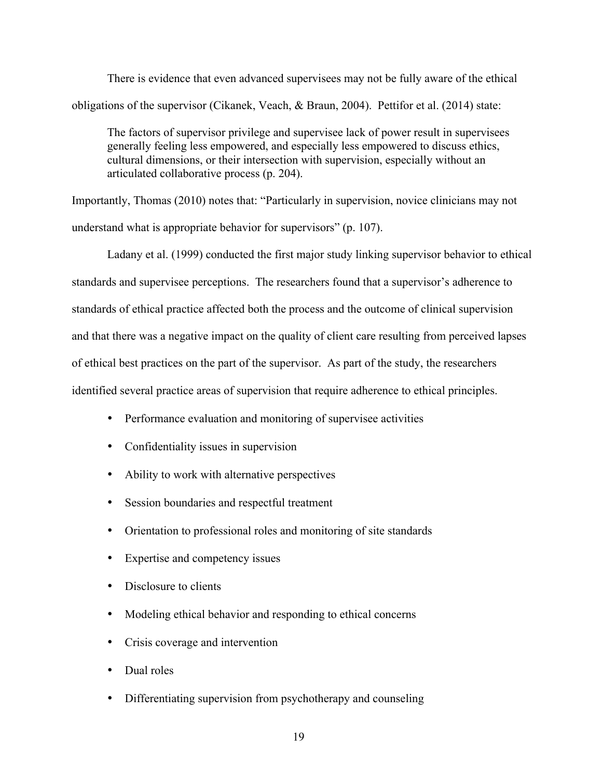There is evidence that even advanced supervisees may not be fully aware of the ethical obligations of the supervisor (Cikanek, Veach, & Braun, 2004). Pettifor et al. (2014) state:

The factors of supervisor privilege and supervisee lack of power result in supervisees generally feeling less empowered, and especially less empowered to discuss ethics, cultural dimensions, or their intersection with supervision, especially without an articulated collaborative process (p. 204).

Importantly, Thomas (2010) notes that: "Particularly in supervision, novice clinicians may not understand what is appropriate behavior for supervisors" (p. 107).

Ladany et al. (1999) conducted the first major study linking supervisor behavior to ethical standards and supervisee perceptions. The researchers found that a supervisor's adherence to standards of ethical practice affected both the process and the outcome of clinical supervision and that there was a negative impact on the quality of client care resulting from perceived lapses of ethical best practices on the part of the supervisor. As part of the study, the researchers identified several practice areas of supervision that require adherence to ethical principles.

- Performance evaluation and monitoring of supervisee activities
- Confidentiality issues in supervision
- Ability to work with alternative perspectives
- Session boundaries and respectful treatment
- Orientation to professional roles and monitoring of site standards
- Expertise and competency issues
- Disclosure to clients
- Modeling ethical behavior and responding to ethical concerns
- Crisis coverage and intervention
- Dual roles
- Differentiating supervision from psychotherapy and counseling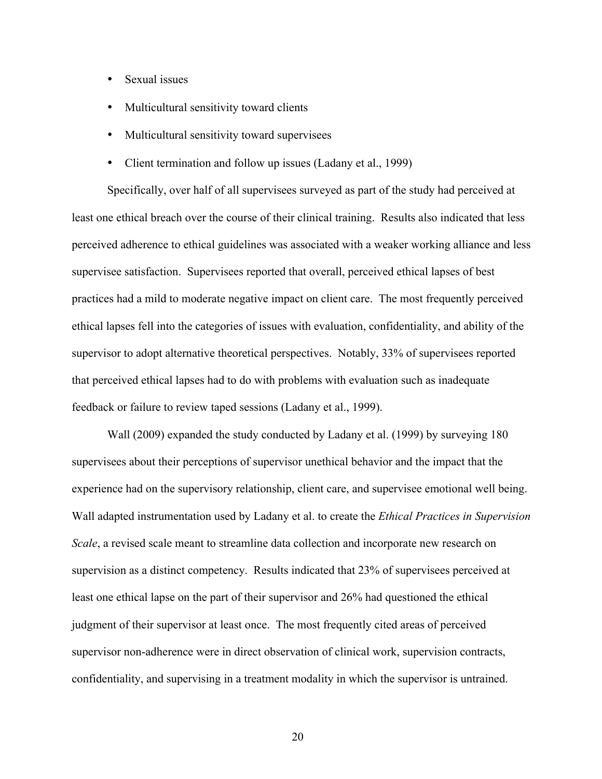- Sexual issues
- Multicultural sensitivity toward clients
- Multicultural sensitivity toward supervisees
- Client termination and follow up issues (Ladany et al., 1999)

Specifically, over half of all supervisees surveyed as part of the study had perceived at least one ethical breach over the course of their clinical training. Results also indicated that less perceived adherence to ethical guidelines was associated with a weaker working alliance and less supervisee satisfaction. Supervisees reported that overall, perceived ethical lapses of best practices had a mild to moderate negative impact on client care. The most frequently perceived ethical lapses fell into the categories of issues with evaluation, confidentiality, and ability of the supervisor to adopt alternative theoretical perspectives. Notably, 33% of supervisees reported that perceived ethical lapses had to do with problems with evaluation such as inadequate feedback or failure to review taped sessions (Ladany et al., 1999).

Wall (2009) expanded the study conducted by Ladany et al. (1999) by surveying 180 supervisees about their perceptions of supervisor unethical behavior and the impact that the experience had on the supervisory relationship, client care, and supervisee emotional well being. Wall adapted instrumentation used by Ladany et al. to create the *Ethical Practices in Supervision Scale*, a revised scale meant to streamline data collection and incorporate new research on supervision as a distinct competency. Results indicated that 23% of supervisees perceived at least one ethical lapse on the part of their supervisor and 26% had questioned the ethical judgment of their supervisor at least once. The most frequently cited areas of perceived supervisor non-adherence were in direct observation of clinical work, supervision contracts, confidentiality, and supervising in a treatment modality in which the supervisor is untrained.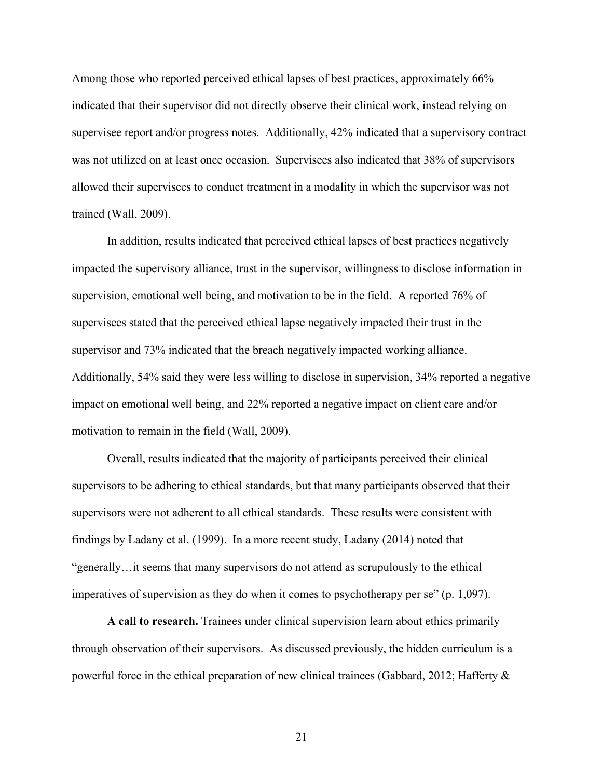Among those who reported perceived ethical lapses of best practices, approximately 66% indicated that their supervisor did not directly observe their clinical work, instead relying on supervisee report and/or progress notes. Additionally, 42% indicated that a supervisory contract was not utilized on at least once occasion. Supervisees also indicated that 38% of supervisors allowed their supervisees to conduct treatment in a modality in which the supervisor was not trained (Wall, 2009).

In addition, results indicated that perceived ethical lapses of best practices negatively impacted the supervisory alliance, trust in the supervisor, willingness to disclose information in supervision, emotional well being, and motivation to be in the field. A reported 76% of supervisees stated that the perceived ethical lapse negatively impacted their trust in the supervisor and 73% indicated that the breach negatively impacted working alliance. Additionally, 54% said they were less willing to disclose in supervision, 34% reported a negative impact on emotional well being, and 22% reported a negative impact on client care and/or motivation to remain in the field (Wall, 2009).

Overall, results indicated that the majority of participants perceived their clinical supervisors to be adhering to ethical standards, but that many participants observed that their supervisors were not adherent to all ethical standards. These results were consistent with findings by Ladany et al. (1999). In a more recent study, Ladany (2014) noted that "generally…it seems that many supervisors do not attend as scrupulously to the ethical imperatives of supervision as they do when it comes to psychotherapy per se" (p. 1,097).

**A call to research.** Trainees under clinical supervision learn about ethics primarily through observation of their supervisors. As discussed previously, the hidden curriculum is a powerful force in the ethical preparation of new clinical trainees (Gabbard, 2012; Hafferty &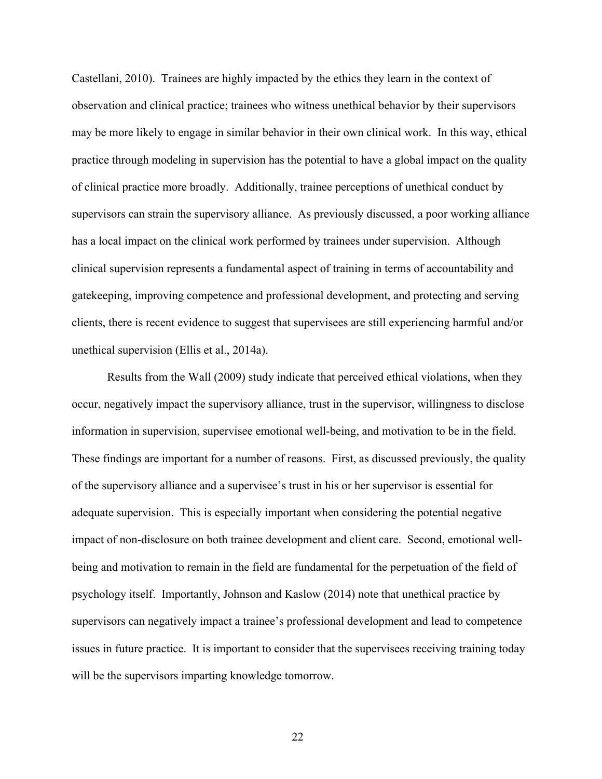Castellani, 2010). Trainees are highly impacted by the ethics they learn in the context of observation and clinical practice; trainees who witness unethical behavior by their supervisors may be more likely to engage in similar behavior in their own clinical work. In this way, ethical practice through modeling in supervision has the potential to have a global impact on the quality of clinical practice more broadly. Additionally, trainee perceptions of unethical conduct by supervisors can strain the supervisory alliance. As previously discussed, a poor working alliance has a local impact on the clinical work performed by trainees under supervision. Although clinical supervision represents a fundamental aspect of training in terms of accountability and gatekeeping, improving competence and professional development, and protecting and serving clients, there is recent evidence to suggest that supervisees are still experiencing harmful and/or unethical supervision (Ellis et al., 2014a).

Results from the Wall (2009) study indicate that perceived ethical violations, when they occur, negatively impact the supervisory alliance, trust in the supervisor, willingness to disclose information in supervision, supervisee emotional well-being, and motivation to be in the field. These findings are important for a number of reasons. First, as discussed previously, the quality of the supervisory alliance and a supervisee's trust in his or her supervisor is essential for adequate supervision. This is especially important when considering the potential negative impact of non-disclosure on both trainee development and client care. Second, emotional wellbeing and motivation to remain in the field are fundamental for the perpetuation of the field of psychology itself. Importantly, Johnson and Kaslow (2014) note that unethical practice by supervisors can negatively impact a trainee's professional development and lead to competence issues in future practice. It is important to consider that the supervisees receiving training today will be the supervisors imparting knowledge tomorrow.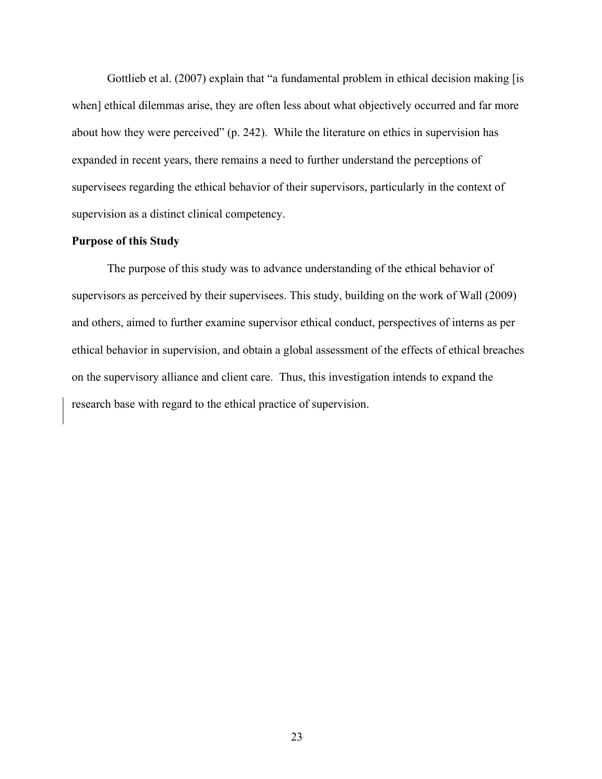Gottlieb et al. (2007) explain that "a fundamental problem in ethical decision making [is when] ethical dilemmas arise, they are often less about what objectively occurred and far more about how they were perceived" (p. 242). While the literature on ethics in supervision has expanded in recent years, there remains a need to further understand the perceptions of supervisees regarding the ethical behavior of their supervisors, particularly in the context of supervision as a distinct clinical competency.

### **Purpose of this Study**

The purpose of this study was to advance understanding of the ethical behavior of supervisors as perceived by their supervisees. This study, building on the work of Wall (2009) and others, aimed to further examine supervisor ethical conduct, perspectives of interns as per ethical behavior in supervision, and obtain a global assessment of the effects of ethical breaches on the supervisory alliance and client care. Thus, this investigation intends to expand the research base with regard to the ethical practice of supervision.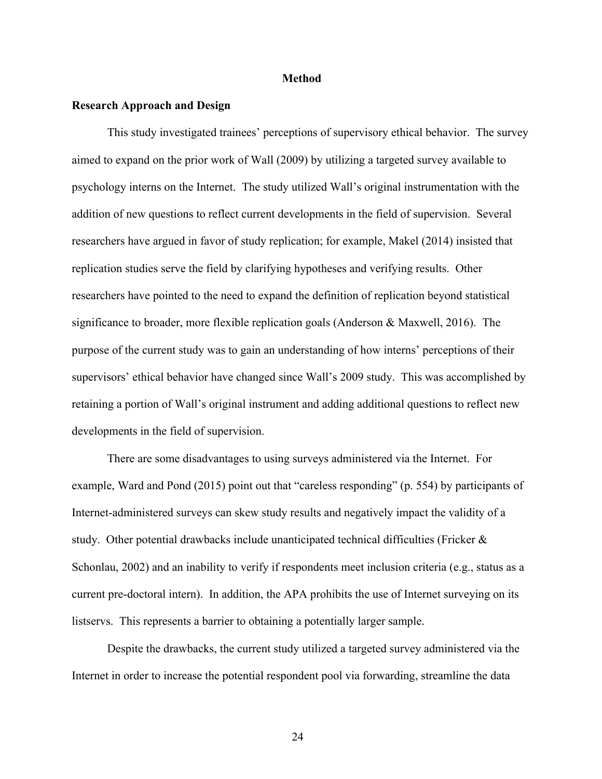### **Method**

### **Research Approach and Design**

This study investigated trainees' perceptions of supervisory ethical behavior. The survey aimed to expand on the prior work of Wall (2009) by utilizing a targeted survey available to psychology interns on the Internet. The study utilized Wall's original instrumentation with the addition of new questions to reflect current developments in the field of supervision. Several researchers have argued in favor of study replication; for example, Makel (2014) insisted that replication studies serve the field by clarifying hypotheses and verifying results. Other researchers have pointed to the need to expand the definition of replication beyond statistical significance to broader, more flexible replication goals (Anderson  $\&$  Maxwell, 2016). The purpose of the current study was to gain an understanding of how interns' perceptions of their supervisors' ethical behavior have changed since Wall's 2009 study. This was accomplished by retaining a portion of Wall's original instrument and adding additional questions to reflect new developments in the field of supervision.

There are some disadvantages to using surveys administered via the Internet. For example, Ward and Pond (2015) point out that "careless responding" (p. 554) by participants of Internet-administered surveys can skew study results and negatively impact the validity of a study. Other potential drawbacks include unanticipated technical difficulties (Fricker  $\&$ Schonlau, 2002) and an inability to verify if respondents meet inclusion criteria (e.g., status as a current pre-doctoral intern). In addition, the APA prohibits the use of Internet surveying on its listservs. This represents a barrier to obtaining a potentially larger sample.

Despite the drawbacks, the current study utilized a targeted survey administered via the Internet in order to increase the potential respondent pool via forwarding, streamline the data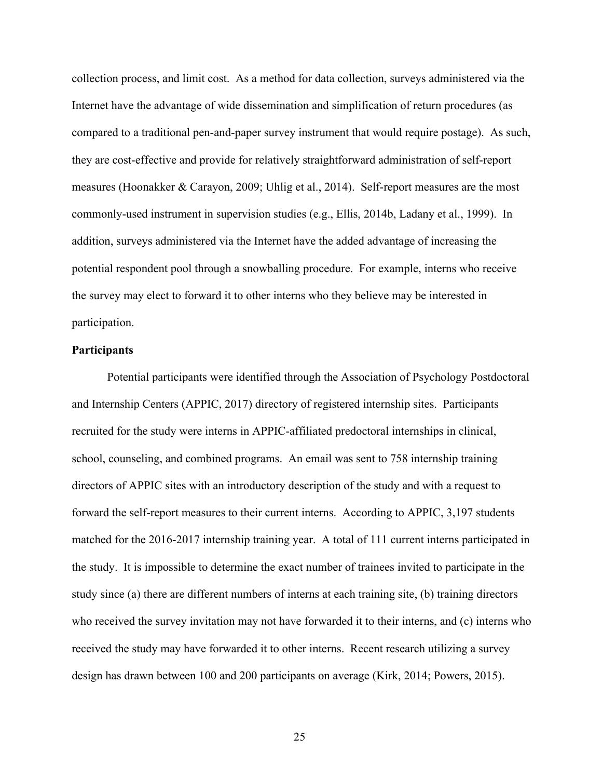collection process, and limit cost. As a method for data collection, surveys administered via the Internet have the advantage of wide dissemination and simplification of return procedures (as compared to a traditional pen-and-paper survey instrument that would require postage). As such, they are cost-effective and provide for relatively straightforward administration of self-report measures (Hoonakker & Carayon, 2009; Uhlig et al., 2014). Self-report measures are the most commonly-used instrument in supervision studies (e.g., Ellis, 2014b, Ladany et al., 1999). In addition, surveys administered via the Internet have the added advantage of increasing the potential respondent pool through a snowballing procedure. For example, interns who receive the survey may elect to forward it to other interns who they believe may be interested in participation.

#### **Participants**

Potential participants were identified through the Association of Psychology Postdoctoral and Internship Centers (APPIC, 2017) directory of registered internship sites. Participants recruited for the study were interns in APPIC-affiliated predoctoral internships in clinical, school, counseling, and combined programs. An email was sent to 758 internship training directors of APPIC sites with an introductory description of the study and with a request to forward the self-report measures to their current interns. According to APPIC, 3,197 students matched for the 2016-2017 internship training year. A total of 111 current interns participated in the study. It is impossible to determine the exact number of trainees invited to participate in the study since (a) there are different numbers of interns at each training site, (b) training directors who received the survey invitation may not have forwarded it to their interns, and (c) interns who received the study may have forwarded it to other interns. Recent research utilizing a survey design has drawn between 100 and 200 participants on average (Kirk, 2014; Powers, 2015).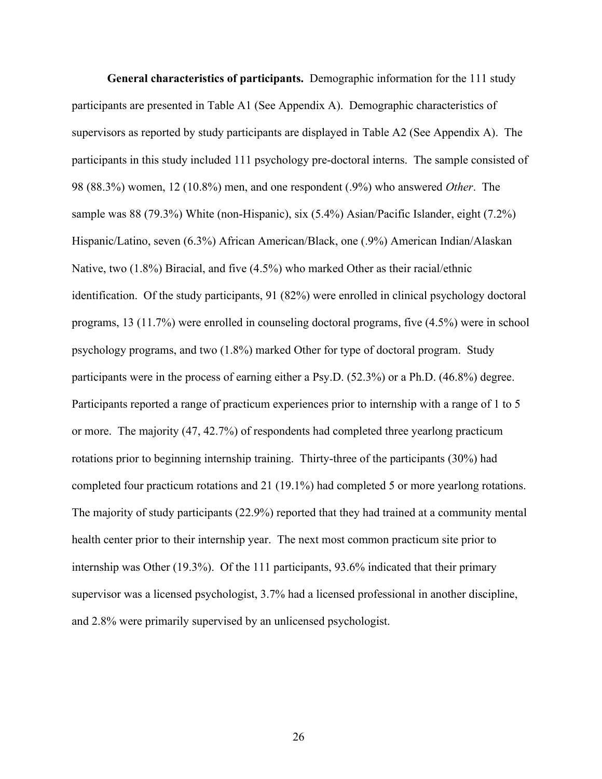**General characteristics of participants.** Demographic information for the 111 study participants are presented in Table A1 (See Appendix A). Demographic characteristics of supervisors as reported by study participants are displayed in Table A2 (See Appendix A). The participants in this study included 111 psychology pre-doctoral interns. The sample consisted of 98 (88.3%) women, 12 (10.8%) men, and one respondent (.9%) who answered *Other*. The sample was 88 (79.3%) White (non-Hispanic), six (5.4%) Asian/Pacific Islander, eight (7.2%) Hispanic/Latino, seven (6.3%) African American/Black, one (.9%) American Indian/Alaskan Native, two (1.8%) Biracial, and five (4.5%) who marked Other as their racial/ethnic identification. Of the study participants, 91 (82%) were enrolled in clinical psychology doctoral programs, 13 (11.7%) were enrolled in counseling doctoral programs, five (4.5%) were in school psychology programs, and two (1.8%) marked Other for type of doctoral program. Study participants were in the process of earning either a Psy.D. (52.3%) or a Ph.D. (46.8%) degree. Participants reported a range of practicum experiences prior to internship with a range of 1 to 5 or more. The majority (47, 42.7%) of respondents had completed three yearlong practicum rotations prior to beginning internship training. Thirty-three of the participants (30%) had completed four practicum rotations and 21 (19.1%) had completed 5 or more yearlong rotations. The majority of study participants (22.9%) reported that they had trained at a community mental health center prior to their internship year. The next most common practicum site prior to internship was Other (19.3%). Of the 111 participants, 93.6% indicated that their primary supervisor was a licensed psychologist, 3.7% had a licensed professional in another discipline, and 2.8% were primarily supervised by an unlicensed psychologist.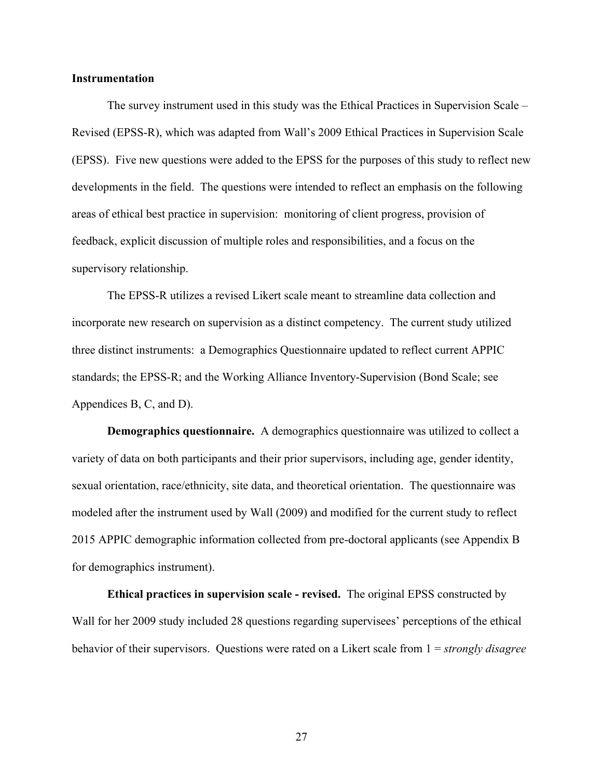#### **Instrumentation**

The survey instrument used in this study was the Ethical Practices in Supervision Scale – Revised (EPSS-R), which was adapted from Wall's 2009 Ethical Practices in Supervision Scale (EPSS). Five new questions were added to the EPSS for the purposes of this study to reflect new developments in the field. The questions were intended to reflect an emphasis on the following areas of ethical best practice in supervision: monitoring of client progress, provision of feedback, explicit discussion of multiple roles and responsibilities, and a focus on the supervisory relationship.

The EPSS-R utilizes a revised Likert scale meant to streamline data collection and incorporate new research on supervision as a distinct competency. The current study utilized three distinct instruments: a Demographics Questionnaire updated to reflect current APPIC standards; the EPSS-R; and the Working Alliance Inventory-Supervision (Bond Scale; see Appendices B, C, and D).

**Demographics questionnaire.** A demographics questionnaire was utilized to collect a variety of data on both participants and their prior supervisors, including age, gender identity, sexual orientation, race/ethnicity, site data, and theoretical orientation. The questionnaire was modeled after the instrument used by Wall (2009) and modified for the current study to reflect 2015 APPIC demographic information collected from pre-doctoral applicants (see Appendix B for demographics instrument).

**Ethical practices in supervision scale - revised.** The original EPSS constructed by Wall for her 2009 study included 28 questions regarding supervisees' perceptions of the ethical behavior of their supervisors. Questions were rated on a Likert scale from 1 = *strongly disagree*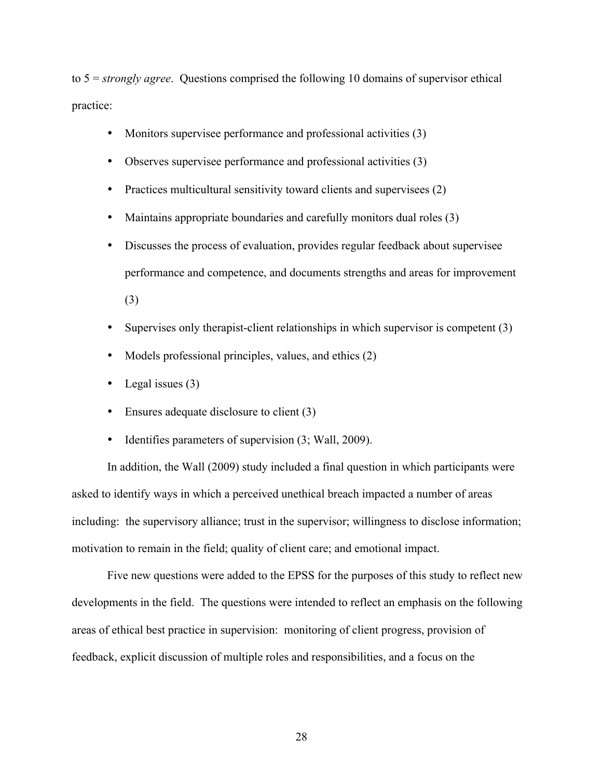to 5 = *strongly agree*. Questions comprised the following 10 domains of supervisor ethical practice:

- Monitors supervisee performance and professional activities (3)
- Observes supervisee performance and professional activities (3)
- Practices multicultural sensitivity toward clients and supervisees (2)
- Maintains appropriate boundaries and carefully monitors dual roles (3)
- Discusses the process of evaluation, provides regular feedback about supervisee performance and competence, and documents strengths and areas for improvement (3)
- Supervises only therapist-client relationships in which supervisor is competent (3)
- Models professional principles, values, and ethics (2)
- Legal issues (3)
- Ensures adequate disclosure to client (3)
- Identifies parameters of supervision  $(3;$  Wall, 2009).

In addition, the Wall (2009) study included a final question in which participants were asked to identify ways in which a perceived unethical breach impacted a number of areas including: the supervisory alliance; trust in the supervisor; willingness to disclose information; motivation to remain in the field; quality of client care; and emotional impact.

Five new questions were added to the EPSS for the purposes of this study to reflect new developments in the field. The questions were intended to reflect an emphasis on the following areas of ethical best practice in supervision: monitoring of client progress, provision of feedback, explicit discussion of multiple roles and responsibilities, and a focus on the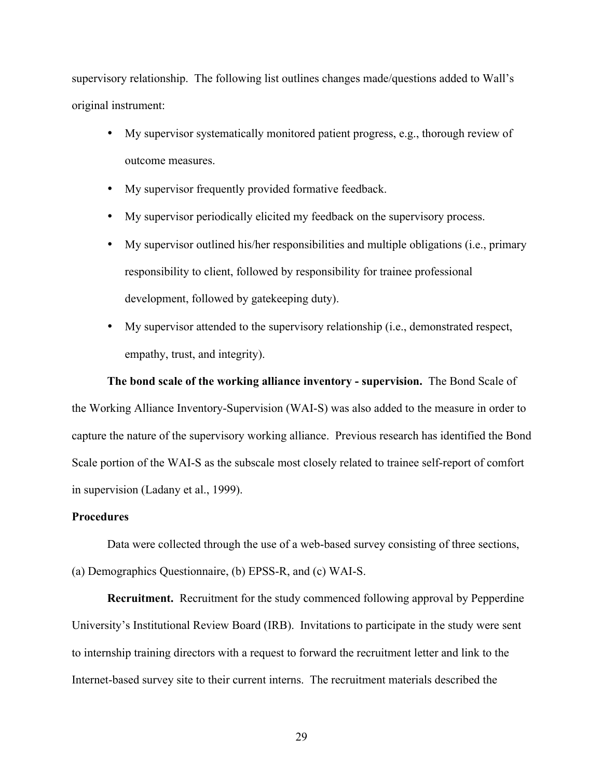supervisory relationship. The following list outlines changes made/questions added to Wall's original instrument:

- My supervisor systematically monitored patient progress, e.g., thorough review of outcome measures.
- My supervisor frequently provided formative feedback.
- My supervisor periodically elicited my feedback on the supervisory process.
- My supervisor outlined his/her responsibilities and multiple obligations (i.e., primary responsibility to client, followed by responsibility for trainee professional development, followed by gatekeeping duty).
- My supervisor attended to the supervisory relationship (i.e., demonstrated respect, empathy, trust, and integrity).

#### **The bond scale of the working alliance inventory - supervision.** The Bond Scale of

the Working Alliance Inventory-Supervision (WAI-S) was also added to the measure in order to capture the nature of the supervisory working alliance. Previous research has identified the Bond Scale portion of the WAI-S as the subscale most closely related to trainee self-report of comfort in supervision (Ladany et al., 1999).

#### **Procedures**

Data were collected through the use of a web-based survey consisting of three sections, (a) Demographics Questionnaire, (b) EPSS-R, and (c) WAI-S.

**Recruitment.** Recruitment for the study commenced following approval by Pepperdine University's Institutional Review Board (IRB). Invitations to participate in the study were sent to internship training directors with a request to forward the recruitment letter and link to the Internet-based survey site to their current interns. The recruitment materials described the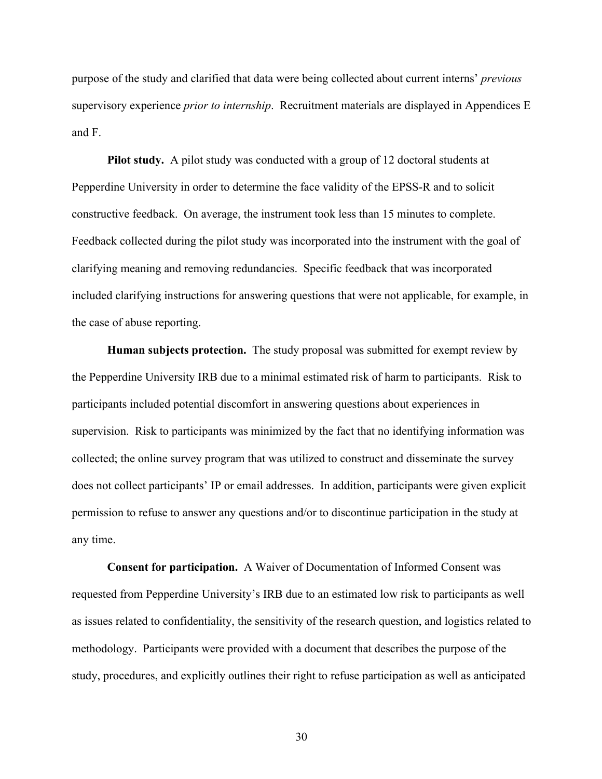purpose of the study and clarified that data were being collected about current interns' *previous* supervisory experience *prior to internship*. Recruitment materials are displayed in Appendices E and F.

**Pilot study.**A pilot study was conducted with a group of 12 doctoral students at Pepperdine University in order to determine the face validity of the EPSS-R and to solicit constructive feedback. On average, the instrument took less than 15 minutes to complete. Feedback collected during the pilot study was incorporated into the instrument with the goal of clarifying meaning and removing redundancies. Specific feedback that was incorporated included clarifying instructions for answering questions that were not applicable, for example, in the case of abuse reporting.

**Human subjects protection.** The study proposal was submitted for exempt review by the Pepperdine University IRB due to a minimal estimated risk of harm to participants. Risk to participants included potential discomfort in answering questions about experiences in supervision. Risk to participants was minimized by the fact that no identifying information was collected; the online survey program that was utilized to construct and disseminate the survey does not collect participants' IP or email addresses. In addition, participants were given explicit permission to refuse to answer any questions and/or to discontinue participation in the study at any time.

**Consent for participation.**A Waiver of Documentation of Informed Consent was requested from Pepperdine University's IRB due to an estimated low risk to participants as well as issues related to confidentiality, the sensitivity of the research question, and logistics related to methodology. Participants were provided with a document that describes the purpose of the study, procedures, and explicitly outlines their right to refuse participation as well as anticipated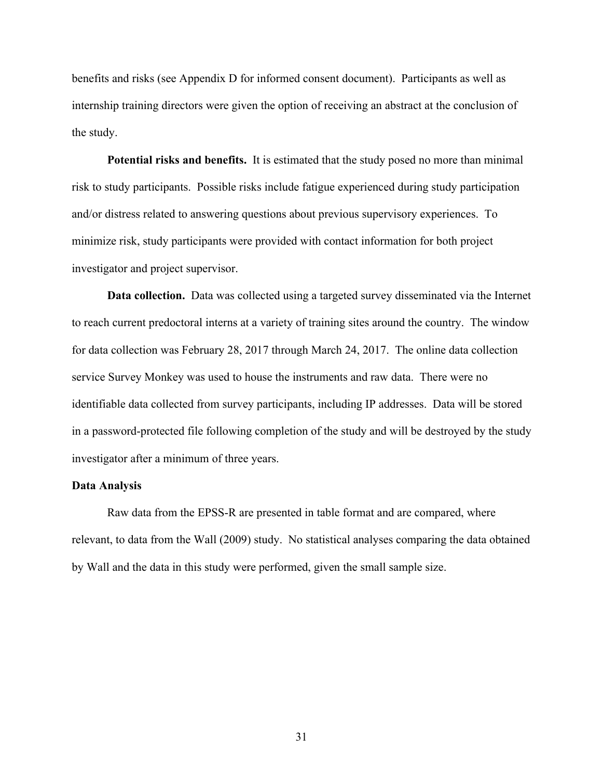benefits and risks (see Appendix D for informed consent document). Participants as well as internship training directors were given the option of receiving an abstract at the conclusion of the study.

**Potential risks and benefits.**It is estimated that the study posed no more than minimal risk to study participants. Possible risks include fatigue experienced during study participation and/or distress related to answering questions about previous supervisory experiences. To minimize risk, study participants were provided with contact information for both project investigator and project supervisor.

**Data collection.** Data was collected using a targeted survey disseminated via the Internet to reach current predoctoral interns at a variety of training sites around the country. The window for data collection was February 28, 2017 through March 24, 2017. The online data collection service Survey Monkey was used to house the instruments and raw data. There were no identifiable data collected from survey participants, including IP addresses. Data will be stored in a password-protected file following completion of the study and will be destroyed by the study investigator after a minimum of three years.

#### **Data Analysis**

Raw data from the EPSS-R are presented in table format and are compared, where relevant, to data from the Wall (2009) study. No statistical analyses comparing the data obtained by Wall and the data in this study were performed, given the small sample size.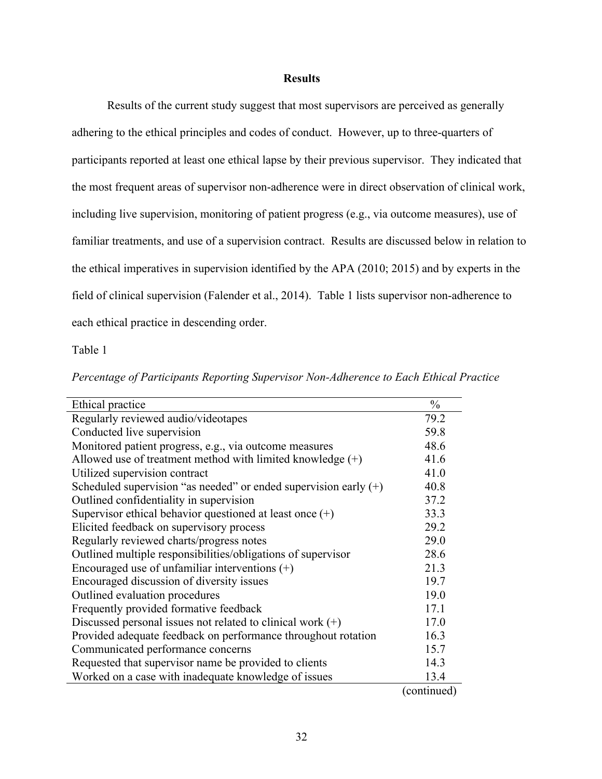#### **Results**

Results of the current study suggest that most supervisors are perceived as generally adhering to the ethical principles and codes of conduct. However, up to three-quarters of participants reported at least one ethical lapse by their previous supervisor. They indicated that the most frequent areas of supervisor non-adherence were in direct observation of clinical work, including live supervision, monitoring of patient progress (e.g., via outcome measures), use of familiar treatments, and use of a supervision contract. Results are discussed below in relation to the ethical imperatives in supervision identified by the APA (2010; 2015) and by experts in the field of clinical supervision (Falender et al., 2014). Table 1 lists supervisor non-adherence to each ethical practice in descending order.

Table 1

| Ethical practice                                                   | $\frac{0}{0}$                           |
|--------------------------------------------------------------------|-----------------------------------------|
| Regularly reviewed audio/videotapes                                | 79.2                                    |
| Conducted live supervision                                         | 59.8                                    |
| Monitored patient progress, e.g., via outcome measures             | 48.6                                    |
| Allowed use of treatment method with limited knowledge $(+)$       | 41.6                                    |
| Utilized supervision contract                                      | 41.0                                    |
| Scheduled supervision "as needed" or ended supervision early $(+)$ | 40.8                                    |
| Outlined confidentiality in supervision                            | 37.2                                    |
| Supervisor ethical behavior questioned at least once $(+)$         | 33.3                                    |
| Elicited feedback on supervisory process                           | 29.2                                    |
| Regularly reviewed charts/progress notes                           | 29.0                                    |
| Outlined multiple responsibilities/obligations of supervisor       | 28.6                                    |
| Encouraged use of unfamiliar interventions $(+)$                   | 21.3                                    |
| Encouraged discussion of diversity issues                          | 19.7                                    |
| Outlined evaluation procedures                                     | 19.0                                    |
| Frequently provided formative feedback                             | 17.1                                    |
| Discussed personal issues not related to clinical work $(+)$       | 17.0                                    |
| Provided adequate feedback on performance throughout rotation      | 16.3                                    |
| Communicated performance concerns                                  | 15.7                                    |
| Requested that supervisor name be provided to clients              | 14.3                                    |
| Worked on a case with inadequate knowledge of issues               | 13.4                                    |
|                                                                    | $\mathbf{r} = \mathbf{r}$<br>$\sqrt{2}$ |

*Percentage of Participants Reporting Supervisor Non-Adherence to Each Ethical Practice* 

(continued)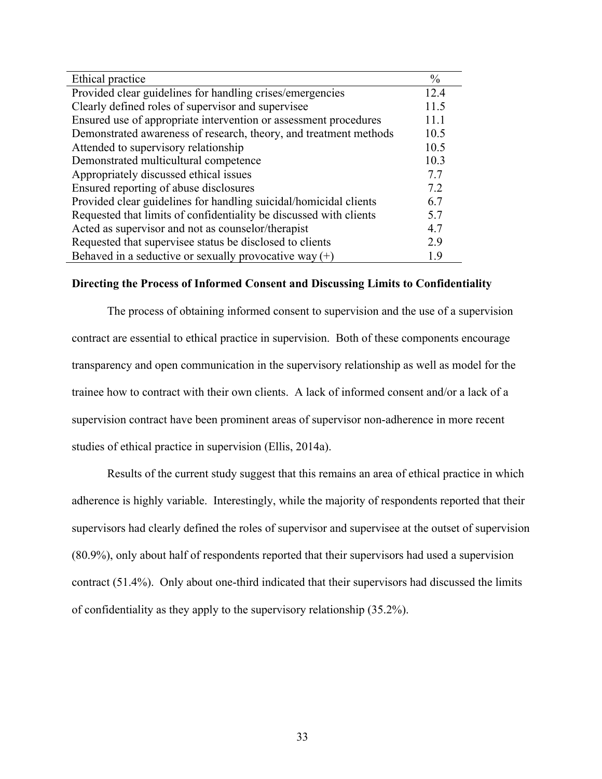| Ethical practice                                                   | $\frac{0}{0}$ |
|--------------------------------------------------------------------|---------------|
| Provided clear guidelines for handling crises/emergencies          | 12.4          |
| Clearly defined roles of supervisor and supervisee                 | 11.5          |
| Ensured use of appropriate intervention or assessment procedures   | 11.1          |
| Demonstrated awareness of research, theory, and treatment methods  | 10.5          |
| Attended to supervisory relationship                               | 10.5          |
| Demonstrated multicultural competence                              | 10.3          |
| Appropriately discussed ethical issues                             | 7.7           |
| Ensured reporting of abuse disclosures                             | 7.2           |
| Provided clear guidelines for handling suicidal/homicidal clients  | 6.7           |
| Requested that limits of confidentiality be discussed with clients | 5.7           |
| Acted as supervisor and not as counselor/therapist                 | 4.7           |
| Requested that supervisee status be disclosed to clients           | 2.9           |
| Behaved in a seductive or sexually provocative way $(+)$           | 1.9           |

#### **Directing the Process of Informed Consent and Discussing Limits to Confidentiality**

The process of obtaining informed consent to supervision and the use of a supervision contract are essential to ethical practice in supervision. Both of these components encourage transparency and open communication in the supervisory relationship as well as model for the trainee how to contract with their own clients. A lack of informed consent and/or a lack of a supervision contract have been prominent areas of supervisor non-adherence in more recent studies of ethical practice in supervision (Ellis, 2014a).

Results of the current study suggest that this remains an area of ethical practice in which adherence is highly variable. Interestingly, while the majority of respondents reported that their supervisors had clearly defined the roles of supervisor and supervisee at the outset of supervision (80.9%), only about half of respondents reported that their supervisors had used a supervision contract (51.4%). Only about one-third indicated that their supervisors had discussed the limits of confidentiality as they apply to the supervisory relationship (35.2%).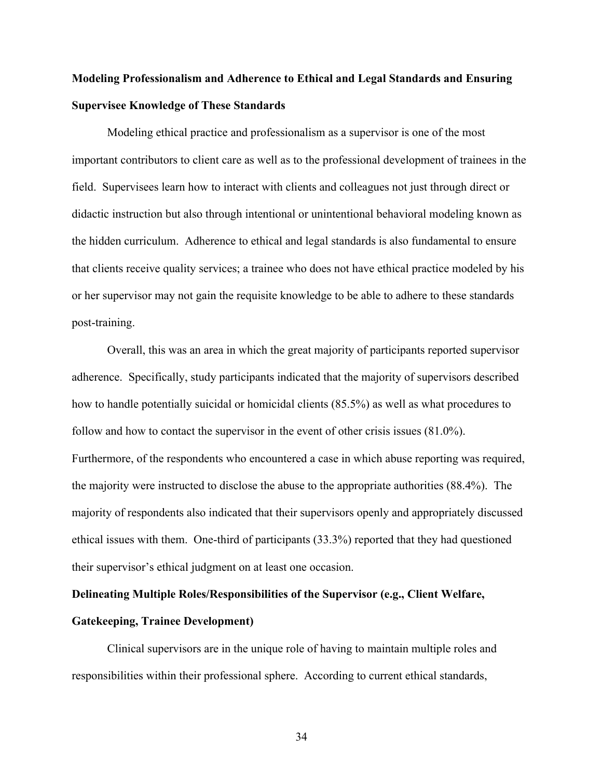# **Modeling Professionalism and Adherence to Ethical and Legal Standards and Ensuring Supervisee Knowledge of These Standards**

Modeling ethical practice and professionalism as a supervisor is one of the most important contributors to client care as well as to the professional development of trainees in the field. Supervisees learn how to interact with clients and colleagues not just through direct or didactic instruction but also through intentional or unintentional behavioral modeling known as the hidden curriculum. Adherence to ethical and legal standards is also fundamental to ensure that clients receive quality services; a trainee who does not have ethical practice modeled by his or her supervisor may not gain the requisite knowledge to be able to adhere to these standards post-training.

Overall, this was an area in which the great majority of participants reported supervisor adherence. Specifically, study participants indicated that the majority of supervisors described how to handle potentially suicidal or homicidal clients (85.5%) as well as what procedures to follow and how to contact the supervisor in the event of other crisis issues (81.0%). Furthermore, of the respondents who encountered a case in which abuse reporting was required, the majority were instructed to disclose the abuse to the appropriate authorities (88.4%). The majority of respondents also indicated that their supervisors openly and appropriately discussed ethical issues with them. One-third of participants (33.3%) reported that they had questioned their supervisor's ethical judgment on at least one occasion.

# **Delineating Multiple Roles/Responsibilities of the Supervisor (e.g., Client Welfare, Gatekeeping, Trainee Development)**

Clinical supervisors are in the unique role of having to maintain multiple roles and responsibilities within their professional sphere. According to current ethical standards,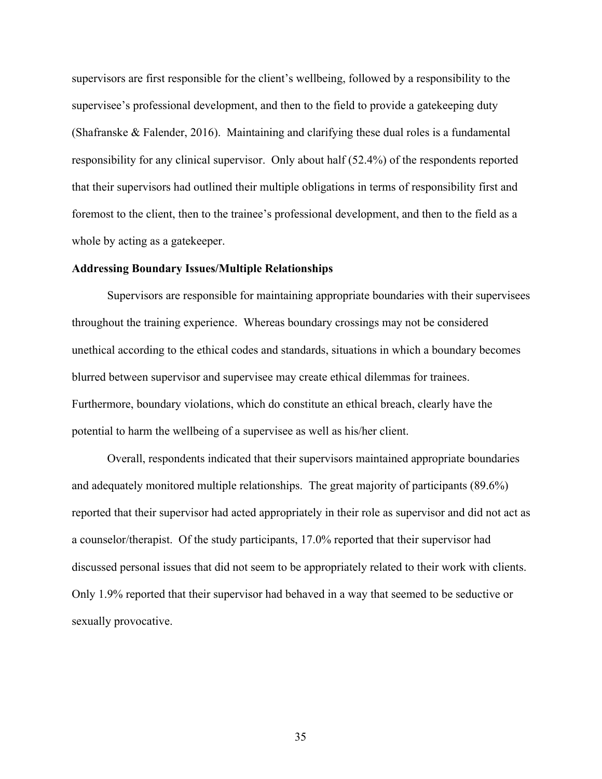supervisors are first responsible for the client's wellbeing, followed by a responsibility to the supervisee's professional development, and then to the field to provide a gatekeeping duty (Shafranske & Falender, 2016). Maintaining and clarifying these dual roles is a fundamental responsibility for any clinical supervisor. Only about half (52.4%) of the respondents reported that their supervisors had outlined their multiple obligations in terms of responsibility first and foremost to the client, then to the trainee's professional development, and then to the field as a whole by acting as a gatekeeper.

#### **Addressing Boundary Issues/Multiple Relationships**

Supervisors are responsible for maintaining appropriate boundaries with their supervisees throughout the training experience. Whereas boundary crossings may not be considered unethical according to the ethical codes and standards, situations in which a boundary becomes blurred between supervisor and supervisee may create ethical dilemmas for trainees. Furthermore, boundary violations, which do constitute an ethical breach, clearly have the potential to harm the wellbeing of a supervisee as well as his/her client.

Overall, respondents indicated that their supervisors maintained appropriate boundaries and adequately monitored multiple relationships. The great majority of participants (89.6%) reported that their supervisor had acted appropriately in their role as supervisor and did not act as a counselor/therapist. Of the study participants, 17.0% reported that their supervisor had discussed personal issues that did not seem to be appropriately related to their work with clients. Only 1.9% reported that their supervisor had behaved in a way that seemed to be seductive or sexually provocative.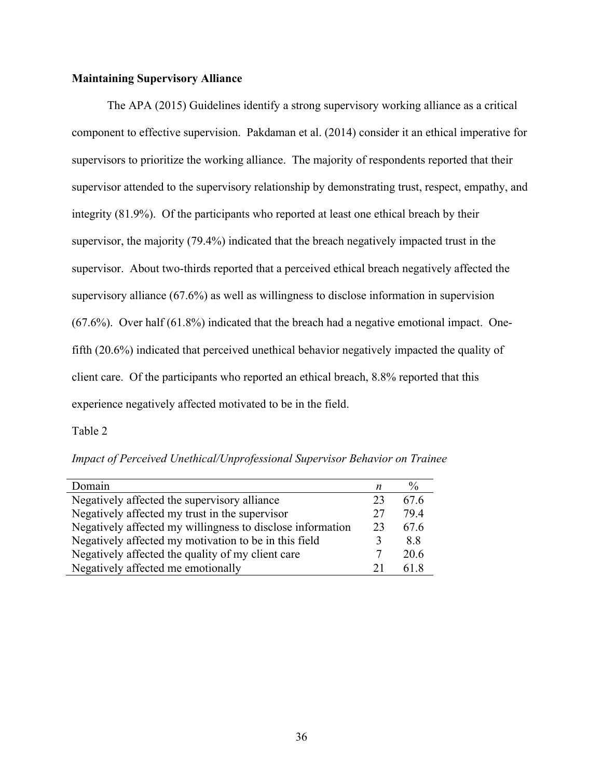#### **Maintaining Supervisory Alliance**

The APA (2015) Guidelines identify a strong supervisory working alliance as a critical component to effective supervision. Pakdaman et al. (2014) consider it an ethical imperative for supervisors to prioritize the working alliance. The majority of respondents reported that their supervisor attended to the supervisory relationship by demonstrating trust, respect, empathy, and integrity (81.9%). Of the participants who reported at least one ethical breach by their supervisor, the majority (79.4%) indicated that the breach negatively impacted trust in the supervisor. About two-thirds reported that a perceived ethical breach negatively affected the supervisory alliance (67.6%) as well as willingness to disclose information in supervision (67.6%). Over half (61.8%) indicated that the breach had a negative emotional impact. Onefifth (20.6%) indicated that perceived unethical behavior negatively impacted the quality of client care. Of the participants who reported an ethical breach, 8.8% reported that this experience negatively affected motivated to be in the field.

Table 2

*Impact of Perceived Unethical/Unprofessional Supervisor Behavior on Trainee*

| Domain                                                     | n  | $\%$ |
|------------------------------------------------------------|----|------|
| Negatively affected the supervisory alliance               | 23 | 676  |
| Negatively affected my trust in the supervisor             | 27 | 794  |
| Negatively affected my willingness to disclose information | 23 | 67.6 |
| Negatively affected my motivation to be in this field      |    | 88   |
| Negatively affected the quality of my client care          |    | 20.6 |
| Negatively affected me emotionally                         |    | 61 R |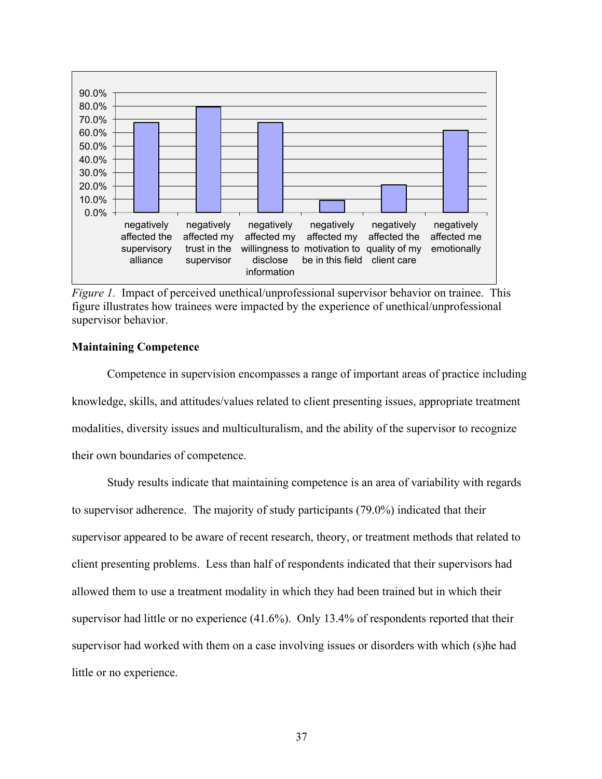

*Figure 1.* Impact of perceived unethical/unprofessional supervisor behavior on trainee. This figure illustrates how trainees were impacted by the experience of unethical/unprofessional supervisor behavior.

#### **Maintaining Competence**

Competence in supervision encompasses a range of important areas of practice including knowledge, skills, and attitudes/values related to client presenting issues, appropriate treatment modalities, diversity issues and multiculturalism, and the ability of the supervisor to recognize their own boundaries of competence.

Study results indicate that maintaining competence is an area of variability with regards to supervisor adherence. The majority of study participants (79.0%) indicated that their supervisor appeared to be aware of recent research, theory, or treatment methods that related to client presenting problems. Less than half of respondents indicated that their supervisors had allowed them to use a treatment modality in which they had been trained but in which their supervisor had little or no experience (41.6%). Only 13.4% of respondents reported that their supervisor had worked with them on a case involving issues or disorders with which (s)he had little or no experience.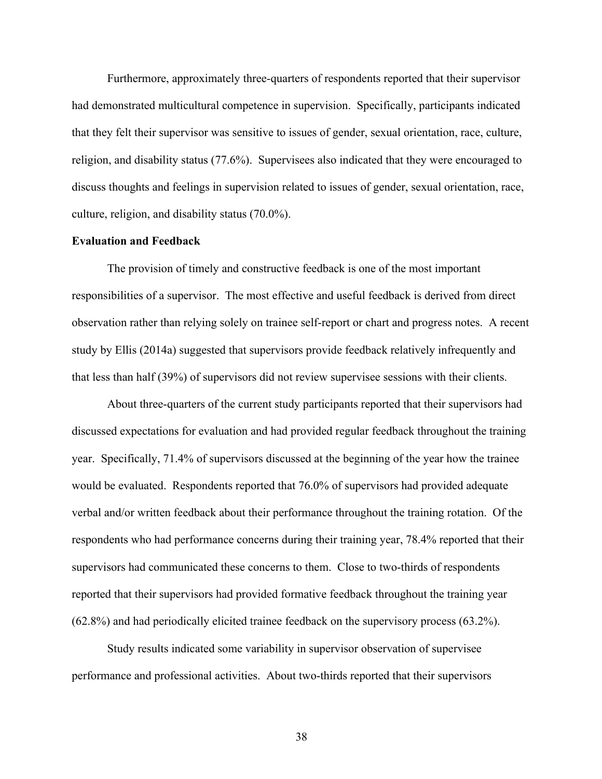Furthermore, approximately three-quarters of respondents reported that their supervisor had demonstrated multicultural competence in supervision. Specifically, participants indicated that they felt their supervisor was sensitive to issues of gender, sexual orientation, race, culture, religion, and disability status (77.6%). Supervisees also indicated that they were encouraged to discuss thoughts and feelings in supervision related to issues of gender, sexual orientation, race, culture, religion, and disability status (70.0%).

#### **Evaluation and Feedback**

The provision of timely and constructive feedback is one of the most important responsibilities of a supervisor. The most effective and useful feedback is derived from direct observation rather than relying solely on trainee self-report or chart and progress notes. A recent study by Ellis (2014a) suggested that supervisors provide feedback relatively infrequently and that less than half (39%) of supervisors did not review supervisee sessions with their clients.

About three-quarters of the current study participants reported that their supervisors had discussed expectations for evaluation and had provided regular feedback throughout the training year. Specifically, 71.4% of supervisors discussed at the beginning of the year how the trainee would be evaluated. Respondents reported that 76.0% of supervisors had provided adequate verbal and/or written feedback about their performance throughout the training rotation. Of the respondents who had performance concerns during their training year, 78.4% reported that their supervisors had communicated these concerns to them. Close to two-thirds of respondents reported that their supervisors had provided formative feedback throughout the training year (62.8%) and had periodically elicited trainee feedback on the supervisory process (63.2%).

Study results indicated some variability in supervisor observation of supervisee performance and professional activities. About two-thirds reported that their supervisors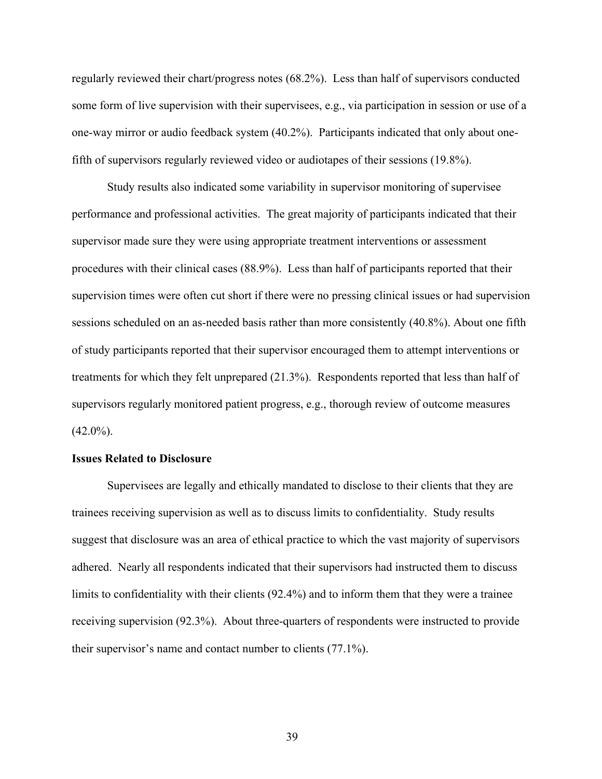regularly reviewed their chart/progress notes (68.2%). Less than half of supervisors conducted some form of live supervision with their supervisees, e.g., via participation in session or use of a one-way mirror or audio feedback system (40.2%). Participants indicated that only about onefifth of supervisors regularly reviewed video or audiotapes of their sessions (19.8%).

Study results also indicated some variability in supervisor monitoring of supervisee performance and professional activities. The great majority of participants indicated that their supervisor made sure they were using appropriate treatment interventions or assessment procedures with their clinical cases (88.9%). Less than half of participants reported that their supervision times were often cut short if there were no pressing clinical issues or had supervision sessions scheduled on an as-needed basis rather than more consistently (40.8%). About one fifth of study participants reported that their supervisor encouraged them to attempt interventions or treatments for which they felt unprepared (21.3%). Respondents reported that less than half of supervisors regularly monitored patient progress, e.g., thorough review of outcome measures  $(42.0\%)$ .

#### **Issues Related to Disclosure**

Supervisees are legally and ethically mandated to disclose to their clients that they are trainees receiving supervision as well as to discuss limits to confidentiality. Study results suggest that disclosure was an area of ethical practice to which the vast majority of supervisors adhered. Nearly all respondents indicated that their supervisors had instructed them to discuss limits to confidentiality with their clients (92.4%) and to inform them that they were a trainee receiving supervision (92.3%). About three-quarters of respondents were instructed to provide their supervisor's name and contact number to clients (77.1%).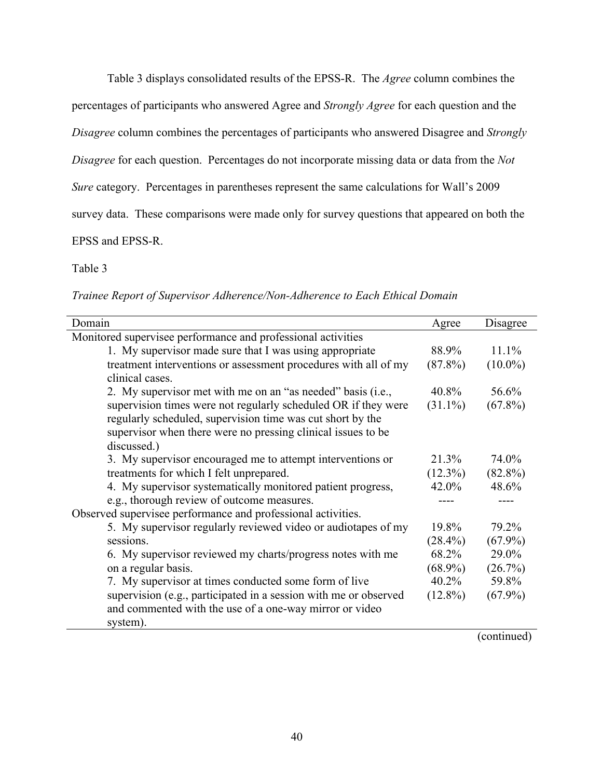Table 3 displays consolidated results of the EPSS-R. The *Agree* column combines the

percentages of participants who answered Agree and *Strongly Agree* for each question and the

*Disagree* column combines the percentages of participants who answered Disagree and *Strongly* 

*Disagree* for each question. Percentages do not incorporate missing data or data from the *Not* 

*Sure* category. Percentages in parentheses represent the same calculations for Wall's 2009

survey data. These comparisons were made only for survey questions that appeared on both the

### EPSS and EPSS-R.

### Table 3

*Trainee Report of Supervisor Adherence/Non-Adherence to Each Ethical Domain*

| Domain                                                                                                                                                                                                      | Agree      | Disagree   |
|-------------------------------------------------------------------------------------------------------------------------------------------------------------------------------------------------------------|------------|------------|
| Monitored supervisee performance and professional activities                                                                                                                                                |            |            |
| 1. My supervisor made sure that I was using appropriate                                                                                                                                                     | 88.9%      | 11.1%      |
| treatment interventions or assessment procedures with all of my<br>clinical cases.                                                                                                                          | $(87.8\%)$ | $(10.0\%)$ |
| 2. My supervisor met with me on an "as needed" basis (i.e.,                                                                                                                                                 | 40.8%      | 56.6%      |
| supervision times were not regularly scheduled OR if they were<br>regularly scheduled, supervision time was cut short by the<br>supervisor when there were no pressing clinical issues to be<br>discussed.) | $(31.1\%)$ | $(67.8\%)$ |
| 3. My supervisor encouraged me to attempt interventions or                                                                                                                                                  | 21.3%      | 74.0%      |
| treatments for which I felt unprepared.                                                                                                                                                                     |            | $(82.8\%)$ |
| 4. My supervisor systematically monitored patient progress,                                                                                                                                                 |            | 48.6%      |
| e.g., thorough review of outcome measures.                                                                                                                                                                  |            |            |
| Observed supervisee performance and professional activities.                                                                                                                                                |            |            |
| 5. My supervisor regularly reviewed video or audiotapes of my                                                                                                                                               | 19.8%      | 79.2%      |
| sessions.                                                                                                                                                                                                   | $(28.4\%)$ | $(67.9\%)$ |
| 6. My supervisor reviewed my charts/progress notes with me                                                                                                                                                  | 68.2%      | 29.0%      |
| on a regular basis.                                                                                                                                                                                         | $(68.9\%)$ | (26.7%)    |
| 7. My supervisor at times conducted some form of live                                                                                                                                                       | $40.2\%$   | 59.8%      |
| supervision (e.g., participated in a session with me or observed<br>and commented with the use of a one-way mirror or video<br>system).                                                                     | $(12.8\%)$ | $(67.9\%)$ |

(continued)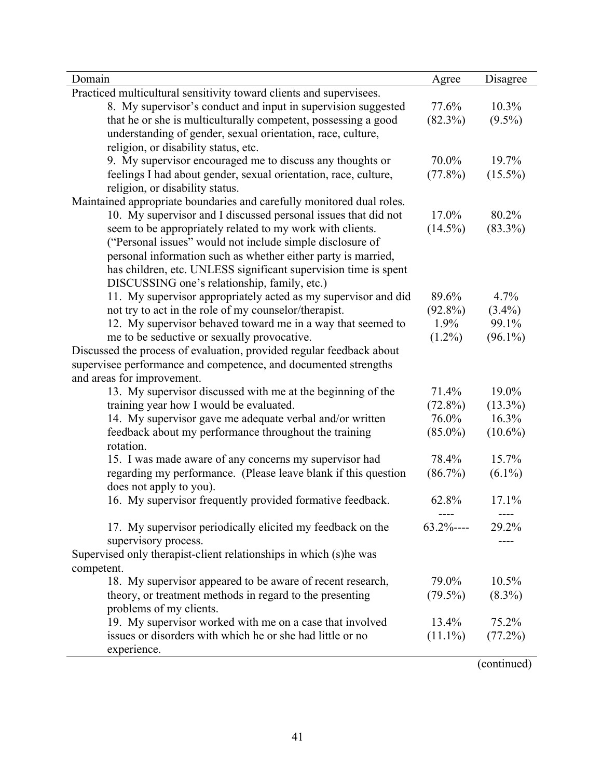| Domain                                                                | Agree         | Disagree   |
|-----------------------------------------------------------------------|---------------|------------|
| Practiced multicultural sensitivity toward clients and supervisees.   |               |            |
| 8. My supervisor's conduct and input in supervision suggested         | 77.6%         | 10.3%      |
| that he or she is multiculturally competent, possessing a good        | $(82.3\%)$    | $(9.5\%)$  |
| understanding of gender, sexual orientation, race, culture,           |               |            |
| religion, or disability status, etc.                                  |               |            |
| 9. My supervisor encouraged me to discuss any thoughts or             | 70.0%         | 19.7%      |
| feelings I had about gender, sexual orientation, race, culture,       | $(77.8\%)$    | $(15.5\%)$ |
| religion, or disability status.                                       |               |            |
| Maintained appropriate boundaries and carefully monitored dual roles. |               |            |
| 10. My supervisor and I discussed personal issues that did not        | 17.0%         | 80.2%      |
| seem to be appropriately related to my work with clients.             | $(14.5\%)$    | $(83.3\%)$ |
| ("Personal issues" would not include simple disclosure of             |               |            |
| personal information such as whether either party is married,         |               |            |
| has children, etc. UNLESS significant supervision time is spent       |               |            |
| DISCUSSING one's relationship, family, etc.)                          |               |            |
| 11. My supervisor appropriately acted as my supervisor and did        | 89.6%         | 4.7%       |
| not try to act in the role of my counselor/therapist.                 | $(92.8\%)$    | $(3.4\%)$  |
| 12. My supervisor behaved toward me in a way that seemed to           | $1.9\%$       | 99.1%      |
| me to be seductive or sexually provocative.                           | $(1.2\%)$     | $(96.1\%)$ |
| Discussed the process of evaluation, provided regular feedback about  |               |            |
| supervisee performance and competence, and documented strengths       |               |            |
| and areas for improvement.                                            |               |            |
| 13. My supervisor discussed with me at the beginning of the           | 71.4%         | 19.0%      |
| training year how I would be evaluated.                               | $(72.8\%)$    | $(13.3\%)$ |
| 14. My supervisor gave me adequate verbal and/or written              | 76.0%         | 16.3%      |
| feedback about my performance throughout the training                 | $(85.0\%)$    | $(10.6\%)$ |
| rotation.                                                             |               |            |
| 15. I was made aware of any concerns my supervisor had                | 78.4%         | 15.7%      |
| regarding my performance. (Please leave blank if this question        | $(86.7\%)$    | $(6.1\%)$  |
| does not apply to you).                                               |               |            |
| 16. My supervisor frequently provided formative feedback.             | 62.8%         | 17.1%      |
| 17. My supervisor periodically elicited my feedback on the            | $63.2\%$ ---- | 29.2%      |
| supervisory process.                                                  |               |            |
| Supervised only therapist-client relationships in which (s)he was     |               |            |
| competent.                                                            |               |            |
| 18. My supervisor appeared to be aware of recent research,            | 79.0%         | 10.5%      |
| theory, or treatment methods in regard to the presenting              | $(79.5\%)$    | $(8.3\%)$  |
| problems of my clients.                                               |               |            |
| 19. My supervisor worked with me on a case that involved              | $13.4\%$      | 75.2%      |
| issues or disorders with which he or she had little or no             | $(11.1\%)$    | (77.2%)    |
| experience.                                                           |               |            |

(continued)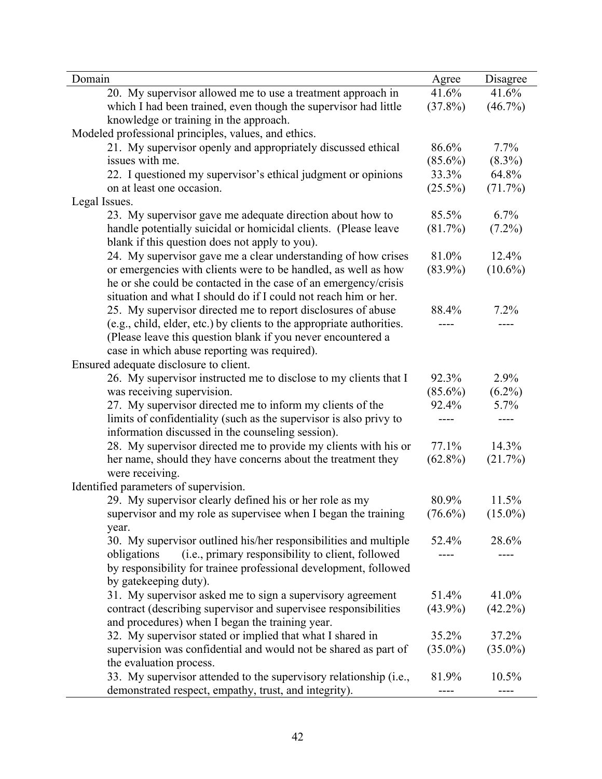| Domain                                                                | Agree      | Disagree   |
|-----------------------------------------------------------------------|------------|------------|
| 20. My supervisor allowed me to use a treatment approach in           | 41.6%      | 41.6%      |
| which I had been trained, even though the supervisor had little       | $(37.8\%)$ | $(46.7\%)$ |
| knowledge or training in the approach.                                |            |            |
| Modeled professional principles, values, and ethics.                  |            |            |
| 21. My supervisor openly and appropriately discussed ethical          | 86.6%      | 7.7%       |
| issues with me.                                                       | $(85.6\%)$ | $(8.3\%)$  |
| 22. I questioned my supervisor's ethical judgment or opinions         | 33.3%      | 64.8%      |
| on at least one occasion.                                             | $(25.5\%)$ | (71.7%)    |
| Legal Issues.                                                         |            |            |
| 23. My supervisor gave me adequate direction about how to             | 85.5%      | 6.7%       |
| handle potentially suicidal or homicidal clients. (Please leave       | (81.7%)    | $(7.2\%)$  |
| blank if this question does not apply to you).                        |            |            |
| 24. My supervisor gave me a clear understanding of how crises         | 81.0%      | 12.4%      |
| or emergencies with clients were to be handled, as well as how        | $(83.9\%)$ | $(10.6\%)$ |
| he or she could be contacted in the case of an emergency/crisis       |            |            |
| situation and what I should do if I could not reach him or her.       |            |            |
| 25. My supervisor directed me to report disclosures of abuse          | 88.4%      | 7.2%       |
| (e.g., child, elder, etc.) by clients to the appropriate authorities. |            | ----       |
| (Please leave this question blank if you never encountered a          |            |            |
| case in which abuse reporting was required).                          |            |            |
| Ensured adequate disclosure to client.                                |            |            |
| 26. My supervisor instructed me to disclose to my clients that I      | 92.3%      | 2.9%       |
| was receiving supervision.                                            | $(85.6\%)$ | $(6.2\%)$  |
| 27. My supervisor directed me to inform my clients of the             | 92.4%      | 5.7%       |
| limits of confidentiality (such as the supervisor is also privy to    |            | ----       |
| information discussed in the counseling session).                     |            |            |
| 28. My supervisor directed me to provide my clients with his or       | 77.1%      | 14.3%      |
| her name, should they have concerns about the treatment they          | $(62.8\%)$ | (21.7%)    |
| were receiving.                                                       |            |            |
| Identified parameters of supervision.                                 |            |            |
| 29. My supervisor clearly defined his or her role as my               | 80.9%      | 11.5%      |
| supervisor and my role as supervisee when I began the training        | $(76.6\%)$ | $(15.0\%)$ |
| year.                                                                 |            |            |
| 30. My supervisor outlined his/her responsibilities and multiple      | 52.4%      | 28.6%      |
| (i.e., primary responsibility to client, followed<br>obligations      | ----       | ----       |
| by responsibility for trainee professional development, followed      |            |            |
| by gatekeeping duty).                                                 |            |            |
| 31. My supervisor asked me to sign a supervisory agreement            | 51.4%      | 41.0%      |
| contract (describing supervisor and supervisee responsibilities       | $(43.9\%)$ | $(42.2\%)$ |
| and procedures) when I began the training year.                       |            |            |
| 32. My supervisor stated or implied that what I shared in             | 35.2%      | 37.2%      |
| supervision was confidential and would not be shared as part of       | $(35.0\%)$ | $(35.0\%)$ |
| the evaluation process.                                               |            |            |
| 33. My supervisor attended to the supervisory relationship (i.e.,     | 81.9%      | 10.5%      |
| demonstrated respect, empathy, trust, and integrity).                 |            | ----       |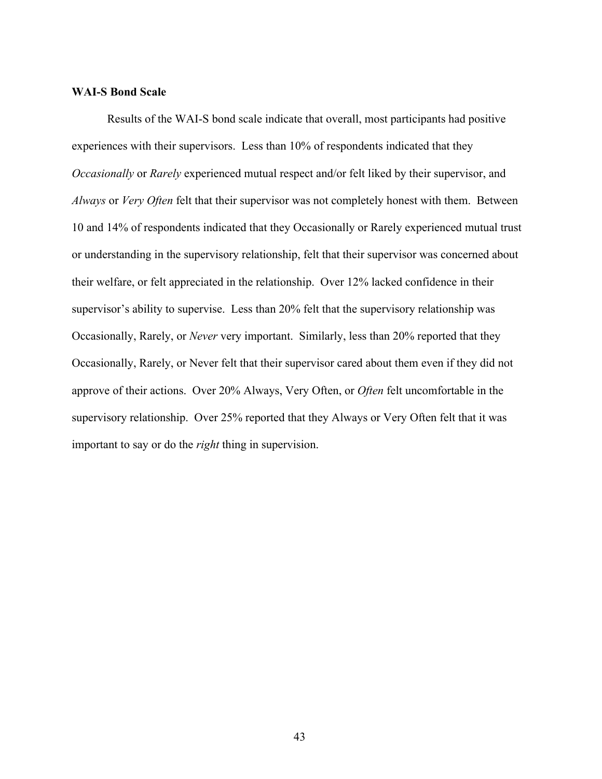### **WAI-S Bond Scale**

Results of the WAI-S bond scale indicate that overall, most participants had positive experiences with their supervisors. Less than 10% of respondents indicated that they *Occasionally* or *Rarely* experienced mutual respect and/or felt liked by their supervisor, and *Always* or *Very Often* felt that their supervisor was not completely honest with them. Between 10 and 14% of respondents indicated that they Occasionally or Rarely experienced mutual trust or understanding in the supervisory relationship, felt that their supervisor was concerned about their welfare, or felt appreciated in the relationship. Over 12% lacked confidence in their supervisor's ability to supervise. Less than 20% felt that the supervisory relationship was Occasionally, Rarely, or *Never* very important. Similarly, less than 20% reported that they Occasionally, Rarely, or Never felt that their supervisor cared about them even if they did not approve of their actions. Over 20% Always, Very Often, or *Often* felt uncomfortable in the supervisory relationship. Over 25% reported that they Always or Very Often felt that it was important to say or do the *right* thing in supervision.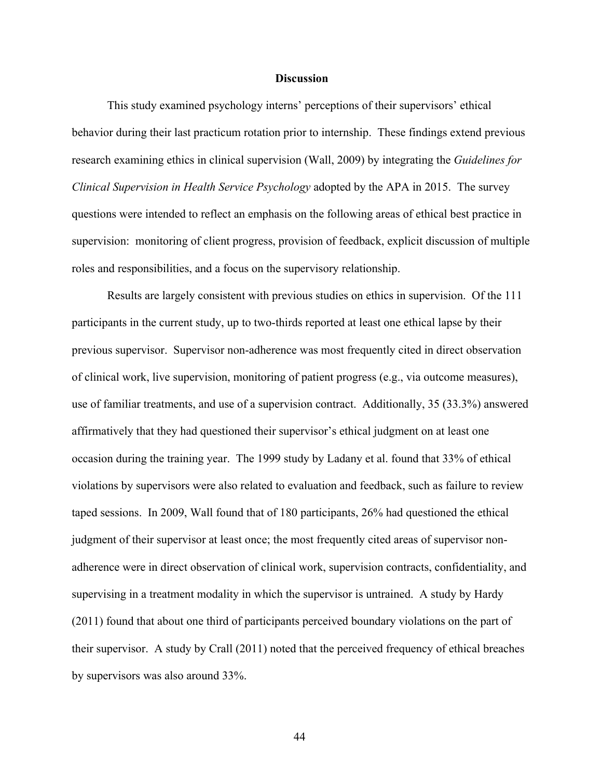#### **Discussion**

This study examined psychology interns' perceptions of their supervisors' ethical behavior during their last practicum rotation prior to internship. These findings extend previous research examining ethics in clinical supervision (Wall, 2009) by integrating the *Guidelines for Clinical Supervision in Health Service Psychology* adopted by the APA in 2015. The survey questions were intended to reflect an emphasis on the following areas of ethical best practice in supervision: monitoring of client progress, provision of feedback, explicit discussion of multiple roles and responsibilities, and a focus on the supervisory relationship.

Results are largely consistent with previous studies on ethics in supervision. Of the 111 participants in the current study, up to two-thirds reported at least one ethical lapse by their previous supervisor. Supervisor non-adherence was most frequently cited in direct observation of clinical work, live supervision, monitoring of patient progress (e.g., via outcome measures), use of familiar treatments, and use of a supervision contract. Additionally, 35 (33.3%) answered affirmatively that they had questioned their supervisor's ethical judgment on at least one occasion during the training year. The 1999 study by Ladany et al. found that 33% of ethical violations by supervisors were also related to evaluation and feedback, such as failure to review taped sessions. In 2009, Wall found that of 180 participants, 26% had questioned the ethical judgment of their supervisor at least once; the most frequently cited areas of supervisor nonadherence were in direct observation of clinical work, supervision contracts, confidentiality, and supervising in a treatment modality in which the supervisor is untrained. A study by Hardy (2011) found that about one third of participants perceived boundary violations on the part of their supervisor. A study by Crall (2011) noted that the perceived frequency of ethical breaches by supervisors was also around 33%.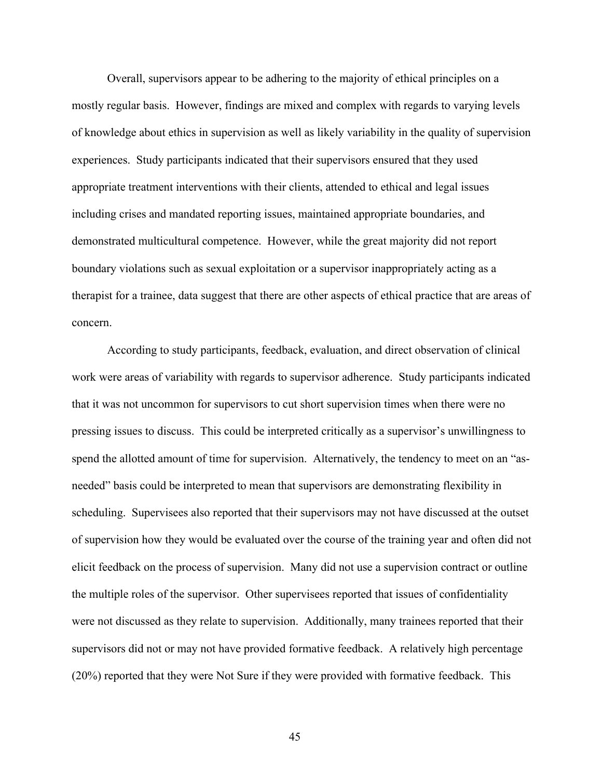Overall, supervisors appear to be adhering to the majority of ethical principles on a mostly regular basis. However, findings are mixed and complex with regards to varying levels of knowledge about ethics in supervision as well as likely variability in the quality of supervision experiences. Study participants indicated that their supervisors ensured that they used appropriate treatment interventions with their clients, attended to ethical and legal issues including crises and mandated reporting issues, maintained appropriate boundaries, and demonstrated multicultural competence. However, while the great majority did not report boundary violations such as sexual exploitation or a supervisor inappropriately acting as a therapist for a trainee, data suggest that there are other aspects of ethical practice that are areas of concern.

According to study participants, feedback, evaluation, and direct observation of clinical work were areas of variability with regards to supervisor adherence. Study participants indicated that it was not uncommon for supervisors to cut short supervision times when there were no pressing issues to discuss. This could be interpreted critically as a supervisor's unwillingness to spend the allotted amount of time for supervision. Alternatively, the tendency to meet on an "asneeded" basis could be interpreted to mean that supervisors are demonstrating flexibility in scheduling. Supervisees also reported that their supervisors may not have discussed at the outset of supervision how they would be evaluated over the course of the training year and often did not elicit feedback on the process of supervision. Many did not use a supervision contract or outline the multiple roles of the supervisor. Other supervisees reported that issues of confidentiality were not discussed as they relate to supervision. Additionally, many trainees reported that their supervisors did not or may not have provided formative feedback. A relatively high percentage (20%) reported that they were Not Sure if they were provided with formative feedback. This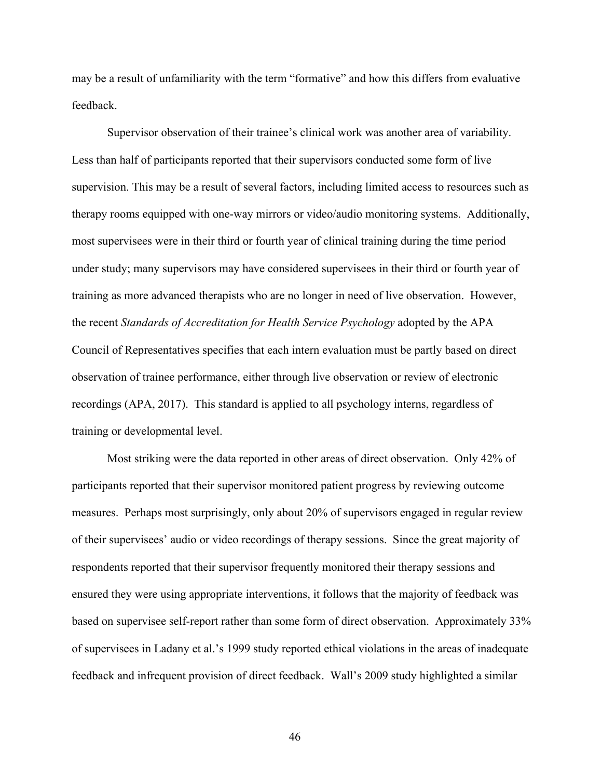may be a result of unfamiliarity with the term "formative" and how this differs from evaluative feedback.

Supervisor observation of their trainee's clinical work was another area of variability. Less than half of participants reported that their supervisors conducted some form of live supervision. This may be a result of several factors, including limited access to resources such as therapy rooms equipped with one-way mirrors or video/audio monitoring systems. Additionally, most supervisees were in their third or fourth year of clinical training during the time period under study; many supervisors may have considered supervisees in their third or fourth year of training as more advanced therapists who are no longer in need of live observation. However, the recent *Standards of Accreditation for Health Service Psychology* adopted by the APA Council of Representatives specifies that each intern evaluation must be partly based on direct observation of trainee performance, either through live observation or review of electronic recordings (APA, 2017). This standard is applied to all psychology interns, regardless of training or developmental level.

Most striking were the data reported in other areas of direct observation. Only 42% of participants reported that their supervisor monitored patient progress by reviewing outcome measures. Perhaps most surprisingly, only about 20% of supervisors engaged in regular review of their supervisees' audio or video recordings of therapy sessions. Since the great majority of respondents reported that their supervisor frequently monitored their therapy sessions and ensured they were using appropriate interventions, it follows that the majority of feedback was based on supervisee self-report rather than some form of direct observation. Approximately 33% of supervisees in Ladany et al.'s 1999 study reported ethical violations in the areas of inadequate feedback and infrequent provision of direct feedback. Wall's 2009 study highlighted a similar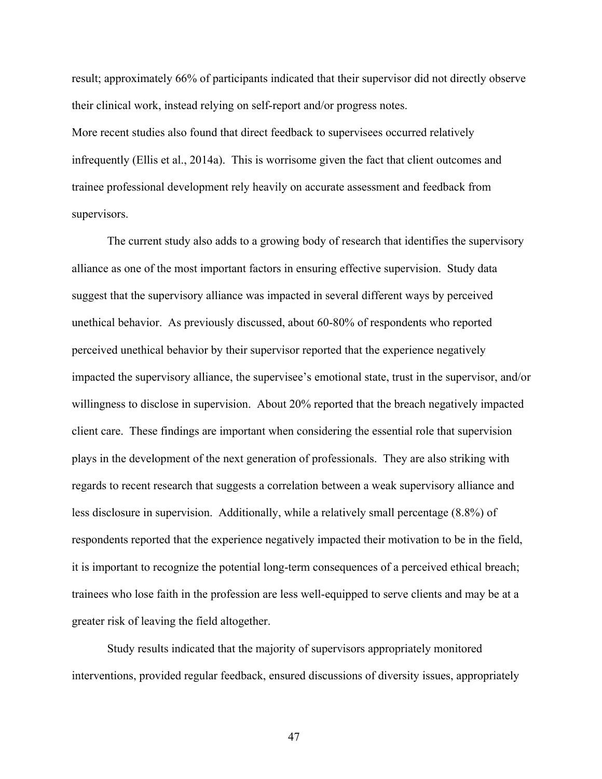result; approximately 66% of participants indicated that their supervisor did not directly observe their clinical work, instead relying on self-report and/or progress notes.

More recent studies also found that direct feedback to supervisees occurred relatively infrequently (Ellis et al., 2014a). This is worrisome given the fact that client outcomes and trainee professional development rely heavily on accurate assessment and feedback from supervisors.

The current study also adds to a growing body of research that identifies the supervisory alliance as one of the most important factors in ensuring effective supervision. Study data suggest that the supervisory alliance was impacted in several different ways by perceived unethical behavior. As previously discussed, about 60-80% of respondents who reported perceived unethical behavior by their supervisor reported that the experience negatively impacted the supervisory alliance, the supervisee's emotional state, trust in the supervisor, and/or willingness to disclose in supervision. About 20% reported that the breach negatively impacted client care. These findings are important when considering the essential role that supervision plays in the development of the next generation of professionals. They are also striking with regards to recent research that suggests a correlation between a weak supervisory alliance and less disclosure in supervision. Additionally, while a relatively small percentage (8.8%) of respondents reported that the experience negatively impacted their motivation to be in the field, it is important to recognize the potential long-term consequences of a perceived ethical breach; trainees who lose faith in the profession are less well-equipped to serve clients and may be at a greater risk of leaving the field altogether.

Study results indicated that the majority of supervisors appropriately monitored interventions, provided regular feedback, ensured discussions of diversity issues, appropriately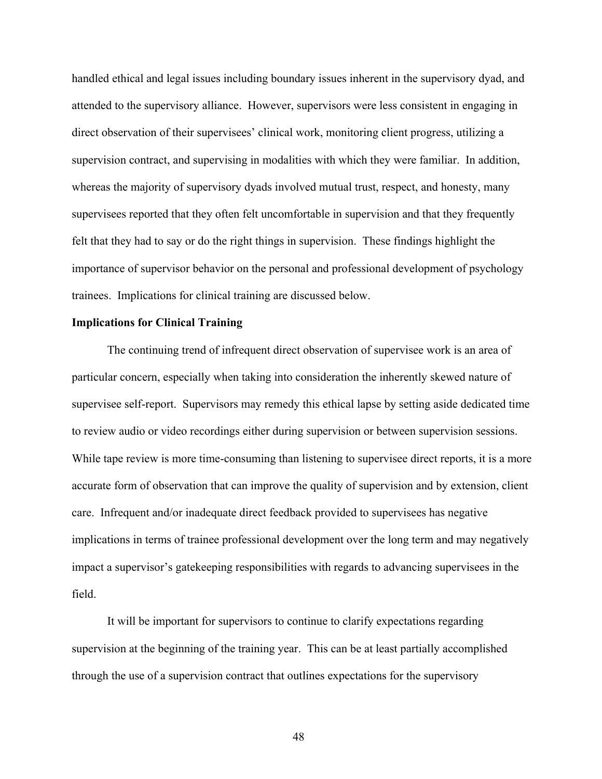handled ethical and legal issues including boundary issues inherent in the supervisory dyad, and attended to the supervisory alliance. However, supervisors were less consistent in engaging in direct observation of their supervisees' clinical work, monitoring client progress, utilizing a supervision contract, and supervising in modalities with which they were familiar. In addition, whereas the majority of supervisory dyads involved mutual trust, respect, and honesty, many supervisees reported that they often felt uncomfortable in supervision and that they frequently felt that they had to say or do the right things in supervision. These findings highlight the importance of supervisor behavior on the personal and professional development of psychology trainees. Implications for clinical training are discussed below.

#### **Implications for Clinical Training**

The continuing trend of infrequent direct observation of supervisee work is an area of particular concern, especially when taking into consideration the inherently skewed nature of supervisee self-report. Supervisors may remedy this ethical lapse by setting aside dedicated time to review audio or video recordings either during supervision or between supervision sessions. While tape review is more time-consuming than listening to supervisee direct reports, it is a more accurate form of observation that can improve the quality of supervision and by extension, client care. Infrequent and/or inadequate direct feedback provided to supervisees has negative implications in terms of trainee professional development over the long term and may negatively impact a supervisor's gatekeeping responsibilities with regards to advancing supervisees in the field.

It will be important for supervisors to continue to clarify expectations regarding supervision at the beginning of the training year. This can be at least partially accomplished through the use of a supervision contract that outlines expectations for the supervisory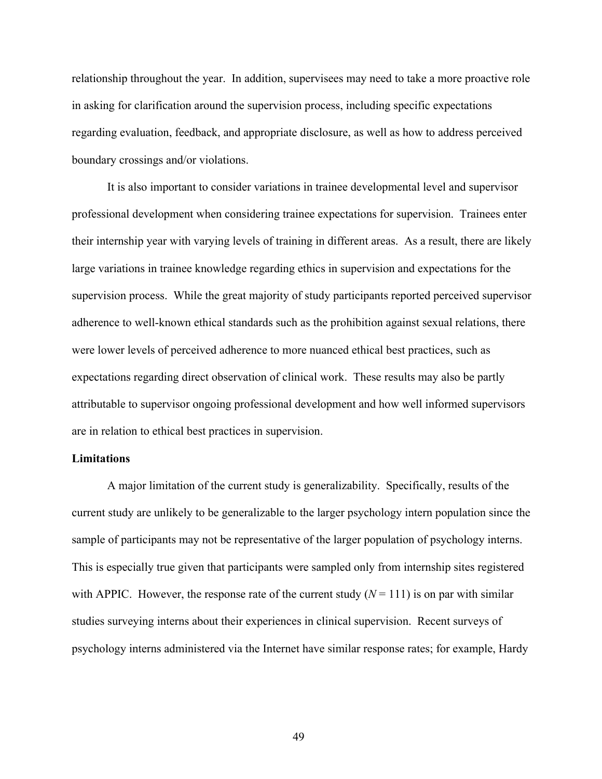relationship throughout the year. In addition, supervisees may need to take a more proactive role in asking for clarification around the supervision process, including specific expectations regarding evaluation, feedback, and appropriate disclosure, as well as how to address perceived boundary crossings and/or violations.

It is also important to consider variations in trainee developmental level and supervisor professional development when considering trainee expectations for supervision. Trainees enter their internship year with varying levels of training in different areas. As a result, there are likely large variations in trainee knowledge regarding ethics in supervision and expectations for the supervision process. While the great majority of study participants reported perceived supervisor adherence to well-known ethical standards such as the prohibition against sexual relations, there were lower levels of perceived adherence to more nuanced ethical best practices, such as expectations regarding direct observation of clinical work. These results may also be partly attributable to supervisor ongoing professional development and how well informed supervisors are in relation to ethical best practices in supervision.

#### **Limitations**

A major limitation of the current study is generalizability. Specifically, results of the current study are unlikely to be generalizable to the larger psychology intern population since the sample of participants may not be representative of the larger population of psychology interns. This is especially true given that participants were sampled only from internship sites registered with APPIC. However, the response rate of the current study  $(N = 111)$  is on par with similar studies surveying interns about their experiences in clinical supervision. Recent surveys of psychology interns administered via the Internet have similar response rates; for example, Hardy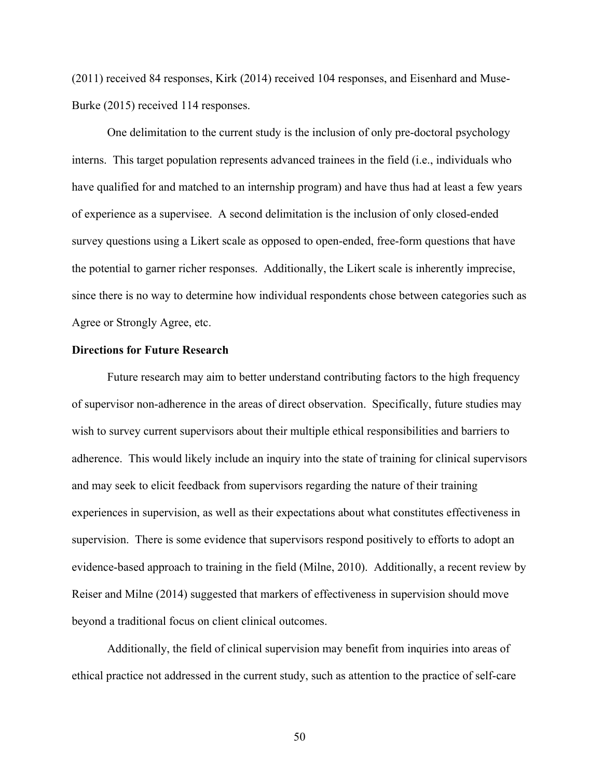(2011) received 84 responses, Kirk (2014) received 104 responses, and Eisenhard and Muse-Burke (2015) received 114 responses.

One delimitation to the current study is the inclusion of only pre-doctoral psychology interns. This target population represents advanced trainees in the field (i.e., individuals who have qualified for and matched to an internship program) and have thus had at least a few years of experience as a supervisee. A second delimitation is the inclusion of only closed-ended survey questions using a Likert scale as opposed to open-ended, free-form questions that have the potential to garner richer responses. Additionally, the Likert scale is inherently imprecise, since there is no way to determine how individual respondents chose between categories such as Agree or Strongly Agree, etc.

#### **Directions for Future Research**

Future research may aim to better understand contributing factors to the high frequency of supervisor non-adherence in the areas of direct observation. Specifically, future studies may wish to survey current supervisors about their multiple ethical responsibilities and barriers to adherence. This would likely include an inquiry into the state of training for clinical supervisors and may seek to elicit feedback from supervisors regarding the nature of their training experiences in supervision, as well as their expectations about what constitutes effectiveness in supervision. There is some evidence that supervisors respond positively to efforts to adopt an evidence-based approach to training in the field (Milne, 2010). Additionally, a recent review by Reiser and Milne (2014) suggested that markers of effectiveness in supervision should move beyond a traditional focus on client clinical outcomes.

Additionally, the field of clinical supervision may benefit from inquiries into areas of ethical practice not addressed in the current study, such as attention to the practice of self-care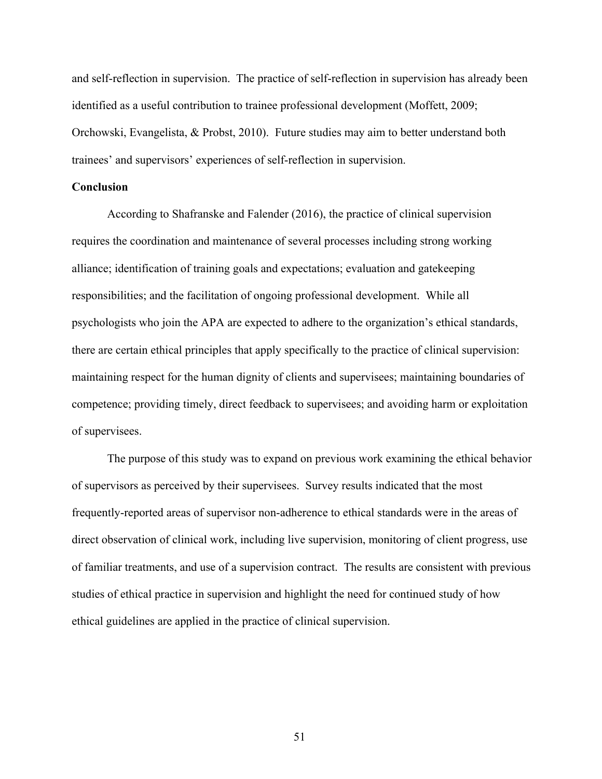and self-reflection in supervision. The practice of self-reflection in supervision has already been identified as a useful contribution to trainee professional development (Moffett, 2009; Orchowski, Evangelista, & Probst, 2010). Future studies may aim to better understand both trainees' and supervisors' experiences of self-reflection in supervision.

#### **Conclusion**

According to Shafranske and Falender (2016), the practice of clinical supervision requires the coordination and maintenance of several processes including strong working alliance; identification of training goals and expectations; evaluation and gatekeeping responsibilities; and the facilitation of ongoing professional development. While all psychologists who join the APA are expected to adhere to the organization's ethical standards, there are certain ethical principles that apply specifically to the practice of clinical supervision: maintaining respect for the human dignity of clients and supervisees; maintaining boundaries of competence; providing timely, direct feedback to supervisees; and avoiding harm or exploitation of supervisees.

The purpose of this study was to expand on previous work examining the ethical behavior of supervisors as perceived by their supervisees. Survey results indicated that the most frequently-reported areas of supervisor non-adherence to ethical standards were in the areas of direct observation of clinical work, including live supervision, monitoring of client progress, use of familiar treatments, and use of a supervision contract. The results are consistent with previous studies of ethical practice in supervision and highlight the need for continued study of how ethical guidelines are applied in the practice of clinical supervision.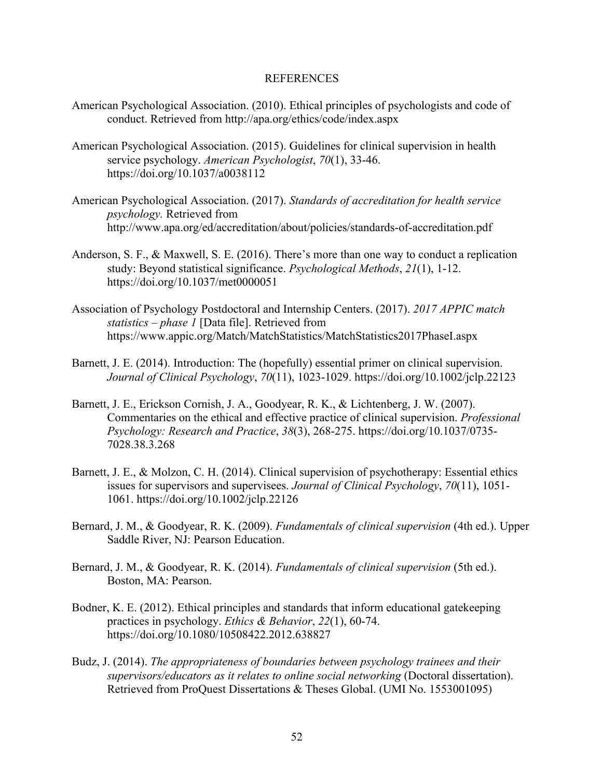#### REFERENCES

- American Psychological Association. (2010). Ethical principles of psychologists and code of conduct. Retrieved from http://apa.org/ethics/code/index.aspx
- American Psychological Association. (2015). Guidelines for clinical supervision in health service psychology. *American Psychologist*, *70*(1), 33-46. https://doi.org/10.1037/a0038112
- American Psychological Association. (2017). *Standards of accreditation for health service psychology.* Retrieved from http://www.apa.org/ed/accreditation/about/policies/standards-of-accreditation.pdf
- Anderson, S. F., & Maxwell, S. E. (2016). There's more than one way to conduct a replication study: Beyond statistical significance. *Psychological Methods*, *21*(1), 1-12. https://doi.org/10.1037/met0000051
- Association of Psychology Postdoctoral and Internship Centers. (2017). *2017 APPIC match statistics – phase 1* [Data file]. Retrieved from https://www.appic.org/Match/MatchStatistics/MatchStatistics2017PhaseI.aspx
- Barnett, J. E. (2014). Introduction: The (hopefully) essential primer on clinical supervision. *Journal of Clinical Psychology*, *70*(11), 1023-1029. https://doi.org/10.1002/jclp.22123
- Barnett, J. E., Erickson Cornish, J. A., Goodyear, R. K., & Lichtenberg, J. W. (2007). Commentaries on the ethical and effective practice of clinical supervision. *Professional Psychology: Research and Practice*, *38*(3), 268-275. https://doi.org/10.1037/0735- 7028.38.3.268
- Barnett, J. E., & Molzon, C. H. (2014). Clinical supervision of psychotherapy: Essential ethics issues for supervisors and supervisees. *Journal of Clinical Psychology*, *70*(11), 1051- 1061. https://doi.org/10.1002/jclp.22126
- Bernard, J. M., & Goodyear, R. K. (2009). *Fundamentals of clinical supervision* (4th ed.). Upper Saddle River, NJ: Pearson Education.
- Bernard, J. M., & Goodyear, R. K. (2014). *Fundamentals of clinical supervision* (5th ed.). Boston, MA: Pearson.
- Bodner, K. E. (2012). Ethical principles and standards that inform educational gatekeeping practices in psychology. *Ethics & Behavior*, *22*(1), 60-74. https://doi.org/10.1080/10508422.2012.638827
- Budz, J. (2014). *The appropriateness of boundaries between psychology trainees and their*  supervisors/educators as it relates to online social networking (Doctoral dissertation). Retrieved from ProQuest Dissertations & Theses Global. (UMI No. 1553001095)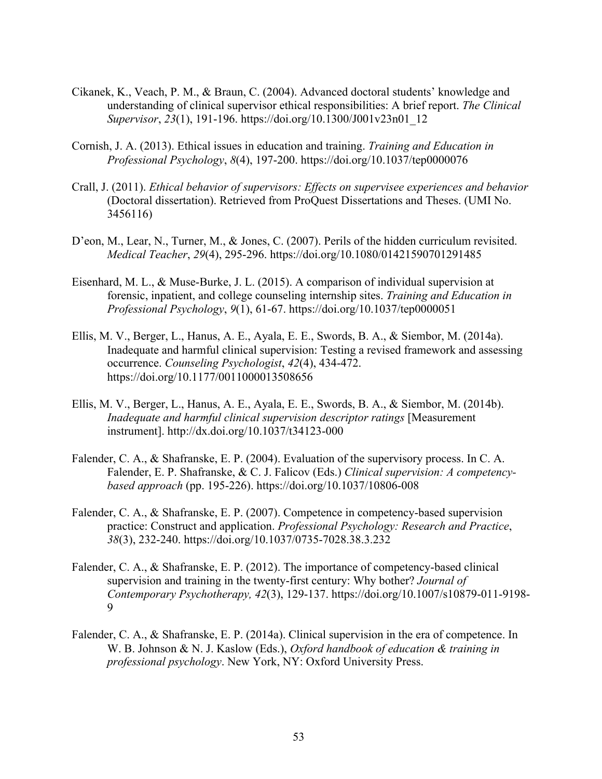- Cikanek, K., Veach, P. M., & Braun, C. (2004). Advanced doctoral students' knowledge and understanding of clinical supervisor ethical responsibilities: A brief report. *The Clinical Supervisor*, *23*(1), 191-196. https://doi.org/10.1300/J001v23n01\_12
- Cornish, J. A. (2013). Ethical issues in education and training. *Training and Education in Professional Psychology*, *8*(4), 197-200. https://doi.org/10.1037/tep0000076
- Crall, J. (2011). *Ethical behavior of supervisors: Effects on supervisee experiences and behavior* (Doctoral dissertation). Retrieved from ProQuest Dissertations and Theses. (UMI No. 3456116)
- D'eon, M., Lear, N., Turner, M., & Jones, C. (2007). Perils of the hidden curriculum revisited. *Medical Teacher*, *29*(4), 295-296. https://doi.org/10.1080/01421590701291485
- Eisenhard, M. L., & Muse-Burke, J. L. (2015). A comparison of individual supervision at forensic, inpatient, and college counseling internship sites. *Training and Education in Professional Psychology*, *9*(1), 61-67. https://doi.org/10.1037/tep0000051
- Ellis, M. V., Berger, L., Hanus, A. E., Ayala, E. E., Swords, B. A., & Siembor, M. (2014a). Inadequate and harmful clinical supervision: Testing a revised framework and assessing occurrence. *Counseling Psychologist*, *42*(4), 434-472. https://doi.org/10.1177/0011000013508656
- Ellis, M. V., Berger, L., Hanus, A. E., Ayala, E. E., Swords, B. A., & Siembor, M. (2014b). *Inadequate and harmful clinical supervision descriptor ratings* [Measurement instrument]. http://dx.doi.org/10.1037/t34123-000
- Falender, C. A., & Shafranske, E. P. (2004). Evaluation of the supervisory process. In C. A. Falender, E. P. Shafranske, & C. J. Falicov (Eds.) *Clinical supervision: A competencybased approach* (pp. 195-226). https://doi.org/10.1037/10806-008
- Falender, C. A., & Shafranske, E. P. (2007). Competence in competency-based supervision practice: Construct and application. *Professional Psychology: Research and Practice*, *38*(3), 232-240. https://doi.org/10.1037/0735-7028.38.3.232
- Falender, C. A., & Shafranske, E. P. (2012). The importance of competency-based clinical supervision and training in the twenty-first century: Why bother? *Journal of Contemporary Psychotherapy, 42*(3), 129-137. https://doi.org/10.1007/s10879-011-9198- 9
- Falender, C. A., & Shafranske, E. P. (2014a). Clinical supervision in the era of competence. In W. B. Johnson & N. J. Kaslow (Eds.), *Oxford handbook of education & training in professional psychology*. New York, NY: Oxford University Press.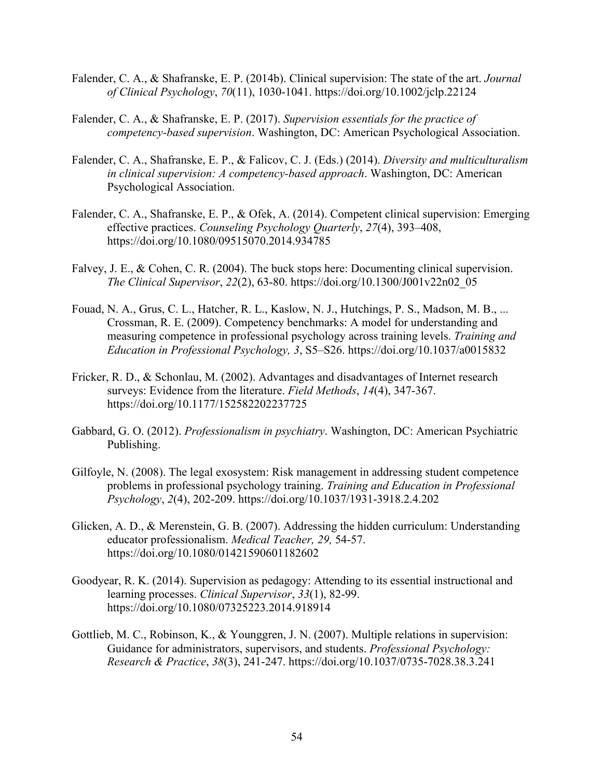- Falender, C. A., & Shafranske, E. P. (2014b). Clinical supervision: The state of the art. *Journal of Clinical Psychology*, *70*(11), 1030-1041. https://doi.org/10.1002/jclp.22124
- Falender, C. A., & Shafranske, E. P. (2017). *Supervision essentials for the practice of competency-based supervision*. Washington, DC: American Psychological Association.
- Falender, C. A., Shafranske, E. P., & Falicov, C. J. (Eds.) (2014). *Diversity and multiculturalism in clinical supervision: A competency-based approach*. Washington, DC: American Psychological Association.
- Falender, C. A., Shafranske, E. P., & Ofek, A. (2014). Competent clinical supervision: Emerging effective practices. *Counseling Psychology Quarterly*, *27*(4), 393–408, https://doi.org/10.1080/09515070.2014.934785
- Falvey, J. E., & Cohen, C. R. (2004). The buck stops here: Documenting clinical supervision. *The Clinical Supervisor*, *22*(2), 63-80. https://doi.org/10.1300/J001v22n02\_05
- Fouad, N. A., Grus, C. L., Hatcher, R. L., Kaslow, N. J., Hutchings, P. S., Madson, M. B., ... Crossman, R. E. (2009). Competency benchmarks: A model for understanding and measuring competence in professional psychology across training levels. *Training and Education in Professional Psychology, 3*, S5–S26. https://doi.org/10.1037/a0015832
- Fricker, R. D., & Schonlau, M. (2002). Advantages and disadvantages of Internet research surveys: Evidence from the literature. *Field Methods*, *14*(4), 347-367. https://doi.org/10.1177/152582202237725
- Gabbard, G. O. (2012). *Professionalism in psychiatry*. Washington, DC: American Psychiatric Publishing.
- Gilfoyle, N. (2008). The legal exosystem: Risk management in addressing student competence problems in professional psychology training. *Training and Education in Professional Psychology*, *2*(4), 202-209. https://doi.org/10.1037/1931-3918.2.4.202
- Glicken, A. D., & Merenstein, G. B. (2007). Addressing the hidden curriculum: Understanding educator professionalism. *Medical Teacher, 29,* 54-57. https://doi.org/10.1080/01421590601182602
- Goodyear, R. K. (2014). Supervision as pedagogy: Attending to its essential instructional and learning processes. *Clinical Supervisor*, *33*(1), 82-99. https://doi.org/10.1080/07325223.2014.918914
- Gottlieb, M. C., Robinson, K., & Younggren, J. N. (2007). Multiple relations in supervision: Guidance for administrators, supervisors, and students. *Professional Psychology: Research & Practice*, *38*(3), 241-247. https://doi.org/10.1037/0735-7028.38.3.241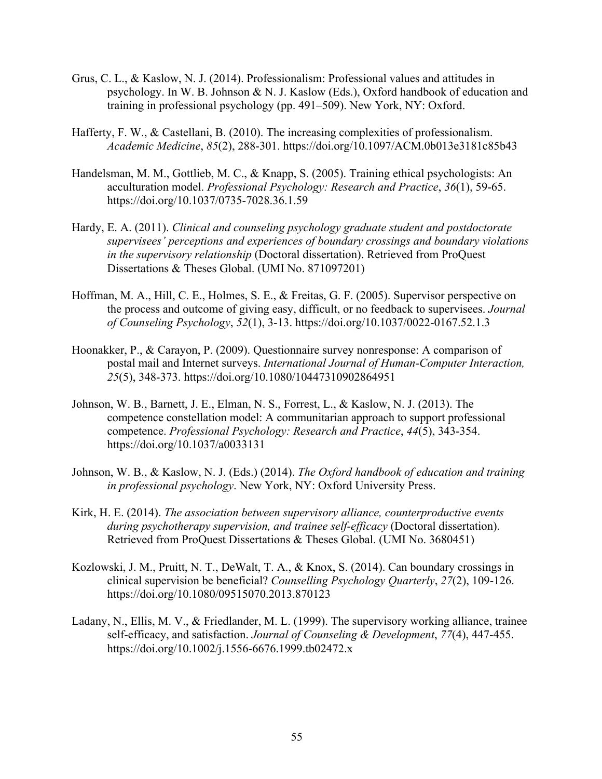- Grus, C. L., & Kaslow, N. J. (2014). Professionalism: Professional values and attitudes in psychology. In W. B. Johnson & N. J. Kaslow (Eds.), Oxford handbook of education and training in professional psychology (pp. 491–509). New York, NY: Oxford.
- Hafferty, F. W., & Castellani, B. (2010). The increasing complexities of professionalism. *Academic Medicine*, *85*(2), 288-301. https://doi.org/10.1097/ACM.0b013e3181c85b43
- Handelsman, M. M., Gottlieb, M. C., & Knapp, S. (2005). Training ethical psychologists: An acculturation model. *Professional Psychology: Research and Practice*, *36*(1), 59-65. https://doi.org/10.1037/0735-7028.36.1.59
- Hardy, E. A. (2011). *Clinical and counseling psychology graduate student and postdoctorate supervisees' perceptions and experiences of boundary crossings and boundary violations in the supervisory relationship* (Doctoral dissertation). Retrieved from ProQuest Dissertations & Theses Global. (UMI No. 871097201)
- Hoffman, M. A., Hill, C. E., Holmes, S. E., & Freitas, G. F. (2005). Supervisor perspective on the process and outcome of giving easy, difficult, or no feedback to supervisees. *Journal of Counseling Psychology*, *52*(1), 3-13. https://doi.org/10.1037/0022-0167.52.1.3
- Hoonakker, P., & Carayon, P. (2009). Questionnaire survey nonresponse: A comparison of postal mail and Internet surveys. *International Journal of Human-Computer Interaction, 25*(5), 348-373. https://doi.org/10.1080/10447310902864951
- Johnson, W. B., Barnett, J. E., Elman, N. S., Forrest, L., & Kaslow, N. J. (2013). The competence constellation model: A communitarian approach to support professional competence. *Professional Psychology: Research and Practice*, *44*(5), 343-354. https://doi.org/10.1037/a0033131
- Johnson, W. B., & Kaslow, N. J. (Eds.) (2014). *The Oxford handbook of education and training in professional psychology*. New York, NY: Oxford University Press.
- Kirk, H. E. (2014). *The association between supervisory alliance, counterproductive events during psychotherapy supervision, and trainee self-efficacy* (Doctoral dissertation). Retrieved from ProQuest Dissertations & Theses Global. (UMI No. 3680451)
- Kozlowski, J. M., Pruitt, N. T., DeWalt, T. A., & Knox, S. (2014). Can boundary crossings in clinical supervision be beneficial? *Counselling Psychology Quarterly*, *27*(2), 109-126. https://doi.org/10.1080/09515070.2013.870123
- Ladany, N., Ellis, M. V., & Friedlander, M. L. (1999). The supervisory working alliance, trainee self-efficacy, and satisfaction. *Journal of Counseling & Development*, *77*(4), 447-455. https://doi.org/10.1002/j.1556-6676.1999.tb02472.x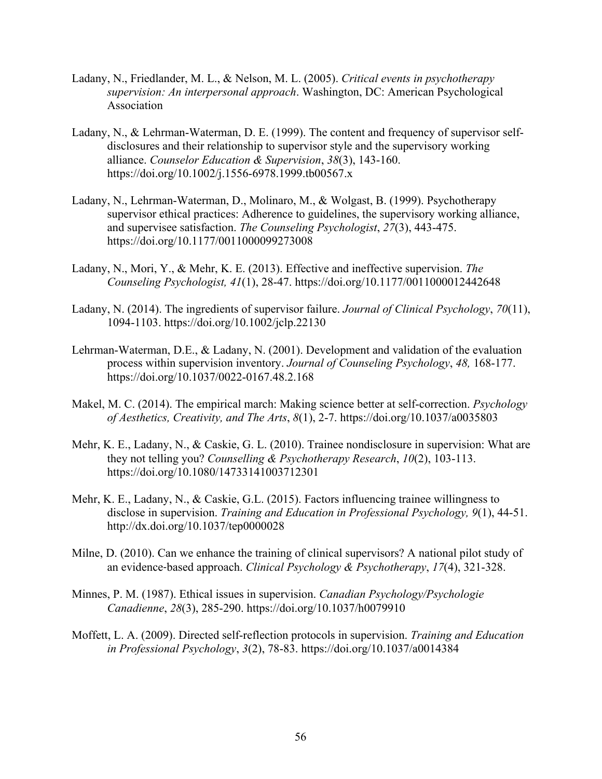- Ladany, N., Friedlander, M. L., & Nelson, M. L. (2005). *Critical events in psychotherapy supervision: An interpersonal approach*. Washington, DC: American Psychological Association
- Ladany, N., & Lehrman-Waterman, D. E. (1999). The content and frequency of supervisor selfdisclosures and their relationship to supervisor style and the supervisory working alliance. *Counselor Education & Supervision*, *38*(3), 143-160. https://doi.org/10.1002/j.1556-6978.1999.tb00567.x
- Ladany, N., Lehrman-Waterman, D., Molinaro, M., & Wolgast, B. (1999). Psychotherapy supervisor ethical practices: Adherence to guidelines, the supervisory working alliance, and supervisee satisfaction. *The Counseling Psychologist*, *27*(3), 443-475. https://doi.org/10.1177/0011000099273008
- Ladany, N., Mori, Y., & Mehr, K. E. (2013). Effective and ineffective supervision. *The Counseling Psychologist, 41*(1), 28-47. https://doi.org/10.1177/0011000012442648
- Ladany, N. (2014). The ingredients of supervisor failure. *Journal of Clinical Psychology*, *70*(11), 1094-1103. https://doi.org/10.1002/jclp.22130
- Lehrman-Waterman, D.E., & Ladany, N. (2001). Development and validation of the evaluation process within supervision inventory. *Journal of Counseling Psychology*, *48,* 168-177. https://doi.org/10.1037/0022-0167.48.2.168
- Makel, M. C. (2014). The empirical march: Making science better at self-correction. *Psychology of Aesthetics, Creativity, and The Arts*, *8*(1), 2-7. https://doi.org/10.1037/a0035803
- Mehr, K. E., Ladany, N., & Caskie, G. L. (2010). Trainee nondisclosure in supervision: What are they not telling you? *Counselling & Psychotherapy Research*, *10*(2), 103-113. https://doi.org/10.1080/14733141003712301
- Mehr, K. E., Ladany, N., & Caskie, G.L. (2015). Factors influencing trainee willingness to disclose in supervision. *Training and Education in Professional Psychology, 9*(1), 44-51. http://dx.doi.org/10.1037/tep0000028
- Milne, D. (2010). Can we enhance the training of clinical supervisors? A national pilot study of an evidence‐based approach. *Clinical Psychology & Psychotherapy*, *17*(4), 321-328.
- Minnes, P. M. (1987). Ethical issues in supervision. *Canadian Psychology/Psychologie Canadienne*, *28*(3), 285-290. https://doi.org/10.1037/h0079910
- Moffett, L. A. (2009). Directed self-reflection protocols in supervision. *Training and Education in Professional Psychology*, *3*(2), 78-83. https://doi.org/10.1037/a0014384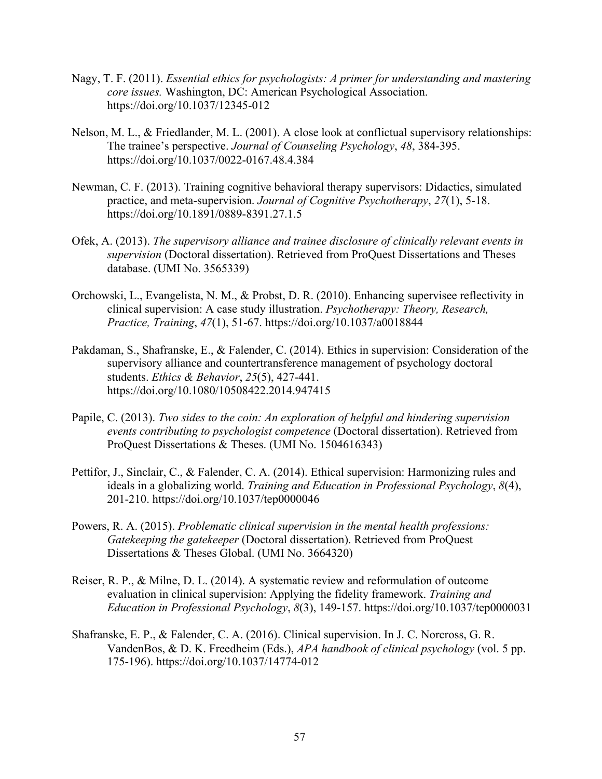- Nagy, T. F. (2011). *Essential ethics for psychologists: A primer for understanding and mastering core issues.* Washington, DC: American Psychological Association. https://doi.org/10.1037/12345-012
- Nelson, M. L., & Friedlander, M. L. (2001). A close look at conflictual supervisory relationships: The trainee's perspective. *Journal of Counseling Psychology*, *48*, 384-395. https://doi.org/10.1037/0022-0167.48.4.384
- Newman, C. F. (2013). Training cognitive behavioral therapy supervisors: Didactics, simulated practice, and meta-supervision. *Journal of Cognitive Psychotherapy*, *27*(1), 5-18. https://doi.org/10.1891/0889-8391.27.1.5
- Ofek, A. (2013). *The supervisory alliance and trainee disclosure of clinically relevant events in supervision* (Doctoral dissertation). Retrieved from ProQuest Dissertations and Theses database. (UMI No. 3565339)
- Orchowski, L., Evangelista, N. M., & Probst, D. R. (2010). Enhancing supervisee reflectivity in clinical supervision: A case study illustration. *Psychotherapy: Theory, Research, Practice, Training*, *47*(1), 51-67. https://doi.org/10.1037/a0018844
- Pakdaman, S., Shafranske, E., & Falender, C. (2014). Ethics in supervision: Consideration of the supervisory alliance and countertransference management of psychology doctoral students. *Ethics & Behavior*, *25*(5), 427-441. https://doi.org/10.1080/10508422.2014.947415
- Papile, C. (2013). *Two sides to the coin: An exploration of helpful and hindering supervision events contributing to psychologist competence* (Doctoral dissertation). Retrieved from ProQuest Dissertations & Theses. (UMI No. 1504616343)
- Pettifor, J., Sinclair, C., & Falender, C. A. (2014). Ethical supervision: Harmonizing rules and ideals in a globalizing world. *Training and Education in Professional Psychology*, *8*(4), 201-210. https://doi.org/10.1037/tep0000046
- Powers, R. A. (2015). *Problematic clinical supervision in the mental health professions: Gatekeeping the gatekeeper* (Doctoral dissertation). Retrieved from ProQuest Dissertations & Theses Global. (UMI No. 3664320)
- Reiser, R. P., & Milne, D. L. (2014). A systematic review and reformulation of outcome evaluation in clinical supervision: Applying the fidelity framework. *Training and Education in Professional Psychology*, *8*(3), 149-157. https://doi.org/10.1037/tep0000031
- Shafranske, E. P., & Falender, C. A. (2016). Clinical supervision. In J. C. Norcross, G. R. VandenBos, & D. K. Freedheim (Eds.), *APA handbook of clinical psychology* (vol. 5 pp. 175-196). https://doi.org/10.1037/14774-012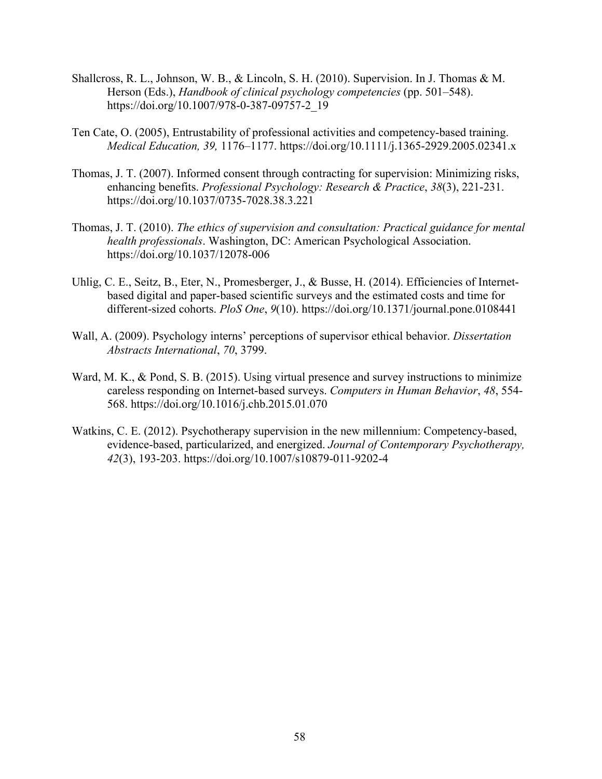- Shallcross, R. L., Johnson, W. B., & Lincoln, S. H. (2010). Supervision. In J. Thomas & M. Herson (Eds.), *Handbook of clinical psychology competencies* (pp. 501–548). https://doi.org/10.1007/978-0-387-09757-2\_19
- Ten Cate, O. (2005), Entrustability of professional activities and competency-based training. *Medical Education, 39,* 1176–1177. https://doi.org/10.1111/j.1365-2929.2005.02341.x
- Thomas, J. T. (2007). Informed consent through contracting for supervision: Minimizing risks, enhancing benefits. *Professional Psychology: Research & Practice*, *38*(3), 221-231. https://doi.org/10.1037/0735-7028.38.3.221
- Thomas, J. T. (2010). *The ethics of supervision and consultation: Practical guidance for mental health professionals*. Washington, DC: American Psychological Association. https://doi.org/10.1037/12078-006
- Uhlig, C. E., Seitz, B., Eter, N., Promesberger, J., & Busse, H. (2014). Efficiencies of Internetbased digital and paper-based scientific surveys and the estimated costs and time for different-sized cohorts. *PloS One*, *9*(10). https://doi.org/10.1371/journal.pone.0108441
- Wall, A. (2009). Psychology interns' perceptions of supervisor ethical behavior. *Dissertation Abstracts International*, *70*, 3799.
- Ward, M. K., & Pond, S. B. (2015). Using virtual presence and survey instructions to minimize careless responding on Internet-based surveys. *Computers in Human Behavior*, *48*, 554- 568. https://doi.org/10.1016/j.chb.2015.01.070
- Watkins, C. E. (2012). Psychotherapy supervision in the new millennium: Competency-based, evidence-based, particularized, and energized. *Journal of Contemporary Psychotherapy, 42*(3), 193-203. https://doi.org/10.1007/s10879-011-9202-4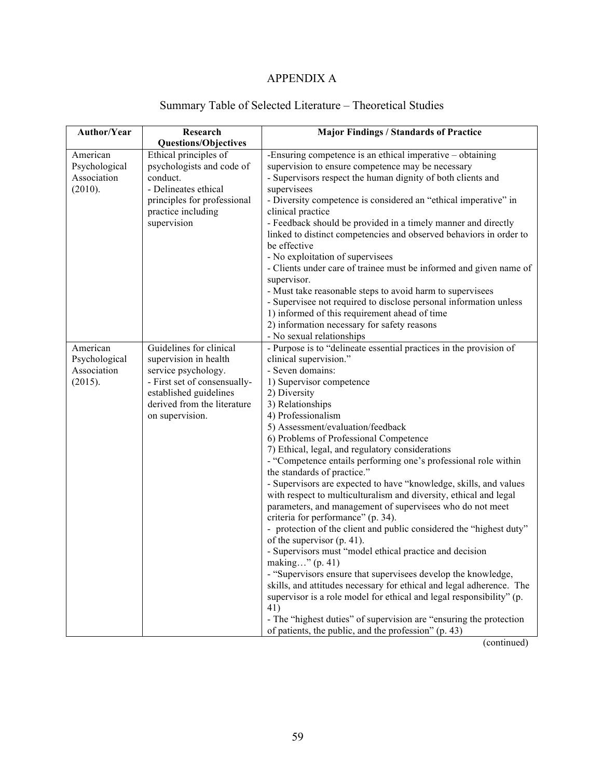## APPENDIX A

| Author/Year   | Research                     | <b>Major Findings / Standards of Practice</b>                                                                                          |
|---------------|------------------------------|----------------------------------------------------------------------------------------------------------------------------------------|
|               | <b>Questions/Objectives</b>  |                                                                                                                                        |
| American      | Ethical principles of        | -Ensuring competence is an ethical imperative – obtaining                                                                              |
| Psychological | psychologists and code of    | supervision to ensure competence may be necessary                                                                                      |
| Association   | conduct.                     | - Supervisors respect the human dignity of both clients and                                                                            |
| (2010).       | - Delineates ethical         | supervisees                                                                                                                            |
|               | principles for professional  | - Diversity competence is considered an "ethical imperative" in                                                                        |
|               | practice including           | clinical practice                                                                                                                      |
|               | supervision                  | - Feedback should be provided in a timely manner and directly                                                                          |
|               |                              | linked to distinct competencies and observed behaviors in order to                                                                     |
|               |                              | be effective                                                                                                                           |
|               |                              | - No exploitation of supervisees                                                                                                       |
|               |                              | - Clients under care of trainee must be informed and given name of                                                                     |
|               |                              | supervisor.                                                                                                                            |
|               |                              | - Must take reasonable steps to avoid harm to supervisees                                                                              |
|               |                              | - Supervisee not required to disclose personal information unless                                                                      |
|               |                              | 1) informed of this requirement ahead of time                                                                                          |
|               |                              | 2) information necessary for safety reasons                                                                                            |
|               |                              | - No sexual relationships                                                                                                              |
| American      | Guidelines for clinical      | - Purpose is to "delineate essential practices in the provision of                                                                     |
| Psychological | supervision in health        | clinical supervision."                                                                                                                 |
| Association   | service psychology.          | - Seven domains:                                                                                                                       |
| (2015).       | - First set of consensually- | 1) Supervisor competence                                                                                                               |
|               | established guidelines       | 2) Diversity                                                                                                                           |
|               | derived from the literature  | 3) Relationships                                                                                                                       |
|               | on supervision.              | 4) Professionalism                                                                                                                     |
|               |                              | 5) Assessment/evaluation/feedback                                                                                                      |
|               |                              | 6) Problems of Professional Competence                                                                                                 |
|               |                              | 7) Ethical, legal, and regulatory considerations                                                                                       |
|               |                              | - "Competence entails performing one's professional role within                                                                        |
|               |                              | the standards of practice."                                                                                                            |
|               |                              | - Supervisors are expected to have "knowledge, skills, and values<br>with respect to multiculturalism and diversity, ethical and legal |
|               |                              | parameters, and management of supervisees who do not meet                                                                              |
|               |                              | criteria for performance" (p. 34).                                                                                                     |
|               |                              | - protection of the client and public considered the "highest duty"                                                                    |
|               |                              | of the supervisor $(p. 41)$ .                                                                                                          |
|               |                              | - Supervisors must "model ethical practice and decision                                                                                |
|               |                              | making" (p. 41)                                                                                                                        |
|               |                              | - "Supervisors ensure that supervisees develop the knowledge,                                                                          |
|               |                              | skills, and attitudes necessary for ethical and legal adherence. The                                                                   |
|               |                              | supervisor is a role model for ethical and legal responsibility" (p.                                                                   |
|               |                              | 41)                                                                                                                                    |
|               |                              | - The "highest duties" of supervision are "ensuring the protection                                                                     |
|               |                              | of patients, the public, and the profession" (p. 43)                                                                                   |

# Summary Table of Selected Literature – Theoretical Studies

(continued)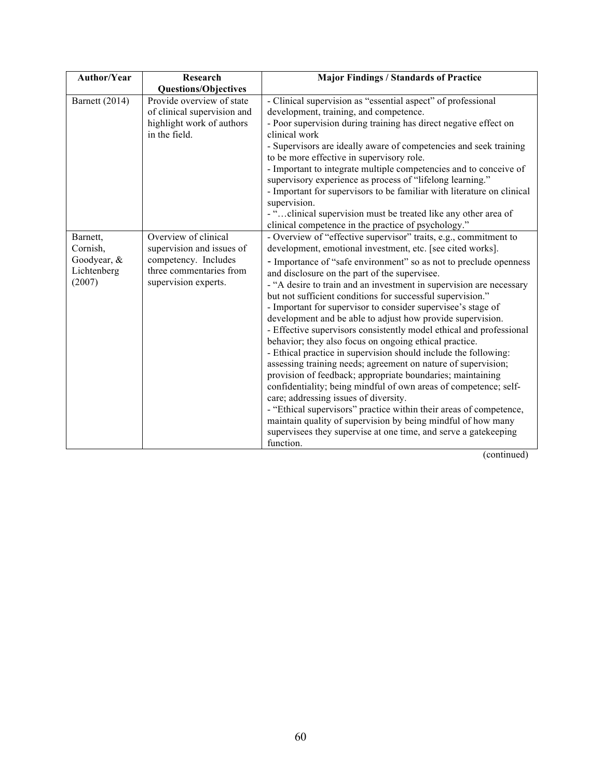| <b>Author/Year</b>                                           | Research                                                                                                                     | <b>Major Findings / Standards of Practice</b>                                                                                                                                                                                                                                                                                                                                                                                                                                                                                                                                                                                                                                                                                                                                                                                                                                                                                                                                                                                                                                                                                                                                                 |
|--------------------------------------------------------------|------------------------------------------------------------------------------------------------------------------------------|-----------------------------------------------------------------------------------------------------------------------------------------------------------------------------------------------------------------------------------------------------------------------------------------------------------------------------------------------------------------------------------------------------------------------------------------------------------------------------------------------------------------------------------------------------------------------------------------------------------------------------------------------------------------------------------------------------------------------------------------------------------------------------------------------------------------------------------------------------------------------------------------------------------------------------------------------------------------------------------------------------------------------------------------------------------------------------------------------------------------------------------------------------------------------------------------------|
|                                                              | <b>Questions/Objectives</b>                                                                                                  |                                                                                                                                                                                                                                                                                                                                                                                                                                                                                                                                                                                                                                                                                                                                                                                                                                                                                                                                                                                                                                                                                                                                                                                               |
| Barnett (2014)                                               | Provide overview of state<br>of clinical supervision and<br>highlight work of authors<br>in the field.                       | - Clinical supervision as "essential aspect" of professional<br>development, training, and competence.<br>- Poor supervision during training has direct negative effect on<br>clinical work<br>- Supervisors are ideally aware of competencies and seek training<br>to be more effective in supervisory role.<br>- Important to integrate multiple competencies and to conceive of<br>supervisory experience as process of "lifelong learning."<br>- Important for supervisors to be familiar with literature on clinical<br>supervision.<br>- "clinical supervision must be treated like any other area of<br>clinical competence in the practice of psychology."                                                                                                                                                                                                                                                                                                                                                                                                                                                                                                                            |
| Barnett,<br>Cornish,<br>Goodyear, &<br>Lichtenberg<br>(2007) | Overview of clinical<br>supervision and issues of<br>competency. Includes<br>three commentaries from<br>supervision experts. | - Overview of "effective supervisor" traits, e.g., commitment to<br>development, emotional investment, etc. [see cited works].<br>- Importance of "safe environment" so as not to preclude openness<br>and disclosure on the part of the supervisee.<br>- "A desire to train and an investment in supervision are necessary<br>but not sufficient conditions for successful supervision."<br>- Important for supervisor to consider supervisee's stage of<br>development and be able to adjust how provide supervision.<br>- Effective supervisors consistently model ethical and professional<br>behavior; they also focus on ongoing ethical practice.<br>- Ethical practice in supervision should include the following:<br>assessing training needs; agreement on nature of supervision;<br>provision of feedback; appropriate boundaries; maintaining<br>confidentiality; being mindful of own areas of competence; self-<br>care; addressing issues of diversity.<br>- "Ethical supervisors" practice within their areas of competence,<br>maintain quality of supervision by being mindful of how many<br>supervisees they supervise at one time, and serve a gatekeeping<br>function. |

(continued)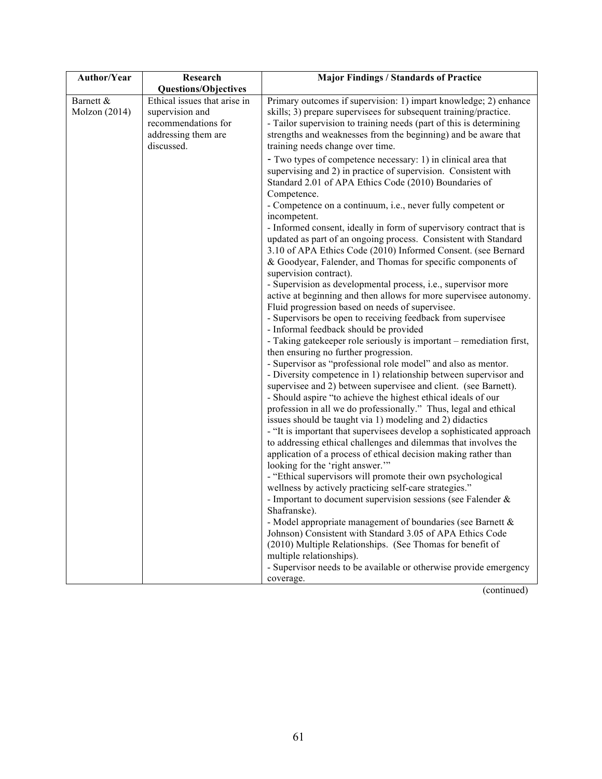| <b>Author/Year</b> | Research                     | <b>Major Findings / Standards of Practice</b>                                                                                      |
|--------------------|------------------------------|------------------------------------------------------------------------------------------------------------------------------------|
|                    | <b>Questions/Objectives</b>  |                                                                                                                                    |
| Barnett &          | Ethical issues that arise in | Primary outcomes if supervision: 1) impart knowledge; 2) enhance                                                                   |
| Molzon (2014)      | supervision and              | skills; 3) prepare supervisees for subsequent training/practice.                                                                   |
|                    | recommendations for          | - Tailor supervision to training needs (part of this is determining                                                                |
|                    | addressing them are          | strengths and weaknesses from the beginning) and be aware that                                                                     |
|                    | discussed.                   | training needs change over time.                                                                                                   |
|                    |                              | - Two types of competence necessary: 1) in clinical area that                                                                      |
|                    |                              | supervising and 2) in practice of supervision. Consistent with                                                                     |
|                    |                              | Standard 2.01 of APA Ethics Code (2010) Boundaries of                                                                              |
|                    |                              | Competence.                                                                                                                        |
|                    |                              | - Competence on a continuum, i.e., never fully competent or                                                                        |
|                    |                              | incompetent.                                                                                                                       |
|                    |                              | - Informed consent, ideally in form of supervisory contract that is                                                                |
|                    |                              | updated as part of an ongoing process. Consistent with Standard                                                                    |
|                    |                              | 3.10 of APA Ethics Code (2010) Informed Consent. (see Bernard                                                                      |
|                    |                              | & Goodyear, Falender, and Thomas for specific components of                                                                        |
|                    |                              | supervision contract).                                                                                                             |
|                    |                              | - Supervision as developmental process, i.e., supervisor more                                                                      |
|                    |                              | active at beginning and then allows for more supervisee autonomy.                                                                  |
|                    |                              | Fluid progression based on needs of supervisee.                                                                                    |
|                    |                              | - Supervisors be open to receiving feedback from supervisee                                                                        |
|                    |                              | - Informal feedback should be provided                                                                                             |
|                    |                              | - Taking gatekeeper role seriously is important – remediation first,                                                               |
|                    |                              | then ensuring no further progression.                                                                                              |
|                    |                              | - Supervisor as "professional role model" and also as mentor.                                                                      |
|                    |                              | - Diversity competence in 1) relationship between supervisor and                                                                   |
|                    |                              | supervisee and 2) between supervisee and client. (see Barnett).                                                                    |
|                    |                              | - Should aspire "to achieve the highest ethical ideals of our                                                                      |
|                    |                              | profession in all we do professionally." Thus, legal and ethical                                                                   |
|                    |                              | issues should be taught via 1) modeling and 2) didactics                                                                           |
|                    |                              | - "It is important that supervisees develop a sophisticated approach                                                               |
|                    |                              | to addressing ethical challenges and dilemmas that involves the<br>application of a process of ethical decision making rather than |
|                    |                              | looking for the 'right answer."                                                                                                    |
|                    |                              | - "Ethical supervisors will promote their own psychological                                                                        |
|                    |                              | wellness by actively practicing self-care strategies."                                                                             |
|                    |                              | - Important to document supervision sessions (see Falender &                                                                       |
|                    |                              | Shafranske).                                                                                                                       |
|                    |                              | - Model appropriate management of boundaries (see Barnett $\&$                                                                     |
|                    |                              | Johnson) Consistent with Standard 3.05 of APA Ethics Code                                                                          |
|                    |                              | (2010) Multiple Relationships. (See Thomas for benefit of                                                                          |
|                    |                              | multiple relationships).                                                                                                           |
|                    |                              | - Supervisor needs to be available or otherwise provide emergency                                                                  |
|                    |                              | coverage.                                                                                                                          |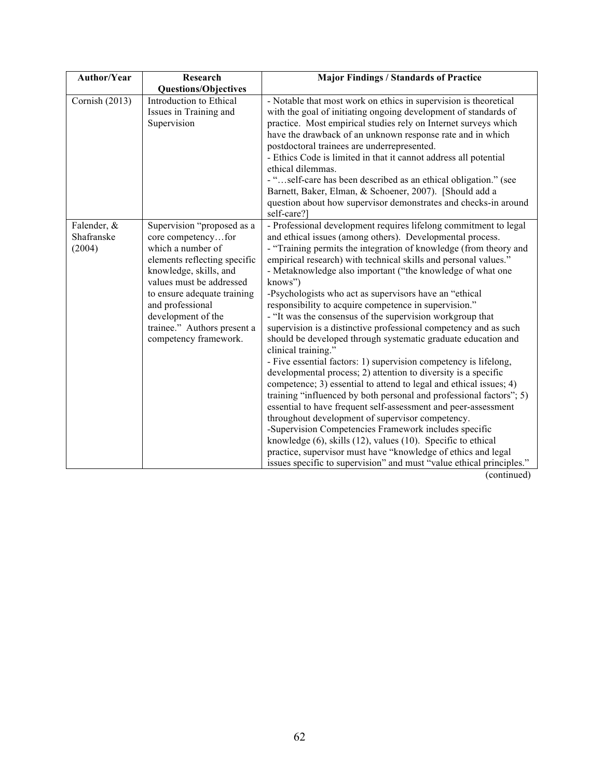| <b>Author/Year</b>                  | Research                                                                                                                                                                                                                                                                                     | <b>Major Findings / Standards of Practice</b>                                                                                                                                                                                                                                                                                                                                                                                                                                                                                                                                                                                                                                                                                                                                                                                                                                                                                                                                                                                                                                                                                                                                                                                                                                                                                                                         |
|-------------------------------------|----------------------------------------------------------------------------------------------------------------------------------------------------------------------------------------------------------------------------------------------------------------------------------------------|-----------------------------------------------------------------------------------------------------------------------------------------------------------------------------------------------------------------------------------------------------------------------------------------------------------------------------------------------------------------------------------------------------------------------------------------------------------------------------------------------------------------------------------------------------------------------------------------------------------------------------------------------------------------------------------------------------------------------------------------------------------------------------------------------------------------------------------------------------------------------------------------------------------------------------------------------------------------------------------------------------------------------------------------------------------------------------------------------------------------------------------------------------------------------------------------------------------------------------------------------------------------------------------------------------------------------------------------------------------------------|
|                                     | <b>Questions/Objectives</b>                                                                                                                                                                                                                                                                  |                                                                                                                                                                                                                                                                                                                                                                                                                                                                                                                                                                                                                                                                                                                                                                                                                                                                                                                                                                                                                                                                                                                                                                                                                                                                                                                                                                       |
| Cornish (2013)                      | Introduction to Ethical<br>Issues in Training and<br>Supervision                                                                                                                                                                                                                             | - Notable that most work on ethics in supervision is theoretical<br>with the goal of initiating ongoing development of standards of<br>practice. Most empirical studies rely on Internet surveys which<br>have the drawback of an unknown response rate and in which<br>postdoctoral trainees are underrepresented.<br>- Ethics Code is limited in that it cannot address all potential<br>ethical dilemmas.<br>- "self-care has been described as an ethical obligation." (see<br>Barnett, Baker, Elman, & Schoener, 2007). [Should add a<br>question about how supervisor demonstrates and checks-in around<br>self-care?]                                                                                                                                                                                                                                                                                                                                                                                                                                                                                                                                                                                                                                                                                                                                          |
| Falender, &<br>Shafranske<br>(2004) | Supervision "proposed as a<br>core competencyfor<br>which a number of<br>elements reflecting specific<br>knowledge, skills, and<br>values must be addressed<br>to ensure adequate training<br>and professional<br>development of the<br>trainee." Authors present a<br>competency framework. | - Professional development requires lifelong commitment to legal<br>and ethical issues (among others). Developmental process.<br>- "Training permits the integration of knowledge (from theory and<br>empirical research) with technical skills and personal values."<br>- Metaknowledge also important ("the knowledge of what one<br>knows")<br>-Psychologists who act as supervisors have an "ethical<br>responsibility to acquire competence in supervision."<br>- "It was the consensus of the supervision workgroup that<br>supervision is a distinctive professional competency and as such<br>should be developed through systematic graduate education and<br>clinical training."<br>- Five essential factors: 1) supervision competency is lifelong,<br>developmental process; 2) attention to diversity is a specific<br>competence; 3) essential to attend to legal and ethical issues; 4)<br>training "influenced by both personal and professional factors"; 5)<br>essential to have frequent self-assessment and peer-assessment<br>throughout development of supervisor competency.<br>-Supervision Competencies Framework includes specific<br>knowledge (6), skills (12), values (10). Specific to ethical<br>practice, supervisor must have "knowledge of ethics and legal<br>issues specific to supervision" and must "value ethical principles." |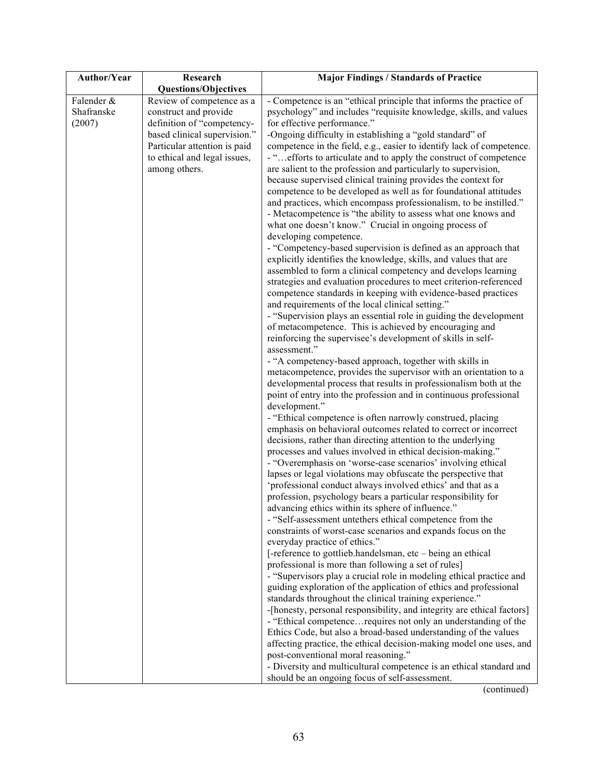| Author/Year | Research                     | <b>Major Findings / Standards of Practice</b>                                                                                   |
|-------------|------------------------------|---------------------------------------------------------------------------------------------------------------------------------|
|             | <b>Questions/Objectives</b>  |                                                                                                                                 |
| Falender &  | Review of competence as a    | - Competence is an "ethical principle that informs the practice of                                                              |
| Shafranske  | construct and provide        | psychology" and includes "requisite knowledge, skills, and values                                                               |
| (2007)      | definition of "competency-   | for effective performance."                                                                                                     |
|             | based clinical supervision." | -Ongoing difficulty in establishing a "gold standard" of                                                                        |
|             | Particular attention is paid | competence in the field, e.g., easier to identify lack of competence.                                                           |
|             | to ethical and legal issues, | - "efforts to articulate and to apply the construct of competence                                                               |
|             | among others.                | are salient to the profession and particularly to supervision,<br>because supervised clinical training provides the context for |
|             |                              | competence to be developed as well as for foundational attitudes                                                                |
|             |                              | and practices, which encompass professionalism, to be instilled."                                                               |
|             |                              | - Metacompetence is "the ability to assess what one knows and                                                                   |
|             |                              | what one doesn't know." Crucial in ongoing process of                                                                           |
|             |                              | developing competence.                                                                                                          |
|             |                              | - "Competency-based supervision is defined as an approach that                                                                  |
|             |                              | explicitly identifies the knowledge, skills, and values that are                                                                |
|             |                              | assembled to form a clinical competency and develops learning                                                                   |
|             |                              | strategies and evaluation procedures to meet criterion-referenced                                                               |
|             |                              | competence standards in keeping with evidence-based practices<br>and requirements of the local clinical setting."               |
|             |                              | - "Supervision plays an essential role in guiding the development                                                               |
|             |                              | of metacompetence. This is achieved by encouraging and                                                                          |
|             |                              | reinforcing the supervisee's development of skills in self-                                                                     |
|             |                              | assessment."                                                                                                                    |
|             |                              | - "A competency-based approach, together with skills in                                                                         |
|             |                              | metacompetence, provides the supervisor with an orientation to a                                                                |
|             |                              | developmental process that results in professionalism both at the                                                               |
|             |                              | point of entry into the profession and in continuous professional                                                               |
|             |                              | development."                                                                                                                   |
|             |                              | - "Ethical competence is often narrowly construed, placing                                                                      |
|             |                              | emphasis on behavioral outcomes related to correct or incorrect<br>decisions, rather than directing attention to the underlying |
|             |                              | processes and values involved in ethical decision-making."                                                                      |
|             |                              | - "Overemphasis on 'worse-case scenarios' involving ethical                                                                     |
|             |                              | lapses or legal violations may obfuscate the perspective that                                                                   |
|             |                              | 'professional conduct always involved ethics' and that as a                                                                     |
|             |                              | profession, psychology bears a particular responsibility for                                                                    |
|             |                              | advancing ethics within its sphere of influence."                                                                               |
|             |                              | - "Self-assessment untethers ethical competence from the                                                                        |
|             |                              | constraints of worst-case scenarios and expands focus on the                                                                    |
|             |                              | everyday practice of ethics."                                                                                                   |
|             |                              | [-reference to gottlieb.handelsman, etc - being an ethical                                                                      |
|             |                              | professional is more than following a set of rules]<br>- "Supervisors play a crucial role in modeling ethical practice and      |
|             |                              | guiding exploration of the application of ethics and professional                                                               |
|             |                              | standards throughout the clinical training experience."                                                                         |
|             |                              | -[honesty, personal responsibility, and integrity are ethical factors]                                                          |
|             |                              | - "Ethical competence requires not only an understanding of the                                                                 |
|             |                              | Ethics Code, but also a broad-based understanding of the values                                                                 |
|             |                              | affecting practice, the ethical decision-making model one uses, and                                                             |
|             |                              | post-conventional moral reasoning."                                                                                             |
|             |                              | - Diversity and multicultural competence is an ethical standard and                                                             |
|             |                              | should be an ongoing focus of self-assessment.                                                                                  |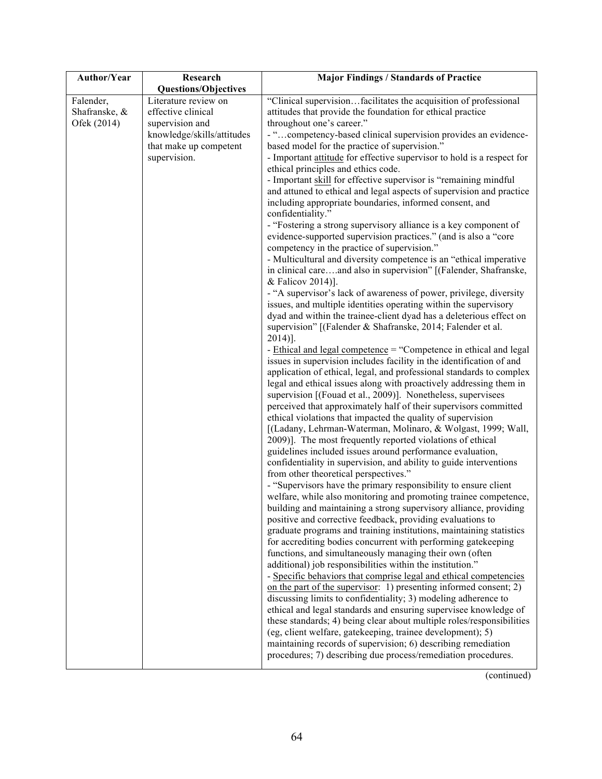| Author/Year                               | Research                                                                                                                              | <b>Major Findings / Standards of Practice</b>                                                                                                                                                                                                                                                                                                                                                                                                                                                                                                                                                                                                                                                                                                                                                                                                                                                                                                                                                                                                                                                                                                                                                                                                                                                                                                                                                                                                                                                                                                                                                                                                                                                                                                                                                                                                                                                                                                                                                                                                                                                                                                                                                                                                                                                                                                                                                                                                                                                                                                                                                                                                                                                                                                                                                                                                                                                                                                                                                                                                                                                                                                                                             |
|-------------------------------------------|---------------------------------------------------------------------------------------------------------------------------------------|-------------------------------------------------------------------------------------------------------------------------------------------------------------------------------------------------------------------------------------------------------------------------------------------------------------------------------------------------------------------------------------------------------------------------------------------------------------------------------------------------------------------------------------------------------------------------------------------------------------------------------------------------------------------------------------------------------------------------------------------------------------------------------------------------------------------------------------------------------------------------------------------------------------------------------------------------------------------------------------------------------------------------------------------------------------------------------------------------------------------------------------------------------------------------------------------------------------------------------------------------------------------------------------------------------------------------------------------------------------------------------------------------------------------------------------------------------------------------------------------------------------------------------------------------------------------------------------------------------------------------------------------------------------------------------------------------------------------------------------------------------------------------------------------------------------------------------------------------------------------------------------------------------------------------------------------------------------------------------------------------------------------------------------------------------------------------------------------------------------------------------------------------------------------------------------------------------------------------------------------------------------------------------------------------------------------------------------------------------------------------------------------------------------------------------------------------------------------------------------------------------------------------------------------------------------------------------------------------------------------------------------------------------------------------------------------------------------------------------------------------------------------------------------------------------------------------------------------------------------------------------------------------------------------------------------------------------------------------------------------------------------------------------------------------------------------------------------------------------------------------------------------------------------------------------------------|
|                                           | <b>Questions/Objectives</b>                                                                                                           |                                                                                                                                                                                                                                                                                                                                                                                                                                                                                                                                                                                                                                                                                                                                                                                                                                                                                                                                                                                                                                                                                                                                                                                                                                                                                                                                                                                                                                                                                                                                                                                                                                                                                                                                                                                                                                                                                                                                                                                                                                                                                                                                                                                                                                                                                                                                                                                                                                                                                                                                                                                                                                                                                                                                                                                                                                                                                                                                                                                                                                                                                                                                                                                           |
| Falender,<br>Shafranske, &<br>Ofek (2014) | Literature review on<br>effective clinical<br>supervision and<br>knowledge/skills/attitudes<br>that make up competent<br>supervision. | "Clinical supervisionfacilitates the acquisition of professional<br>attitudes that provide the foundation for ethical practice<br>throughout one's career."<br>- " competency-based clinical supervision provides an evidence-<br>based model for the practice of supervision."<br>- Important attitude for effective supervisor to hold is a respect for<br>ethical principles and ethics code.<br>- Important skill for effective supervisor is "remaining mindful<br>and attuned to ethical and legal aspects of supervision and practice<br>including appropriate boundaries, informed consent, and<br>confidentiality."<br>- "Fostering a strong supervisory alliance is a key component of<br>evidence-supported supervision practices." (and is also a "core<br>competency in the practice of supervision."<br>- Multicultural and diversity competence is an "ethical imperative<br>in clinical careand also in supervision" [(Falender, Shafranske,<br>& Falicov 2014)].<br>- "A supervisor's lack of awareness of power, privilege, diversity<br>issues, and multiple identities operating within the supervisory<br>dyad and within the trainee-client dyad has a deleterious effect on<br>supervision" [(Falender & Shafranske, 2014; Falender et al.<br>$2014$ ].<br>- Ethical and legal competence = "Competence in ethical and legal<br>issues in supervision includes facility in the identification of and<br>application of ethical, legal, and professional standards to complex<br>legal and ethical issues along with proactively addressing them in<br>supervision [(Fouad et al., 2009)]. Nonetheless, supervisees<br>perceived that approximately half of their supervisors committed<br>ethical violations that impacted the quality of supervision<br>[(Ladany, Lehrman-Waterman, Molinaro, & Wolgast, 1999; Wall,<br>2009)]. The most frequently reported violations of ethical<br>guidelines included issues around performance evaluation,<br>confidentiality in supervision, and ability to guide interventions<br>from other theoretical perspectives."<br>- "Supervisors have the primary responsibility to ensure client<br>welfare, while also monitoring and promoting trainee competence,<br>building and maintaining a strong supervisory alliance, providing<br>positive and corrective feedback, providing evaluations to<br>graduate programs and training institutions, maintaining statistics<br>for accrediting bodies concurrent with performing gatekeeping<br>functions, and simultaneously managing their own (often<br>additional) job responsibilities within the institution."<br>- Specific behaviors that comprise legal and ethical competencies<br>on the part of the supervisor: 1) presenting informed consent; 2)<br>discussing limits to confidentiality; 3) modeling adherence to<br>ethical and legal standards and ensuring supervisee knowledge of<br>these standards; 4) being clear about multiple roles/responsibilities<br>(eg, client welfare, gatekeeping, trainee development); 5)<br>maintaining records of supervision; 6) describing remediation<br>procedures; 7) describing due process/remediation procedures. |
|                                           |                                                                                                                                       |                                                                                                                                                                                                                                                                                                                                                                                                                                                                                                                                                                                                                                                                                                                                                                                                                                                                                                                                                                                                                                                                                                                                                                                                                                                                                                                                                                                                                                                                                                                                                                                                                                                                                                                                                                                                                                                                                                                                                                                                                                                                                                                                                                                                                                                                                                                                                                                                                                                                                                                                                                                                                                                                                                                                                                                                                                                                                                                                                                                                                                                                                                                                                                                           |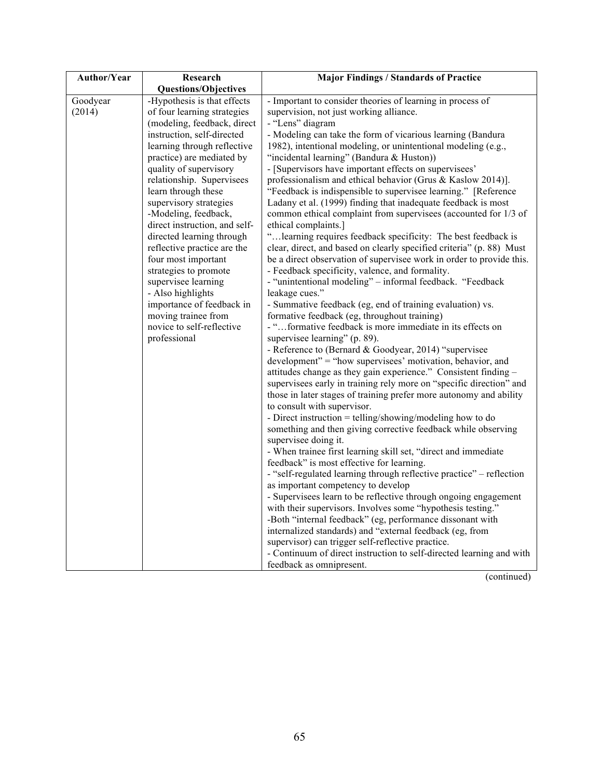| <b>Author/Year</b> | Research                                         | <b>Major Findings / Standards of Practice</b>                                                             |
|--------------------|--------------------------------------------------|-----------------------------------------------------------------------------------------------------------|
|                    | <b>Questions/Objectives</b>                      |                                                                                                           |
| Goodyear           | -Hypothesis is that effects                      | - Important to consider theories of learning in process of                                                |
| (2014)             | of four learning strategies                      | supervision, not just working alliance.                                                                   |
|                    | (modeling, feedback, direct                      | - "Lens" diagram                                                                                          |
|                    | instruction, self-directed                       | - Modeling can take the form of vicarious learning (Bandura                                               |
|                    | learning through reflective                      | 1982), intentional modeling, or unintentional modeling (e.g.,                                             |
|                    | practice) are mediated by                        | "incidental learning" (Bandura & Huston))                                                                 |
|                    | quality of supervisory                           | - [Supervisors have important effects on supervisees'                                                     |
|                    | relationship. Supervisees                        | professionalism and ethical behavior (Grus & Kaslow 2014)].                                               |
|                    | learn through these                              | "Feedback is indispensible to supervisee learning." [Reference                                            |
|                    | supervisory strategies                           | Ladany et al. (1999) finding that inadequate feedback is most                                             |
|                    | -Modeling, feedback,                             | common ethical complaint from supervisees (accounted for 1/3 of                                           |
|                    | direct instruction, and self-                    | ethical complaints.]                                                                                      |
|                    | directed learning through                        | " learning requires feedback specificity: The best feedback is                                            |
|                    | reflective practice are the                      | clear, direct, and based on clearly specified criteria" (p. 88) Must                                      |
|                    | four most important                              | be a direct observation of supervisee work in order to provide this.                                      |
|                    | strategies to promote                            | - Feedback specificity, valence, and formality.                                                           |
|                    | supervisee learning                              | - "unintentional modeling" - informal feedback. "Feedback                                                 |
|                    | - Also highlights                                | leakage cues."                                                                                            |
|                    | importance of feedback in<br>moving trainee from | - Summative feedback (eg, end of training evaluation) vs.<br>formative feedback (eg, throughout training) |
|                    | novice to self-reflective                        | - "formative feedback is more immediate in its effects on                                                 |
|                    | professional                                     | supervisee learning" (p. 89).                                                                             |
|                    |                                                  | - Reference to (Bernard & Goodyear, 2014) "supervisee                                                     |
|                    |                                                  | development" = "how supervisees' motivation, behavior, and                                                |
|                    |                                                  | attitudes change as they gain experience." Consistent finding -                                           |
|                    |                                                  | supervisees early in training rely more on "specific direction" and                                       |
|                    |                                                  | those in later stages of training prefer more autonomy and ability                                        |
|                    |                                                  | to consult with supervisor.                                                                               |
|                    |                                                  | - Direct instruction = telling/showing/modeling how to do                                                 |
|                    |                                                  | something and then giving corrective feedback while observing                                             |
|                    |                                                  | supervisee doing it.                                                                                      |
|                    |                                                  | - When trainee first learning skill set, "direct and immediate                                            |
|                    |                                                  | feedback" is most effective for learning.                                                                 |
|                    |                                                  | - "self-regulated learning through reflective practice" – reflection                                      |
|                    |                                                  | as important competency to develop                                                                        |
|                    |                                                  | - Supervisees learn to be reflective through ongoing engagement                                           |
|                    |                                                  | with their supervisors. Involves some "hypothesis testing."                                               |
|                    |                                                  | -Both "internal feedback" (eg, performance dissonant with                                                 |
|                    |                                                  | internalized standards) and "external feedback (eg, from                                                  |
|                    |                                                  | supervisor) can trigger self-reflective practice.                                                         |
|                    |                                                  | - Continuum of direct instruction to self-directed learning and with                                      |
|                    |                                                  | feedback as omnipresent.                                                                                  |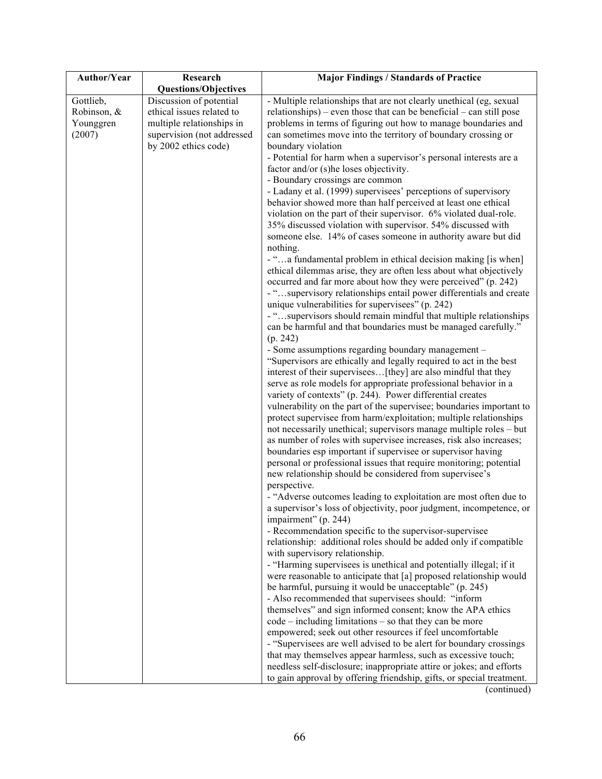| Author/Year | Research                    | <b>Major Findings / Standards of Practice</b>                                                                                       |
|-------------|-----------------------------|-------------------------------------------------------------------------------------------------------------------------------------|
|             | <b>Questions/Objectives</b> |                                                                                                                                     |
| Gottlieb,   | Discussion of potential     | - Multiple relationships that are not clearly unethical (eg, sexual                                                                 |
| Robinson, & | ethical issues related to   | relationships) – even those that can be beneficial – can still pose                                                                 |
| Younggren   | multiple relationships in   | problems in terms of figuring out how to manage boundaries and                                                                      |
| (2007)      | supervision (not addressed  | can sometimes move into the territory of boundary crossing or                                                                       |
|             | by 2002 ethics code)        | boundary violation                                                                                                                  |
|             |                             | - Potential for harm when a supervisor's personal interests are a                                                                   |
|             |                             | factor and/or (s)he loses objectivity.                                                                                              |
|             |                             | - Boundary crossings are common                                                                                                     |
|             |                             | - Ladany et al. (1999) supervisees' perceptions of supervisory                                                                      |
|             |                             | behavior showed more than half perceived at least one ethical                                                                       |
|             |                             | violation on the part of their supervisor. 6% violated dual-role.                                                                   |
|             |                             | 35% discussed violation with supervisor. 54% discussed with                                                                         |
|             |                             | someone else. 14% of cases someone in authority aware but did                                                                       |
|             |                             | nothing.                                                                                                                            |
|             |                             | - "a fundamental problem in ethical decision making [is when]<br>ethical dilemmas arise, they are often less about what objectively |
|             |                             | occurred and far more about how they were perceived" (p. 242)                                                                       |
|             |                             | - "supervisory relationships entail power differentials and create                                                                  |
|             |                             | unique vulnerabilities for supervisees" (p. 242)                                                                                    |
|             |                             | - "supervisors should remain mindful that multiple relationships                                                                    |
|             |                             | can be harmful and that boundaries must be managed carefully."                                                                      |
|             |                             | (p. 242)                                                                                                                            |
|             |                             | - Some assumptions regarding boundary management -                                                                                  |
|             |                             | "Supervisors are ethically and legally required to act in the best                                                                  |
|             |                             | interest of their supervisees[they] are also mindful that they                                                                      |
|             |                             | serve as role models for appropriate professional behavior in a                                                                     |
|             |                             | variety of contexts" (p. 244). Power differential creates                                                                           |
|             |                             | vulnerability on the part of the supervisee; boundaries important to                                                                |
|             |                             | protect supervisee from harm/exploitation; multiple relationships                                                                   |
|             |                             | not necessarily unethical; supervisors manage multiple roles - but                                                                  |
|             |                             | as number of roles with supervisee increases, risk also increases;                                                                  |
|             |                             | boundaries esp important if supervisee or supervisor having                                                                         |
|             |                             | personal or professional issues that require monitoring; potential                                                                  |
|             |                             | new relationship should be considered from supervisee's                                                                             |
|             |                             | perspective.                                                                                                                        |
|             |                             | - "Adverse outcomes leading to exploitation are most often due to                                                                   |
|             |                             | a supervisor's loss of objectivity, poor judgment, incompetence, or                                                                 |
|             |                             | impairment" (p. 244)                                                                                                                |
|             |                             | - Recommendation specific to the supervisor-supervisee<br>relationship: additional roles should be added only if compatible         |
|             |                             | with supervisory relationship.                                                                                                      |
|             |                             | - "Harming supervisees is unethical and potentially illegal; if it                                                                  |
|             |                             | were reasonable to anticipate that [a] proposed relationship would                                                                  |
|             |                             | be harmful, pursuing it would be unacceptable" (p. 245)                                                                             |
|             |                             | - Also recommended that supervisees should: "inform                                                                                 |
|             |                             | themselves" and sign informed consent; know the APA ethics                                                                          |
|             |                             | $code - including limitations - so that they can be more$                                                                           |
|             |                             | empowered; seek out other resources if feel uncomfortable                                                                           |
|             |                             | - "Supervisees are well advised to be alert for boundary crossings                                                                  |
|             |                             | that may themselves appear harmless, such as excessive touch;                                                                       |
|             |                             | needless self-disclosure; inappropriate attire or jokes; and efforts                                                                |
|             |                             | to gain approval by offering friendship, gifts, or special treatment.                                                               |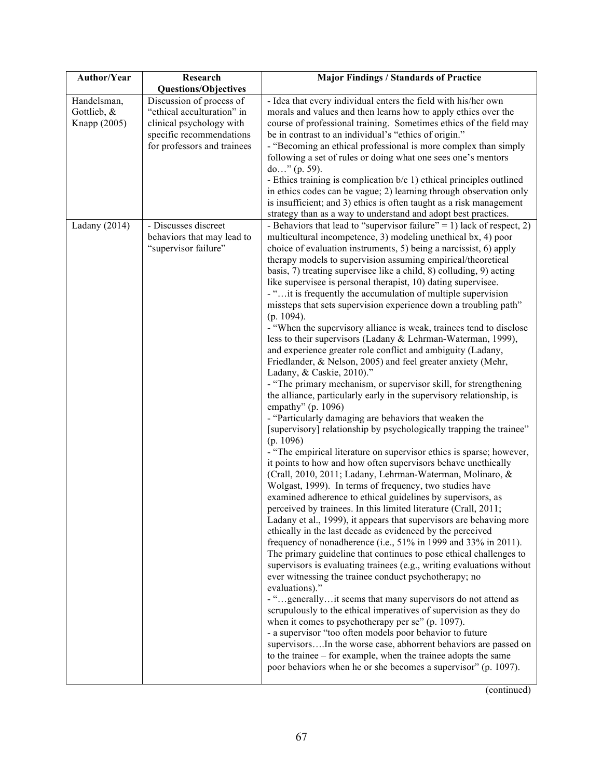| Author/Year                                | Research                                                                                                                                      | <b>Major Findings / Standards of Practice</b>                                                                                                                                                                                                                                                                                                                                                                                                                                                                                                                                                                                                                                                                                                                                                                                                                                                                                                                                                                                                                                                                                                                                                                                                                                                                                                                                                                                                                                                                                                                                                                                                                                                                                                                                                                                                                                                                                                                                                                                                                                                                                                                                                                                                                                                                                                                                                                                                                                                 |
|--------------------------------------------|-----------------------------------------------------------------------------------------------------------------------------------------------|-----------------------------------------------------------------------------------------------------------------------------------------------------------------------------------------------------------------------------------------------------------------------------------------------------------------------------------------------------------------------------------------------------------------------------------------------------------------------------------------------------------------------------------------------------------------------------------------------------------------------------------------------------------------------------------------------------------------------------------------------------------------------------------------------------------------------------------------------------------------------------------------------------------------------------------------------------------------------------------------------------------------------------------------------------------------------------------------------------------------------------------------------------------------------------------------------------------------------------------------------------------------------------------------------------------------------------------------------------------------------------------------------------------------------------------------------------------------------------------------------------------------------------------------------------------------------------------------------------------------------------------------------------------------------------------------------------------------------------------------------------------------------------------------------------------------------------------------------------------------------------------------------------------------------------------------------------------------------------------------------------------------------------------------------------------------------------------------------------------------------------------------------------------------------------------------------------------------------------------------------------------------------------------------------------------------------------------------------------------------------------------------------------------------------------------------------------------------------------------------------|
|                                            | <b>Questions/Objectives</b>                                                                                                                   |                                                                                                                                                                                                                                                                                                                                                                                                                                                                                                                                                                                                                                                                                                                                                                                                                                                                                                                                                                                                                                                                                                                                                                                                                                                                                                                                                                                                                                                                                                                                                                                                                                                                                                                                                                                                                                                                                                                                                                                                                                                                                                                                                                                                                                                                                                                                                                                                                                                                                               |
| Handelsman,<br>Gottlieb, &<br>Knapp (2005) | Discussion of process of<br>"ethical acculturation" in<br>clinical psychology with<br>specific recommendations<br>for professors and trainees | - Idea that every individual enters the field with his/her own<br>morals and values and then learns how to apply ethics over the<br>course of professional training. Sometimes ethics of the field may<br>be in contrast to an individual's "ethics of origin."<br>- "Becoming an ethical professional is more complex than simply<br>following a set of rules or doing what one sees one's mentors<br>do" (p. 59).<br>- Ethics training is complication b/c 1) ethical principles outlined<br>in ethics codes can be vague; 2) learning through observation only                                                                                                                                                                                                                                                                                                                                                                                                                                                                                                                                                                                                                                                                                                                                                                                                                                                                                                                                                                                                                                                                                                                                                                                                                                                                                                                                                                                                                                                                                                                                                                                                                                                                                                                                                                                                                                                                                                                             |
|                                            |                                                                                                                                               | is insufficient; and 3) ethics is often taught as a risk management<br>strategy than as a way to understand and adopt best practices.                                                                                                                                                                                                                                                                                                                                                                                                                                                                                                                                                                                                                                                                                                                                                                                                                                                                                                                                                                                                                                                                                                                                                                                                                                                                                                                                                                                                                                                                                                                                                                                                                                                                                                                                                                                                                                                                                                                                                                                                                                                                                                                                                                                                                                                                                                                                                         |
| Ladany $(2014)$                            | - Discusses discreet<br>behaviors that may lead to<br>"supervisor failure"                                                                    | - Behaviors that lead to "supervisor failure" = 1) lack of respect, 2)<br>multicultural incompetence, 3) modeling unethical bx, 4) poor<br>choice of evaluation instruments, 5) being a narcissist, 6) apply<br>therapy models to supervision assuming empirical/theoretical<br>basis, 7) treating supervisee like a child, 8) colluding, 9) acting<br>like supervisee is personal therapist, 10) dating supervisee.<br>- " it is frequently the accumulation of multiple supervision<br>missteps that sets supervision experience down a troubling path"<br>$(p. 1094)$ .<br>- "When the supervisory alliance is weak, trainees tend to disclose<br>less to their supervisors (Ladany & Lehrman-Waterman, 1999),<br>and experience greater role conflict and ambiguity (Ladany,<br>Friedlander, & Nelson, 2005) and feel greater anxiety (Mehr,<br>Ladany, & Caskie, 2010)."<br>- "The primary mechanism, or supervisor skill, for strengthening<br>the alliance, particularly early in the supervisory relationship, is<br>empathy" (p. 1096)<br>- "Particularly damaging are behaviors that weaken the<br>[supervisory] relationship by psychologically trapping the trainee"<br>(p. 1096)<br>- "The empirical literature on supervisor ethics is sparse; however,<br>it points to how and how often supervisors behave unethically<br>(Crall, 2010, 2011; Ladany, Lehrman-Waterman, Molinaro, &<br>Wolgast, 1999). In terms of frequency, two studies have<br>examined adherence to ethical guidelines by supervisors, as<br>perceived by trainees. In this limited literature (Crall, 2011;<br>Ladany et al., 1999), it appears that supervisors are behaving more<br>ethically in the last decade as evidenced by the perceived<br>frequency of nonadherence (i.e., 51% in 1999 and 33% in 2011).<br>The primary guideline that continues to pose ethical challenges to<br>supervisors is evaluating trainees (e.g., writing evaluations without<br>ever witnessing the trainee conduct psychotherapy; no<br>evaluations)."<br>- "generallyit seems that many supervisors do not attend as<br>scrupulously to the ethical imperatives of supervision as they do<br>when it comes to psychotherapy per se" (p. 1097).<br>- a supervisor "too often models poor behavior to future<br>supervisorsIn the worse case, abhorrent behaviors are passed on<br>to the trainee - for example, when the trainee adopts the same<br>poor behaviors when he or she becomes a supervisor" (p. 1097). |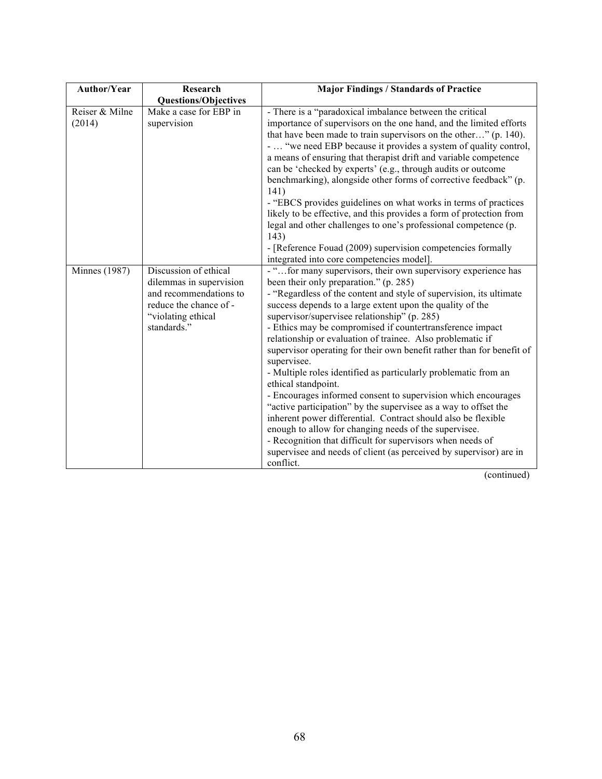| Author/Year              | Research                                                                                                                                  | <b>Major Findings / Standards of Practice</b>                                                                                                                                                                                                                                                                                                                                                                                                                                                                                                                                                                                                                                                                                                                                                                                                                                                                                                                                                                            |
|--------------------------|-------------------------------------------------------------------------------------------------------------------------------------------|--------------------------------------------------------------------------------------------------------------------------------------------------------------------------------------------------------------------------------------------------------------------------------------------------------------------------------------------------------------------------------------------------------------------------------------------------------------------------------------------------------------------------------------------------------------------------------------------------------------------------------------------------------------------------------------------------------------------------------------------------------------------------------------------------------------------------------------------------------------------------------------------------------------------------------------------------------------------------------------------------------------------------|
|                          | <b>Questions/Objectives</b>                                                                                                               |                                                                                                                                                                                                                                                                                                                                                                                                                                                                                                                                                                                                                                                                                                                                                                                                                                                                                                                                                                                                                          |
| Reiser & Milne<br>(2014) | Make a case for EBP in<br>supervision                                                                                                     | - There is a "paradoxical imbalance between the critical<br>importance of supervisors on the one hand, and the limited efforts<br>that have been made to train supervisors on the other" (p. 140).<br>-  "we need EBP because it provides a system of quality control,<br>a means of ensuring that therapist drift and variable competence<br>can be 'checked by experts' (e.g., through audits or outcome<br>benchmarking), alongside other forms of corrective feedback" (p.<br>141)<br>- "EBCS provides guidelines on what works in terms of practices<br>likely to be effective, and this provides a form of protection from<br>legal and other challenges to one's professional competence (p.<br>143)<br>- [Reference Fouad (2009) supervision competencies formally<br>integrated into core competencies model].                                                                                                                                                                                                  |
| <b>Minnes</b> (1987)     | Discussion of ethical<br>dilemmas in supervision<br>and recommendations to<br>reduce the chance of -<br>"violating ethical<br>standards." | - " for many supervisors, their own supervisory experience has<br>been their only preparation." (p. 285)<br>- "Regardless of the content and style of supervision, its ultimate<br>success depends to a large extent upon the quality of the<br>supervisor/supervisee relationship" (p. 285)<br>- Ethics may be compromised if countertransference impact<br>relationship or evaluation of trainee. Also problematic if<br>supervisor operating for their own benefit rather than for benefit of<br>supervisee.<br>- Multiple roles identified as particularly problematic from an<br>ethical standpoint.<br>- Encourages informed consent to supervision which encourages<br>"active participation" by the supervisee as a way to offset the<br>inherent power differential. Contract should also be flexible<br>enough to allow for changing needs of the supervisee.<br>- Recognition that difficult for supervisors when needs of<br>supervisee and needs of client (as perceived by supervisor) are in<br>conflict. |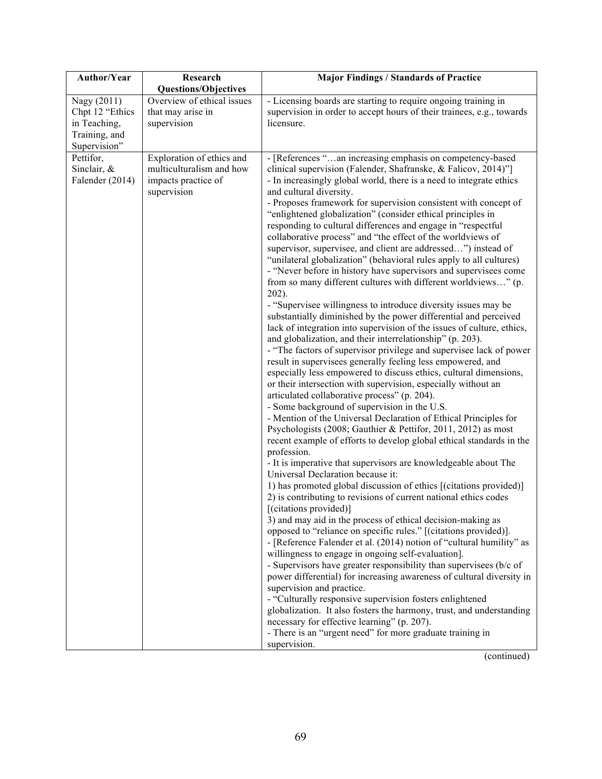| Author/Year                                                                     | Research                                                                                    | <b>Major Findings / Standards of Practice</b>                                                                                                                                                                                                                                                                                                                                                                                                                                                                                                                                                                                                                                                                                                                                                                                                                                                                                                                                                                                                                                                                                                                                                                                                                                                                                                                                                                                                                                                                                                                                                                                                                                                                                                                                                                                                                                                                                                                                                                                                                                                                                                                                                                                                                                                                                                                                                                                                                                                                                                                                                                                                                          |
|---------------------------------------------------------------------------------|---------------------------------------------------------------------------------------------|------------------------------------------------------------------------------------------------------------------------------------------------------------------------------------------------------------------------------------------------------------------------------------------------------------------------------------------------------------------------------------------------------------------------------------------------------------------------------------------------------------------------------------------------------------------------------------------------------------------------------------------------------------------------------------------------------------------------------------------------------------------------------------------------------------------------------------------------------------------------------------------------------------------------------------------------------------------------------------------------------------------------------------------------------------------------------------------------------------------------------------------------------------------------------------------------------------------------------------------------------------------------------------------------------------------------------------------------------------------------------------------------------------------------------------------------------------------------------------------------------------------------------------------------------------------------------------------------------------------------------------------------------------------------------------------------------------------------------------------------------------------------------------------------------------------------------------------------------------------------------------------------------------------------------------------------------------------------------------------------------------------------------------------------------------------------------------------------------------------------------------------------------------------------------------------------------------------------------------------------------------------------------------------------------------------------------------------------------------------------------------------------------------------------------------------------------------------------------------------------------------------------------------------------------------------------------------------------------------------------------------------------------------------------|
|                                                                                 | <b>Questions/Objectives</b>                                                                 |                                                                                                                                                                                                                                                                                                                                                                                                                                                                                                                                                                                                                                                                                                                                                                                                                                                                                                                                                                                                                                                                                                                                                                                                                                                                                                                                                                                                                                                                                                                                                                                                                                                                                                                                                                                                                                                                                                                                                                                                                                                                                                                                                                                                                                                                                                                                                                                                                                                                                                                                                                                                                                                                        |
| Nagy (2011)<br>Chpt 12 "Ethics<br>in Teaching,<br>Training, and<br>Supervision" | Overview of ethical issues<br>that may arise in<br>supervision                              | - Licensing boards are starting to require ongoing training in<br>supervision in order to accept hours of their trainees, e.g., towards<br>licensure.                                                                                                                                                                                                                                                                                                                                                                                                                                                                                                                                                                                                                                                                                                                                                                                                                                                                                                                                                                                                                                                                                                                                                                                                                                                                                                                                                                                                                                                                                                                                                                                                                                                                                                                                                                                                                                                                                                                                                                                                                                                                                                                                                                                                                                                                                                                                                                                                                                                                                                                  |
| Pettifor,<br>Sinclair, &<br>Falender (2014)                                     | Exploration of ethics and<br>multiculturalism and how<br>impacts practice of<br>supervision | - [References "an increasing emphasis on competency-based<br>clinical supervision (Falender, Shafranske, & Falicov, 2014)"]<br>- In increasingly global world, there is a need to integrate ethics<br>and cultural diversity.<br>- Proposes framework for supervision consistent with concept of<br>"enlightened globalization" (consider ethical principles in<br>responding to cultural differences and engage in "respectful<br>collaborative process" and "the effect of the worldviews of<br>supervisor, supervisee, and client are addressed") instead of<br>"unilateral globalization" (behavioral rules apply to all cultures)<br>- "Never before in history have supervisors and supervisees come<br>from so many different cultures with different worldviews" (p.<br>$202$ ).<br>- "Supervisee willingness to introduce diversity issues may be<br>substantially diminished by the power differential and perceived<br>lack of integration into supervision of the issues of culture, ethics,<br>and globalization, and their interrelationship" (p. 203).<br>- "The factors of supervisor privilege and supervisee lack of power<br>result in supervisees generally feeling less empowered, and<br>especially less empowered to discuss ethics, cultural dimensions,<br>or their intersection with supervision, especially without an<br>articulated collaborative process" (p. 204).<br>- Some background of supervision in the U.S.<br>- Mention of the Universal Declaration of Ethical Principles for<br>Psychologists (2008; Gauthier & Pettifor, 2011, 2012) as most<br>recent example of efforts to develop global ethical standards in the<br>profession.<br>- It is imperative that supervisors are knowledgeable about The<br>Universal Declaration because it:<br>1) has promoted global discussion of ethics [(citations provided)]<br>2) is contributing to revisions of current national ethics codes<br>[(citations provided)]<br>3) and may aid in the process of ethical decision-making as<br>opposed to "reliance on specific rules." [(citations provided)].<br>- [Reference Falender et al. (2014) notion of "cultural humility" as<br>willingness to engage in ongoing self-evaluation].<br>- Supervisors have greater responsibility than supervisees (b/c of<br>power differential) for increasing awareness of cultural diversity in<br>supervision and practice.<br>- "Culturally responsive supervision fosters enlightened<br>globalization. It also fosters the harmony, trust, and understanding<br>necessary for effective learning" (p. 207).<br>- There is an "urgent need" for more graduate training in<br>supervision. |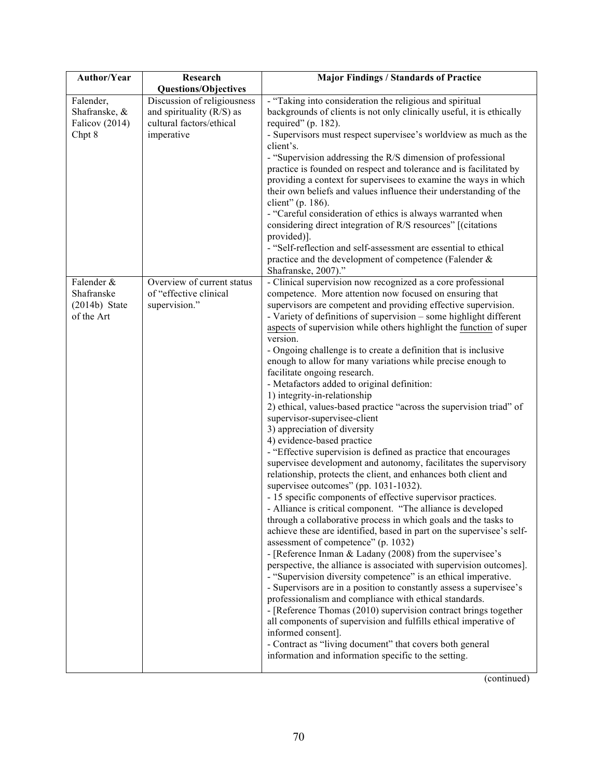| Author/Year                                               | Research                                                                                           | <b>Major Findings / Standards of Practice</b>                                                                                                                                                                                                                                                                                                                                                                                                                                                                                                                                                                                                                                                                                                                                                                                                                                                                                                                                                                                                                                                                                                                                                                                                                                                                                                                                                                                                                                                                                                                                                                                                                                                                                                                                                                                                                                                                                                                        |
|-----------------------------------------------------------|----------------------------------------------------------------------------------------------------|----------------------------------------------------------------------------------------------------------------------------------------------------------------------------------------------------------------------------------------------------------------------------------------------------------------------------------------------------------------------------------------------------------------------------------------------------------------------------------------------------------------------------------------------------------------------------------------------------------------------------------------------------------------------------------------------------------------------------------------------------------------------------------------------------------------------------------------------------------------------------------------------------------------------------------------------------------------------------------------------------------------------------------------------------------------------------------------------------------------------------------------------------------------------------------------------------------------------------------------------------------------------------------------------------------------------------------------------------------------------------------------------------------------------------------------------------------------------------------------------------------------------------------------------------------------------------------------------------------------------------------------------------------------------------------------------------------------------------------------------------------------------------------------------------------------------------------------------------------------------------------------------------------------------------------------------------------------------|
|                                                           | <b>Questions/Objectives</b>                                                                        |                                                                                                                                                                                                                                                                                                                                                                                                                                                                                                                                                                                                                                                                                                                                                                                                                                                                                                                                                                                                                                                                                                                                                                                                                                                                                                                                                                                                                                                                                                                                                                                                                                                                                                                                                                                                                                                                                                                                                                      |
| Falender,<br>Shafranske, &<br>Falicov (2014)<br>Chpt 8    | Discussion of religiousness<br>and spirituality (R/S) as<br>cultural factors/ethical<br>imperative | - "Taking into consideration the religious and spiritual<br>backgrounds of clients is not only clinically useful, it is ethically<br>required" (p. $182$ ).<br>- Supervisors must respect supervisee's worldview as much as the<br>client's.<br>- "Supervision addressing the R/S dimension of professional<br>practice is founded on respect and tolerance and is facilitated by<br>providing a context for supervisees to examine the ways in which<br>their own beliefs and values influence their understanding of the<br>client" (p. 186).<br>- "Careful consideration of ethics is always warranted when<br>considering direct integration of R/S resources" [(citations<br>provided)].<br>- "Self-reflection and self-assessment are essential to ethical<br>practice and the development of competence (Falender &<br>Shafranske, 2007)."                                                                                                                                                                                                                                                                                                                                                                                                                                                                                                                                                                                                                                                                                                                                                                                                                                                                                                                                                                                                                                                                                                                    |
| Falender &<br>Shafranske<br>$(2014b)$ State<br>of the Art | Overview of current status<br>of "effective clinical<br>supervision."                              | - Clinical supervision now recognized as a core professional<br>competence. More attention now focused on ensuring that<br>supervisors are competent and providing effective supervision.<br>- Variety of definitions of supervision - some highlight different<br>aspects of supervision while others highlight the function of super<br>version.<br>- Ongoing challenge is to create a definition that is inclusive<br>enough to allow for many variations while precise enough to<br>facilitate ongoing research.<br>- Metafactors added to original definition:<br>1) integrity-in-relationship<br>2) ethical, values-based practice "across the supervision triad" of<br>supervisor-supervisee-client<br>3) appreciation of diversity<br>4) evidence-based practice<br>- "Effective supervision is defined as practice that encourages<br>supervisee development and autonomy, facilitates the supervisory<br>relationship, protects the client, and enhances both client and<br>supervisee outcomes" (pp. 1031-1032).<br>- 15 specific components of effective supervisor practices.<br>- Alliance is critical component. "The alliance is developed<br>through a collaborative process in which goals and the tasks to<br>achieve these are identified, based in part on the supervisee's self-<br>assessment of competence" (p. 1032)<br>- [Reference Inman & Ladany (2008) from the supervisee's<br>perspective, the alliance is associated with supervision outcomes].<br>- "Supervision diversity competence" is an ethical imperative.<br>- Supervisors are in a position to constantly assess a supervisee's<br>professionalism and compliance with ethical standards.<br>- [Reference Thomas (2010) supervision contract brings together<br>all components of supervision and fulfills ethical imperative of<br>informed consent].<br>- Contract as "living document" that covers both general<br>information and information specific to the setting. |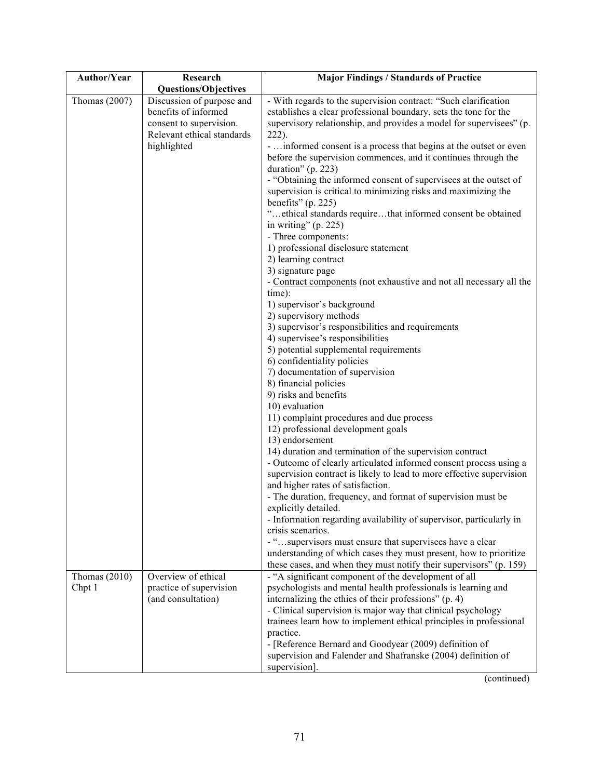| Author/Year     | Research                                                                                                                  | <b>Major Findings / Standards of Practice</b>                                                                                                                                                                                                                                                                                                                                                                                                                                                                                                                                                                                                                                                                                                                                                                                                                                                                                                                                                                                                                                                                                                                                                                                                                                                                                                                                                                                                                                                                                                                                                                                                                                                 |
|-----------------|---------------------------------------------------------------------------------------------------------------------------|-----------------------------------------------------------------------------------------------------------------------------------------------------------------------------------------------------------------------------------------------------------------------------------------------------------------------------------------------------------------------------------------------------------------------------------------------------------------------------------------------------------------------------------------------------------------------------------------------------------------------------------------------------------------------------------------------------------------------------------------------------------------------------------------------------------------------------------------------------------------------------------------------------------------------------------------------------------------------------------------------------------------------------------------------------------------------------------------------------------------------------------------------------------------------------------------------------------------------------------------------------------------------------------------------------------------------------------------------------------------------------------------------------------------------------------------------------------------------------------------------------------------------------------------------------------------------------------------------------------------------------------------------------------------------------------------------|
|                 | <b>Questions/Objectives</b>                                                                                               |                                                                                                                                                                                                                                                                                                                                                                                                                                                                                                                                                                                                                                                                                                                                                                                                                                                                                                                                                                                                                                                                                                                                                                                                                                                                                                                                                                                                                                                                                                                                                                                                                                                                                               |
| Thomas $(2007)$ | Discussion of purpose and<br>benefits of informed<br>consent to supervision.<br>Relevant ethical standards<br>highlighted | - With regards to the supervision contract: "Such clarification<br>establishes a clear professional boundary, sets the tone for the<br>supervisory relationship, and provides a model for supervisees" (p.<br>$222$ ).<br>-  informed consent is a process that begins at the outset or even<br>before the supervision commences, and it continues through the<br>duration" $(p. 223)$<br>- "Obtaining the informed consent of supervisees at the outset of<br>supervision is critical to minimizing risks and maximizing the<br>benefits" $(p. 225)$<br>"ethical standards requirethat informed consent be obtained<br>in writing" $(p. 225)$<br>- Three components:<br>1) professional disclosure statement<br>2) learning contract<br>3) signature page<br>- Contract components (not exhaustive and not all necessary all the<br>time):<br>1) supervisor's background<br>2) supervisory methods<br>3) supervisor's responsibilities and requirements<br>4) supervisee's responsibilities<br>5) potential supplemental requirements<br>6) confidentiality policies<br>7) documentation of supervision<br>8) financial policies<br>9) risks and benefits<br>10) evaluation<br>11) complaint procedures and due process<br>12) professional development goals<br>13) endorsement<br>14) duration and termination of the supervision contract<br>- Outcome of clearly articulated informed consent process using a<br>supervision contract is likely to lead to more effective supervision<br>and higher rates of satisfaction.<br>- The duration, frequency, and format of supervision must be<br>explicitly detailed<br>- Information regarding availability of supervisor, particularly in |
|                 |                                                                                                                           | crisis scenarios.<br>- "supervisors must ensure that supervisees have a clear<br>understanding of which cases they must present, how to prioritize                                                                                                                                                                                                                                                                                                                                                                                                                                                                                                                                                                                                                                                                                                                                                                                                                                                                                                                                                                                                                                                                                                                                                                                                                                                                                                                                                                                                                                                                                                                                            |
|                 |                                                                                                                           | these cases, and when they must notify their supervisors" (p. 159)                                                                                                                                                                                                                                                                                                                                                                                                                                                                                                                                                                                                                                                                                                                                                                                                                                                                                                                                                                                                                                                                                                                                                                                                                                                                                                                                                                                                                                                                                                                                                                                                                            |
| Thomas $(2010)$ | Overview of ethical                                                                                                       | - "A significant component of the development of all                                                                                                                                                                                                                                                                                                                                                                                                                                                                                                                                                                                                                                                                                                                                                                                                                                                                                                                                                                                                                                                                                                                                                                                                                                                                                                                                                                                                                                                                                                                                                                                                                                          |
| Chpt 1          | practice of supervision<br>(and consultation)                                                                             | psychologists and mental health professionals is learning and<br>internalizing the ethics of their professions" (p. 4)                                                                                                                                                                                                                                                                                                                                                                                                                                                                                                                                                                                                                                                                                                                                                                                                                                                                                                                                                                                                                                                                                                                                                                                                                                                                                                                                                                                                                                                                                                                                                                        |
|                 |                                                                                                                           | - Clinical supervision is major way that clinical psychology                                                                                                                                                                                                                                                                                                                                                                                                                                                                                                                                                                                                                                                                                                                                                                                                                                                                                                                                                                                                                                                                                                                                                                                                                                                                                                                                                                                                                                                                                                                                                                                                                                  |
|                 |                                                                                                                           | trainees learn how to implement ethical principles in professional                                                                                                                                                                                                                                                                                                                                                                                                                                                                                                                                                                                                                                                                                                                                                                                                                                                                                                                                                                                                                                                                                                                                                                                                                                                                                                                                                                                                                                                                                                                                                                                                                            |
|                 |                                                                                                                           | practice.                                                                                                                                                                                                                                                                                                                                                                                                                                                                                                                                                                                                                                                                                                                                                                                                                                                                                                                                                                                                                                                                                                                                                                                                                                                                                                                                                                                                                                                                                                                                                                                                                                                                                     |
|                 |                                                                                                                           | - [Reference Bernard and Goodyear (2009) definition of                                                                                                                                                                                                                                                                                                                                                                                                                                                                                                                                                                                                                                                                                                                                                                                                                                                                                                                                                                                                                                                                                                                                                                                                                                                                                                                                                                                                                                                                                                                                                                                                                                        |
|                 |                                                                                                                           | supervision and Falender and Shafranske (2004) definition of                                                                                                                                                                                                                                                                                                                                                                                                                                                                                                                                                                                                                                                                                                                                                                                                                                                                                                                                                                                                                                                                                                                                                                                                                                                                                                                                                                                                                                                                                                                                                                                                                                  |
|                 |                                                                                                                           | supervision].                                                                                                                                                                                                                                                                                                                                                                                                                                                                                                                                                                                                                                                                                                                                                                                                                                                                                                                                                                                                                                                                                                                                                                                                                                                                                                                                                                                                                                                                                                                                                                                                                                                                                 |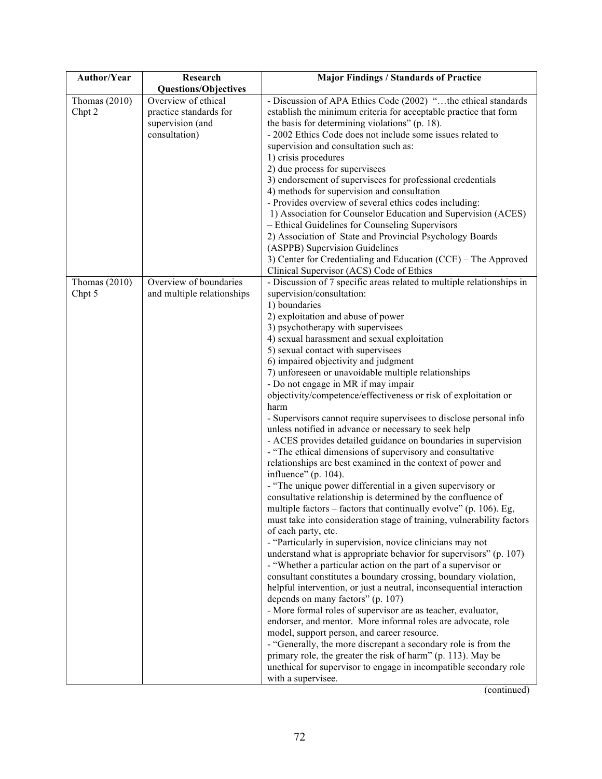| Author/Year               | Research                                                                           | <b>Major Findings / Standards of Practice</b>                                                                                                                                                                                                                                                                                                                                                                                                                                                                                                                                                                                                                                                                                                                                                                                                                                                                                                                                                                                                                                                                                                                                                                                                                                                                                                                                                                                                                                                                                                                                                                                                                                                                                                                                                                                                                                                                                                               |
|---------------------------|------------------------------------------------------------------------------------|-------------------------------------------------------------------------------------------------------------------------------------------------------------------------------------------------------------------------------------------------------------------------------------------------------------------------------------------------------------------------------------------------------------------------------------------------------------------------------------------------------------------------------------------------------------------------------------------------------------------------------------------------------------------------------------------------------------------------------------------------------------------------------------------------------------------------------------------------------------------------------------------------------------------------------------------------------------------------------------------------------------------------------------------------------------------------------------------------------------------------------------------------------------------------------------------------------------------------------------------------------------------------------------------------------------------------------------------------------------------------------------------------------------------------------------------------------------------------------------------------------------------------------------------------------------------------------------------------------------------------------------------------------------------------------------------------------------------------------------------------------------------------------------------------------------------------------------------------------------------------------------------------------------------------------------------------------------|
|                           | <b>Questions/Objectives</b>                                                        |                                                                                                                                                                                                                                                                                                                                                                                                                                                                                                                                                                                                                                                                                                                                                                                                                                                                                                                                                                                                                                                                                                                                                                                                                                                                                                                                                                                                                                                                                                                                                                                                                                                                                                                                                                                                                                                                                                                                                             |
| Thomas $(2010)$<br>Chpt 2 | Overview of ethical<br>practice standards for<br>supervision (and<br>consultation) | - Discussion of APA Ethics Code (2002) "the ethical standards<br>establish the minimum criteria for acceptable practice that form<br>the basis for determining violations" (p. 18).<br>- 2002 Ethics Code does not include some issues related to<br>supervision and consultation such as:<br>1) crisis procedures<br>2) due process for supervisees<br>3) endorsement of supervisees for professional credentials<br>4) methods for supervision and consultation<br>- Provides overview of several ethics codes including:<br>1) Association for Counselor Education and Supervision (ACES)<br>- Ethical Guidelines for Counseling Supervisors<br>2) Association of State and Provincial Psychology Boards<br>(ASPPB) Supervision Guidelines<br>3) Center for Credentialing and Education (CCE) - The Approved<br>Clinical Supervisor (ACS) Code of Ethics                                                                                                                                                                                                                                                                                                                                                                                                                                                                                                                                                                                                                                                                                                                                                                                                                                                                                                                                                                                                                                                                                                 |
| Thomas $(2010)$<br>Chpt 5 | Overview of boundaries<br>and multiple relationships                               | - Discussion of 7 specific areas related to multiple relationships in<br>supervision/consultation:<br>1) boundaries<br>2) exploitation and abuse of power<br>3) psychotherapy with supervisees<br>4) sexual harassment and sexual exploitation<br>5) sexual contact with supervisees<br>6) impaired objectivity and judgment<br>7) unforeseen or unavoidable multiple relationships<br>- Do not engage in MR if may impair<br>objectivity/competence/effectiveness or risk of exploitation or<br>harm<br>- Supervisors cannot require supervisees to disclose personal info<br>unless notified in advance or necessary to seek help<br>- ACES provides detailed guidance on boundaries in supervision<br>- "The ethical dimensions of supervisory and consultative<br>relationships are best examined in the context of power and<br>influence" (p. 104).<br>- "The unique power differential in a given supervisory or<br>consultative relationship is determined by the confluence of<br>multiple factors – factors that continually evolve" (p. 106). Eg.<br>must take into consideration stage of training, vulnerability factors<br>of each party, etc.<br>- "Particularly in supervision, novice clinicians may not<br>understand what is appropriate behavior for supervisors" (p. 107)<br>- "Whether a particular action on the part of a supervisor or<br>consultant constitutes a boundary crossing, boundary violation,<br>helpful intervention, or just a neutral, inconsequential interaction<br>depends on many factors" (p. 107)<br>- More formal roles of supervisor are as teacher, evaluator,<br>endorser, and mentor. More informal roles are advocate, role<br>model, support person, and career resource.<br>- "Generally, the more discrepant a secondary role is from the<br>primary role, the greater the risk of harm" (p. 113). May be<br>unethical for supervisor to engage in incompatible secondary role<br>with a supervisee. |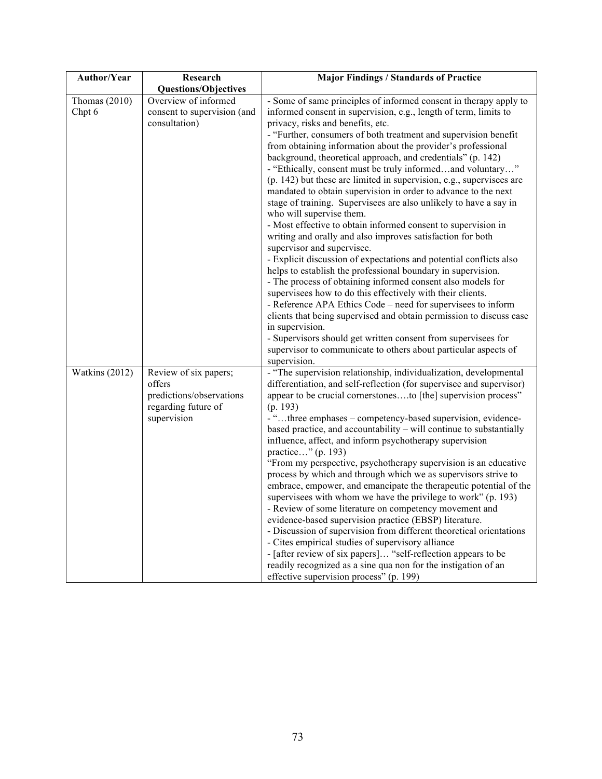| Author/Year               | Research                                                                                          | <b>Major Findings / Standards of Practice</b>                                                                                                                                                                                                                                                                                                                                                                                                                                                                                                                                                                                                                                                                                                                                                                                                                                                                                                                                                                                                                                                                                                                                                                                                                                                               |
|---------------------------|---------------------------------------------------------------------------------------------------|-------------------------------------------------------------------------------------------------------------------------------------------------------------------------------------------------------------------------------------------------------------------------------------------------------------------------------------------------------------------------------------------------------------------------------------------------------------------------------------------------------------------------------------------------------------------------------------------------------------------------------------------------------------------------------------------------------------------------------------------------------------------------------------------------------------------------------------------------------------------------------------------------------------------------------------------------------------------------------------------------------------------------------------------------------------------------------------------------------------------------------------------------------------------------------------------------------------------------------------------------------------------------------------------------------------|
|                           | <b>Questions/Objectives</b>                                                                       |                                                                                                                                                                                                                                                                                                                                                                                                                                                                                                                                                                                                                                                                                                                                                                                                                                                                                                                                                                                                                                                                                                                                                                                                                                                                                                             |
| Thomas $(2010)$<br>Chpt 6 | Overview of informed<br>consent to supervision (and<br>consultation)                              | - Some of same principles of informed consent in therapy apply to<br>informed consent in supervision, e.g., length of term, limits to<br>privacy, risks and benefits, etc.<br>- "Further, consumers of both treatment and supervision benefit<br>from obtaining information about the provider's professional<br>background, theoretical approach, and credentials" (p. 142)<br>- "Ethically, consent must be truly informedand voluntary"<br>$(p. 142)$ but these are limited in supervision, e.g., supervisees are<br>mandated to obtain supervision in order to advance to the next<br>stage of training. Supervisees are also unlikely to have a say in<br>who will supervise them.<br>- Most effective to obtain informed consent to supervision in<br>writing and orally and also improves satisfaction for both<br>supervisor and supervisee.<br>- Explicit discussion of expectations and potential conflicts also<br>helps to establish the professional boundary in supervision.<br>- The process of obtaining informed consent also models for<br>supervisees how to do this effectively with their clients.<br>- Reference APA Ethics Code – need for supervisees to inform<br>clients that being supervised and obtain permission to discuss case<br>in supervision.                           |
| Watkins (2012)            | Review of six papers;<br>offers<br>predictions/observations<br>regarding future of<br>supervision | - Supervisors should get written consent from supervisees for<br>supervisor to communicate to others about particular aspects of<br>supervision.<br>- "The supervision relationship, individualization, developmental<br>differentiation, and self-reflection (for supervisee and supervisor)<br>appear to be crucial cornerstonesto [the] supervision process"<br>(p. 193)<br>- "three emphases - competency-based supervision, evidence-<br>based practice, and accountability – will continue to substantially<br>influence, affect, and inform psychotherapy supervision<br>practice" (p. 193)<br>"From my perspective, psychotherapy supervision is an educative<br>process by which and through which we as supervisors strive to<br>embrace, empower, and emancipate the therapeutic potential of the<br>supervisees with whom we have the privilege to work" (p. 193)<br>- Review of some literature on competency movement and<br>evidence-based supervision practice (EBSP) literature.<br>- Discussion of supervision from different theoretical orientations<br>- Cites empirical studies of supervisory alliance<br>- [after review of six papers] "self-reflection appears to be<br>readily recognized as a sine qua non for the instigation of an<br>effective supervision process" (p. 199) |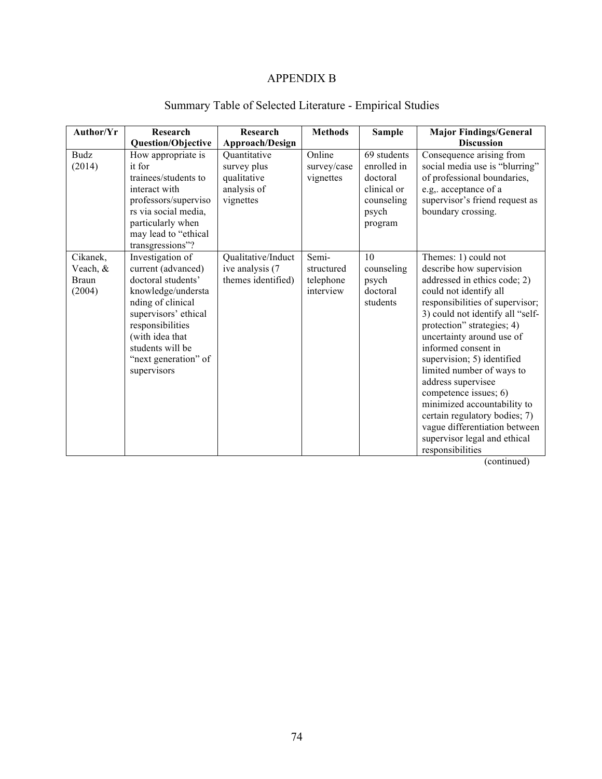#### APPENDIX B

| Author/Yr                                      | Research                                                                                                                                                                                                                          | Research                                                               | <b>Methods</b>                                | <b>Sample</b>                                                                           | <b>Major Findings/General</b>                                                                                                                                                                                                                                                                                                                                                                                                                                                                                                      |
|------------------------------------------------|-----------------------------------------------------------------------------------------------------------------------------------------------------------------------------------------------------------------------------------|------------------------------------------------------------------------|-----------------------------------------------|-----------------------------------------------------------------------------------------|------------------------------------------------------------------------------------------------------------------------------------------------------------------------------------------------------------------------------------------------------------------------------------------------------------------------------------------------------------------------------------------------------------------------------------------------------------------------------------------------------------------------------------|
|                                                | <b>Question/Objective</b>                                                                                                                                                                                                         | Approach/Design                                                        |                                               |                                                                                         | <b>Discussion</b>                                                                                                                                                                                                                                                                                                                                                                                                                                                                                                                  |
| Budz<br>(2014)                                 | How appropriate is<br>it for<br>trainees/students to<br>interact with<br>professors/superviso<br>rs via social media,<br>particularly when<br>may lead to "ethical<br>transgressions"?                                            | Quantitative<br>survey plus<br>qualitative<br>analysis of<br>vignettes | Online<br>survey/case<br>vignettes            | 69 students<br>enrolled in<br>doctoral<br>clinical or<br>counseling<br>psych<br>program | Consequence arising from<br>social media use is "blurring"<br>of professional boundaries,<br>e.g,. acceptance of a<br>supervisor's friend request as<br>boundary crossing.                                                                                                                                                                                                                                                                                                                                                         |
| Cikanek,<br>Veach, &<br><b>Braun</b><br>(2004) | Investigation of<br>current (advanced)<br>doctoral students'<br>knowledge/understa<br>nding of clinical<br>supervisors' ethical<br>responsibilities<br>(with idea that<br>students will be<br>"next generation" of<br>supervisors | Qualitative/Induct<br>ive analysis (7<br>themes identified)            | Semi-<br>structured<br>telephone<br>interview | 10<br>counseling<br>psych<br>doctoral<br>students                                       | Themes: 1) could not<br>describe how supervision<br>addressed in ethics code; 2)<br>could not identify all<br>responsibilities of supervisor;<br>3) could not identify all "self-<br>protection" strategies; 4)<br>uncertainty around use of<br>informed consent in<br>supervision; 5) identified<br>limited number of ways to<br>address supervisee<br>competence issues; 6)<br>minimized accountability to<br>certain regulatory bodies; 7)<br>vague differentiation between<br>supervisor legal and ethical<br>responsibilities |

## Summary Table of Selected Literature - Empirical Studies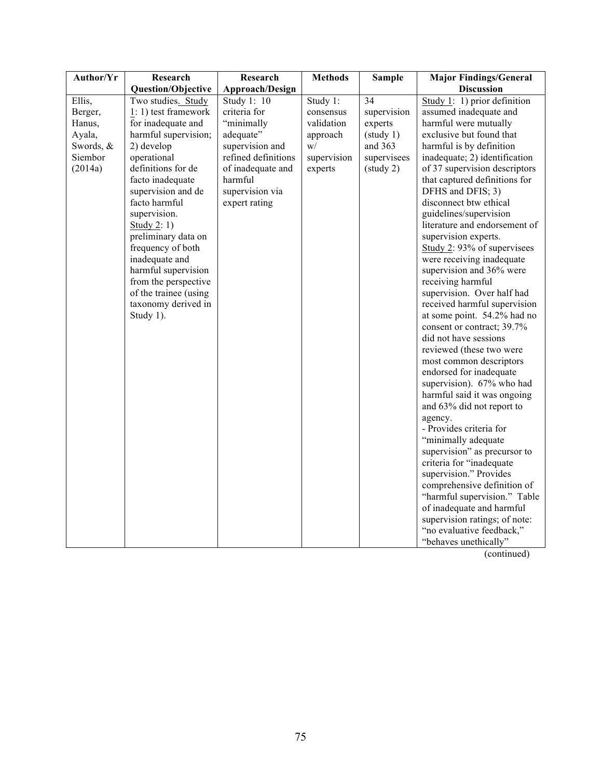| Author/Yr | Research              | Research            | <b>Methods</b> | <b>Sample</b> | <b>Major Findings/General</b> |
|-----------|-----------------------|---------------------|----------------|---------------|-------------------------------|
|           | Question/Objective    | Approach/Design     |                |               | <b>Discussion</b>             |
| Ellis,    | Two studies. Study    | Study 1: 10         | Study 1:       | 34            | Study 1: 1) prior definition  |
| Berger,   | 1: 1) test framework  | criteria for        | consensus      | supervision   | assumed inadequate and        |
| Hanus,    | for inadequate and    | "minimally          | validation     | experts       | harmful were mutually         |
| Ayala,    | harmful supervision;  | adequate"           | approach       | (staty 1)     | exclusive but found that      |
| Swords, & | 2) develop            | supervision and     | W/             | and 363       | harmful is by definition      |
| Siembor   | operational           | refined definitions | supervision    | supervisees   | inadequate; 2) identification |
| (2014a)   | definitions for de    | of inadequate and   | experts        | (staty 2)     | of 37 supervision descriptors |
|           | facto inadequate      | harmful             |                |               | that captured definitions for |
|           | supervision and de    | supervision via     |                |               | DFHS and DFIS; 3)             |
|           | facto harmful         | expert rating       |                |               | disconnect btw ethical        |
|           | supervision.          |                     |                |               | guidelines/supervision        |
|           | Study 2: 1)           |                     |                |               | literature and endorsement of |
|           | preliminary data on   |                     |                |               | supervision experts.          |
|           | frequency of both     |                     |                |               | Study 2: 93% of supervisees   |
|           | inadequate and        |                     |                |               | were receiving inadequate     |
|           | harmful supervision   |                     |                |               | supervision and 36% were      |
|           | from the perspective  |                     |                |               | receiving harmful             |
|           | of the trainee (using |                     |                |               | supervision. Over half had    |
|           | taxonomy derived in   |                     |                |               | received harmful supervision  |
|           | Study 1).             |                     |                |               | at some point. 54.2% had no   |
|           |                       |                     |                |               | consent or contract; 39.7%    |
|           |                       |                     |                |               | did not have sessions         |
|           |                       |                     |                |               | reviewed (these two were      |
|           |                       |                     |                |               | most common descriptors       |
|           |                       |                     |                |               | endorsed for inadequate       |
|           |                       |                     |                |               | supervision). 67% who had     |
|           |                       |                     |                |               | harmful said it was ongoing   |
|           |                       |                     |                |               | and 63% did not report to     |
|           |                       |                     |                |               | agency.                       |
|           |                       |                     |                |               | - Provides criteria for       |
|           |                       |                     |                |               | "minimally adequate           |
|           |                       |                     |                |               | supervision" as precursor to  |
|           |                       |                     |                |               | criteria for "inadequate      |
|           |                       |                     |                |               | supervision." Provides        |
|           |                       |                     |                |               | comprehensive definition of   |
|           |                       |                     |                |               | "harmful supervision." Table  |
|           |                       |                     |                |               | of inadequate and harmful     |
|           |                       |                     |                |               | supervision ratings; of note: |
|           |                       |                     |                |               | "no evaluative feedback,"     |
|           |                       |                     |                |               | "behaves unethically"         |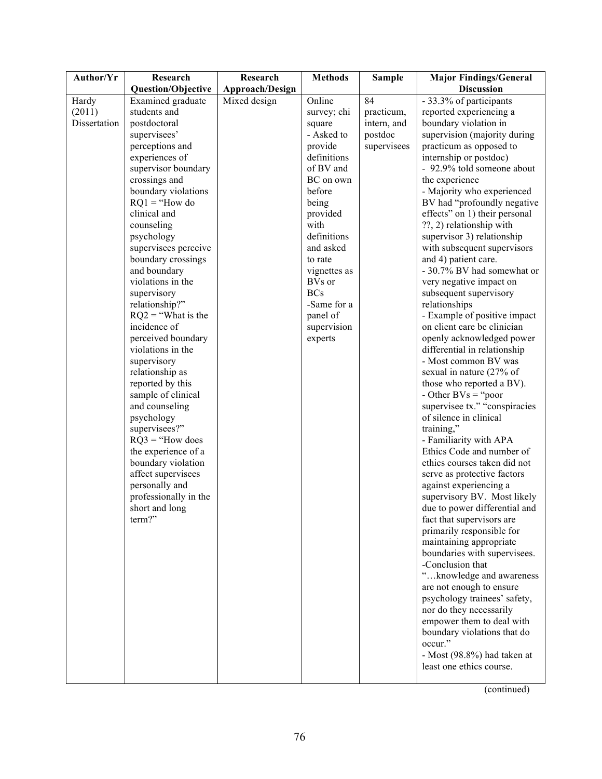| Author/Yr    | Research                    | Research        | <b>Methods</b> | <b>Sample</b> | <b>Major Findings/General</b>        |
|--------------|-----------------------------|-----------------|----------------|---------------|--------------------------------------|
|              | <b>Question/Objective</b>   | Approach/Design |                |               | <b>Discussion</b>                    |
| Hardy        | Examined graduate           | Mixed design    | Online         | 84            | - 33.3% of participants              |
| (2011)       | students and                |                 | survey; chi    | practicum,    | reported experiencing a              |
| Dissertation | postdoctoral                |                 | square         | intern, and   | boundary violation in                |
|              | supervisees'                |                 | - Asked to     | postdoc       | supervision (majority during         |
|              | perceptions and             |                 | provide        | supervisees   | practicum as opposed to              |
|              | experiences of              |                 | definitions    |               | internship or postdoc)               |
|              | supervisor boundary         |                 | of BV and      |               | - 92.9% told someone about           |
|              | crossings and               |                 | BC on own      |               | the experience                       |
|              | boundary violations         |                 | before         |               | - Majority who experienced           |
|              | $RQ1 = "How do$             |                 | being          |               | BV had "profoundly negative          |
|              | clinical and                |                 | provided       |               | effects" on 1) their personal        |
|              | counseling                  |                 | with           |               | ??, 2) relationship with             |
|              | psychology                  |                 | definitions    |               | supervisor 3) relationship           |
|              | supervisees perceive        |                 | and asked      |               | with subsequent supervisors          |
|              | boundary crossings          |                 | to rate        |               | and 4) patient care.                 |
|              | and boundary                |                 | vignettes as   |               | - 30.7% BV had somewhat or           |
|              | violations in the           |                 | BVs or         |               | very negative impact on              |
|              | supervisory                 |                 | <b>BCs</b>     |               | subsequent supervisory               |
|              | relationship?"              |                 | -Same for a    |               | relationships                        |
|              | $RQ2$ = "What is the        |                 | panel of       |               | - Example of positive impact         |
|              | incidence of                |                 | supervision    |               | on client care bc clinician          |
|              | perceived boundary          |                 | experts        |               | openly acknowledged power            |
|              | violations in the           |                 |                |               | differential in relationship         |
|              | supervisory                 |                 |                |               | - Most common BV was                 |
|              | relationship as             |                 |                |               | sexual in nature (27% of             |
|              | reported by this            |                 |                |               | those who reported a BV).            |
|              | sample of clinical          |                 |                |               | - Other $\text{BVs} = \text{``poor}$ |
|              | and counseling              |                 |                |               | supervisee tx." "conspiracies        |
|              | psychology<br>supervisees?" |                 |                |               | of silence in clinical<br>training," |
|              | $RQ3 = "How does$           |                 |                |               | - Familiarity with APA               |
|              | the experience of a         |                 |                |               | Ethics Code and number of            |
|              | boundary violation          |                 |                |               | ethics courses taken did not         |
|              | affect supervisees          |                 |                |               | serve as protective factors          |
|              | personally and              |                 |                |               | against experiencing a               |
|              | professionally in the       |                 |                |               | supervisory BV. Most likely          |
|              | short and long              |                 |                |               | due to power differential and        |
|              | term?"                      |                 |                |               | fact that supervisors are            |
|              |                             |                 |                |               | primarily responsible for            |
|              |                             |                 |                |               | maintaining appropriate              |
|              |                             |                 |                |               | boundaries with supervisees.         |
|              |                             |                 |                |               | -Conclusion that                     |
|              |                             |                 |                |               | "knowledge and awareness             |
|              |                             |                 |                |               | are not enough to ensure             |
|              |                             |                 |                |               | psychology trainees' safety,         |
|              |                             |                 |                |               | nor do they necessarily              |
|              |                             |                 |                |               | empower them to deal with            |
|              |                             |                 |                |               | boundary violations that do          |
|              |                             |                 |                |               | occur."                              |
|              |                             |                 |                |               | - Most (98.8%) had taken at          |
|              |                             |                 |                |               | least one ethics course.             |
|              |                             |                 |                |               |                                      |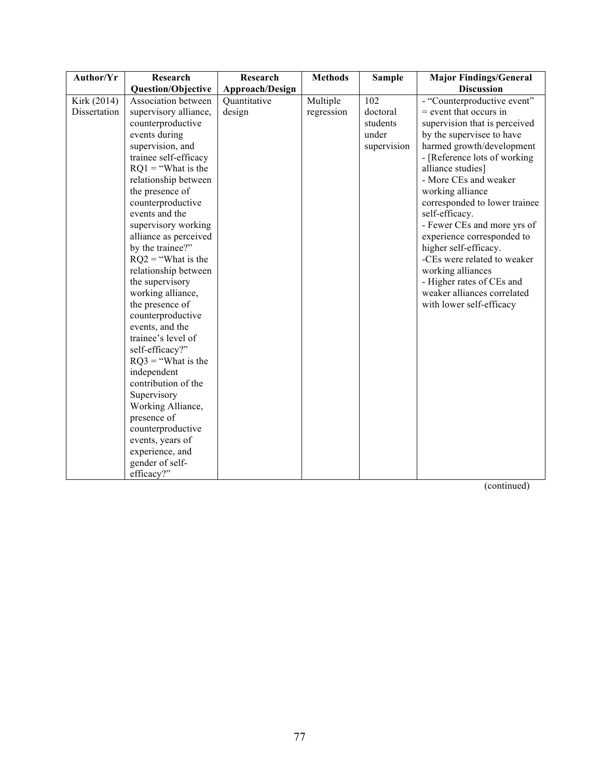| Author/Yr    | Research                  | Research        | <b>Methods</b> | <b>Sample</b> | <b>Major Findings/General</b> |
|--------------|---------------------------|-----------------|----------------|---------------|-------------------------------|
|              | <b>Question/Objective</b> | Approach/Design |                |               | <b>Discussion</b>             |
| Kirk (2014)  | Association between       | Quantitative    | Multiple       | 102           | - "Counterproductive event"   |
| Dissertation | supervisory alliance,     | design          | regression     | doctoral      | $=$ event that occurs in      |
|              | counterproductive         |                 |                | students      | supervision that is perceived |
|              | events during             |                 |                | under         | by the supervisee to have     |
|              | supervision, and          |                 |                | supervision   | harmed growth/development     |
|              | trainee self-efficacy     |                 |                |               | - [Reference lots of working] |
|              | $RQ1 =$ "What is the      |                 |                |               | alliance studies]             |
|              | relationship between      |                 |                |               | - More CEs and weaker         |
|              | the presence of           |                 |                |               | working alliance              |
|              | counterproductive         |                 |                |               | corresponded to lower trainee |
|              | events and the            |                 |                |               | self-efficacy.                |
|              | supervisory working       |                 |                |               | - Fewer CEs and more yrs of   |
|              | alliance as perceived     |                 |                |               | experience corresponded to    |
|              | by the trainee?"          |                 |                |               | higher self-efficacy.         |
|              | $RQ2$ = "What is the      |                 |                |               | -CEs were related to weaker   |
|              | relationship between      |                 |                |               | working alliances             |
|              | the supervisory           |                 |                |               | - Higher rates of CEs and     |
|              | working alliance,         |                 |                |               | weaker alliances correlated   |
|              | the presence of           |                 |                |               | with lower self-efficacy      |
|              | counterproductive         |                 |                |               |                               |
|              | events, and the           |                 |                |               |                               |
|              | trainee's level of        |                 |                |               |                               |
|              | self-efficacy?"           |                 |                |               |                               |
|              | $RQ3$ = "What is the      |                 |                |               |                               |
|              | independent               |                 |                |               |                               |
|              | contribution of the       |                 |                |               |                               |
|              | Supervisory               |                 |                |               |                               |
|              | Working Alliance,         |                 |                |               |                               |
|              | presence of               |                 |                |               |                               |
|              | counterproductive         |                 |                |               |                               |
|              | events, years of          |                 |                |               |                               |
|              | experience, and           |                 |                |               |                               |
|              | gender of self-           |                 |                |               |                               |
|              | efficacy?"                |                 |                |               |                               |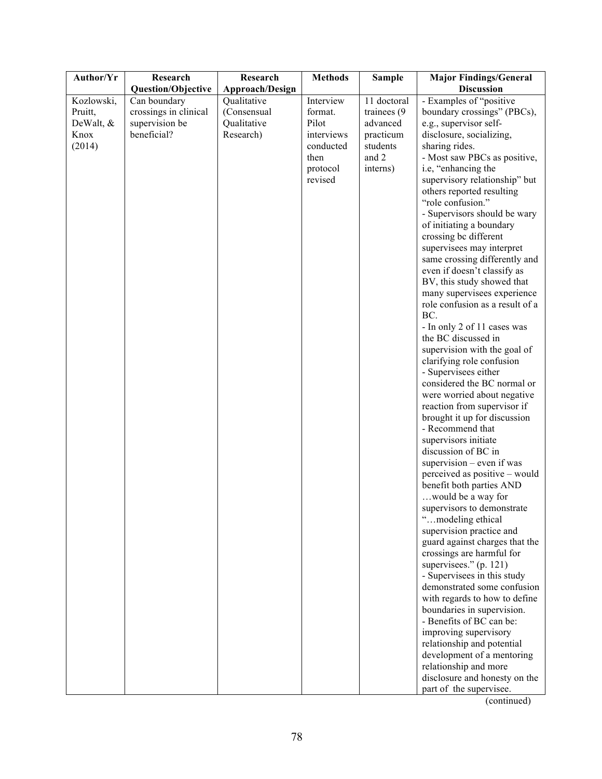| Author/Yr  | Research              | Research        | <b>Methods</b> | <b>Sample</b> | <b>Major Findings/General</b>                      |
|------------|-----------------------|-----------------|----------------|---------------|----------------------------------------------------|
|            | Question/Objective    | Approach/Design |                |               | <b>Discussion</b>                                  |
| Kozlowski, | Can boundary          | Qualitative     | Interview      | 11 doctoral   | - Examples of "positive                            |
| Pruitt,    | crossings in clinical | (Consensual     | format.        | trainees (9)  | boundary crossings" (PBCs),                        |
| DeWalt, &  | supervision be        | Qualitative     | Pilot          | advanced      | e.g., supervisor self-                             |
| Knox       | beneficial?           | Research)       | interviews     | practicum     | disclosure, socializing,                           |
| (2014)     |                       |                 | conducted      | students      | sharing rides.                                     |
|            |                       |                 | then           | and 2         | - Most saw PBCs as positive,                       |
|            |                       |                 | protocol       | interns)      | i.e, "enhancing the                                |
|            |                       |                 | revised        |               | supervisory relationship" but                      |
|            |                       |                 |                |               | others reported resulting                          |
|            |                       |                 |                |               | "role confusion."                                  |
|            |                       |                 |                |               | - Supervisors should be wary                       |
|            |                       |                 |                |               | of initiating a boundary                           |
|            |                       |                 |                |               | crossing bc different                              |
|            |                       |                 |                |               | supervisees may interpret                          |
|            |                       |                 |                |               | same crossing differently and                      |
|            |                       |                 |                |               | even if doesn't classify as                        |
|            |                       |                 |                |               | BV, this study showed that                         |
|            |                       |                 |                |               | many supervisees experience                        |
|            |                       |                 |                |               | role confusion as a result of a                    |
|            |                       |                 |                |               | BC.                                                |
|            |                       |                 |                |               | - In only 2 of 11 cases was<br>the BC discussed in |
|            |                       |                 |                |               | supervision with the goal of                       |
|            |                       |                 |                |               | clarifying role confusion                          |
|            |                       |                 |                |               | - Supervisees either                               |
|            |                       |                 |                |               | considered the BC normal or                        |
|            |                       |                 |                |               | were worried about negative                        |
|            |                       |                 |                |               | reaction from supervisor if                        |
|            |                       |                 |                |               | brought it up for discussion                       |
|            |                       |                 |                |               | - Recommend that                                   |
|            |                       |                 |                |               | supervisors initiate                               |
|            |                       |                 |                |               | discussion of BC in                                |
|            |                       |                 |                |               | supervision $-$ even if was                        |
|            |                       |                 |                |               | perceived as positive – would                      |
|            |                       |                 |                |               | benefit both parties AND                           |
|            |                       |                 |                |               | would be a way for                                 |
|            |                       |                 |                |               | supervisors to demonstrate                         |
|            |                       |                 |                |               | "modeling ethical                                  |
|            |                       |                 |                |               | supervision practice and                           |
|            |                       |                 |                |               | guard against charges that the                     |
|            |                       |                 |                |               | crossings are harmful for                          |
|            |                       |                 |                |               | supervisees." (p. 121)                             |
|            |                       |                 |                |               | - Supervisees in this study                        |
|            |                       |                 |                |               | demonstrated some confusion                        |
|            |                       |                 |                |               | with regards to how to define                      |
|            |                       |                 |                |               | boundaries in supervision.                         |
|            |                       |                 |                |               | - Benefits of BC can be:                           |
|            |                       |                 |                |               | improving supervisory                              |
|            |                       |                 |                |               | relationship and potential                         |
|            |                       |                 |                |               | development of a mentoring                         |
|            |                       |                 |                |               | relationship and more                              |
|            |                       |                 |                |               | disclosure and honesty on the                      |
|            |                       |                 |                |               | part of the supervisee.                            |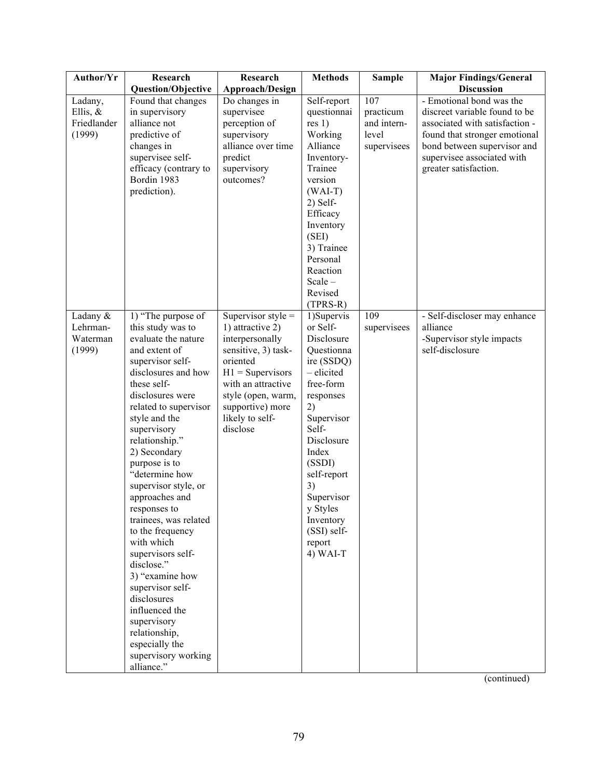| Author/Yr                                  | Research                                                                                                                                                                                                                                                                                                                                                                                                                                                                                                                                  | Research                                                                                                                                                                                                            | <b>Methods</b>                                                                                                                                                                                                                       | <b>Sample</b>                   | <b>Major Findings/General</b>                                                            |
|--------------------------------------------|-------------------------------------------------------------------------------------------------------------------------------------------------------------------------------------------------------------------------------------------------------------------------------------------------------------------------------------------------------------------------------------------------------------------------------------------------------------------------------------------------------------------------------------------|---------------------------------------------------------------------------------------------------------------------------------------------------------------------------------------------------------------------|--------------------------------------------------------------------------------------------------------------------------------------------------------------------------------------------------------------------------------------|---------------------------------|------------------------------------------------------------------------------------------|
|                                            | <b>Question/Objective</b>                                                                                                                                                                                                                                                                                                                                                                                                                                                                                                                 | Approach/Design                                                                                                                                                                                                     |                                                                                                                                                                                                                                      |                                 | <b>Discussion</b>                                                                        |
| Ladany,                                    | Found that changes                                                                                                                                                                                                                                                                                                                                                                                                                                                                                                                        | Do changes in                                                                                                                                                                                                       | Self-report                                                                                                                                                                                                                          | 107                             | - Emotional bond was the                                                                 |
| Ellis, $&$                                 | in supervisory                                                                                                                                                                                                                                                                                                                                                                                                                                                                                                                            | supervisee                                                                                                                                                                                                          | questionnai                                                                                                                                                                                                                          | practicum                       | discreet variable found to be                                                            |
| Friedlander                                | alliance not                                                                                                                                                                                                                                                                                                                                                                                                                                                                                                                              | perception of                                                                                                                                                                                                       | res 1)                                                                                                                                                                                                                               | and intern-                     | associated with satisfaction -                                                           |
| (1999)                                     | predictive of                                                                                                                                                                                                                                                                                                                                                                                                                                                                                                                             | supervisory                                                                                                                                                                                                         | Working                                                                                                                                                                                                                              | level                           | found that stronger emotional                                                            |
|                                            | changes in                                                                                                                                                                                                                                                                                                                                                                                                                                                                                                                                | alliance over time                                                                                                                                                                                                  | Alliance                                                                                                                                                                                                                             | supervisees                     | bond between supervisor and                                                              |
|                                            | supervisee self-                                                                                                                                                                                                                                                                                                                                                                                                                                                                                                                          | predict                                                                                                                                                                                                             | Inventory-                                                                                                                                                                                                                           |                                 | supervisee associated with                                                               |
|                                            | efficacy (contrary to                                                                                                                                                                                                                                                                                                                                                                                                                                                                                                                     | supervisory                                                                                                                                                                                                         | Trainee                                                                                                                                                                                                                              |                                 | greater satisfaction.                                                                    |
|                                            | Bordin 1983                                                                                                                                                                                                                                                                                                                                                                                                                                                                                                                               | outcomes?                                                                                                                                                                                                           | version                                                                                                                                                                                                                              |                                 |                                                                                          |
|                                            | prediction).                                                                                                                                                                                                                                                                                                                                                                                                                                                                                                                              |                                                                                                                                                                                                                     | $(WAI-T)$                                                                                                                                                                                                                            |                                 |                                                                                          |
|                                            |                                                                                                                                                                                                                                                                                                                                                                                                                                                                                                                                           |                                                                                                                                                                                                                     | $2)$ Self-                                                                                                                                                                                                                           |                                 |                                                                                          |
|                                            |                                                                                                                                                                                                                                                                                                                                                                                                                                                                                                                                           |                                                                                                                                                                                                                     | Efficacy                                                                                                                                                                                                                             |                                 |                                                                                          |
|                                            |                                                                                                                                                                                                                                                                                                                                                                                                                                                                                                                                           |                                                                                                                                                                                                                     | Inventory                                                                                                                                                                                                                            |                                 |                                                                                          |
|                                            |                                                                                                                                                                                                                                                                                                                                                                                                                                                                                                                                           |                                                                                                                                                                                                                     | (SEI)                                                                                                                                                                                                                                |                                 |                                                                                          |
|                                            |                                                                                                                                                                                                                                                                                                                                                                                                                                                                                                                                           |                                                                                                                                                                                                                     | 3) Trainee                                                                                                                                                                                                                           |                                 |                                                                                          |
|                                            |                                                                                                                                                                                                                                                                                                                                                                                                                                                                                                                                           |                                                                                                                                                                                                                     | Personal                                                                                                                                                                                                                             |                                 |                                                                                          |
|                                            |                                                                                                                                                                                                                                                                                                                                                                                                                                                                                                                                           |                                                                                                                                                                                                                     | Reaction                                                                                                                                                                                                                             |                                 |                                                                                          |
|                                            |                                                                                                                                                                                                                                                                                                                                                                                                                                                                                                                                           |                                                                                                                                                                                                                     | Scale-                                                                                                                                                                                                                               |                                 |                                                                                          |
|                                            |                                                                                                                                                                                                                                                                                                                                                                                                                                                                                                                                           |                                                                                                                                                                                                                     |                                                                                                                                                                                                                                      |                                 |                                                                                          |
|                                            |                                                                                                                                                                                                                                                                                                                                                                                                                                                                                                                                           |                                                                                                                                                                                                                     |                                                                                                                                                                                                                                      |                                 |                                                                                          |
|                                            |                                                                                                                                                                                                                                                                                                                                                                                                                                                                                                                                           |                                                                                                                                                                                                                     |                                                                                                                                                                                                                                      |                                 |                                                                                          |
|                                            |                                                                                                                                                                                                                                                                                                                                                                                                                                                                                                                                           |                                                                                                                                                                                                                     |                                                                                                                                                                                                                                      |                                 |                                                                                          |
|                                            |                                                                                                                                                                                                                                                                                                                                                                                                                                                                                                                                           |                                                                                                                                                                                                                     |                                                                                                                                                                                                                                      |                                 |                                                                                          |
|                                            |                                                                                                                                                                                                                                                                                                                                                                                                                                                                                                                                           |                                                                                                                                                                                                                     |                                                                                                                                                                                                                                      |                                 |                                                                                          |
|                                            |                                                                                                                                                                                                                                                                                                                                                                                                                                                                                                                                           |                                                                                                                                                                                                                     |                                                                                                                                                                                                                                      |                                 |                                                                                          |
|                                            |                                                                                                                                                                                                                                                                                                                                                                                                                                                                                                                                           |                                                                                                                                                                                                                     |                                                                                                                                                                                                                                      |                                 |                                                                                          |
|                                            |                                                                                                                                                                                                                                                                                                                                                                                                                                                                                                                                           |                                                                                                                                                                                                                     |                                                                                                                                                                                                                                      |                                 |                                                                                          |
|                                            |                                                                                                                                                                                                                                                                                                                                                                                                                                                                                                                                           |                                                                                                                                                                                                                     |                                                                                                                                                                                                                                      |                                 |                                                                                          |
|                                            |                                                                                                                                                                                                                                                                                                                                                                                                                                                                                                                                           |                                                                                                                                                                                                                     |                                                                                                                                                                                                                                      |                                 |                                                                                          |
|                                            |                                                                                                                                                                                                                                                                                                                                                                                                                                                                                                                                           |                                                                                                                                                                                                                     | Self-                                                                                                                                                                                                                                |                                 |                                                                                          |
|                                            |                                                                                                                                                                                                                                                                                                                                                                                                                                                                                                                                           |                                                                                                                                                                                                                     | Disclosure                                                                                                                                                                                                                           |                                 |                                                                                          |
|                                            |                                                                                                                                                                                                                                                                                                                                                                                                                                                                                                                                           |                                                                                                                                                                                                                     | Index                                                                                                                                                                                                                                |                                 |                                                                                          |
|                                            | purpose is to                                                                                                                                                                                                                                                                                                                                                                                                                                                                                                                             |                                                                                                                                                                                                                     | (SSDI)                                                                                                                                                                                                                               |                                 |                                                                                          |
|                                            | "determine how                                                                                                                                                                                                                                                                                                                                                                                                                                                                                                                            |                                                                                                                                                                                                                     | self-report                                                                                                                                                                                                                          |                                 |                                                                                          |
|                                            | supervisor style, or                                                                                                                                                                                                                                                                                                                                                                                                                                                                                                                      |                                                                                                                                                                                                                     | 3)                                                                                                                                                                                                                                   |                                 |                                                                                          |
|                                            |                                                                                                                                                                                                                                                                                                                                                                                                                                                                                                                                           |                                                                                                                                                                                                                     |                                                                                                                                                                                                                                      |                                 |                                                                                          |
|                                            |                                                                                                                                                                                                                                                                                                                                                                                                                                                                                                                                           |                                                                                                                                                                                                                     |                                                                                                                                                                                                                                      |                                 |                                                                                          |
|                                            |                                                                                                                                                                                                                                                                                                                                                                                                                                                                                                                                           |                                                                                                                                                                                                                     |                                                                                                                                                                                                                                      |                                 |                                                                                          |
|                                            |                                                                                                                                                                                                                                                                                                                                                                                                                                                                                                                                           |                                                                                                                                                                                                                     |                                                                                                                                                                                                                                      |                                 |                                                                                          |
|                                            |                                                                                                                                                                                                                                                                                                                                                                                                                                                                                                                                           |                                                                                                                                                                                                                     |                                                                                                                                                                                                                                      |                                 |                                                                                          |
|                                            |                                                                                                                                                                                                                                                                                                                                                                                                                                                                                                                                           |                                                                                                                                                                                                                     |                                                                                                                                                                                                                                      |                                 |                                                                                          |
|                                            |                                                                                                                                                                                                                                                                                                                                                                                                                                                                                                                                           |                                                                                                                                                                                                                     |                                                                                                                                                                                                                                      |                                 |                                                                                          |
|                                            |                                                                                                                                                                                                                                                                                                                                                                                                                                                                                                                                           |                                                                                                                                                                                                                     |                                                                                                                                                                                                                                      |                                 |                                                                                          |
|                                            |                                                                                                                                                                                                                                                                                                                                                                                                                                                                                                                                           |                                                                                                                                                                                                                     |                                                                                                                                                                                                                                      |                                 |                                                                                          |
|                                            |                                                                                                                                                                                                                                                                                                                                                                                                                                                                                                                                           |                                                                                                                                                                                                                     |                                                                                                                                                                                                                                      |                                 |                                                                                          |
|                                            |                                                                                                                                                                                                                                                                                                                                                                                                                                                                                                                                           |                                                                                                                                                                                                                     |                                                                                                                                                                                                                                      |                                 |                                                                                          |
|                                            |                                                                                                                                                                                                                                                                                                                                                                                                                                                                                                                                           |                                                                                                                                                                                                                     |                                                                                                                                                                                                                                      |                                 |                                                                                          |
|                                            |                                                                                                                                                                                                                                                                                                                                                                                                                                                                                                                                           |                                                                                                                                                                                                                     |                                                                                                                                                                                                                                      |                                 |                                                                                          |
|                                            |                                                                                                                                                                                                                                                                                                                                                                                                                                                                                                                                           |                                                                                                                                                                                                                     |                                                                                                                                                                                                                                      |                                 |                                                                                          |
|                                            | alliance."                                                                                                                                                                                                                                                                                                                                                                                                                                                                                                                                |                                                                                                                                                                                                                     |                                                                                                                                                                                                                                      |                                 |                                                                                          |
| Ladany &<br>Lehrman-<br>Waterman<br>(1999) | 1) "The purpose of<br>this study was to<br>evaluate the nature<br>and extent of<br>supervisor self-<br>disclosures and how<br>these self-<br>disclosures were<br>related to supervisor<br>style and the<br>supervisory<br>relationship."<br>2) Secondary<br>approaches and<br>responses to<br>trainees, was related<br>to the frequency<br>with which<br>supervisors self-<br>disclose."<br>3) "examine how<br>supervisor self-<br>disclosures<br>influenced the<br>supervisory<br>relationship,<br>especially the<br>supervisory working | Supervisor style $=$<br>1) attractive 2)<br>interpersonally<br>sensitive, 3) task-<br>oriented<br>$H1 =$ Supervisors<br>with an attractive<br>style (open, warm,<br>supportive) more<br>likely to self-<br>disclose | Revised<br>$(TPRS-R)$<br>1) Supervis<br>or Self-<br>Disclosure<br>Questionna<br>ire (SSDQ)<br>- elicited<br>free-form<br>responses<br>2)<br>Supervisor<br>Supervisor<br>y Styles<br>Inventory<br>(SSI) self-<br>report<br>$4)$ WAI-T | $\overline{109}$<br>supervisees | - Self-discloser may enhance<br>alliance<br>-Supervisor style impacts<br>self-disclosure |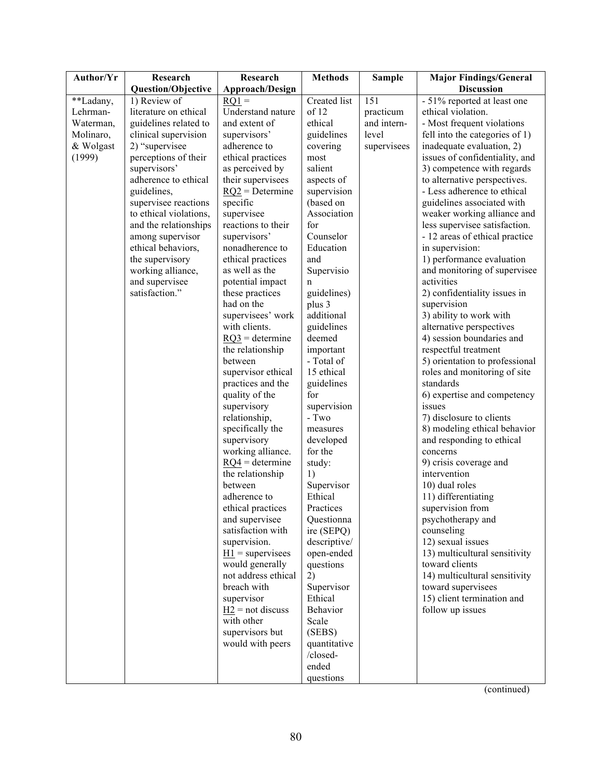| Author/Yr | Research                  | Research                         | <b>Methods</b>         | <b>Sample</b> | <b>Major Findings/General</b>         |
|-----------|---------------------------|----------------------------------|------------------------|---------------|---------------------------------------|
|           | <b>Question/Objective</b> | Approach/Design                  |                        |               | <b>Discussion</b>                     |
| **Ladany, | 1) Review of              | $RQ1 =$                          | Created list           | 151           | - 51% reported at least one           |
| Lehrman-  | literature on ethical     | Understand nature                | of 12                  | practicum     | ethical violation.                    |
| Waterman, | guidelines related to     | and extent of                    | ethical                | and intern-   | - Most frequent violations            |
| Molinaro, | clinical supervision      | supervisors'                     | guidelines             | level         | fell into the categories of 1)        |
| & Wolgast | 2) "supervisee            | adherence to                     | covering               | supervisees   | inadequate evaluation, 2)             |
| (1999)    | perceptions of their      | ethical practices                | most                   |               | issues of confidentiality, and        |
|           | supervisors'              | as perceived by                  | salient                |               | 3) competence with regards            |
|           | adherence to ethical      | their supervisees                | aspects of             |               | to alternative perspectives.          |
|           | guidelines,               | $RQ2 =$ Determine                | supervision            |               | - Less adherence to ethical           |
|           | supervisee reactions      | specific                         | (based on              |               | guidelines associated with            |
|           | to ethical violations,    | supervisee                       | Association            |               | weaker working alliance and           |
|           | and the relationships     | reactions to their               | for                    |               | less supervisee satisfaction.         |
|           | among supervisor          | supervisors'                     | Counselor              |               | - 12 areas of ethical practice        |
|           | ethical behaviors,        | nonadherence to                  | Education              |               | in supervision:                       |
|           | the supervisory           | ethical practices                | and                    |               | 1) performance evaluation             |
|           | working alliance,         | as well as the                   | Supervisio             |               | and monitoring of supervisee          |
|           | and supervisee            | potential impact                 | n                      |               | activities                            |
|           | satisfaction."            | these practices                  | guidelines)            |               | 2) confidentiality issues in          |
|           |                           | had on the                       | plus 3                 |               | supervision                           |
|           |                           | supervisees' work                | additional             |               | 3) ability to work with               |
|           |                           | with clients.                    | guidelines             |               | alternative perspectives              |
|           |                           | $RQ3$ = determine                | deemed                 |               | 4) session boundaries and             |
|           |                           | the relationship                 | important              |               | respectful treatment                  |
|           |                           | between                          | - Total of             |               | 5) orientation to professional        |
|           |                           | supervisor ethical               | 15 ethical             |               | roles and monitoring of site          |
|           |                           | practices and the                | guidelines             |               | standards                             |
|           |                           | quality of the                   | for                    |               | 6) expertise and competency           |
|           |                           | supervisory                      | supervision            |               | issues                                |
|           |                           | relationship,                    | - $\operatorname{Two}$ |               | 7) disclosure to clients              |
|           |                           | specifically the                 | measures               |               | 8) modeling ethical behavior          |
|           |                           | supervisory<br>working alliance. | developed<br>for the   |               | and responding to ethical<br>concerns |
|           |                           | $RQ4 =$ determine                | study:                 |               | 9) crisis coverage and                |
|           |                           | the relationship                 | 1)                     |               | intervention                          |
|           |                           | between                          | Supervisor             |               | 10) dual roles                        |
|           |                           | adherence to                     | Ethical                |               | 11) differentiating                   |
|           |                           | ethical practices                | Practices              |               | supervision from                      |
|           |                           | and supervisee                   | Questionna             |               | psychotherapy and                     |
|           |                           | satisfaction with                | ire (SEPQ)             |               | counseling                            |
|           |                           | supervision.                     | descriptive/           |               | 12) sexual issues                     |
|           |                           | $H1$ = supervisees               | open-ended             |               | 13) multicultural sensitivity         |
|           |                           | would generally                  | questions              |               | toward clients                        |
|           |                           | not address ethical              | 2)                     |               | 14) multicultural sensitivity         |
|           |                           | breach with                      | Supervisor             |               | toward supervisees                    |
|           |                           | supervisor                       | Ethical                |               | 15) client termination and            |
|           |                           | $H2$ = not discuss               | <b>Behavior</b>        |               | follow up issues                      |
|           |                           | with other                       | Scale                  |               |                                       |
|           |                           | supervisors but                  | (SEBS)                 |               |                                       |
|           |                           | would with peers                 | quantitative           |               |                                       |
|           |                           |                                  | /closed-               |               |                                       |
|           |                           |                                  | ended                  |               |                                       |
|           |                           |                                  | questions              |               |                                       |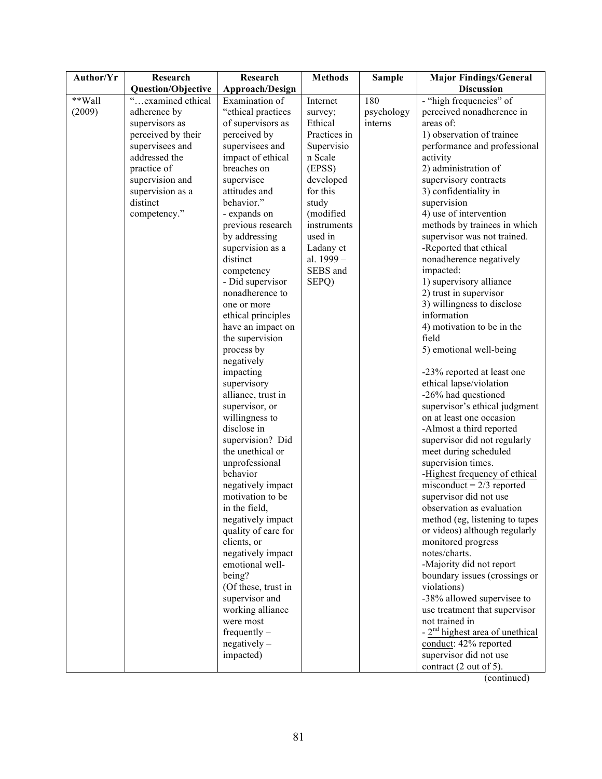| Author/Yr | Research           | Research                             | <b>Methods</b> | <b>Sample</b> | <b>Major Findings/General</b>                             |
|-----------|--------------------|--------------------------------------|----------------|---------------|-----------------------------------------------------------|
|           | Question/Objective | Approach/Design                      |                |               | <b>Discussion</b>                                         |
| **Wall    | "examined ethical  | Examination of                       | Internet       | 180           | - "high frequencies" of                                   |
| (2009)    | adherence by       | "ethical practices                   | survey;        | psychology    | perceived nonadherence in                                 |
|           | supervisors as     | of supervisors as                    | Ethical        | interns       | areas of:                                                 |
|           | perceived by their | perceived by                         | Practices in   |               | 1) observation of trainee                                 |
|           | supervisees and    | supervisees and                      | Supervisio     |               | performance and professional                              |
|           | addressed the      | impact of ethical                    | n Scale        |               | activity                                                  |
|           | practice of        | breaches on                          | (EPSS)         |               | 2) administration of                                      |
|           | supervision and    | supervisee                           | developed      |               | supervisory contracts                                     |
|           | supervision as a   | attitudes and                        | for this       |               | 3) confidentiality in                                     |
|           | distinct           | behavior."                           | study          |               | supervision                                               |
|           | competency."       | - expands on                         | (modified      |               | 4) use of intervention                                    |
|           |                    | previous research                    | instruments    |               | methods by trainees in which                              |
|           |                    | by addressing                        | used in        |               | supervisor was not trained.                               |
|           |                    | supervision as a                     | Ladany et      |               | -Reported that ethical                                    |
|           |                    | distinct                             | al. 1999 -     |               | nonadherence negatively                                   |
|           |                    | competency                           | SEBS and       |               | impacted:                                                 |
|           |                    | - Did supervisor                     | SEPQ)          |               | 1) supervisory alliance                                   |
|           |                    | nonadherence to<br>one or more       |                |               | 2) trust in supervisor<br>3) willingness to disclose      |
|           |                    | ethical principles                   |                |               | information                                               |
|           |                    | have an impact on                    |                |               | 4) motivation to be in the                                |
|           |                    | the supervision                      |                |               | field                                                     |
|           |                    | process by                           |                |               | 5) emotional well-being                                   |
|           |                    | negatively                           |                |               |                                                           |
|           |                    | impacting                            |                |               | -23% reported at least one                                |
|           |                    | supervisory                          |                |               | ethical lapse/violation                                   |
|           |                    | alliance, trust in                   |                |               | -26% had questioned                                       |
|           |                    | supervisor, or                       |                |               | supervisor's ethical judgment                             |
|           |                    | willingness to                       |                |               | on at least one occasion                                  |
|           |                    | disclose in                          |                |               | -Almost a third reported                                  |
|           |                    | supervision? Did                     |                |               | supervisor did not regularly                              |
|           |                    | the unethical or                     |                |               | meet during scheduled                                     |
|           |                    | unprofessional                       |                |               | supervision times.                                        |
|           |                    | behavior                             |                |               | -Highest frequency of ethical                             |
|           |                    | negatively impact                    |                |               | $misconduct = 2/3$ reported                               |
|           |                    | motivation to be                     |                |               | supervisor did not use                                    |
|           |                    | in the field,                        |                |               | observation as evaluation                                 |
|           |                    | negatively impact                    |                |               | method (eg, listening to tapes                            |
|           |                    | quality of care for                  |                |               | or videos) although regularly                             |
|           |                    | clients, or                          |                |               | monitored progress                                        |
|           |                    | negatively impact<br>emotional well- |                |               | notes/charts.                                             |
|           |                    | being?                               |                |               | -Majority did not report<br>boundary issues (crossings or |
|           |                    | (Of these, trust in                  |                |               | violations)                                               |
|           |                    | supervisor and                       |                |               | -38% allowed supervisee to                                |
|           |                    | working alliance                     |                |               | use treatment that supervisor                             |
|           |                    | were most                            |                |               | not trained in                                            |
|           |                    | frequently $-$                       |                |               | $-2nd$ highest area of unethical                          |
|           |                    | $negatively -$                       |                |               | conduct: 42% reported                                     |
|           |                    | impacted)                            |                |               | supervisor did not use                                    |
|           |                    |                                      |                |               | contract (2 out of 5).                                    |
|           |                    |                                      |                |               |                                                           |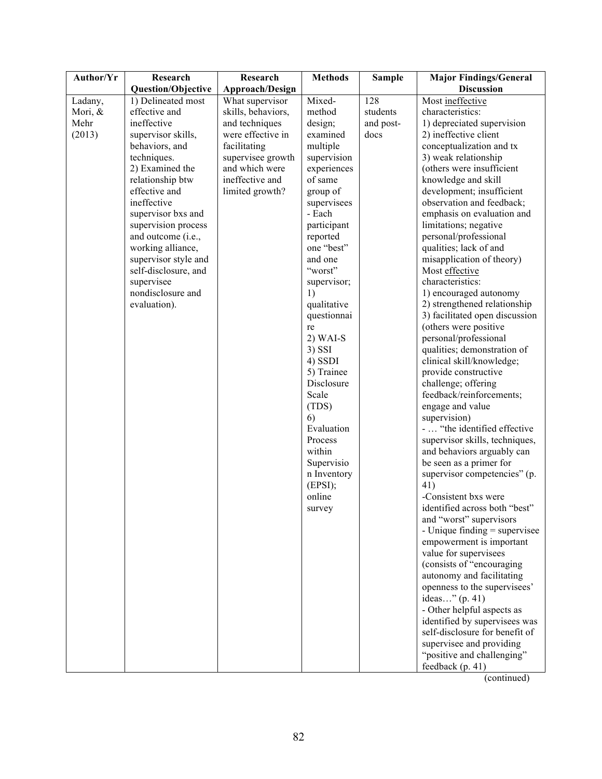| <b>Discussion</b><br>Question/Objective<br>Approach/Design<br>128<br>Most ineffective<br>1) Delineated most<br>What supervisor<br>Mixed-<br>Ladany,<br>Mori, &<br>effective and<br>skills, behaviors,<br>method<br>students<br>characteristics:<br>Mehr<br>ineffective<br>and techniques<br>design;<br>1) depreciated supervision<br>and post-<br>(2013)<br>supervisor skills,<br>were effective in<br>examined<br>docs<br>2) ineffective client<br>conceptualization and tx<br>behaviors, and<br>facilitating<br>multiple<br>supervision<br>techniques.<br>supervisee growth<br>3) weak relationship<br>and which were<br>2) Examined the<br>experiences<br>(others were insufficient<br>relationship btw<br>ineffective and<br>of same<br>knowledge and skill<br>effective and<br>development; insufficient<br>limited growth?<br>group of<br>ineffective<br>supervisees<br>observation and feedback;<br>supervisor bxs and<br>- Each<br>emphasis on evaluation and<br>supervision process<br>participant<br>limitations; negative<br>personal/professional<br>and outcome (i.e.,<br>reported<br>one "best"<br>working alliance,<br>qualities; lack of and<br>supervisor style and<br>misapplication of theory)<br>and one<br>"worst"<br>self-disclosure, and<br>Most effective<br>supervisee<br>characteristics:<br>supervisor;<br>nondisclosure and<br>1) encouraged autonomy<br>1)<br>2) strengthened relationship<br>evaluation).<br>qualitative<br>3) facilitated open discussion<br>questionnai<br>(others were positive<br>re<br>$2)$ WAI-S<br>personal/professional<br>qualities; demonstration of<br>3) SSI<br>clinical skill/knowledge;<br>4) SSDI<br>provide constructive<br>5) Trainee<br>Disclosure<br>challenge; offering<br>feedback/reinforcements;<br>Scale<br>(TDS)<br>engage and value<br>supervision)<br>6)<br>-  "the identified effective<br>Evaluation<br>Process<br>supervisor skills, techniques,<br>within<br>and behaviors arguably can<br>be seen as a primer for<br>Supervisio<br>n Inventory<br>supervisor competencies" (p.<br>(EPSI);<br>41)<br>-Consistent bxs were<br>online<br>identified across both "best"<br>survey |
|-------------------------------------------------------------------------------------------------------------------------------------------------------------------------------------------------------------------------------------------------------------------------------------------------------------------------------------------------------------------------------------------------------------------------------------------------------------------------------------------------------------------------------------------------------------------------------------------------------------------------------------------------------------------------------------------------------------------------------------------------------------------------------------------------------------------------------------------------------------------------------------------------------------------------------------------------------------------------------------------------------------------------------------------------------------------------------------------------------------------------------------------------------------------------------------------------------------------------------------------------------------------------------------------------------------------------------------------------------------------------------------------------------------------------------------------------------------------------------------------------------------------------------------------------------------------------------------------------------------------------------------------------------------------------------------------------------------------------------------------------------------------------------------------------------------------------------------------------------------------------------------------------------------------------------------------------------------------------------------------------------------------------------------------------------------------------------------------------------------------------------------------------------------|
|                                                                                                                                                                                                                                                                                                                                                                                                                                                                                                                                                                                                                                                                                                                                                                                                                                                                                                                                                                                                                                                                                                                                                                                                                                                                                                                                                                                                                                                                                                                                                                                                                                                                                                                                                                                                                                                                                                                                                                                                                                                                                                                                                             |
|                                                                                                                                                                                                                                                                                                                                                                                                                                                                                                                                                                                                                                                                                                                                                                                                                                                                                                                                                                                                                                                                                                                                                                                                                                                                                                                                                                                                                                                                                                                                                                                                                                                                                                                                                                                                                                                                                                                                                                                                                                                                                                                                                             |
|                                                                                                                                                                                                                                                                                                                                                                                                                                                                                                                                                                                                                                                                                                                                                                                                                                                                                                                                                                                                                                                                                                                                                                                                                                                                                                                                                                                                                                                                                                                                                                                                                                                                                                                                                                                                                                                                                                                                                                                                                                                                                                                                                             |
|                                                                                                                                                                                                                                                                                                                                                                                                                                                                                                                                                                                                                                                                                                                                                                                                                                                                                                                                                                                                                                                                                                                                                                                                                                                                                                                                                                                                                                                                                                                                                                                                                                                                                                                                                                                                                                                                                                                                                                                                                                                                                                                                                             |
|                                                                                                                                                                                                                                                                                                                                                                                                                                                                                                                                                                                                                                                                                                                                                                                                                                                                                                                                                                                                                                                                                                                                                                                                                                                                                                                                                                                                                                                                                                                                                                                                                                                                                                                                                                                                                                                                                                                                                                                                                                                                                                                                                             |
|                                                                                                                                                                                                                                                                                                                                                                                                                                                                                                                                                                                                                                                                                                                                                                                                                                                                                                                                                                                                                                                                                                                                                                                                                                                                                                                                                                                                                                                                                                                                                                                                                                                                                                                                                                                                                                                                                                                                                                                                                                                                                                                                                             |
|                                                                                                                                                                                                                                                                                                                                                                                                                                                                                                                                                                                                                                                                                                                                                                                                                                                                                                                                                                                                                                                                                                                                                                                                                                                                                                                                                                                                                                                                                                                                                                                                                                                                                                                                                                                                                                                                                                                                                                                                                                                                                                                                                             |
|                                                                                                                                                                                                                                                                                                                                                                                                                                                                                                                                                                                                                                                                                                                                                                                                                                                                                                                                                                                                                                                                                                                                                                                                                                                                                                                                                                                                                                                                                                                                                                                                                                                                                                                                                                                                                                                                                                                                                                                                                                                                                                                                                             |
|                                                                                                                                                                                                                                                                                                                                                                                                                                                                                                                                                                                                                                                                                                                                                                                                                                                                                                                                                                                                                                                                                                                                                                                                                                                                                                                                                                                                                                                                                                                                                                                                                                                                                                                                                                                                                                                                                                                                                                                                                                                                                                                                                             |
|                                                                                                                                                                                                                                                                                                                                                                                                                                                                                                                                                                                                                                                                                                                                                                                                                                                                                                                                                                                                                                                                                                                                                                                                                                                                                                                                                                                                                                                                                                                                                                                                                                                                                                                                                                                                                                                                                                                                                                                                                                                                                                                                                             |
|                                                                                                                                                                                                                                                                                                                                                                                                                                                                                                                                                                                                                                                                                                                                                                                                                                                                                                                                                                                                                                                                                                                                                                                                                                                                                                                                                                                                                                                                                                                                                                                                                                                                                                                                                                                                                                                                                                                                                                                                                                                                                                                                                             |
|                                                                                                                                                                                                                                                                                                                                                                                                                                                                                                                                                                                                                                                                                                                                                                                                                                                                                                                                                                                                                                                                                                                                                                                                                                                                                                                                                                                                                                                                                                                                                                                                                                                                                                                                                                                                                                                                                                                                                                                                                                                                                                                                                             |
|                                                                                                                                                                                                                                                                                                                                                                                                                                                                                                                                                                                                                                                                                                                                                                                                                                                                                                                                                                                                                                                                                                                                                                                                                                                                                                                                                                                                                                                                                                                                                                                                                                                                                                                                                                                                                                                                                                                                                                                                                                                                                                                                                             |
|                                                                                                                                                                                                                                                                                                                                                                                                                                                                                                                                                                                                                                                                                                                                                                                                                                                                                                                                                                                                                                                                                                                                                                                                                                                                                                                                                                                                                                                                                                                                                                                                                                                                                                                                                                                                                                                                                                                                                                                                                                                                                                                                                             |
|                                                                                                                                                                                                                                                                                                                                                                                                                                                                                                                                                                                                                                                                                                                                                                                                                                                                                                                                                                                                                                                                                                                                                                                                                                                                                                                                                                                                                                                                                                                                                                                                                                                                                                                                                                                                                                                                                                                                                                                                                                                                                                                                                             |
|                                                                                                                                                                                                                                                                                                                                                                                                                                                                                                                                                                                                                                                                                                                                                                                                                                                                                                                                                                                                                                                                                                                                                                                                                                                                                                                                                                                                                                                                                                                                                                                                                                                                                                                                                                                                                                                                                                                                                                                                                                                                                                                                                             |
|                                                                                                                                                                                                                                                                                                                                                                                                                                                                                                                                                                                                                                                                                                                                                                                                                                                                                                                                                                                                                                                                                                                                                                                                                                                                                                                                                                                                                                                                                                                                                                                                                                                                                                                                                                                                                                                                                                                                                                                                                                                                                                                                                             |
|                                                                                                                                                                                                                                                                                                                                                                                                                                                                                                                                                                                                                                                                                                                                                                                                                                                                                                                                                                                                                                                                                                                                                                                                                                                                                                                                                                                                                                                                                                                                                                                                                                                                                                                                                                                                                                                                                                                                                                                                                                                                                                                                                             |
|                                                                                                                                                                                                                                                                                                                                                                                                                                                                                                                                                                                                                                                                                                                                                                                                                                                                                                                                                                                                                                                                                                                                                                                                                                                                                                                                                                                                                                                                                                                                                                                                                                                                                                                                                                                                                                                                                                                                                                                                                                                                                                                                                             |
|                                                                                                                                                                                                                                                                                                                                                                                                                                                                                                                                                                                                                                                                                                                                                                                                                                                                                                                                                                                                                                                                                                                                                                                                                                                                                                                                                                                                                                                                                                                                                                                                                                                                                                                                                                                                                                                                                                                                                                                                                                                                                                                                                             |
|                                                                                                                                                                                                                                                                                                                                                                                                                                                                                                                                                                                                                                                                                                                                                                                                                                                                                                                                                                                                                                                                                                                                                                                                                                                                                                                                                                                                                                                                                                                                                                                                                                                                                                                                                                                                                                                                                                                                                                                                                                                                                                                                                             |
|                                                                                                                                                                                                                                                                                                                                                                                                                                                                                                                                                                                                                                                                                                                                                                                                                                                                                                                                                                                                                                                                                                                                                                                                                                                                                                                                                                                                                                                                                                                                                                                                                                                                                                                                                                                                                                                                                                                                                                                                                                                                                                                                                             |
|                                                                                                                                                                                                                                                                                                                                                                                                                                                                                                                                                                                                                                                                                                                                                                                                                                                                                                                                                                                                                                                                                                                                                                                                                                                                                                                                                                                                                                                                                                                                                                                                                                                                                                                                                                                                                                                                                                                                                                                                                                                                                                                                                             |
|                                                                                                                                                                                                                                                                                                                                                                                                                                                                                                                                                                                                                                                                                                                                                                                                                                                                                                                                                                                                                                                                                                                                                                                                                                                                                                                                                                                                                                                                                                                                                                                                                                                                                                                                                                                                                                                                                                                                                                                                                                                                                                                                                             |
|                                                                                                                                                                                                                                                                                                                                                                                                                                                                                                                                                                                                                                                                                                                                                                                                                                                                                                                                                                                                                                                                                                                                                                                                                                                                                                                                                                                                                                                                                                                                                                                                                                                                                                                                                                                                                                                                                                                                                                                                                                                                                                                                                             |
|                                                                                                                                                                                                                                                                                                                                                                                                                                                                                                                                                                                                                                                                                                                                                                                                                                                                                                                                                                                                                                                                                                                                                                                                                                                                                                                                                                                                                                                                                                                                                                                                                                                                                                                                                                                                                                                                                                                                                                                                                                                                                                                                                             |
|                                                                                                                                                                                                                                                                                                                                                                                                                                                                                                                                                                                                                                                                                                                                                                                                                                                                                                                                                                                                                                                                                                                                                                                                                                                                                                                                                                                                                                                                                                                                                                                                                                                                                                                                                                                                                                                                                                                                                                                                                                                                                                                                                             |
|                                                                                                                                                                                                                                                                                                                                                                                                                                                                                                                                                                                                                                                                                                                                                                                                                                                                                                                                                                                                                                                                                                                                                                                                                                                                                                                                                                                                                                                                                                                                                                                                                                                                                                                                                                                                                                                                                                                                                                                                                                                                                                                                                             |
|                                                                                                                                                                                                                                                                                                                                                                                                                                                                                                                                                                                                                                                                                                                                                                                                                                                                                                                                                                                                                                                                                                                                                                                                                                                                                                                                                                                                                                                                                                                                                                                                                                                                                                                                                                                                                                                                                                                                                                                                                                                                                                                                                             |
|                                                                                                                                                                                                                                                                                                                                                                                                                                                                                                                                                                                                                                                                                                                                                                                                                                                                                                                                                                                                                                                                                                                                                                                                                                                                                                                                                                                                                                                                                                                                                                                                                                                                                                                                                                                                                                                                                                                                                                                                                                                                                                                                                             |
|                                                                                                                                                                                                                                                                                                                                                                                                                                                                                                                                                                                                                                                                                                                                                                                                                                                                                                                                                                                                                                                                                                                                                                                                                                                                                                                                                                                                                                                                                                                                                                                                                                                                                                                                                                                                                                                                                                                                                                                                                                                                                                                                                             |
|                                                                                                                                                                                                                                                                                                                                                                                                                                                                                                                                                                                                                                                                                                                                                                                                                                                                                                                                                                                                                                                                                                                                                                                                                                                                                                                                                                                                                                                                                                                                                                                                                                                                                                                                                                                                                                                                                                                                                                                                                                                                                                                                                             |
|                                                                                                                                                                                                                                                                                                                                                                                                                                                                                                                                                                                                                                                                                                                                                                                                                                                                                                                                                                                                                                                                                                                                                                                                                                                                                                                                                                                                                                                                                                                                                                                                                                                                                                                                                                                                                                                                                                                                                                                                                                                                                                                                                             |
|                                                                                                                                                                                                                                                                                                                                                                                                                                                                                                                                                                                                                                                                                                                                                                                                                                                                                                                                                                                                                                                                                                                                                                                                                                                                                                                                                                                                                                                                                                                                                                                                                                                                                                                                                                                                                                                                                                                                                                                                                                                                                                                                                             |
|                                                                                                                                                                                                                                                                                                                                                                                                                                                                                                                                                                                                                                                                                                                                                                                                                                                                                                                                                                                                                                                                                                                                                                                                                                                                                                                                                                                                                                                                                                                                                                                                                                                                                                                                                                                                                                                                                                                                                                                                                                                                                                                                                             |
|                                                                                                                                                                                                                                                                                                                                                                                                                                                                                                                                                                                                                                                                                                                                                                                                                                                                                                                                                                                                                                                                                                                                                                                                                                                                                                                                                                                                                                                                                                                                                                                                                                                                                                                                                                                                                                                                                                                                                                                                                                                                                                                                                             |
|                                                                                                                                                                                                                                                                                                                                                                                                                                                                                                                                                                                                                                                                                                                                                                                                                                                                                                                                                                                                                                                                                                                                                                                                                                                                                                                                                                                                                                                                                                                                                                                                                                                                                                                                                                                                                                                                                                                                                                                                                                                                                                                                                             |
|                                                                                                                                                                                                                                                                                                                                                                                                                                                                                                                                                                                                                                                                                                                                                                                                                                                                                                                                                                                                                                                                                                                                                                                                                                                                                                                                                                                                                                                                                                                                                                                                                                                                                                                                                                                                                                                                                                                                                                                                                                                                                                                                                             |
| and "worst" supervisors                                                                                                                                                                                                                                                                                                                                                                                                                                                                                                                                                                                                                                                                                                                                                                                                                                                                                                                                                                                                                                                                                                                                                                                                                                                                                                                                                                                                                                                                                                                                                                                                                                                                                                                                                                                                                                                                                                                                                                                                                                                                                                                                     |
| - Unique finding = supervisee                                                                                                                                                                                                                                                                                                                                                                                                                                                                                                                                                                                                                                                                                                                                                                                                                                                                                                                                                                                                                                                                                                                                                                                                                                                                                                                                                                                                                                                                                                                                                                                                                                                                                                                                                                                                                                                                                                                                                                                                                                                                                                                               |
| empowerment is important                                                                                                                                                                                                                                                                                                                                                                                                                                                                                                                                                                                                                                                                                                                                                                                                                                                                                                                                                                                                                                                                                                                                                                                                                                                                                                                                                                                                                                                                                                                                                                                                                                                                                                                                                                                                                                                                                                                                                                                                                                                                                                                                    |
| value for supervisees                                                                                                                                                                                                                                                                                                                                                                                                                                                                                                                                                                                                                                                                                                                                                                                                                                                                                                                                                                                                                                                                                                                                                                                                                                                                                                                                                                                                                                                                                                                                                                                                                                                                                                                                                                                                                                                                                                                                                                                                                                                                                                                                       |
| (consists of "encouraging                                                                                                                                                                                                                                                                                                                                                                                                                                                                                                                                                                                                                                                                                                                                                                                                                                                                                                                                                                                                                                                                                                                                                                                                                                                                                                                                                                                                                                                                                                                                                                                                                                                                                                                                                                                                                                                                                                                                                                                                                                                                                                                                   |
| autonomy and facilitating                                                                                                                                                                                                                                                                                                                                                                                                                                                                                                                                                                                                                                                                                                                                                                                                                                                                                                                                                                                                                                                                                                                                                                                                                                                                                                                                                                                                                                                                                                                                                                                                                                                                                                                                                                                                                                                                                                                                                                                                                                                                                                                                   |
| openness to the supervisees'                                                                                                                                                                                                                                                                                                                                                                                                                                                                                                                                                                                                                                                                                                                                                                                                                                                                                                                                                                                                                                                                                                                                                                                                                                                                                                                                                                                                                                                                                                                                                                                                                                                                                                                                                                                                                                                                                                                                                                                                                                                                                                                                |
| ideas" (p. 41)                                                                                                                                                                                                                                                                                                                                                                                                                                                                                                                                                                                                                                                                                                                                                                                                                                                                                                                                                                                                                                                                                                                                                                                                                                                                                                                                                                                                                                                                                                                                                                                                                                                                                                                                                                                                                                                                                                                                                                                                                                                                                                                                              |
| - Other helpful aspects as                                                                                                                                                                                                                                                                                                                                                                                                                                                                                                                                                                                                                                                                                                                                                                                                                                                                                                                                                                                                                                                                                                                                                                                                                                                                                                                                                                                                                                                                                                                                                                                                                                                                                                                                                                                                                                                                                                                                                                                                                                                                                                                                  |
| identified by supervisees was<br>self-disclosure for benefit of                                                                                                                                                                                                                                                                                                                                                                                                                                                                                                                                                                                                                                                                                                                                                                                                                                                                                                                                                                                                                                                                                                                                                                                                                                                                                                                                                                                                                                                                                                                                                                                                                                                                                                                                                                                                                                                                                                                                                                                                                                                                                             |
|                                                                                                                                                                                                                                                                                                                                                                                                                                                                                                                                                                                                                                                                                                                                                                                                                                                                                                                                                                                                                                                                                                                                                                                                                                                                                                                                                                                                                                                                                                                                                                                                                                                                                                                                                                                                                                                                                                                                                                                                                                                                                                                                                             |
| supervisee and providing                                                                                                                                                                                                                                                                                                                                                                                                                                                                                                                                                                                                                                                                                                                                                                                                                                                                                                                                                                                                                                                                                                                                                                                                                                                                                                                                                                                                                                                                                                                                                                                                                                                                                                                                                                                                                                                                                                                                                                                                                                                                                                                                    |
| "positive and challenging"<br>feedback (p. 41)                                                                                                                                                                                                                                                                                                                                                                                                                                                                                                                                                                                                                                                                                                                                                                                                                                                                                                                                                                                                                                                                                                                                                                                                                                                                                                                                                                                                                                                                                                                                                                                                                                                                                                                                                                                                                                                                                                                                                                                                                                                                                                              |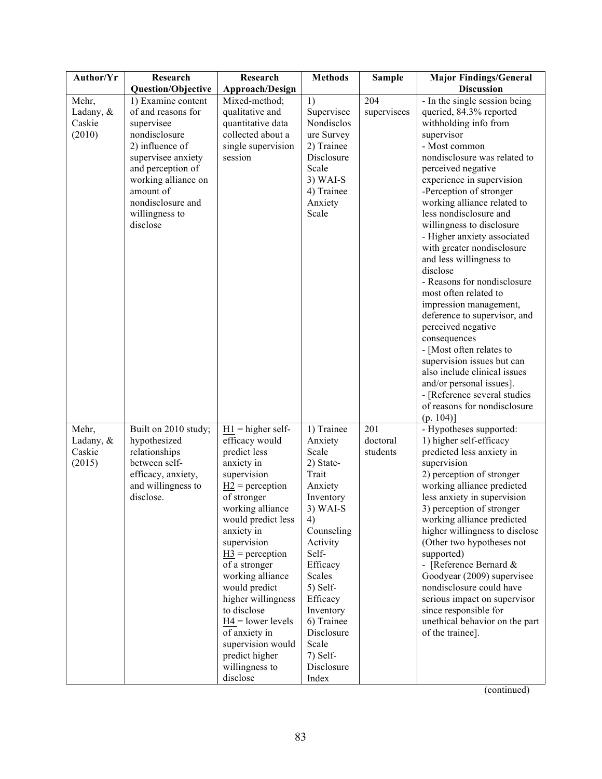| Author/Yr                              | Research                                                                                                                                                                                                                     | Research                                                                                                                                                                                                                                                                                                                                                                                                                                           | <b>Methods</b>                                                                                                                                                                                                                                                       | <b>Sample</b>               | <b>Major Findings/General</b>                                                                                                                                                                                                                                                                                                                                                                                                                                                                                                                                                                                                                                                                                                                                          |
|----------------------------------------|------------------------------------------------------------------------------------------------------------------------------------------------------------------------------------------------------------------------------|----------------------------------------------------------------------------------------------------------------------------------------------------------------------------------------------------------------------------------------------------------------------------------------------------------------------------------------------------------------------------------------------------------------------------------------------------|----------------------------------------------------------------------------------------------------------------------------------------------------------------------------------------------------------------------------------------------------------------------|-----------------------------|------------------------------------------------------------------------------------------------------------------------------------------------------------------------------------------------------------------------------------------------------------------------------------------------------------------------------------------------------------------------------------------------------------------------------------------------------------------------------------------------------------------------------------------------------------------------------------------------------------------------------------------------------------------------------------------------------------------------------------------------------------------------|
|                                        | <b>Question/Objective</b>                                                                                                                                                                                                    | <b>Approach/Design</b>                                                                                                                                                                                                                                                                                                                                                                                                                             |                                                                                                                                                                                                                                                                      |                             | <b>Discussion</b>                                                                                                                                                                                                                                                                                                                                                                                                                                                                                                                                                                                                                                                                                                                                                      |
| Mehr,<br>Ladany, &<br>Caskie<br>(2010) | 1) Examine content<br>of and reasons for<br>supervisee<br>nondisclosure<br>2) influence of<br>supervisee anxiety<br>and perception of<br>working alliance on<br>amount of<br>nondisclosure and<br>willingness to<br>disclose | Mixed-method;<br>qualitative and<br>quantitative data<br>collected about a<br>single supervision<br>session                                                                                                                                                                                                                                                                                                                                        | 1)<br>Supervisee<br>Nondisclos<br>ure Survey<br>2) Trainee<br>Disclosure<br>Scale<br>$3)$ WAI-S<br>4) Trainee<br>Anxiety<br>Scale                                                                                                                                    | 204<br>supervisees          | - In the single session being<br>queried, 84.3% reported<br>withholding info from<br>supervisor<br>- Most common<br>nondisclosure was related to<br>perceived negative<br>experience in supervision<br>-Perception of stronger<br>working alliance related to<br>less nondisclosure and<br>willingness to disclosure<br>- Higher anxiety associated<br>with greater nondisclosure<br>and less willingness to<br>disclose<br>- Reasons for nondisclosure<br>most often related to<br>impression management,<br>deference to supervisor, and<br>perceived negative<br>consequences<br>- [Most often relates to<br>supervision issues but can<br>also include clinical issues<br>and/or personal issues].<br>- [Reference several studies<br>of reasons for nondisclosure |
| Mehr,<br>Ladany, &<br>Caskie<br>(2015) | Built on 2010 study;<br>hypothesized<br>relationships<br>between self-<br>efficacy, anxiety,<br>and willingness to<br>disclose.                                                                                              | $\underline{H1}$ = higher self-<br>efficacy would<br>predict less<br>anxiety in<br>supervision<br>$H2$ = perception<br>of stronger<br>working alliance<br>would predict less<br>anxiety in<br>supervision<br>$\underline{H3}$ = perception<br>of a stronger<br>working alliance<br>would predict<br>higher willingness<br>to disclose<br>$H4 =$ lower levels<br>of anxiety in<br>supervision would<br>predict higher<br>willingness to<br>disclose | 1) Trainee<br>Anxiety<br>Scale<br>2) State-<br>Trait<br>Anxiety<br>Inventory<br>3) WAI-S<br>4)<br>Counseling<br>Activity<br>Self-<br>Efficacy<br>Scales<br>5) Self-<br>Efficacy<br>Inventory<br>6) Trainee<br>Disclosure<br>Scale<br>7) Self-<br>Disclosure<br>Index | 201<br>doctoral<br>students | (p. 104)<br>- Hypotheses supported:<br>1) higher self-efficacy<br>predicted less anxiety in<br>supervision<br>2) perception of stronger<br>working alliance predicted<br>less anxiety in supervision<br>3) perception of stronger<br>working alliance predicted<br>higher willingness to disclose<br>(Other two hypotheses not<br>supported)<br>- [Reference Bernard &<br>Goodyear (2009) supervisee<br>nondisclosure could have<br>serious impact on supervisor<br>since responsible for<br>unethical behavior on the part<br>of the trainee].                                                                                                                                                                                                                        |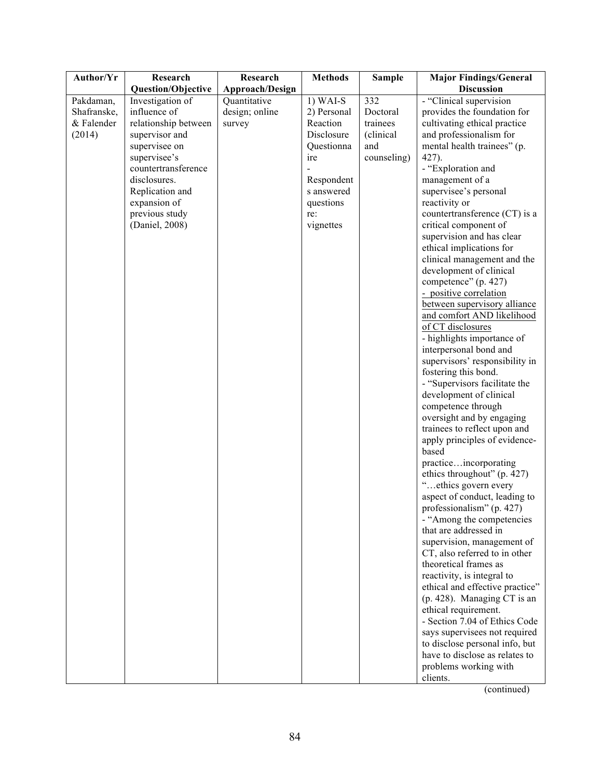| Author/Yr   | Research                  | Research        | <b>Methods</b> | <b>Sample</b> | <b>Major Findings/General</b>                      |
|-------------|---------------------------|-----------------|----------------|---------------|----------------------------------------------------|
|             | <b>Question/Objective</b> | Approach/Design |                |               | <b>Discussion</b>                                  |
| Pakdaman,   | Investigation of          | Quantitative    | $1)$ WAI-S     | 332           | - "Clinical supervision                            |
| Shafranske, | influence of              | design; online  | 2) Personal    | Doctoral      | provides the foundation for                        |
| & Falender  | relationship between      | survey          | Reaction       | trainees      | cultivating ethical practice                       |
| (2014)      | supervisor and            |                 | Disclosure     | (clinical     | and professionalism for                            |
|             | supervisee on             |                 | Questionna     | and           | mental health trainees" (p.                        |
|             | supervisee's              |                 | ire            | counseling)   | 427).                                              |
|             | countertransference       |                 |                |               | - "Exploration and                                 |
|             | disclosures.              |                 | Respondent     |               | management of a                                    |
|             | Replication and           |                 | s answered     |               | supervisee's personal                              |
|             | expansion of              |                 | questions      |               | reactivity or                                      |
|             | previous study            |                 | re:            |               | countertransference (CT) is a                      |
|             | (Daniel, 2008)            |                 | vignettes      |               | critical component of                              |
|             |                           |                 |                |               | supervision and has clear                          |
|             |                           |                 |                |               | ethical implications for                           |
|             |                           |                 |                |               | clinical management and the                        |
|             |                           |                 |                |               | development of clinical<br>competence" (p. 427)    |
|             |                           |                 |                |               | - positive correlation                             |
|             |                           |                 |                |               | between supervisory alliance                       |
|             |                           |                 |                |               | and comfort AND likelihood                         |
|             |                           |                 |                |               | of CT disclosures                                  |
|             |                           |                 |                |               | - highlights importance of                         |
|             |                           |                 |                |               | interpersonal bond and                             |
|             |                           |                 |                |               | supervisors' responsibility in                     |
|             |                           |                 |                |               | fostering this bond.                               |
|             |                           |                 |                |               | - "Supervisors facilitate the                      |
|             |                           |                 |                |               | development of clinical                            |
|             |                           |                 |                |               | competence through                                 |
|             |                           |                 |                |               | oversight and by engaging                          |
|             |                           |                 |                |               | trainees to reflect upon and                       |
|             |                           |                 |                |               | apply principles of evidence-                      |
|             |                           |                 |                |               | based                                              |
|             |                           |                 |                |               | practiceincorporating                              |
|             |                           |                 |                |               | ethics throughout" (p. 427)                        |
|             |                           |                 |                |               | "ethics govern every                               |
|             |                           |                 |                |               | aspect of conduct, leading to                      |
|             |                           |                 |                |               | professionalism" (p. 427)                          |
|             |                           |                 |                |               | - "Among the competencies<br>that are addressed in |
|             |                           |                 |                |               | supervision, management of                         |
|             |                           |                 |                |               | CT, also referred to in other                      |
|             |                           |                 |                |               | theoretical frames as                              |
|             |                           |                 |                |               | reactivity, is integral to                         |
|             |                           |                 |                |               | ethical and effective practice"                    |
|             |                           |                 |                |               | $(p. 428)$ . Managing CT is an                     |
|             |                           |                 |                |               | ethical requirement.                               |
|             |                           |                 |                |               | - Section 7.04 of Ethics Code                      |
|             |                           |                 |                |               | says supervisees not required                      |
|             |                           |                 |                |               | to disclose personal info, but                     |
|             |                           |                 |                |               | have to disclose as relates to                     |
|             |                           |                 |                |               | problems working with                              |
|             |                           |                 |                |               | clients.                                           |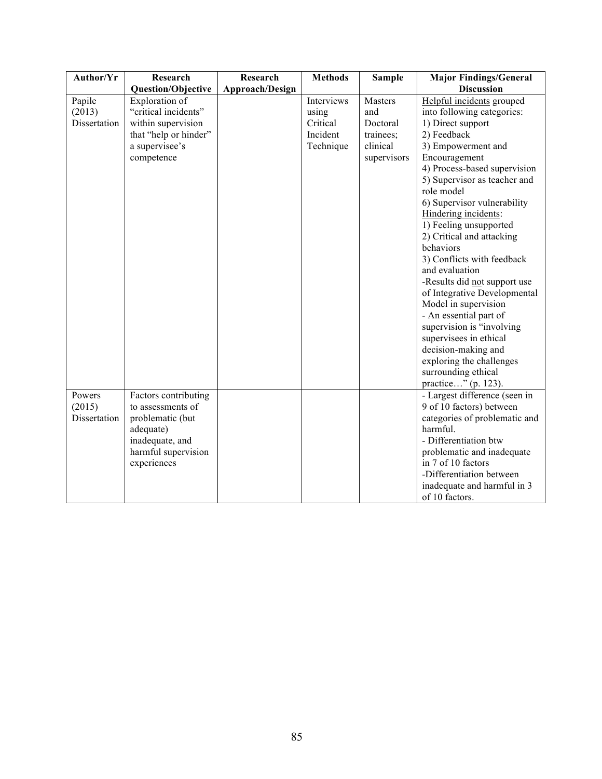| Author/Yr                        | Research                                                                                                              | Research        | <b>Methods</b>                                           | <b>Sample</b>                                                      | <b>Major Findings/General</b>                                                                                                                                                                                                                                                                                                                                                                                                                                                                                                                                                                                                                  |
|----------------------------------|-----------------------------------------------------------------------------------------------------------------------|-----------------|----------------------------------------------------------|--------------------------------------------------------------------|------------------------------------------------------------------------------------------------------------------------------------------------------------------------------------------------------------------------------------------------------------------------------------------------------------------------------------------------------------------------------------------------------------------------------------------------------------------------------------------------------------------------------------------------------------------------------------------------------------------------------------------------|
|                                  | <b>Question/Objective</b>                                                                                             | Approach/Design |                                                          |                                                                    | <b>Discussion</b>                                                                                                                                                                                                                                                                                                                                                                                                                                                                                                                                                                                                                              |
| Papile<br>(2013)<br>Dissertation | Exploration of<br>"critical incidents"<br>within supervision<br>that "help or hinder"<br>a supervisee's<br>competence |                 | Interviews<br>using<br>Critical<br>Incident<br>Technique | Masters<br>and<br>Doctoral<br>trainees;<br>clinical<br>supervisors | Helpful incidents grouped<br>into following categories:<br>1) Direct support<br>2) Feedback<br>3) Empowerment and<br>Encouragement<br>4) Process-based supervision<br>5) Supervisor as teacher and<br>role model<br>6) Supervisor vulnerability<br>Hindering incidents:<br>1) Feeling unsupported<br>2) Critical and attacking<br>behaviors<br>3) Conflicts with feedback<br>and evaluation<br>-Results did not support use<br>of Integrative Developmental<br>Model in supervision<br>- An essential part of<br>supervision is "involving<br>supervisees in ethical<br>decision-making and<br>exploring the challenges<br>surrounding ethical |
| Powers                           | Factors contributing                                                                                                  |                 |                                                          |                                                                    | practice" (p. 123).<br>- Largest difference (seen in                                                                                                                                                                                                                                                                                                                                                                                                                                                                                                                                                                                           |
| (2015)<br>Dissertation           | to assessments of<br>problematic (but<br>adequate)<br>inadequate, and<br>harmful supervision<br>experiences           |                 |                                                          |                                                                    | 9 of 10 factors) between<br>categories of problematic and<br>harmful.<br>- Differentiation btw<br>problematic and inadequate<br>in 7 of 10 factors<br>-Differentiation between<br>inadequate and harmful in 3<br>of 10 factors.                                                                                                                                                                                                                                                                                                                                                                                                                |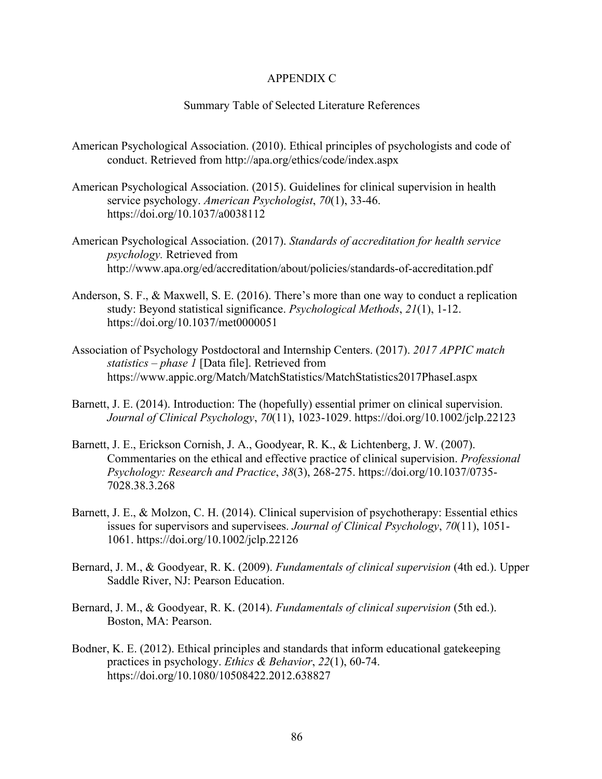#### APPENDIX C

#### Summary Table of Selected Literature References

- American Psychological Association. (2010). Ethical principles of psychologists and code of conduct. Retrieved from http://apa.org/ethics/code/index.aspx
- American Psychological Association. (2015). Guidelines for clinical supervision in health service psychology. *American Psychologist*, *70*(1), 33-46. https://doi.org/10.1037/a0038112
- American Psychological Association. (2017). *Standards of accreditation for health service psychology.* Retrieved from http://www.apa.org/ed/accreditation/about/policies/standards-of-accreditation.pdf
- Anderson, S. F., & Maxwell, S. E. (2016). There's more than one way to conduct a replication study: Beyond statistical significance. *Psychological Methods*, *21*(1), 1-12. https://doi.org/10.1037/met0000051
- Association of Psychology Postdoctoral and Internship Centers. (2017). *2017 APPIC match statistics – phase 1* [Data file]. Retrieved from https://www.appic.org/Match/MatchStatistics/MatchStatistics2017PhaseI.aspx
- Barnett, J. E. (2014). Introduction: The (hopefully) essential primer on clinical supervision. *Journal of Clinical Psychology*, *70*(11), 1023-1029. https://doi.org/10.1002/jclp.22123
- Barnett, J. E., Erickson Cornish, J. A., Goodyear, R. K., & Lichtenberg, J. W. (2007). Commentaries on the ethical and effective practice of clinical supervision. *Professional Psychology: Research and Practice*, *38*(3), 268-275. https://doi.org/10.1037/0735- 7028.38.3.268
- Barnett, J. E., & Molzon, C. H. (2014). Clinical supervision of psychotherapy: Essential ethics issues for supervisors and supervisees. *Journal of Clinical Psychology*, *70*(11), 1051- 1061. https://doi.org/10.1002/jclp.22126
- Bernard, J. M., & Goodyear, R. K. (2009). *Fundamentals of clinical supervision* (4th ed.). Upper Saddle River, NJ: Pearson Education.
- Bernard, J. M., & Goodyear, R. K. (2014). *Fundamentals of clinical supervision* (5th ed.). Boston, MA: Pearson.
- Bodner, K. E. (2012). Ethical principles and standards that inform educational gatekeeping practices in psychology. *Ethics & Behavior*, *22*(1), 60-74. https://doi.org/10.1080/10508422.2012.638827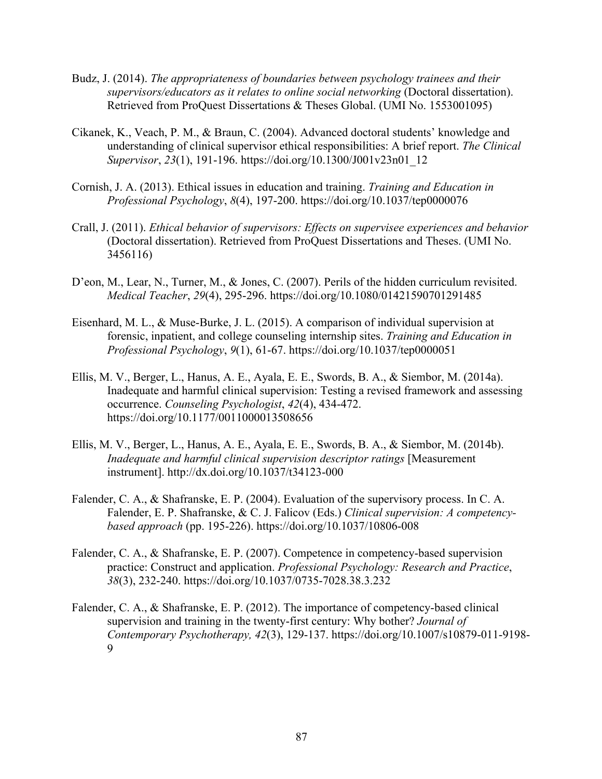- Budz, J. (2014). *The appropriateness of boundaries between psychology trainees and their supervisors/educators as it relates to online social networking (Doctoral dissertation).* Retrieved from ProQuest Dissertations & Theses Global. (UMI No. 1553001095)
- Cikanek, K., Veach, P. M., & Braun, C. (2004). Advanced doctoral students' knowledge and understanding of clinical supervisor ethical responsibilities: A brief report. *The Clinical Supervisor*, *23*(1), 191-196. https://doi.org/10.1300/J001v23n01\_12
- Cornish, J. A. (2013). Ethical issues in education and training. *Training and Education in Professional Psychology*, *8*(4), 197-200. https://doi.org/10.1037/tep0000076
- Crall, J. (2011). *Ethical behavior of supervisors: Effects on supervisee experiences and behavior* (Doctoral dissertation). Retrieved from ProQuest Dissertations and Theses. (UMI No. 3456116)
- D'eon, M., Lear, N., Turner, M., & Jones, C. (2007). Perils of the hidden curriculum revisited. *Medical Teacher*, *29*(4), 295-296. https://doi.org/10.1080/01421590701291485
- Eisenhard, M. L., & Muse-Burke, J. L. (2015). A comparison of individual supervision at forensic, inpatient, and college counseling internship sites. *Training and Education in Professional Psychology*, *9*(1), 61-67. https://doi.org/10.1037/tep0000051
- Ellis, M. V., Berger, L., Hanus, A. E., Ayala, E. E., Swords, B. A., & Siembor, M. (2014a). Inadequate and harmful clinical supervision: Testing a revised framework and assessing occurrence. *Counseling Psychologist*, *42*(4), 434-472. https://doi.org/10.1177/0011000013508656
- Ellis, M. V., Berger, L., Hanus, A. E., Ayala, E. E., Swords, B. A., & Siembor, M. (2014b). *Inadequate and harmful clinical supervision descriptor ratings* [Measurement instrument]. http://dx.doi.org/10.1037/t34123-000
- Falender, C. A., & Shafranske, E. P. (2004). Evaluation of the supervisory process. In C. A. Falender, E. P. Shafranske, & C. J. Falicov (Eds.) *Clinical supervision: A competencybased approach* (pp. 195-226). https://doi.org/10.1037/10806-008
- Falender, C. A., & Shafranske, E. P. (2007). Competence in competency-based supervision practice: Construct and application. *Professional Psychology: Research and Practice*, *38*(3), 232-240. https://doi.org/10.1037/0735-7028.38.3.232
- Falender, C. A., & Shafranske, E. P. (2012). The importance of competency-based clinical supervision and training in the twenty-first century: Why bother? *Journal of Contemporary Psychotherapy, 42*(3), 129-137. https://doi.org/10.1007/s10879-011-9198- 9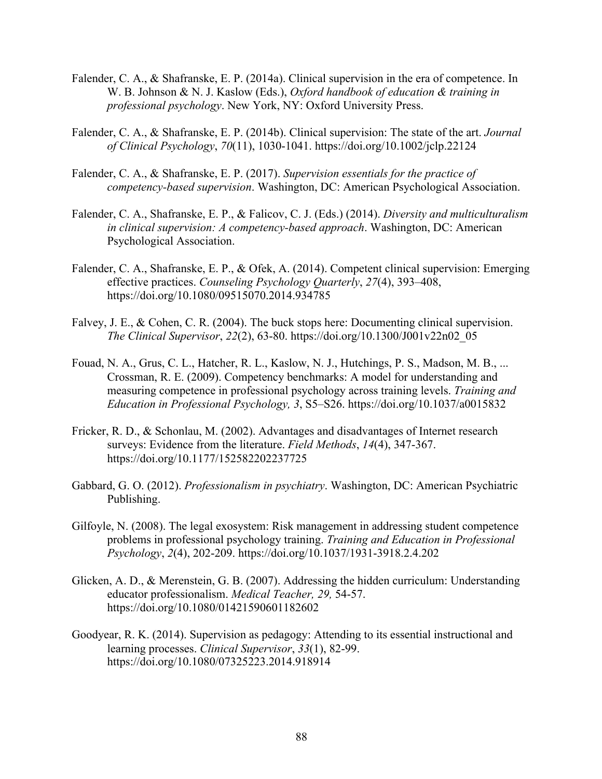- Falender, C. A., & Shafranske, E. P. (2014a). Clinical supervision in the era of competence. In W. B. Johnson & N. J. Kaslow (Eds.), *Oxford handbook of education & training in professional psychology*. New York, NY: Oxford University Press.
- Falender, C. A., & Shafranske, E. P. (2014b). Clinical supervision: The state of the art. *Journal of Clinical Psychology*, *70*(11), 1030-1041. https://doi.org/10.1002/jclp.22124
- Falender, C. A., & Shafranske, E. P. (2017). *Supervision essentials for the practice of competency-based supervision*. Washington, DC: American Psychological Association.
- Falender, C. A., Shafranske, E. P., & Falicov, C. J. (Eds.) (2014). *Diversity and multiculturalism in clinical supervision: A competency-based approach*. Washington, DC: American Psychological Association.
- Falender, C. A., Shafranske, E. P., & Ofek, A. (2014). Competent clinical supervision: Emerging effective practices. *Counseling Psychology Quarterly*, *27*(4), 393–408, https://doi.org/10.1080/09515070.2014.934785
- Falvey, J. E., & Cohen, C. R. (2004). The buck stops here: Documenting clinical supervision. *The Clinical Supervisor*, *22*(2), 63-80. https://doi.org/10.1300/J001v22n02\_05
- Fouad, N. A., Grus, C. L., Hatcher, R. L., Kaslow, N. J., Hutchings, P. S., Madson, M. B., ... Crossman, R. E. (2009). Competency benchmarks: A model for understanding and measuring competence in professional psychology across training levels. *Training and Education in Professional Psychology, 3*, S5–S26. https://doi.org/10.1037/a0015832
- Fricker, R. D., & Schonlau, M. (2002). Advantages and disadvantages of Internet research surveys: Evidence from the literature. *Field Methods*, *14*(4), 347-367. https://doi.org/10.1177/152582202237725
- Gabbard, G. O. (2012). *Professionalism in psychiatry*. Washington, DC: American Psychiatric Publishing.
- Gilfoyle, N. (2008). The legal exosystem: Risk management in addressing student competence problems in professional psychology training. *Training and Education in Professional Psychology*, *2*(4), 202-209. https://doi.org/10.1037/1931-3918.2.4.202
- Glicken, A. D., & Merenstein, G. B. (2007). Addressing the hidden curriculum: Understanding educator professionalism. *Medical Teacher, 29,* 54-57. https://doi.org/10.1080/01421590601182602
- Goodyear, R. K. (2014). Supervision as pedagogy: Attending to its essential instructional and learning processes. *Clinical Supervisor*, *33*(1), 82-99. https://doi.org/10.1080/07325223.2014.918914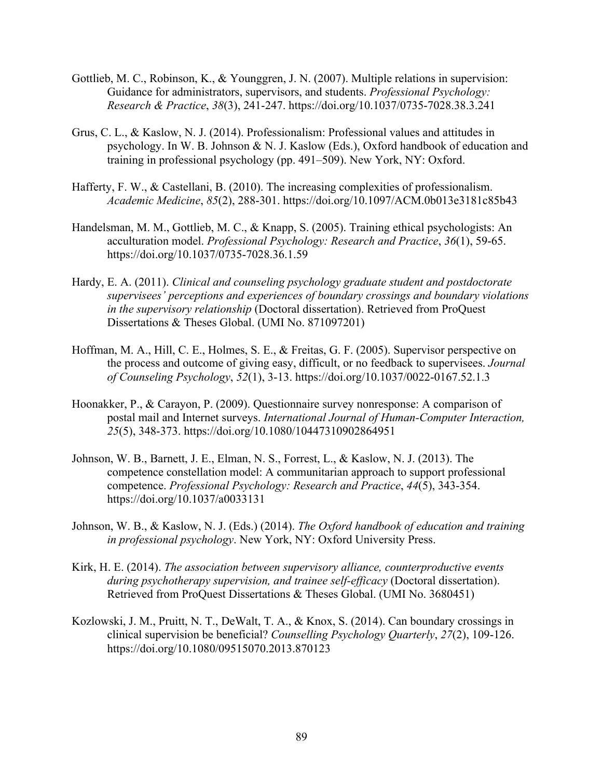- Gottlieb, M. C., Robinson, K., & Younggren, J. N. (2007). Multiple relations in supervision: Guidance for administrators, supervisors, and students. *Professional Psychology: Research & Practice*, *38*(3), 241-247. https://doi.org/10.1037/0735-7028.38.3.241
- Grus, C. L., & Kaslow, N. J. (2014). Professionalism: Professional values and attitudes in psychology. In W. B. Johnson & N. J. Kaslow (Eds.), Oxford handbook of education and training in professional psychology (pp. 491–509). New York, NY: Oxford.
- Hafferty, F. W., & Castellani, B. (2010). The increasing complexities of professionalism. *Academic Medicine*, *85*(2), 288-301. https://doi.org/10.1097/ACM.0b013e3181c85b43
- Handelsman, M. M., Gottlieb, M. C., & Knapp, S. (2005). Training ethical psychologists: An acculturation model. *Professional Psychology: Research and Practice*, *36*(1), 59-65. https://doi.org/10.1037/0735-7028.36.1.59
- Hardy, E. A. (2011). *Clinical and counseling psychology graduate student and postdoctorate supervisees' perceptions and experiences of boundary crossings and boundary violations in the supervisory relationship* (Doctoral dissertation). Retrieved from ProQuest Dissertations & Theses Global. (UMI No. 871097201)
- Hoffman, M. A., Hill, C. E., Holmes, S. E., & Freitas, G. F. (2005). Supervisor perspective on the process and outcome of giving easy, difficult, or no feedback to supervisees. *Journal of Counseling Psychology*, *52*(1), 3-13. https://doi.org/10.1037/0022-0167.52.1.3
- Hoonakker, P., & Carayon, P. (2009). Questionnaire survey nonresponse: A comparison of postal mail and Internet surveys. *International Journal of Human-Computer Interaction, 25*(5), 348-373. https://doi.org/10.1080/10447310902864951
- Johnson, W. B., Barnett, J. E., Elman, N. S., Forrest, L., & Kaslow, N. J. (2013). The competence constellation model: A communitarian approach to support professional competence. *Professional Psychology: Research and Practice*, *44*(5), 343-354. https://doi.org/10.1037/a0033131
- Johnson, W. B., & Kaslow, N. J. (Eds.) (2014). *The Oxford handbook of education and training in professional psychology*. New York, NY: Oxford University Press.
- Kirk, H. E. (2014). *The association between supervisory alliance, counterproductive events during psychotherapy supervision, and trainee self-efficacy* (Doctoral dissertation). Retrieved from ProQuest Dissertations & Theses Global. (UMI No. 3680451)
- Kozlowski, J. M., Pruitt, N. T., DeWalt, T. A., & Knox, S. (2014). Can boundary crossings in clinical supervision be beneficial? *Counselling Psychology Quarterly*, *27*(2), 109-126. https://doi.org/10.1080/09515070.2013.870123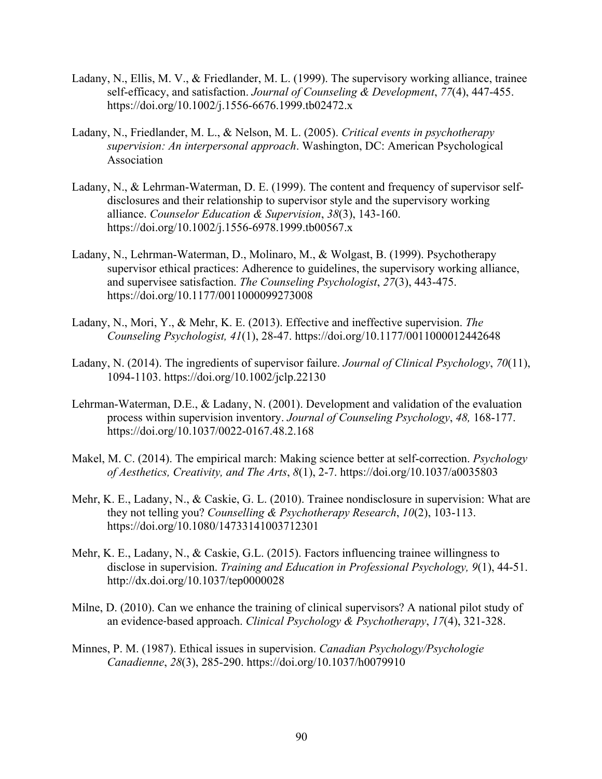- Ladany, N., Ellis, M. V., & Friedlander, M. L. (1999). The supervisory working alliance, trainee self-efficacy, and satisfaction. *Journal of Counseling & Development*, *77*(4), 447-455. https://doi.org/10.1002/j.1556-6676.1999.tb02472.x
- Ladany, N., Friedlander, M. L., & Nelson, M. L. (2005). *Critical events in psychotherapy supervision: An interpersonal approach*. Washington, DC: American Psychological Association
- Ladany, N., & Lehrman-Waterman, D. E. (1999). The content and frequency of supervisor selfdisclosures and their relationship to supervisor style and the supervisory working alliance. *Counselor Education & Supervision*, *38*(3), 143-160. https://doi.org/10.1002/j.1556-6978.1999.tb00567.x
- Ladany, N., Lehrman-Waterman, D., Molinaro, M., & Wolgast, B. (1999). Psychotherapy supervisor ethical practices: Adherence to guidelines, the supervisory working alliance, and supervisee satisfaction. *The Counseling Psychologist*, *27*(3), 443-475. https://doi.org/10.1177/0011000099273008
- Ladany, N., Mori, Y., & Mehr, K. E. (2013). Effective and ineffective supervision. *The Counseling Psychologist, 41*(1), 28-47. https://doi.org/10.1177/0011000012442648
- Ladany, N. (2014). The ingredients of supervisor failure. *Journal of Clinical Psychology*, *70*(11), 1094-1103. https://doi.org/10.1002/jclp.22130
- Lehrman-Waterman, D.E., & Ladany, N. (2001). Development and validation of the evaluation process within supervision inventory. *Journal of Counseling Psychology*, *48,* 168-177. https://doi.org/10.1037/0022-0167.48.2.168
- Makel, M. C. (2014). The empirical march: Making science better at self-correction. *Psychology of Aesthetics, Creativity, and The Arts*, *8*(1), 2-7. https://doi.org/10.1037/a0035803
- Mehr, K. E., Ladany, N., & Caskie, G. L. (2010). Trainee nondisclosure in supervision: What are they not telling you? *Counselling & Psychotherapy Research*, *10*(2), 103-113. https://doi.org/10.1080/14733141003712301
- Mehr, K. E., Ladany, N., & Caskie, G.L. (2015). Factors influencing trainee willingness to disclose in supervision. *Training and Education in Professional Psychology, 9*(1), 44-51. http://dx.doi.org/10.1037/tep0000028
- Milne, D. (2010). Can we enhance the training of clinical supervisors? A national pilot study of an evidence‐based approach. *Clinical Psychology & Psychotherapy*, *17*(4), 321-328.
- Minnes, P. M. (1987). Ethical issues in supervision. *Canadian Psychology/Psychologie Canadienne*, *28*(3), 285-290. https://doi.org/10.1037/h0079910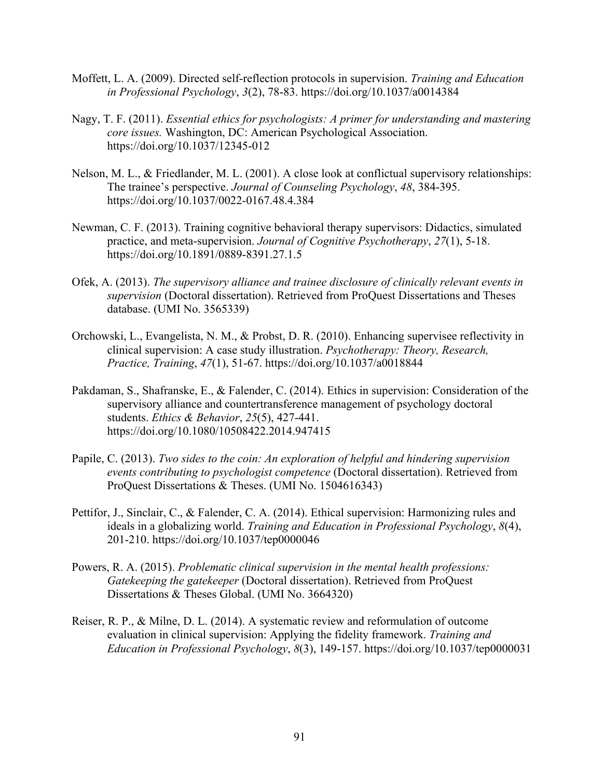- Moffett, L. A. (2009). Directed self-reflection protocols in supervision. *Training and Education in Professional Psychology*, *3*(2), 78-83. https://doi.org/10.1037/a0014384
- Nagy, T. F. (2011). *Essential ethics for psychologists: A primer for understanding and mastering core issues.* Washington, DC: American Psychological Association. https://doi.org/10.1037/12345-012
- Nelson, M. L., & Friedlander, M. L. (2001). A close look at conflictual supervisory relationships: The trainee's perspective. *Journal of Counseling Psychology*, *48*, 384-395. https://doi.org/10.1037/0022-0167.48.4.384
- Newman, C. F. (2013). Training cognitive behavioral therapy supervisors: Didactics, simulated practice, and meta-supervision. *Journal of Cognitive Psychotherapy*, *27*(1), 5-18. https://doi.org/10.1891/0889-8391.27.1.5
- Ofek, A. (2013). *The supervisory alliance and trainee disclosure of clinically relevant events in supervision* (Doctoral dissertation). Retrieved from ProQuest Dissertations and Theses database. (UMI No. 3565339)
- Orchowski, L., Evangelista, N. M., & Probst, D. R. (2010). Enhancing supervisee reflectivity in clinical supervision: A case study illustration. *Psychotherapy: Theory, Research, Practice, Training*, *47*(1), 51-67. https://doi.org/10.1037/a0018844
- Pakdaman, S., Shafranske, E., & Falender, C. (2014). Ethics in supervision: Consideration of the supervisory alliance and countertransference management of psychology doctoral students. *Ethics & Behavior*, *25*(5), 427-441. https://doi.org/10.1080/10508422.2014.947415
- Papile, C. (2013). *Two sides to the coin: An exploration of helpful and hindering supervision events contributing to psychologist competence* (Doctoral dissertation). Retrieved from ProQuest Dissertations & Theses. (UMI No. 1504616343)
- Pettifor, J., Sinclair, C., & Falender, C. A. (2014). Ethical supervision: Harmonizing rules and ideals in a globalizing world. *Training and Education in Professional Psychology*, *8*(4), 201-210. https://doi.org/10.1037/tep0000046
- Powers, R. A. (2015). *Problematic clinical supervision in the mental health professions: Gatekeeping the gatekeeper* (Doctoral dissertation). Retrieved from ProQuest Dissertations & Theses Global. (UMI No. 3664320)
- Reiser, R. P., & Milne, D. L. (2014). A systematic review and reformulation of outcome evaluation in clinical supervision: Applying the fidelity framework. *Training and Education in Professional Psychology*, *8*(3), 149-157. https://doi.org/10.1037/tep0000031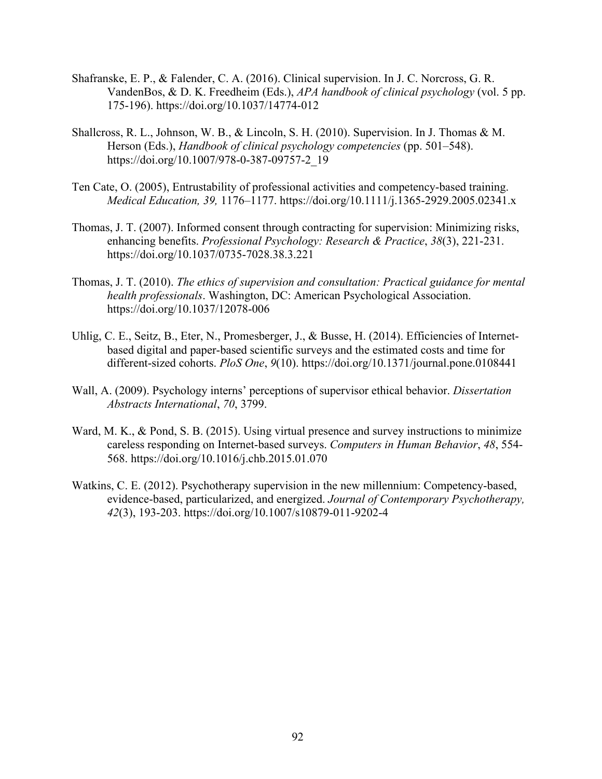- Shafranske, E. P., & Falender, C. A. (2016). Clinical supervision. In J. C. Norcross, G. R. VandenBos, & D. K. Freedheim (Eds.), *APA handbook of clinical psychology* (vol. 5 pp. 175-196). https://doi.org/10.1037/14774-012
- Shallcross, R. L., Johnson, W. B., & Lincoln, S. H. (2010). Supervision. In J. Thomas & M. Herson (Eds.), *Handbook of clinical psychology competencies* (pp. 501–548). https://doi.org/10.1007/978-0-387-09757-2\_19
- Ten Cate, O. (2005), Entrustability of professional activities and competency-based training. *Medical Education, 39,* 1176–1177. https://doi.org/10.1111/j.1365-2929.2005.02341.x
- Thomas, J. T. (2007). Informed consent through contracting for supervision: Minimizing risks, enhancing benefits. *Professional Psychology: Research & Practice*, *38*(3), 221-231. https://doi.org/10.1037/0735-7028.38.3.221
- Thomas, J. T. (2010). *The ethics of supervision and consultation: Practical guidance for mental health professionals*. Washington, DC: American Psychological Association. https://doi.org/10.1037/12078-006
- Uhlig, C. E., Seitz, B., Eter, N., Promesberger, J., & Busse, H. (2014). Efficiencies of Internetbased digital and paper-based scientific surveys and the estimated costs and time for different-sized cohorts. *PloS One*, *9*(10). https://doi.org/10.1371/journal.pone.0108441
- Wall, A. (2009). Psychology interns' perceptions of supervisor ethical behavior. *Dissertation Abstracts International*, *70*, 3799.
- Ward, M. K., & Pond, S. B. (2015). Using virtual presence and survey instructions to minimize careless responding on Internet-based surveys. *Computers in Human Behavior*, *48*, 554- 568. https://doi.org/10.1016/j.chb.2015.01.070
- Watkins, C. E. (2012). Psychotherapy supervision in the new millennium: Competency-based, evidence-based, particularized, and energized. *Journal of Contemporary Psychotherapy, 42*(3), 193-203. https://doi.org/10.1007/s10879-011-9202-4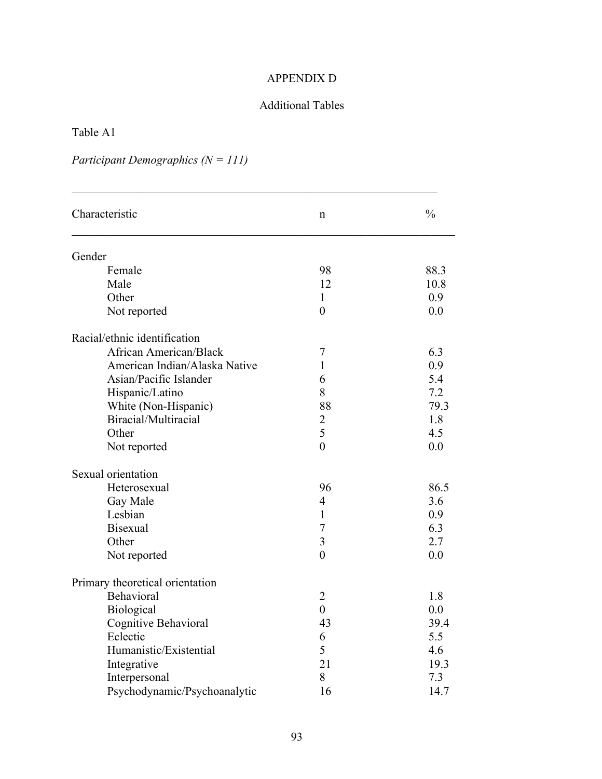### APPENDIX D

### Additional Tables

Table A1

# *Participant Demographics (N = 111)*

| Characteristic                  | n                | $\frac{0}{0}$ |
|---------------------------------|------------------|---------------|
| Gender                          |                  |               |
| Female                          | 98               | 88.3          |
| Male                            | 12               | 10.8          |
| Other                           | 1                | 0.9           |
| Not reported                    | $\overline{0}$   | 0.0           |
| Racial/ethnic identification    |                  |               |
| <b>African American/Black</b>   | 7                | 6.3           |
| American Indian/Alaska Native   | $\mathbf{1}$     | 0.9           |
| Asian/Pacific Islander          | 6                | 5.4           |
| Hispanic/Latino                 | 8                | 7.2           |
| White (Non-Hispanic)            | 88               | 79.3          |
| Biracial/Multiracial            | $\overline{2}$   | 1.8           |
| Other                           | 5                | 4.5           |
| Not reported                    | $\overline{0}$   | 0.0           |
| Sexual orientation              |                  |               |
| Heterosexual                    | 96               | 86.5          |
| Gay Male                        | $\overline{4}$   | 3.6           |
| Lesbian                         | $\mathbf{1}$     | 0.9           |
| <b>Bisexual</b>                 | 7                | 6.3           |
| Other                           | $\overline{3}$   | 2.7           |
| Not reported                    | $\overline{0}$   | 0.0           |
| Primary theoretical orientation |                  |               |
| Behavioral                      | $\overline{2}$   | 1.8           |
| Biological                      | $\boldsymbol{0}$ | 0.0           |
| Cognitive Behavioral            | 43               | 39.4          |
| Eclectic                        | 6                | 5.5           |
| Humanistic/Existential          | 5                | 4.6           |
| Integrative                     | 21               | 19.3          |
| Interpersonal                   | 8                | 7.3           |
| Psychodynamic/Psychoanalytic    | 16               | 14.7          |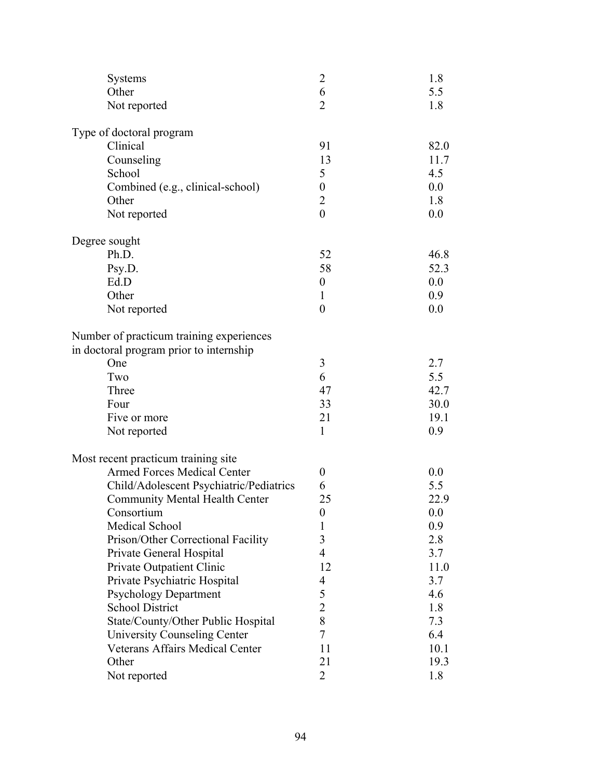| <b>Systems</b>                           | $\overline{2}$   | 1.8  |
|------------------------------------------|------------------|------|
| Other                                    | 6                | 5.5  |
| Not reported                             | $\overline{2}$   | 1.8  |
| Type of doctoral program                 |                  |      |
| Clinical                                 | 91               | 82.0 |
| Counseling                               | 13               | 11.7 |
| School                                   | 5                | 4.5  |
| Combined (e.g., clinical-school)         | $\boldsymbol{0}$ | 0.0  |
| Other                                    | $\overline{2}$   | 1.8  |
| Not reported                             | $\overline{0}$   | 0.0  |
| Degree sought                            |                  |      |
| Ph.D.                                    | 52               | 46.8 |
| Psy.D.                                   | 58               | 52.3 |
| Ed.D                                     | $\boldsymbol{0}$ | 0.0  |
| Other                                    | 1                | 0.9  |
| Not reported                             | $\boldsymbol{0}$ | 0.0  |
| Number of practicum training experiences |                  |      |
| in doctoral program prior to internship  |                  |      |
| One                                      | 3                | 2.7  |
| Two                                      | 6                | 5.5  |
| Three                                    | 47               | 42.7 |
| Four                                     | 33               | 30.0 |
| Five or more                             | 21               | 19.1 |
| Not reported                             | $\mathbf{1}$     | 0.9  |
| Most recent practicum training site      |                  |      |
| <b>Armed Forces Medical Center</b>       | $\boldsymbol{0}$ | 0.0  |
| Child/Adolescent Psychiatric/Pediatrics  | 6                | 5.5  |
| <b>Community Mental Health Center</b>    | 25               | 22.9 |
| Consortium                               | $\boldsymbol{0}$ | 0.0  |
| Medical School                           | 1                | 0.9  |
| Prison/Other Correctional Facility       | 3                | 2.8  |
| Private General Hospital                 | $\overline{4}$   | 3.7  |
| Private Outpatient Clinic                | 12               | 11.0 |
| Private Psychiatric Hospital             | $\overline{4}$   | 3.7  |
| <b>Psychology Department</b>             | 5                | 4.6  |
| <b>School District</b>                   | $\overline{2}$   | 1.8  |
| State/County/Other Public Hospital       | 8                | 7.3  |
| <b>University Counseling Center</b>      | 7                | 6.4  |
| Veterans Affairs Medical Center          | 11               | 10.1 |
| Other                                    | 21               | 19.3 |
| Not reported                             | $\overline{2}$   | 1.8  |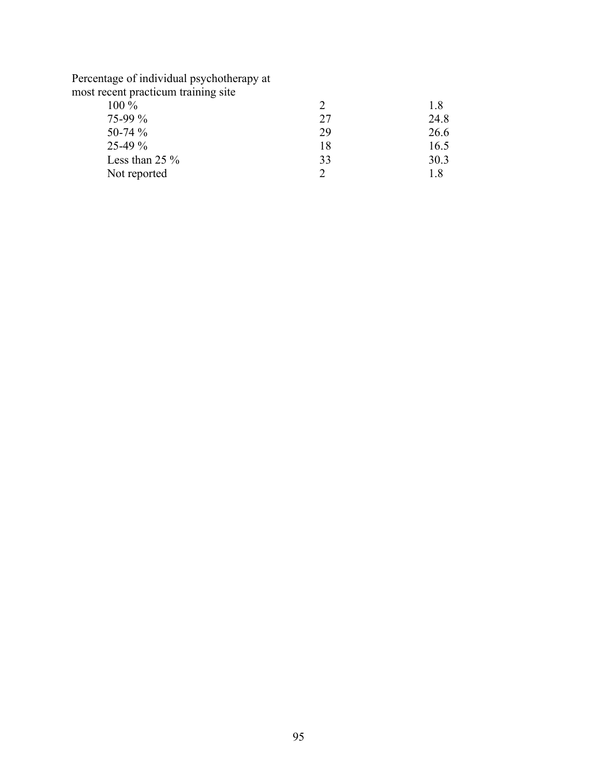Percentage of individual psychotherapy at most recent practicum training site

|    | 1.8  |
|----|------|
| 27 | 24.8 |
| 29 | 26.6 |
| 18 | 16.5 |
| 33 | 30.3 |
|    | 18   |
|    |      |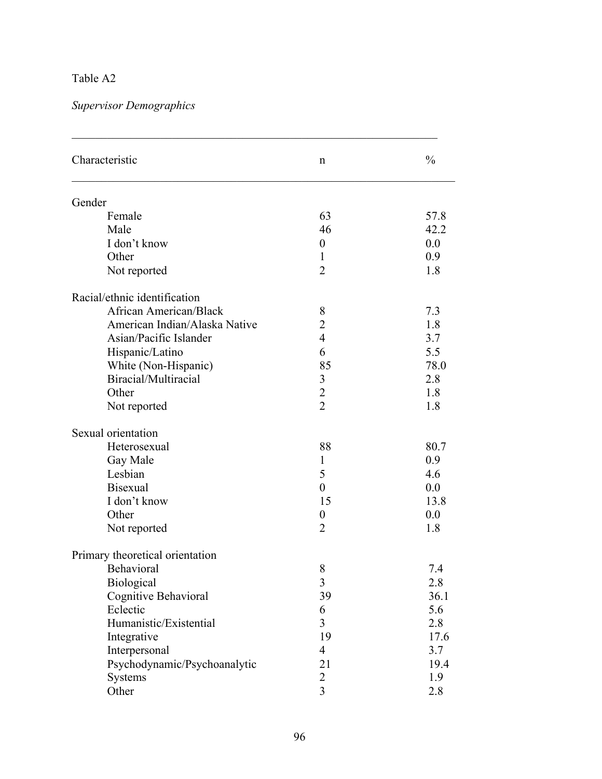## Table A2

*Supervisor Demographics* 

| Characteristic                  | n                | $\frac{0}{0}$ |
|---------------------------------|------------------|---------------|
| Gender                          |                  |               |
| Female                          | 63               | 57.8          |
| Male                            | 46               | 42.2          |
| I don't know                    | $\boldsymbol{0}$ | 0.0           |
| Other                           | $\mathbf{1}$     | 0.9           |
| Not reported                    | $\overline{2}$   | 1.8           |
| Racial/ethnic identification    |                  |               |
| African American/Black          | 8                | 7.3           |
| American Indian/Alaska Native   | $\overline{2}$   | 1.8           |
| Asian/Pacific Islander          | $\overline{4}$   | 3.7           |
| Hispanic/Latino                 | 6                | 5.5           |
| White (Non-Hispanic)            | 85               | 78.0          |
| Biracial/Multiracial            | 3                | 2.8           |
| Other                           | $\sqrt{2}$       | 1.8           |
| Not reported                    | $\overline{2}$   | 1.8           |
| Sexual orientation              |                  |               |
| Heterosexual                    | 88               | 80.7          |
| Gay Male                        | 1                | 0.9           |
| Lesbian                         | 5                | 4.6           |
| <b>Bisexual</b>                 | $\overline{0}$   | 0.0           |
| I don't know                    | 15               | 13.8          |
| Other                           | $\boldsymbol{0}$ | 0.0           |
| Not reported                    | $\overline{2}$   | 1.8           |
| Primary theoretical orientation |                  |               |
| Behavioral                      | 8                | 7.4           |
| Biological                      | 3                | 2.8           |
| Cognitive Behavioral            | 39               | 36.1          |
| Eclectic                        | 6                | 5.6           |
| Humanistic/Existential          | $\overline{3}$   | 2.8           |
| Integrative                     | 19               | 17.6          |
| Interpersonal                   | $\overline{4}$   | 3.7           |
| Psychodynamic/Psychoanalytic    | 21               | 19.4          |
| <b>Systems</b>                  | $\overline{c}$   | 1.9           |
| Other                           | $\overline{3}$   | 2.8           |

 $\mathcal{L}_\mathcal{L}$  , and the contribution of the contribution of the contribution of the contribution of the contribution of the contribution of the contribution of the contribution of the contribution of the contribution of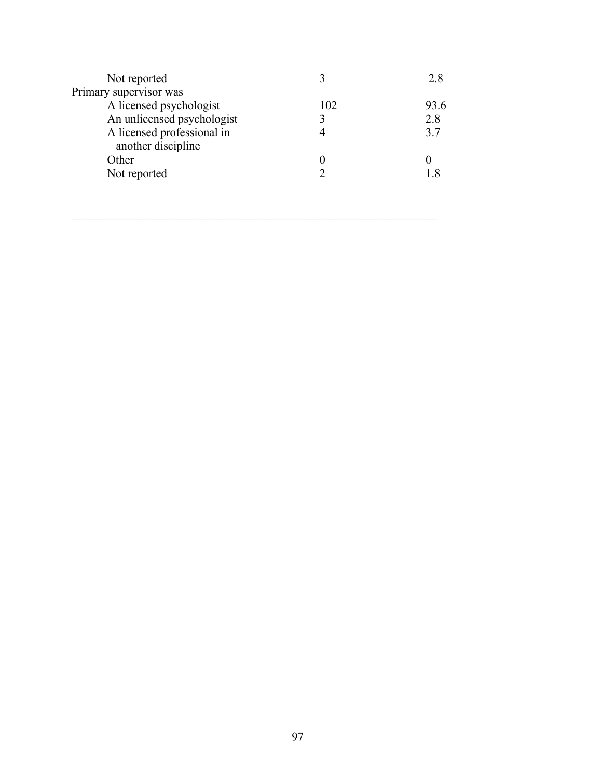| Not reported                                     |             | 2.8  |
|--------------------------------------------------|-------------|------|
| Primary supervisor was                           |             |      |
| A licensed psychologist                          | 102         | 93.6 |
| An unlicensed psychologist                       | $\mathbf 3$ | 2.8  |
| A licensed professional in<br>another discipline |             | 3.7  |
| Other                                            |             |      |
| Not reported                                     |             |      |
|                                                  |             |      |

 $\mathcal{L}_\mathcal{L}$  , and the contribution of the contribution of the contribution of the contribution of the contribution of the contribution of the contribution of the contribution of the contribution of the contribution of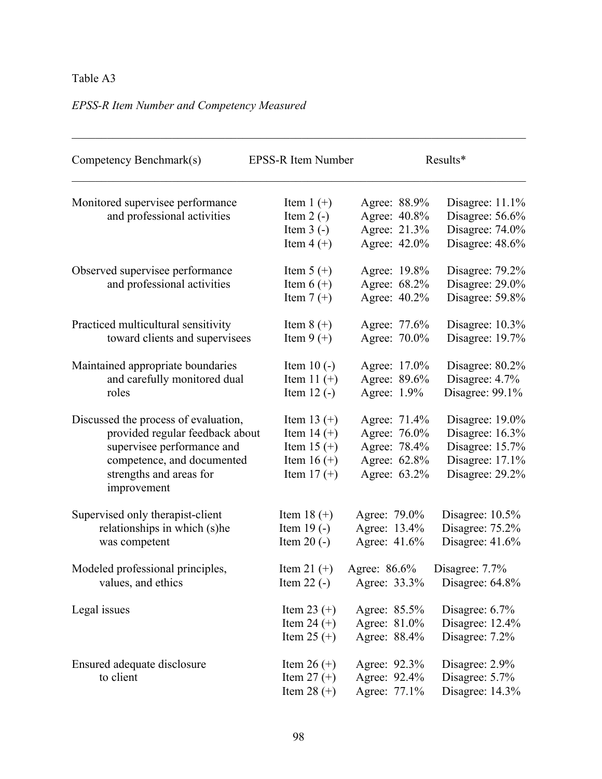## Table A3

# *EPSS-R Item Number and Competency Measured*

| Competency Benchmark(s)                                         | EPSS-R Item Number                         |                                              | Results*                                              |
|-----------------------------------------------------------------|--------------------------------------------|----------------------------------------------|-------------------------------------------------------|
| Monitored supervisee performance<br>and professional activities | Item $1 (+)$<br>Item $2(-)$<br>Item $3(-)$ | Agree: 88.9%<br>Agree: 40.8%<br>Agree: 21.3% | Disagree: 11.1%<br>Disagree: 56.6%<br>Disagree: 74.0% |
|                                                                 | Item $4 (+)$                               | Agree: 42.0%                                 | Disagree: 48.6%                                       |
| Observed supervisee performance                                 | Item $5 (+)$                               | Agree: 19.8%                                 | Disagree: 79.2%                                       |
| and professional activities                                     | Item $6 (+)$<br>Item $7 (+)$               | Agree: 68.2%<br>Agree: 40.2%                 | Disagree: 29.0%<br>Disagree: 59.8%                    |
| Practiced multicultural sensitivity                             | Item $8 (+)$                               | Agree: 77.6%                                 | Disagree: 10.3%                                       |
| toward clients and supervisees                                  | Item $9 (+)$                               | Agree: 70.0%                                 | Disagree: 19.7%                                       |
| Maintained appropriate boundaries                               | Item $10(-)$                               | Agree: 17.0%                                 | Disagree: 80.2%                                       |
| and carefully monitored dual                                    | Item 11 $(+)$                              | Agree: 89.6%                                 | Disagree: $4.7\%$                                     |
| roles                                                           | Item $12$ (-)                              | Agree: 1.9%                                  | Disagree: $99.1\%$                                    |
| Discussed the process of evaluation,                            | Item 13 $(+)$                              | Agree: 71.4%                                 | Disagree: 19.0%                                       |
| provided regular feedback about                                 | Item $14 (+)$                              | Agree: 76.0%                                 | Disagree: 16.3%                                       |
| supervisee performance and                                      | Item $15 (+)$                              | Agree: 78.4%                                 | Disagree: 15.7%                                       |
| competence, and documented                                      | Item 16 $(+)$                              | Agree: 62.8%                                 | Disagree: 17.1%                                       |
| strengths and areas for<br>improvement                          | Item $17 (+)$                              | Agree: 63.2%                                 | Disagree: 29.2%                                       |
| Supervised only therapist-client                                | Item $18 (+)$                              | Agree: 79.0%                                 | Disagree: $10.5%$                                     |
| relationships in which (s)he                                    | Item $19(-)$                               | Agree: 13.4%                                 | Disagree: 75.2%                                       |
| was competent                                                   | Item $20(-)$                               | Agree: 41.6%                                 | Disagree: $41.6%$                                     |
| Modeled professional principles,                                | Item 21 $(+)$                              | Agree: 86.6%                                 | Disagree: 7.7%                                        |
| values, and ethics                                              | Item $22$ (-)                              | Agree: 33.3%                                 | Disagree: 64.8%                                       |
| Legal issues                                                    | Item 23 $(+)$                              | Agree: 85.5%                                 | Disagree: $6.7\%$                                     |
|                                                                 | Item 24 $(+)$                              | Agree: 81.0%                                 | Disagree: 12.4%                                       |
|                                                                 | Item $25 (+)$                              | Agree: 88.4%                                 | Disagree: 7.2%                                        |
| Ensured adequate disclosure                                     | Item 26 $(+)$                              | Agree: 92.3%                                 | Disagree: 2.9%                                        |
| to client                                                       | Item $27 (+)$                              | Agree: 92.4%                                 | Disagree: 5.7%                                        |
|                                                                 | Item $28 (+)$                              | Agree: 77.1%                                 | Disagree: 14.3%                                       |

 $\_$  , and the contribution of the contribution of the contribution of the contribution of  $\mathcal{L}_\text{max}$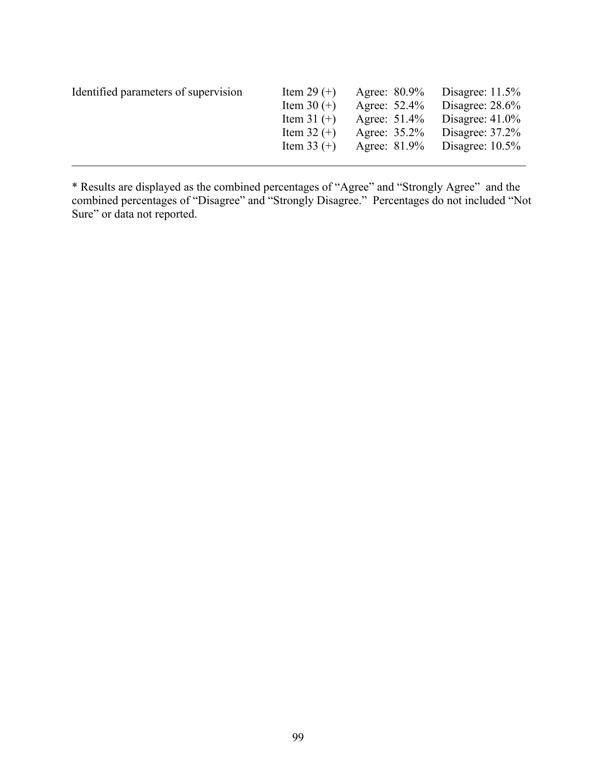| Identified parameters of supervision | Item 29 $(+)$ | Agree: 80.9% | Disagree: $11.5\%$ |
|--------------------------------------|---------------|--------------|--------------------|
|                                      | Item 30 $(+)$ | Agree: 52.4% | Disagree: $28.6\%$ |
|                                      | Item 31 $(+)$ | Agree: 51.4% | Disagree: $41.0\%$ |
|                                      | Item $32 (+)$ | Agree: 35.2% | Disagree: $37.2\%$ |
|                                      | Item 33 $(+)$ | Agree: 81.9% | Disagree: $10.5\%$ |
|                                      |               |              |                    |

\* Results are displayed as the combined percentages of "Agree" and "Strongly Agree" and the combined percentages of "Disagree" and "Strongly Disagree." Percentages do not included "Not Sure" or data not reported.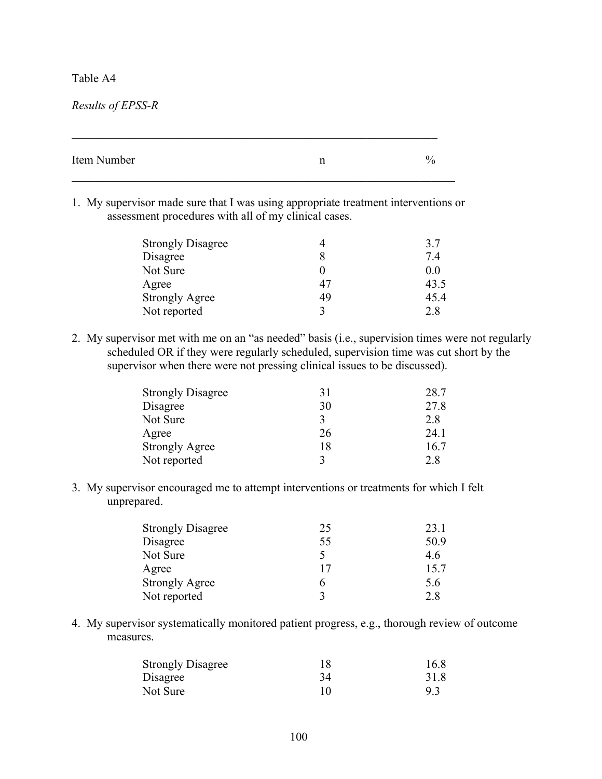### Table A4

*Results of EPSS-R* 

| Item Number | v,<br>′€ |
|-------------|----------|
|             |          |

 $\mathcal{L}_\mathcal{L}$  , and the contribution of the contribution of the contribution of the contribution of the contribution of the contribution of the contribution of the contribution of the contribution of the contribution of

1. My supervisor made sure that I was using appropriate treatment interventions or assessment procedures with all of my clinical cases.

| <b>Strongly Disagree</b> |             | 3.7  |
|--------------------------|-------------|------|
| Disagree                 |             | 7.4  |
| Not Sure                 |             | 0.0  |
| Agree                    | 47          | 43.5 |
| <b>Strongly Agree</b>    | 49          | 45.4 |
| Not reported             | $\mathbf 3$ | 2.8  |

2. My supervisor met with me on an "as needed" basis (i.e., supervision times were not regularly scheduled OR if they were regularly scheduled, supervision time was cut short by the supervisor when there were not pressing clinical issues to be discussed).

| <b>Strongly Disagree</b> | 31           | 28.7 |
|--------------------------|--------------|------|
| Disagree                 | 30           | 27.8 |
| Not Sure                 | $\mathbf{3}$ | 2.8  |
| Agree                    | 26           | 24 1 |
| <b>Strongly Agree</b>    | 18           | 16.7 |
| Not reported             | ζ            | 28   |

3. My supervisor encouraged me to attempt interventions or treatments for which I felt unprepared.

| <b>Strongly Disagree</b> | 25 | 23.1 |
|--------------------------|----|------|
| Disagree                 | 55 | 50.9 |
| Not Sure                 |    | 4.6  |
| Agree                    | 17 | 15.7 |
| <b>Strongly Agree</b>    | h  | 5.6  |
| Not reported             |    | 2.8  |

4. My supervisor systematically monitored patient progress, e.g., thorough review of outcome measures.

| <b>Strongly Disagree</b> | 18 | 16.8 |
|--------------------------|----|------|
| Disagree                 | 34 | 31.8 |
| Not Sure                 | 10 | 9.3  |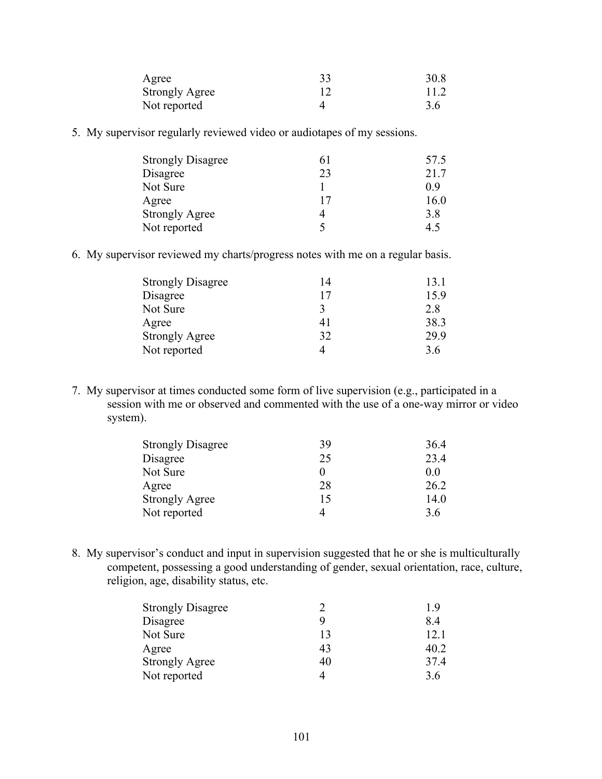| Agree                 | 33 | 30.8 |
|-----------------------|----|------|
| <b>Strongly Agree</b> |    | 11.2 |
| Not reported          |    | 3.6  |

5. My supervisor regularly reviewed video or audiotapes of my sessions.

| <b>Strongly Disagree</b> | 61 | 57.5 |
|--------------------------|----|------|
| Disagree                 | 23 | 21.7 |
| Not Sure                 |    | 09   |
| Agree                    | 17 | 16.0 |
| <b>Strongly Agree</b>    |    | 3.8  |
| Not reported             |    | 45   |

6. My supervisor reviewed my charts/progress notes with me on a regular basis.

| <b>Strongly Disagree</b> | 14 | 13.1 |
|--------------------------|----|------|
| Disagree                 | 17 | 15.9 |
| Not Sure                 |    | 2.8  |
| Agree                    | 41 | 38.3 |
| <b>Strongly Agree</b>    | 32 | 29.9 |
| Not reported             |    | 3.6  |
|                          |    |      |

7. My supervisor at times conducted some form of live supervision (e.g., participated in a session with me or observed and commented with the use of a one-way mirror or video system).

| <b>Strongly Disagree</b> | 39 | 36.4 |
|--------------------------|----|------|
| Disagree                 | 25 | 23.4 |
| Not Sure                 |    | 00   |
| Agree                    | 28 | 26.2 |
| <b>Strongly Agree</b>    | 15 | 14.0 |
| Not reported             | 4  | 3.6  |

8. My supervisor's conduct and input in supervision suggested that he or she is multiculturally competent, possessing a good understanding of gender, sexual orientation, race, culture, religion, age, disability status, etc.

|    | 1 Y  |
|----|------|
| Q  | 84   |
| 13 | 12.1 |
| 43 | 40.2 |
| 40 | 37.4 |
| 4  | 3.6  |
|    |      |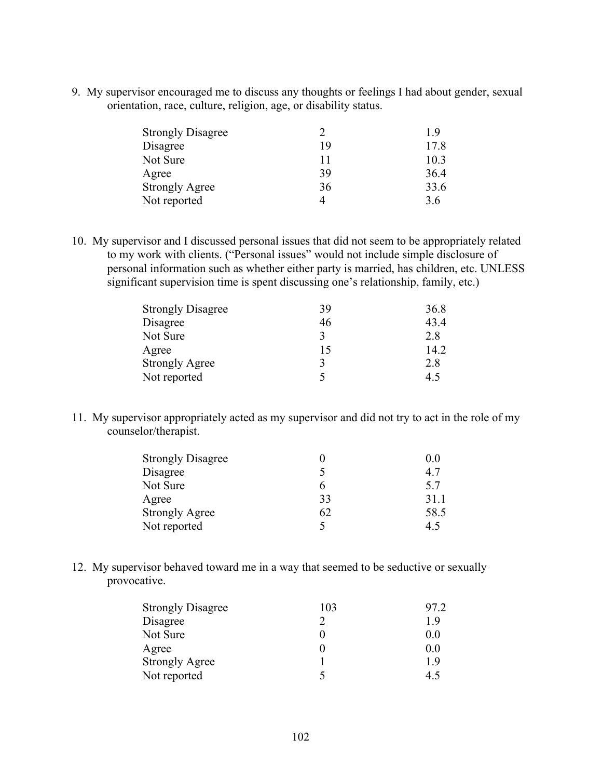9. My supervisor encouraged me to discuss any thoughts or feelings I had about gender, sexual orientation, race, culture, religion, age, or disability status.

| <b>Strongly Disagree</b> |    | 19   |
|--------------------------|----|------|
| Disagree                 | 19 | 17.8 |
| Not Sure                 | 11 | 10.3 |
| Agree                    | 39 | 36.4 |
| <b>Strongly Agree</b>    | 36 | 33.6 |
| Not reported             |    | 3.6  |

10. My supervisor and I discussed personal issues that did not seem to be appropriately related to my work with clients. ("Personal issues" would not include simple disclosure of personal information such as whether either party is married, has children, etc. UNLESS significant supervision time is spent discussing one's relationship, family, etc.)

| <b>Strongly Disagree</b> | 39 | 36.8 |
|--------------------------|----|------|
| Disagree                 | 46 | 43.4 |
| Not Sure                 | 3  | 2.8  |
| Agree                    | 15 | 14.2 |
| <b>Strongly Agree</b>    | 3  | 2.8  |
| Not reported             |    | 45   |

11. My supervisor appropriately acted as my supervisor and did not try to act in the role of my counselor/therapist.

| <b>Strongly Disagree</b> |    | 0.0  |
|--------------------------|----|------|
| Disagree                 |    | 47   |
| Not Sure                 | n  | 5.7  |
| Agree                    | 33 | 31.1 |
| <b>Strongly Agree</b>    | 62 | 58.5 |
| Not reported             | 5  | 45   |

12. My supervisor behaved toward me in a way that seemed to be seductive or sexually provocative.

| <b>Strongly Disagree</b> | 103               | 97 2 |
|--------------------------|-------------------|------|
| Disagree                 | ႒                 | 19   |
| Not Sure                 | $\mathbf{\Omega}$ | 0.0  |
| Agree                    | $\mathbf{\Omega}$ | 0.0  |
| <b>Strongly Agree</b>    |                   | 19   |
| Not reported             |                   | 45   |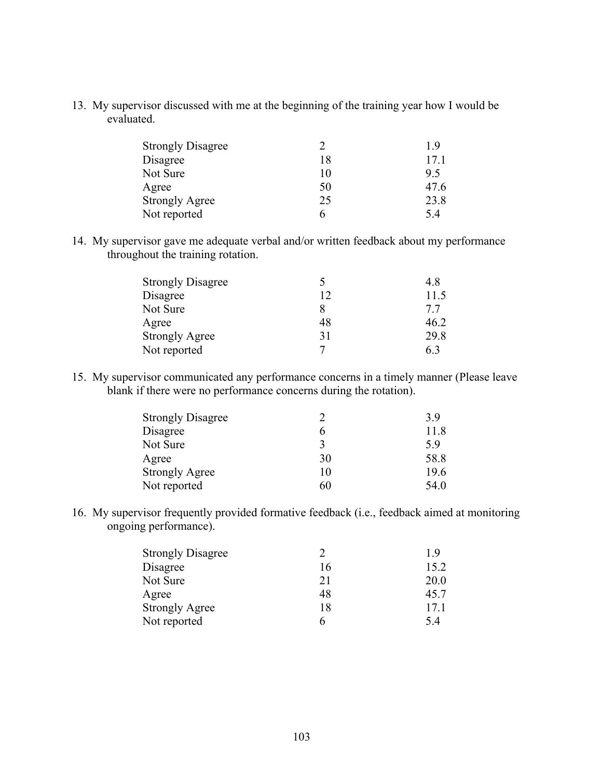13. My supervisor discussed with me at the beginning of the training year how I would be evaluated.

| <b>Strongly Disagree</b> |    | 19   |
|--------------------------|----|------|
| Disagree                 | 18 | 171  |
| Not Sure                 | 10 | 95   |
| Agree                    | 50 | 47.6 |
| <b>Strongly Agree</b>    | 25 | 23.8 |
| Not reported             | 6  | 54   |

14. My supervisor gave me adequate verbal and/or written feedback about my performance throughout the training rotation.

| <b>Strongly Disagree</b> |    | 4.8  |
|--------------------------|----|------|
| Disagree                 | 12 | 11.5 |
| Not Sure                 |    | 77   |
| Agree                    | 48 | 46.2 |
| <b>Strongly Agree</b>    | 31 | 29.8 |
| Not reported             |    | 63   |

15. My supervisor communicated any performance concerns in a timely manner (Please leave blank if there were no performance concerns during the rotation).

| <b>Strongly Disagree</b> |    | 3.9  |
|--------------------------|----|------|
| Disagree                 |    | 11.8 |
| Not Sure                 |    | 5.9  |
| Agree                    | 30 | 58.8 |
| <b>Strongly Agree</b>    | 10 | 19.6 |
| Not reported             | 60 | 54.0 |

16. My supervisor frequently provided formative feedback (i.e., feedback aimed at monitoring ongoing performance).

| <b>Strongly Disagree</b> |    | 19   |
|--------------------------|----|------|
| Disagree                 | 16 | 15.2 |
| Not Sure                 | 21 | 20.0 |
| Agree                    | 48 | 45.7 |
| <b>Strongly Agree</b>    | 18 | 17.1 |
| Not reported             | h  | 54   |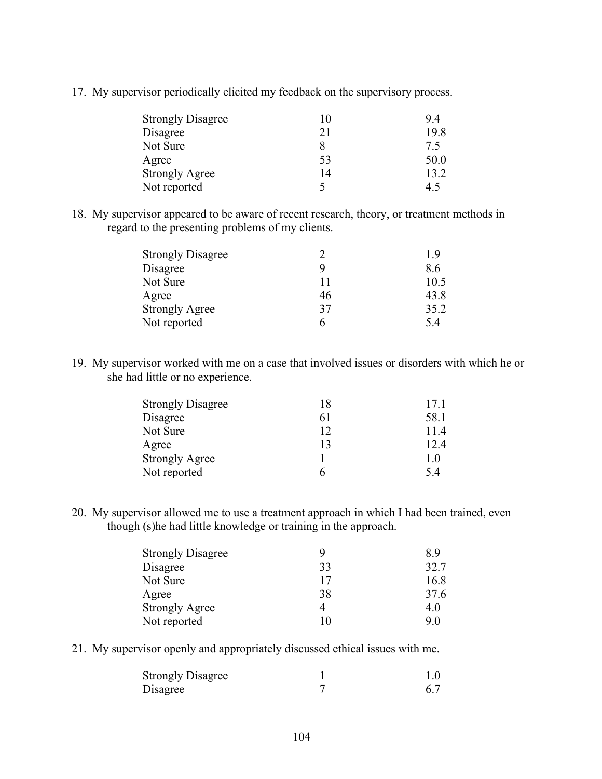17. My supervisor periodically elicited my feedback on the supervisory process.

| <b>Strongly Disagree</b> |    | 9.4  |
|--------------------------|----|------|
| Disagree                 | 21 | 19.8 |
| Not Sure                 |    | 75   |
| Agree                    | 53 | 50.0 |
| <b>Strongly Agree</b>    | 14 | 13.2 |
| Not reported             |    | 4.5  |

18. My supervisor appeared to be aware of recent research, theory, or treatment methods in regard to the presenting problems of my clients.

| <b>Strongly Disagree</b> |    | 19   |
|--------------------------|----|------|
| Disagree                 |    | 8.6  |
| Not Sure                 | 11 | 10.5 |
| Agree                    | 46 | 43.8 |
| <b>Strongly Agree</b>    | 37 | 35.2 |
| Not reported             | h  | 54   |
|                          |    |      |

19. My supervisor worked with me on a case that involved issues or disorders with which he or she had little or no experience.

| <b>Strongly Disagree</b> | 18 | 17.1 |
|--------------------------|----|------|
| Disagree                 | 61 | 58.1 |
| Not Sure                 | 12 | 114  |
| Agree                    | 13 | 12.4 |
| <b>Strongly Agree</b>    |    | 1.0  |
| Not reported             |    | 54   |

20. My supervisor allowed me to use a treatment approach in which I had been trained, even though (s)he had little knowledge or training in the approach.

| <b>Strongly Disagree</b> |    | 89   |
|--------------------------|----|------|
| Disagree                 | 33 | 32.7 |
| Not Sure                 | 17 | 16.8 |
| Agree                    | 38 | 37.6 |
| <b>Strongly Agree</b>    | 4  | 40   |
| Not reported             | 10 | 90   |

21. My supervisor openly and appropriately discussed ethical issues with me.

| <b>Strongly Disagree</b> | $1.0\,$ |
|--------------------------|---------|
| Disagree                 |         |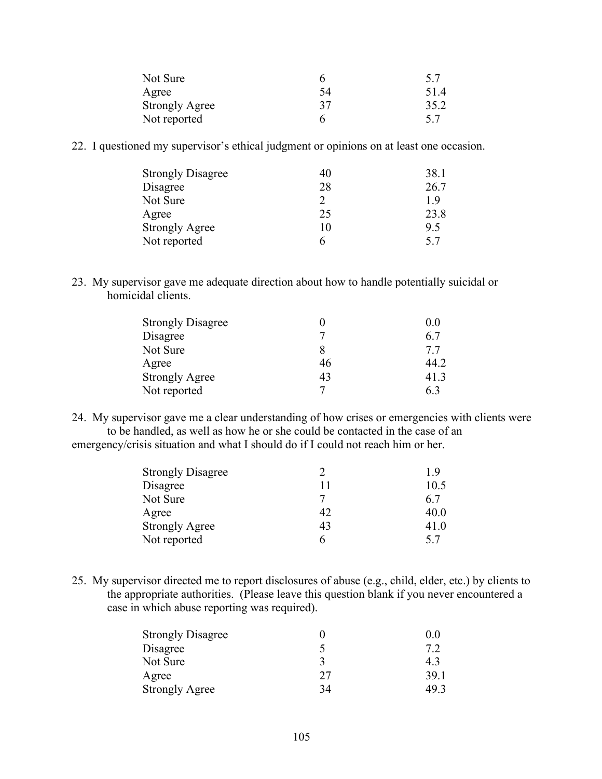| Not Sure              |    | 5.7  |
|-----------------------|----|------|
| Agree                 | 54 | 51.4 |
| <b>Strongly Agree</b> | 37 | 35.2 |
| Not reported          |    | 57   |

22. I questioned my supervisor's ethical judgment or opinions on at least one occasion.

| <b>Strongly Disagree</b> | 40 | 38.1 |
|--------------------------|----|------|
| Disagree                 | 28 | 26.7 |
| Not Sure                 | っ  | 19   |
| Agree                    | 25 | 23.8 |
| <b>Strongly Agree</b>    | 10 | 95   |
| Not reported             |    | 5.7  |

23. My supervisor gave me adequate direction about how to handle potentially suicidal or homicidal clients.

| <b>Strongly Disagree</b> |    | 0.0  |
|--------------------------|----|------|
| Disagree                 |    | 6.7  |
| Not Sure                 |    | 77   |
| Agree                    | 46 | 44 2 |
| <b>Strongly Agree</b>    | 43 | 41.3 |
| Not reported             |    | 63   |

24. My supervisor gave me a clear understanding of how crises or emergencies with clients were to be handled, as well as how he or she could be contacted in the case of an emergency/crisis situation and what I should do if I could not reach him or her.

| <b>Strongly Disagree</b> |    | 1 Y  |
|--------------------------|----|------|
| Disagree                 | 11 | 10.5 |
| Not Sure                 |    | 67   |
| Agree                    | 42 | 40.0 |
| <b>Strongly Agree</b>    | 43 | 41.0 |
| Not reported             | 6  | 57   |

25. My supervisor directed me to report disclosures of abuse (e.g., child, elder, etc.) by clients to the appropriate authorities. (Please leave this question blank if you never encountered a case in which abuse reporting was required).

| <b>Strongly Disagree</b> |    | $\theta$ $\theta$ |
|--------------------------|----|-------------------|
| Disagree                 |    |                   |
| Not Sure                 |    | 43                |
| Agree                    | 27 | 39.1              |
| <b>Strongly Agree</b>    | 34 | 49.3              |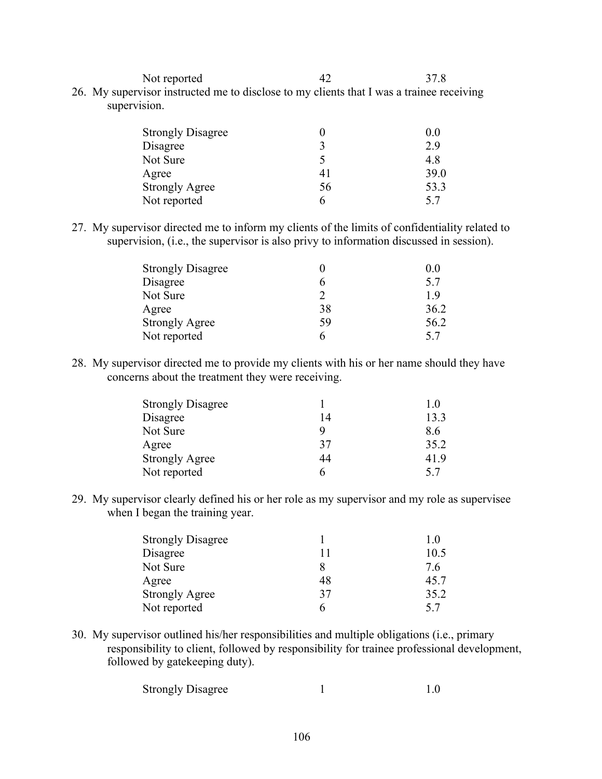Not reported 42 37.8

26. My supervisor instructed me to disclose to my clients that I was a trainee receiving supervision.

| <b>Strongly Disagree</b> |     | 0.0  |
|--------------------------|-----|------|
| Disagree                 |     | 2.9  |
| Not Sure                 |     | 48   |
| Agree                    | 4 I | 39.0 |
| <b>Strongly Agree</b>    | 56  | 53.3 |
| Not reported             | n   | 57   |

27. My supervisor directed me to inform my clients of the limits of confidentiality related to supervision, (i.e., the supervisor is also privy to information discussed in session).

| <b>Strongly Disagree</b> |    | 0.0  |
|--------------------------|----|------|
| Disagree                 |    | 5.7  |
| Not Sure                 |    | 19   |
| Agree                    | 38 | 36.2 |
| <b>Strongly Agree</b>    | 59 | 56.2 |
| Not reported             |    | 57   |

28. My supervisor directed me to provide my clients with his or her name should they have concerns about the treatment they were receiving.

| <b>Strongly Disagree</b> |    |      |
|--------------------------|----|------|
| Disagree                 | 14 | 13.3 |
| Not Sure                 |    | 86   |
| Agree                    | 37 | 35.2 |
| <b>Strongly Agree</b>    | 44 | 419  |
| Not reported             |    | 57   |

29. My supervisor clearly defined his or her role as my supervisor and my role as supervisee when I began the training year.

| <b>Strongly Disagree</b> |    | 10   |
|--------------------------|----|------|
| Disagree                 | Ħ  | 10.5 |
| Not Sure                 |    | 76   |
| Agree                    | 48 | 45.7 |
| <b>Strongly Agree</b>    | 37 | 35.2 |
| Not reported             |    | 57   |

30. My supervisor outlined his/her responsibilities and multiple obligations (i.e., primary responsibility to client, followed by responsibility for trainee professional development, followed by gatekeeping duty).

| <b>Strongly Disagree</b> |  |  |
|--------------------------|--|--|
|--------------------------|--|--|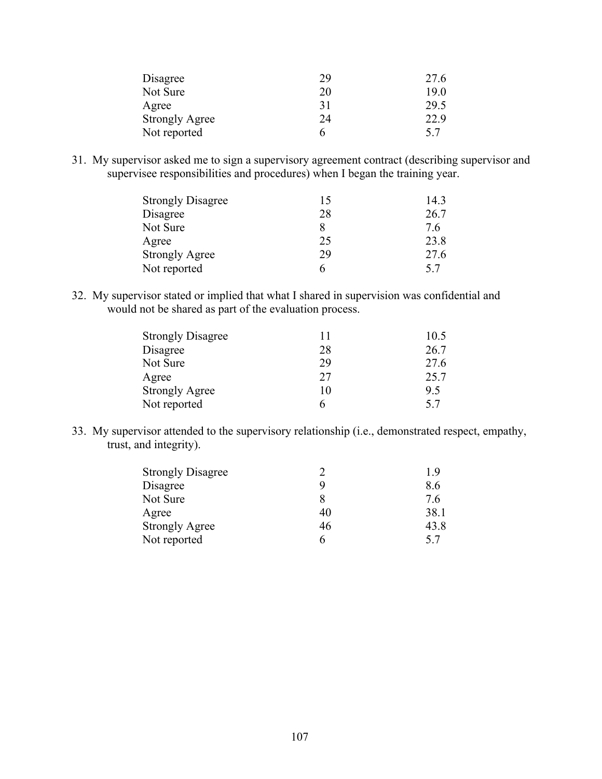| Disagree              | 29 | 27.6 |
|-----------------------|----|------|
| Not Sure              | 20 | 19.0 |
| Agree                 | 31 | 29.5 |
| <b>Strongly Agree</b> | 24 | 22.9 |
| Not reported          | h  | 5.7  |

31. My supervisor asked me to sign a supervisory agreement contract (describing supervisor and supervisee responsibilities and procedures) when I began the training year.

| <b>Strongly Disagree</b> | 15 | 14.3 |
|--------------------------|----|------|
| Disagree                 | 28 | 26.7 |
| Not Sure                 |    | 76   |
| Agree                    | 25 | 23.8 |
| <b>Strongly Agree</b>    | 29 | 27.6 |
| Not reported             | 6  | 57   |

32. My supervisor stated or implied that what I shared in supervision was confidential and would not be shared as part of the evaluation process.

| 11 | 10.5 |
|----|------|
| 28 | 26.7 |
| 29 | 27.6 |
| 27 | 25.7 |
| 10 | 9.5  |
| 6  | 57   |
|    |      |

33. My supervisor attended to the supervisory relationship (i.e., demonstrated respect, empathy, trust, and integrity).

| <b>Strongly Disagree</b> |    | 19   |
|--------------------------|----|------|
| Disagree                 | Q  | 8.6  |
| Not Sure                 |    | 76   |
| Agree                    | 40 | 38.1 |
| <b>Strongly Agree</b>    | 46 | 43.8 |
| Not reported             | 6  | 57   |
|                          |    |      |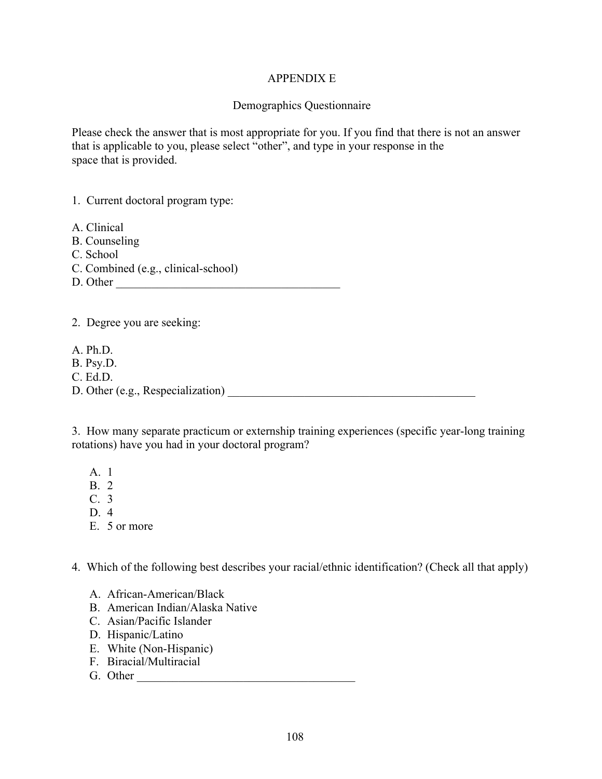#### APPENDIX E

#### Demographics Questionnaire

Please check the answer that is most appropriate for you. If you find that there is not an answer that is applicable to you, please select "other", and type in your response in the space that is provided.

1. Current doctoral program type:

A. Clinical

- B. Counseling
- C. School
- C. Combined (e.g., clinical-school)
- D. Other \_\_\_\_\_\_\_\_\_\_\_\_\_\_\_\_\_\_\_\_\_\_\_\_\_\_\_\_\_\_\_\_\_\_\_\_\_\_

2. Degree you are seeking:

- A. Ph.D.
- B. Psy.D.
- C. Ed.D.

D. Other (e.g., Respecialization)

3. How many separate practicum or externship training experiences (specific year-long training rotations) have you had in your doctoral program?

- A. 1
- B. 2
- C. 3
- $D \quad 4$
- E. 5 or more

4. Which of the following best describes your racial/ethnic identification? (Check all that apply)

- A. African-American/Black
- B. American Indian/Alaska Native
- C. Asian/Pacific Islander
- D. Hispanic/Latino
- E. White (Non-Hispanic)
- F. Biracial/Multiracial
- G. Other \_\_\_\_\_\_\_\_\_\_\_\_\_\_\_\_\_\_\_\_\_\_\_\_\_\_\_\_\_\_\_\_\_\_\_\_\_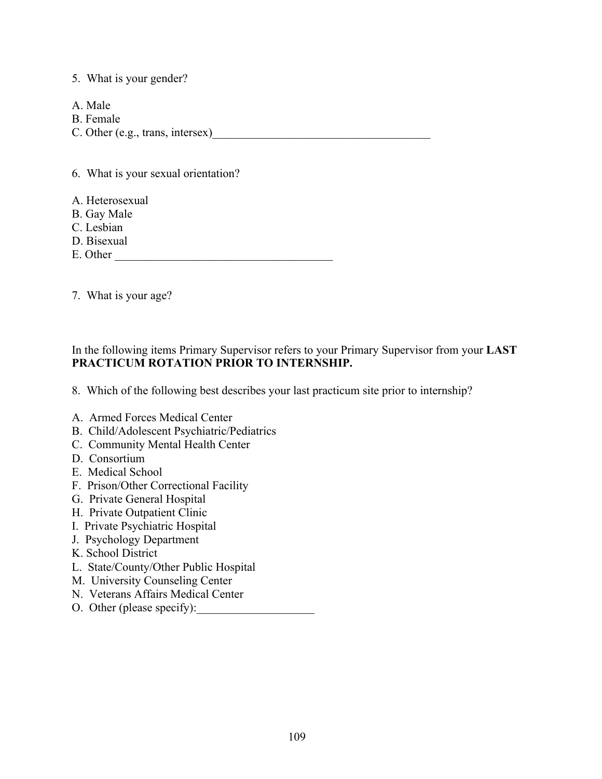### 5. What is your gender?

- A. Male
- B. Female
- C. Other (e.g., trans, intersex)

6. What is your sexual orientation?

- A. Heterosexual
- B. Gay Male
- C. Lesbian
- D. Bisexual
- E. Other
- 7. What is your age?

In the following items Primary Supervisor refers to your Primary Supervisor from your **LAST PRACTICUM ROTATION PRIOR TO INTERNSHIP.**

8. Which of the following best describes your last practicum site prior to internship?

- A. Armed Forces Medical Center
- B. Child/Adolescent Psychiatric/Pediatrics
- C. Community Mental Health Center
- D. Consortium
- E. Medical School
- F. Prison/Other Correctional Facility
- G. Private General Hospital
- H. Private Outpatient Clinic
- I. Private Psychiatric Hospital
- J. Psychology Department
- K. School District
- L. State/County/Other Public Hospital
- M. University Counseling Center
- N. Veterans Affairs Medical Center
- O. Other (please specify):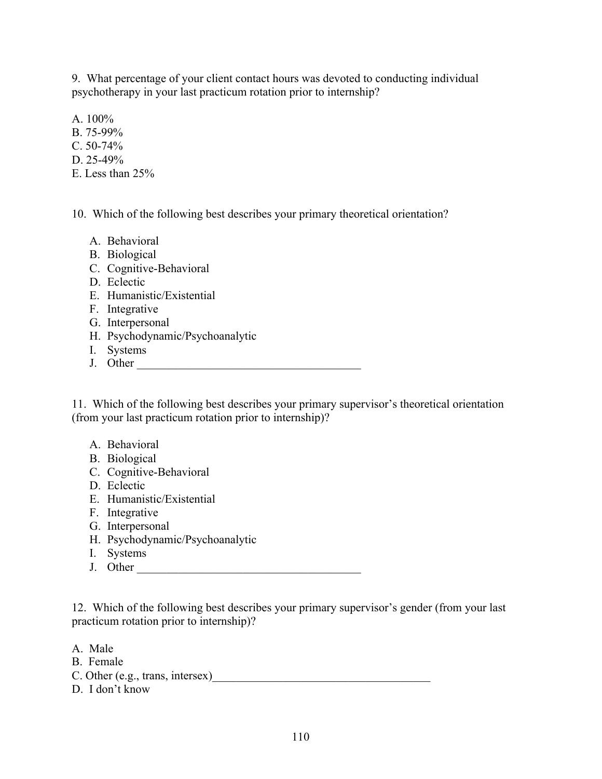9. What percentage of your client contact hours was devoted to conducting individual psychotherapy in your last practicum rotation prior to internship?

A. 100%

- B. 75-99%
- C. 50-74%
- D. 25-49%
- E. Less than 25%

10. Which of the following best describes your primary theoretical orientation?

- A. Behavioral
- B. Biological
- C. Cognitive-Behavioral
- D. Eclectic
- E. Humanistic/Existential
- F. Integrative
- G. Interpersonal
- H. Psychodynamic/Psychoanalytic
- I. Systems
- I. Systems<br>J. Other

11. Which of the following best describes your primary supervisor's theoretical orientation (from your last practicum rotation prior to internship)?

- A. Behavioral
- B. Biological
- C. Cognitive-Behavioral
- D. Eclectic
- E. Humanistic/Existential
- F. Integrative
- G. Interpersonal
- H. Psychodynamic/Psychoanalytic
- I. Systems
- J. Other \_\_\_\_\_\_\_\_\_\_\_\_\_\_\_\_\_\_\_\_\_\_\_\_\_\_\_\_\_\_\_\_\_\_\_\_\_\_

12. Which of the following best describes your primary supervisor's gender (from your last practicum rotation prior to internship)?

- A. Male
- B. Female
- C. Other (e.g., trans, intersex)
- D. I don't know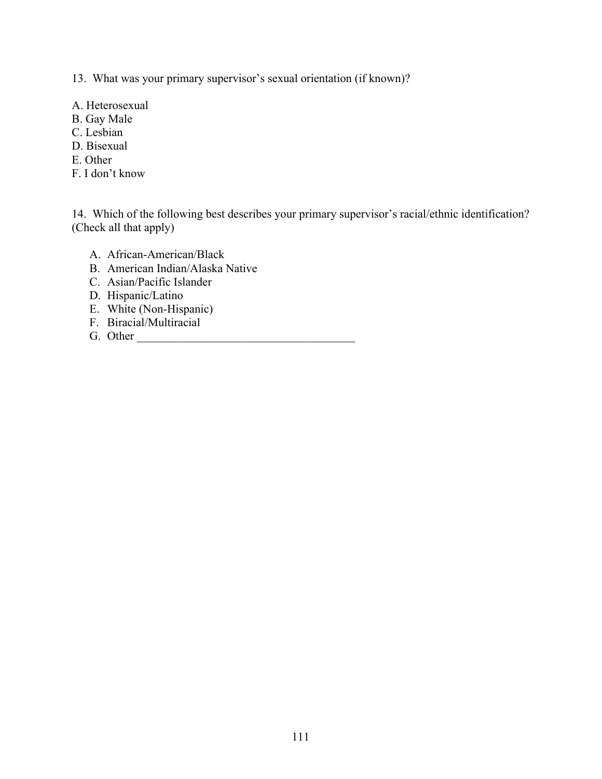13. What was your primary supervisor's sexual orientation (if known)?

- A. Heterosexual
- B. Gay Male
- C. Lesbian
- D. Bisexual
- E. Other
- F. I don't know

14. Which of the following best describes your primary supervisor's racial/ethnic identification? (Check all that apply)

- A. African-American/Black
- B. American Indian/Alaska Native
- C. Asian/Pacific Islander
- D. Hispanic/Latino
- E. White (Non-Hispanic)
- F. Biracial/Multiracial
- G. Other \_\_\_\_\_\_\_\_\_\_\_\_\_\_\_\_\_\_\_\_\_\_\_\_\_\_\_\_\_\_\_\_\_\_\_\_\_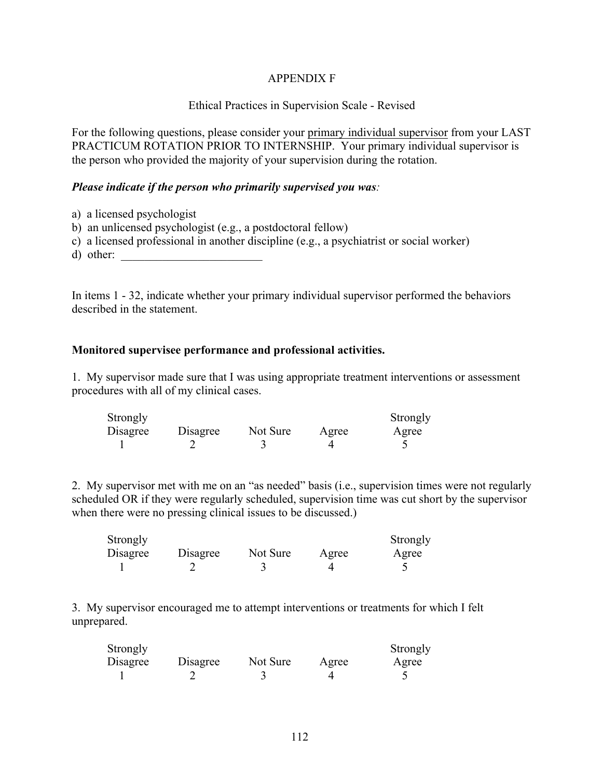### APPENDIX F

### Ethical Practices in Supervision Scale - Revised

For the following questions, please consider your primary individual supervisor from your LAST PRACTICUM ROTATION PRIOR TO INTERNSHIP. Your primary individual supervisor is the person who provided the majority of your supervision during the rotation.

#### *Please indicate if the person who primarily supervised you was:*

- a) a licensed psychologist
- b) an unlicensed psychologist (e.g., a postdoctoral fellow)
- c) a licensed professional in another discipline (e.g., a psychiatrist or social worker)
- d) other:

In items 1 - 32, indicate whether your primary individual supervisor performed the behaviors described in the statement.

#### **Monitored supervisee performance and professional activities.**

1. My supervisor made sure that I was using appropriate treatment interventions or assessment procedures with all of my clinical cases.

| Strongly |          |          |       | Strongly |
|----------|----------|----------|-------|----------|
| Disagree | Disagree | Not Sure | Agree | Agree    |
|          |          |          |       |          |

2. My supervisor met with me on an "as needed" basis (i.e., supervision times were not regularly scheduled OR if they were regularly scheduled, supervision time was cut short by the supervisor when there were no pressing clinical issues to be discussed.)

| Strongly |          |          |       | Strongly |
|----------|----------|----------|-------|----------|
| Disagree | Disagree | Not Sure | Agree | Agree    |
|          |          |          |       |          |

3. My supervisor encouraged me to attempt interventions or treatments for which I felt unprepared.

| Strongly |          |          |       | Strongly |
|----------|----------|----------|-------|----------|
| Disagree | Disagree | Not Sure | Agree | Agree    |
|          |          |          |       |          |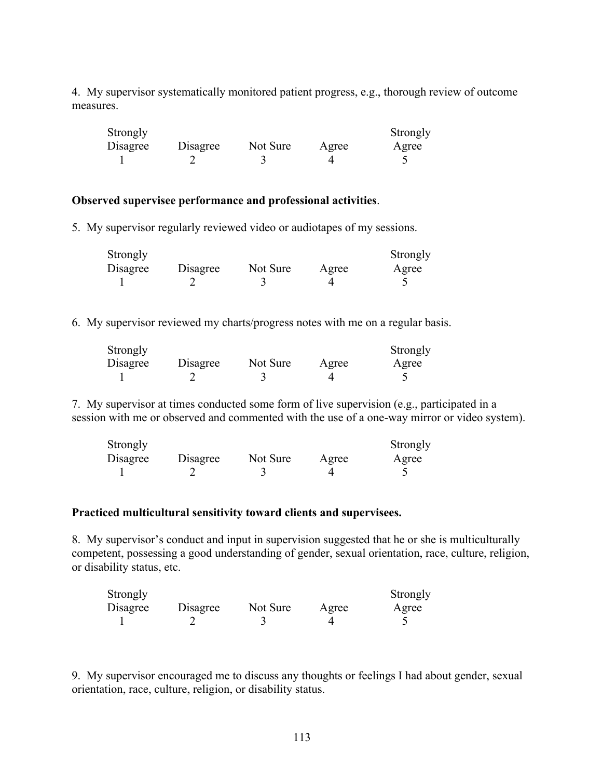4. My supervisor systematically monitored patient progress, e.g., thorough review of outcome measures.

| Strongly |          |          |       | Strongly |
|----------|----------|----------|-------|----------|
| Disagree | Disagree | Not Sure | Agree | Agree    |
|          |          |          |       |          |

#### **Observed supervisee performance and professional activities**.

5. My supervisor regularly reviewed video or audiotapes of my sessions.

| Strongly |          |          |       | Strongly |
|----------|----------|----------|-------|----------|
| Disagree | Disagree | Not Sure | Agree | Agree    |
|          |          |          |       |          |

6. My supervisor reviewed my charts/progress notes with me on a regular basis.

| Strongly |          |          |       | Strongly |
|----------|----------|----------|-------|----------|
| Disagree | Disagree | Not Sure | Agree | Agree    |
|          |          |          |       |          |

7. My supervisor at times conducted some form of live supervision (e.g., participated in a session with me or observed and commented with the use of a one-way mirror or video system).

| Strongly |          |          |       | Strongly |
|----------|----------|----------|-------|----------|
| Disagree | Disagree | Not Sure | Agree | Agree    |
|          |          |          |       |          |

#### **Practiced multicultural sensitivity toward clients and supervisees.**

8. My supervisor's conduct and input in supervision suggested that he or she is multiculturally competent, possessing a good understanding of gender, sexual orientation, race, culture, religion, or disability status, etc.

| Strongly |          |          |       | Strongly |
|----------|----------|----------|-------|----------|
| Disagree | Disagree | Not Sure | Agree | Agree    |
|          |          |          |       |          |

9. My supervisor encouraged me to discuss any thoughts or feelings I had about gender, sexual orientation, race, culture, religion, or disability status.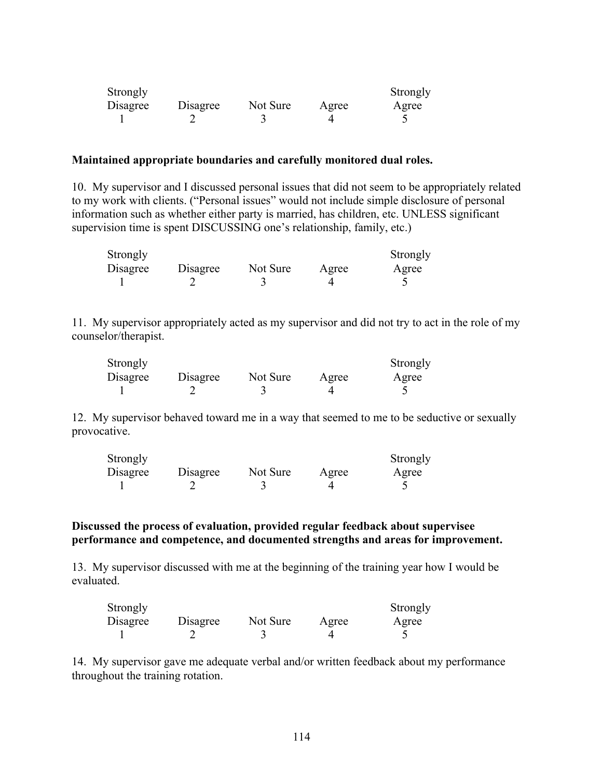| Strongly |          |          |       | Strongly |
|----------|----------|----------|-------|----------|
| Disagree | Disagree | Not Sure | Agree | Agree    |
|          |          |          |       |          |

#### **Maintained appropriate boundaries and carefully monitored dual roles.**

10. My supervisor and I discussed personal issues that did not seem to be appropriately related to my work with clients. ("Personal issues" would not include simple disclosure of personal information such as whether either party is married, has children, etc. UNLESS significant supervision time is spent DISCUSSING one's relationship, family, etc.)

| Strongly |          |          |       | Strongly |
|----------|----------|----------|-------|----------|
| Disagree | Disagree | Not Sure | Agree | Agree    |
|          |          |          |       |          |

11. My supervisor appropriately acted as my supervisor and did not try to act in the role of my counselor/therapist.

| Strongly |          |          |       | Strongly |
|----------|----------|----------|-------|----------|
| Disagree | Disagree | Not Sure | Agree | Agree    |
|          |          |          |       |          |

12. My supervisor behaved toward me in a way that seemed to me to be seductive or sexually provocative.

| Strongly |          |          |       | Strongly |
|----------|----------|----------|-------|----------|
| Disagree | Disagree | Not Sure | Agree | Agree    |
|          |          |          |       |          |

#### **Discussed the process of evaluation, provided regular feedback about supervisee performance and competence, and documented strengths and areas for improvement.**

13. My supervisor discussed with me at the beginning of the training year how I would be evaluated.

| Strongly |          |          |       | Strongly |
|----------|----------|----------|-------|----------|
| Disagree | Disagree | Not Sure | Agree | Agree    |
|          |          |          |       |          |

14. My supervisor gave me adequate verbal and/or written feedback about my performance throughout the training rotation.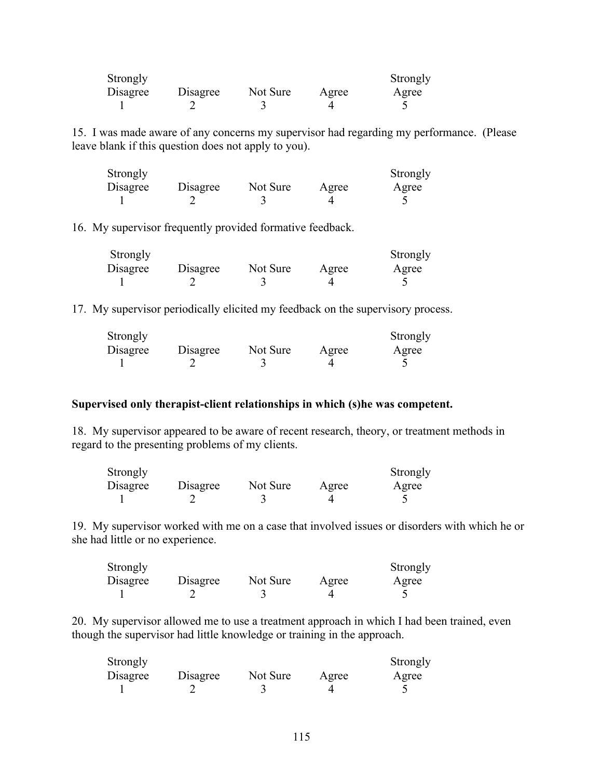| Strongly |          |          |       | Strongly |
|----------|----------|----------|-------|----------|
| Disagree | Disagree | Not Sure | Agree | Agree    |
|          |          |          |       |          |

15. I was made aware of any concerns my supervisor had regarding my performance. (Please leave blank if this question does not apply to you).

| Strongly |          |          |       | Strongly |
|----------|----------|----------|-------|----------|
| Disagree | Disagree | Not Sure | Agree | Agree    |
|          |          |          |       |          |

16. My supervisor frequently provided formative feedback.

| Strongly |          |          |       | Strongly |
|----------|----------|----------|-------|----------|
| Disagree | Disagree | Not Sure | Agree | Agree    |
|          |          |          |       |          |

17. My supervisor periodically elicited my feedback on the supervisory process.

| Strongly |          |          |       | Strongly |
|----------|----------|----------|-------|----------|
| Disagree | Disagree | Not Sure | Agree | Agree    |
|          |          |          |       |          |

#### **Supervised only therapist-client relationships in which (s)he was competent.**

18. My supervisor appeared to be aware of recent research, theory, or treatment methods in regard to the presenting problems of my clients.

| Strongly |          |          |       | Strongly |
|----------|----------|----------|-------|----------|
| Disagree | Disagree | Not Sure | Agree | Agree    |
|          |          |          |       |          |

19. My supervisor worked with me on a case that involved issues or disorders with which he or she had little or no experience.

| Strongly |          |          |       | Strongly |
|----------|----------|----------|-------|----------|
| Disagree | Disagree | Not Sure | Agree | Agree    |
|          |          |          |       |          |

20. My supervisor allowed me to use a treatment approach in which I had been trained, even though the supervisor had little knowledge or training in the approach.

| Strongly |          |          |       | Strongly |
|----------|----------|----------|-------|----------|
| Disagree | Disagree | Not Sure | Agree | Agree    |
|          |          |          |       |          |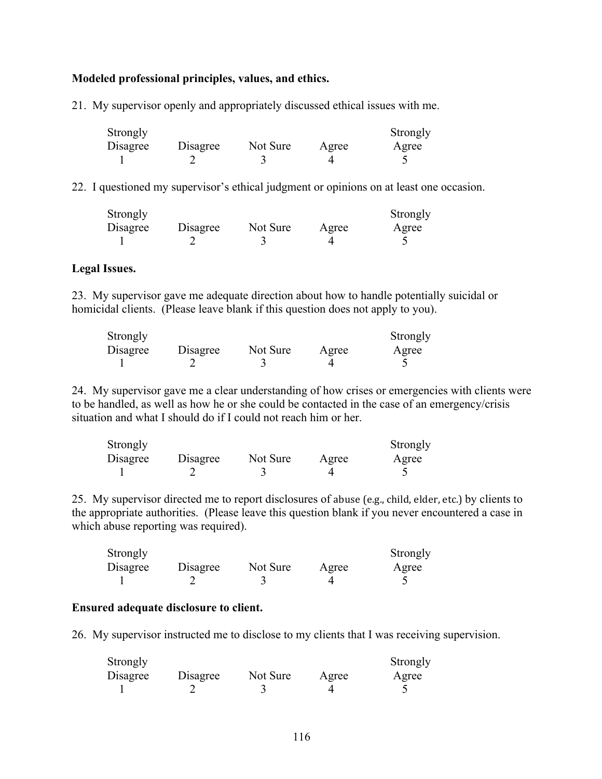#### **Modeled professional principles, values, and ethics.**

21. My supervisor openly and appropriately discussed ethical issues with me.

| Strongly |          |          |       | Strongly |
|----------|----------|----------|-------|----------|
| Disagree | Disagree | Not Sure | Agree | Agree    |
|          |          |          |       |          |

22. I questioned my supervisor's ethical judgment or opinions on at least one occasion.

| Strongly |          |          |       | Strongly |
|----------|----------|----------|-------|----------|
| Disagree | Disagree | Not Sure | Agree | Agree    |
|          |          |          |       |          |

#### **Legal Issues.**

23. My supervisor gave me adequate direction about how to handle potentially suicidal or homicidal clients. (Please leave blank if this question does not apply to you).

| Strongly |          |          |       | Strongly |
|----------|----------|----------|-------|----------|
| Disagree | Disagree | Not Sure | Agree | Agree    |
|          |          |          |       |          |

24. My supervisor gave me a clear understanding of how crises or emergencies with clients were to be handled, as well as how he or she could be contacted in the case of an emergency/crisis situation and what I should do if I could not reach him or her.

| Strongly |          |          |       | Strongly |
|----------|----------|----------|-------|----------|
| Disagree | Disagree | Not Sure | Agree | Agree    |
|          |          |          |       |          |

25. My supervisor directed me to report disclosures of abuse (e.g., child, elder, etc.) by clients to the appropriate authorities. (Please leave this question blank if you never encountered a case in which abuse reporting was required).

| Strongly |          |          |       | Strongly |
|----------|----------|----------|-------|----------|
| Disagree | Disagree | Not Sure | Agree | Agree    |
|          |          |          |       |          |

#### **Ensured adequate disclosure to client.**

26. My supervisor instructed me to disclose to my clients that I was receiving supervision.

| Strongly |          |          |       | Strongly |
|----------|----------|----------|-------|----------|
| Disagree | Disagree | Not Sure | Agree | Agree    |
|          |          |          |       |          |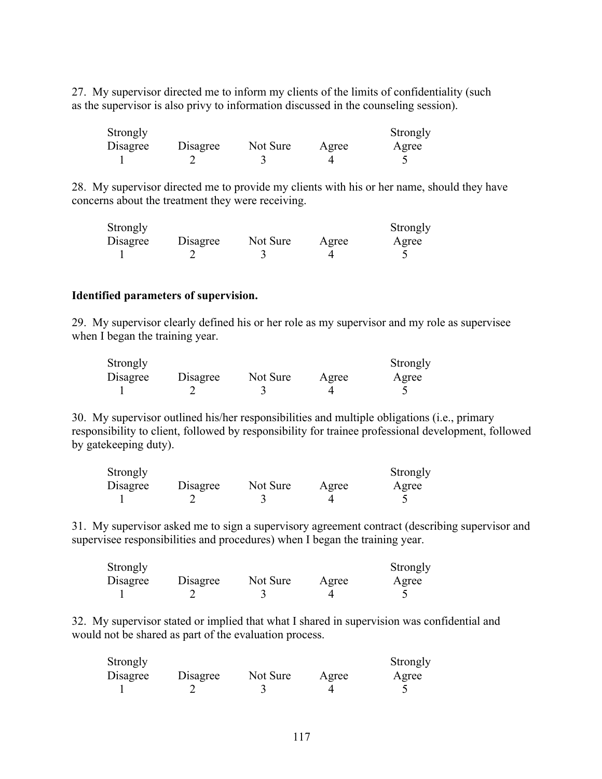27. My supervisor directed me to inform my clients of the limits of confidentiality (such as the supervisor is also privy to information discussed in the counseling session).

| Strongly |          |          |       | Strongly |
|----------|----------|----------|-------|----------|
| Disagree | Disagree | Not Sure | Agree | Agree    |
|          |          |          |       |          |

28. My supervisor directed me to provide my clients with his or her name, should they have concerns about the treatment they were receiving.

| Strongly |          |          |       | Strongly |
|----------|----------|----------|-------|----------|
| Disagree | Disagree | Not Sure | Agree | Agree    |
|          |          |          |       |          |

#### **Identified parameters of supervision.**

29. My supervisor clearly defined his or her role as my supervisor and my role as supervisee when I began the training year.

| Strongly |          |          |       | Strongly |
|----------|----------|----------|-------|----------|
| Disagree | Disagree | Not Sure | Agree | Agree    |
|          |          |          |       |          |

30. My supervisor outlined his/her responsibilities and multiple obligations (i.e., primary responsibility to client, followed by responsibility for trainee professional development, followed by gatekeeping duty).

| Strongly |          |          |       | Strongly |
|----------|----------|----------|-------|----------|
| Disagree | Disagree | Not Sure | Agree | Agree    |
|          |          |          |       |          |

31. My supervisor asked me to sign a supervisory agreement contract (describing supervisor and supervisee responsibilities and procedures) when I began the training year.

| Strongly |          |          |       | Strongly |
|----------|----------|----------|-------|----------|
| Disagree | Disagree | Not Sure | Agree | Agree    |
|          |          |          |       |          |

32. My supervisor stated or implied that what I shared in supervision was confidential and would not be shared as part of the evaluation process.

| Strongly |          |          |       | Strongly |
|----------|----------|----------|-------|----------|
| Disagree | Disagree | Not Sure | Agree | Agree    |
|          |          |          |       |          |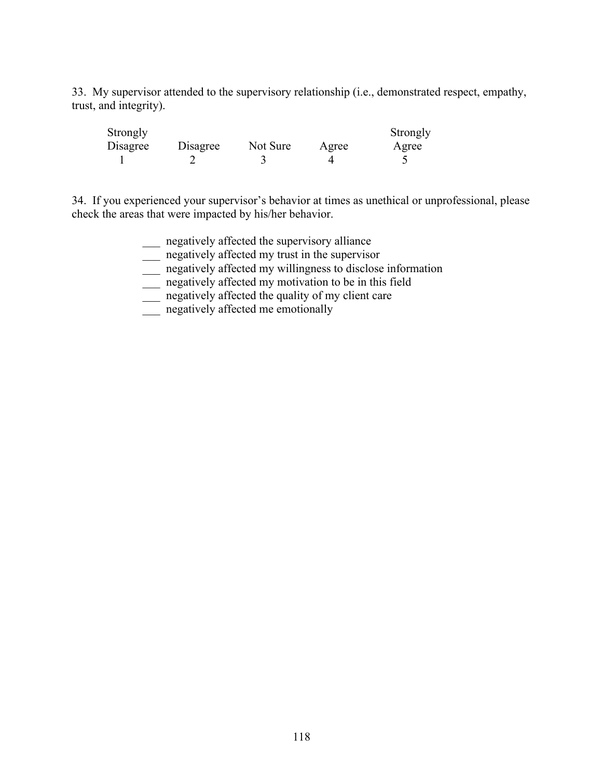33. My supervisor attended to the supervisory relationship (i.e., demonstrated respect, empathy, trust, and integrity).

| Strongly |          |          |       | Strongly |
|----------|----------|----------|-------|----------|
| Disagree | Disagree | Not Sure | Agree | Agree    |
|          |          |          |       |          |

34. If you experienced your supervisor's behavior at times as unethical or unprofessional, please check the areas that were impacted by his/her behavior.

- \_\_\_ negatively affected the supervisory alliance
- \_\_\_ negatively affected my trust in the supervisor
- \_\_\_ negatively affected my willingness to disclose information
- \_\_\_ negatively affected my motivation to be in this field
- \_\_\_ negatively affected the quality of my client care
- \_\_\_ negatively affected me emotionally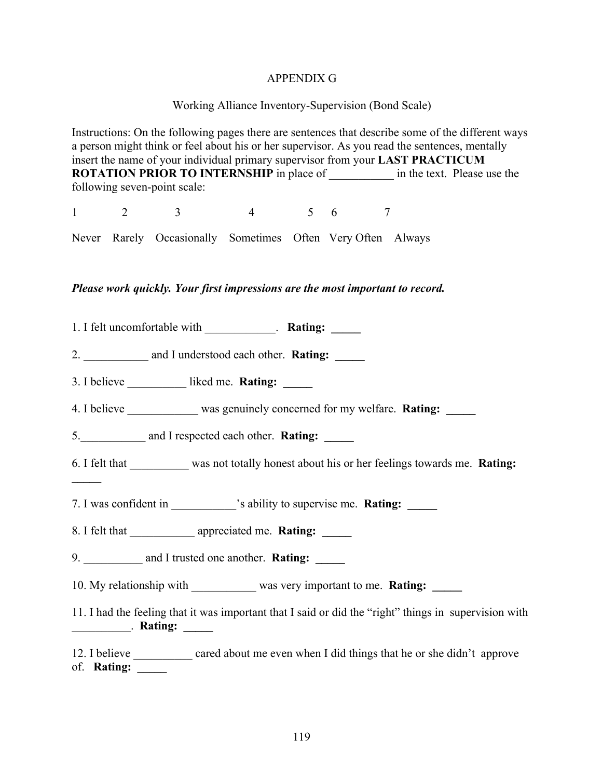#### APPENDIX G

#### Working Alliance Inventory-Supervision (Bond Scale)

Instructions: On the following pages there are sentences that describe some of the different ways a person might think or feel about his or her supervisor. As you read the sentences, mentally insert the name of your individual primary supervisor from your **LAST PRACTICUM ROTATION PRIOR TO INTERNSHIP** in place of  $\qquad$  in the text. Please use the following seven-point scale: 1 2 3 4 5 6 7 Never Rarely Occasionally Sometimes Often Very Often Always *Please work quickly. Your first impressions are the most important to record.* 1. I felt uncomfortable with \_\_\_\_\_\_\_\_\_\_\_\_. **Rating: \_\_\_\_\_** 2. \_\_\_\_\_\_\_\_\_\_\_ and I understood each other. **Rating: \_\_\_\_\_** 3. I believe **liked me. Rating:** 4. I believe was genuinely concerned for my welfare. **Rating:** 5. and I respected each other. **Rating:** 6. I felt that \_\_\_\_\_\_\_\_\_\_ was not totally honest about his or her feelings towards me. **Rating: \_\_\_\_\_** 7. I was confident in  $\cdot$  is ability to supervise me. **Rating:** 8. I felt that \_\_\_\_\_\_\_\_\_\_\_ appreciated me. **Rating: \_\_\_\_\_** 9. **and I trusted one another. Rating:** 10. My relationship with was very important to me. **Rating:** 11. I had the feeling that it was important that I said or did the "right" things in supervision with \_\_\_\_\_\_\_\_\_\_. **Rating: \_\_\_\_\_** 12. I believe \_\_\_\_\_\_\_\_\_ cared about me even when I did things that he or she didn't approve of. **Rating: \_\_\_\_\_**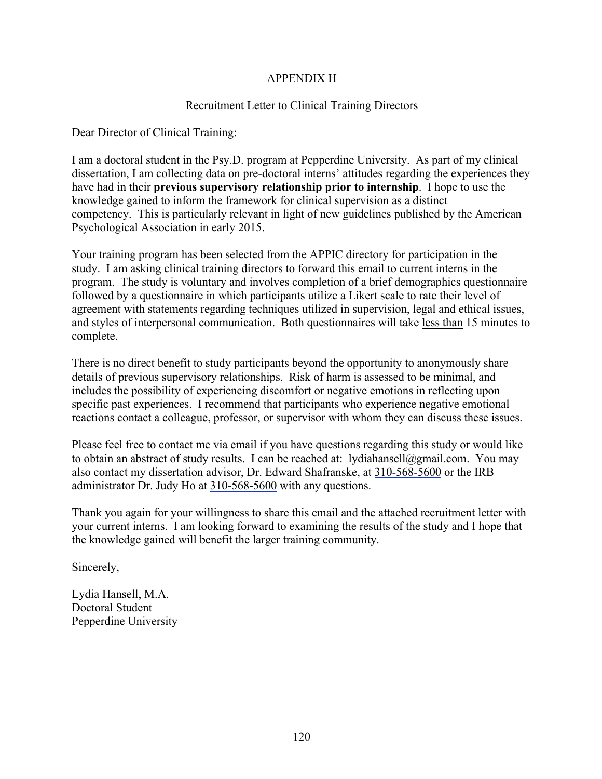### APPENDIX H

#### Recruitment Letter to Clinical Training Directors

Dear Director of Clinical Training:

I am a doctoral student in the Psy.D. program at Pepperdine University. As part of my clinical dissertation, I am collecting data on pre-doctoral interns' attitudes regarding the experiences they have had in their **previous supervisory relationship prior to internship**. I hope to use the knowledge gained to inform the framework for clinical supervision as a distinct competency. This is particularly relevant in light of new guidelines published by the American Psychological Association in early 2015.

Your training program has been selected from the APPIC directory for participation in the study. I am asking clinical training directors to forward this email to current interns in the program. The study is voluntary and involves completion of a brief demographics questionnaire followed by a questionnaire in which participants utilize a Likert scale to rate their level of agreement with statements regarding techniques utilized in supervision, legal and ethical issues, and styles of interpersonal communication. Both questionnaires will take less than 15 minutes to complete.

There is no direct benefit to study participants beyond the opportunity to anonymously share details of previous supervisory relationships. Risk of harm is assessed to be minimal, and includes the possibility of experiencing discomfort or negative emotions in reflecting upon specific past experiences. I recommend that participants who experience negative emotional reactions contact a colleague, professor, or supervisor with whom they can discuss these issues.

Please feel free to contact me via email if you have questions regarding this study or would like to obtain an abstract of study results. I can be reached at: lydiahansell@gmail.com. You may also contact my dissertation advisor, Dr. Edward Shafranske, at 310-568-5600 or the IRB administrator Dr. Judy Ho at 310-568-5600 with any questions.

Thank you again for your willingness to share this email and the attached recruitment letter with your current interns. I am looking forward to examining the results of the study and I hope that the knowledge gained will benefit the larger training community.

Sincerely,

Lydia Hansell, M.A. Doctoral Student Pepperdine University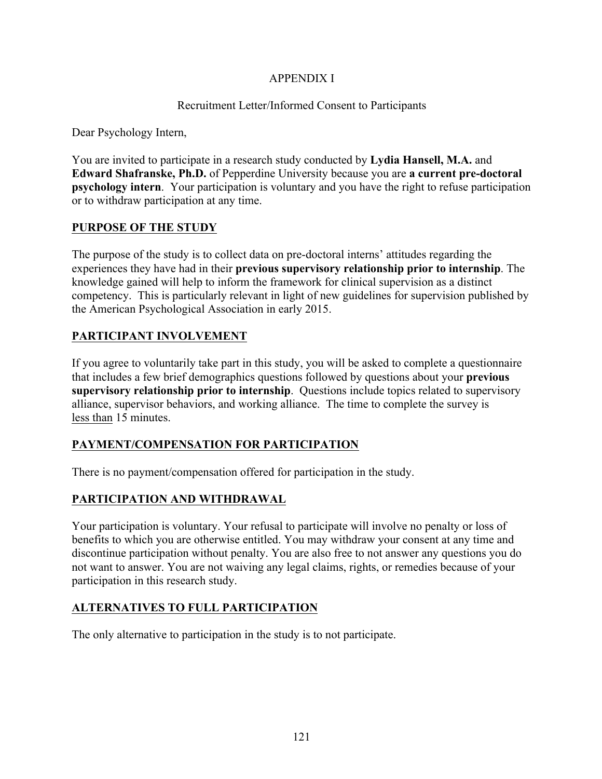### APPENDIX I

### Recruitment Letter/Informed Consent to Participants

Dear Psychology Intern,

You are invited to participate in a research study conducted by **Lydia Hansell, M.A.** and **Edward Shafranske, Ph.D.** of Pepperdine University because you are **a current pre-doctoral psychology intern**.Your participation is voluntary and you have the right to refuse participation or to withdraw participation at any time.

#### **PURPOSE OF THE STUDY**

The purpose of the study is to collect data on pre-doctoral interns' attitudes regarding the experiences they have had in their **previous supervisory relationship prior to internship**. The knowledge gained will help to inform the framework for clinical supervision as a distinct competency. This is particularly relevant in light of new guidelines for supervision published by the American Psychological Association in early 2015.

### **PARTICIPANT INVOLVEMENT**

If you agree to voluntarily take part in this study, you will be asked to complete a questionnaire that includes a few brief demographics questions followed by questions about your **previous supervisory relationship prior to internship**. Questions include topics related to supervisory alliance, supervisor behaviors, and working alliance. The time to complete the survey is less than 15 minutes.

### **PAYMENT/COMPENSATION FOR PARTICIPATION**

There is no payment/compensation offered for participation in the study.

### **PARTICIPATION AND WITHDRAWAL**

Your participation is voluntary. Your refusal to participate will involve no penalty or loss of benefits to which you are otherwise entitled. You may withdraw your consent at any time and discontinue participation without penalty. You are also free to not answer any questions you do not want to answer. You are not waiving any legal claims, rights, or remedies because of your participation in this research study.

### **ALTERNATIVES TO FULL PARTICIPATION**

The only alternative to participation in the study is to not participate.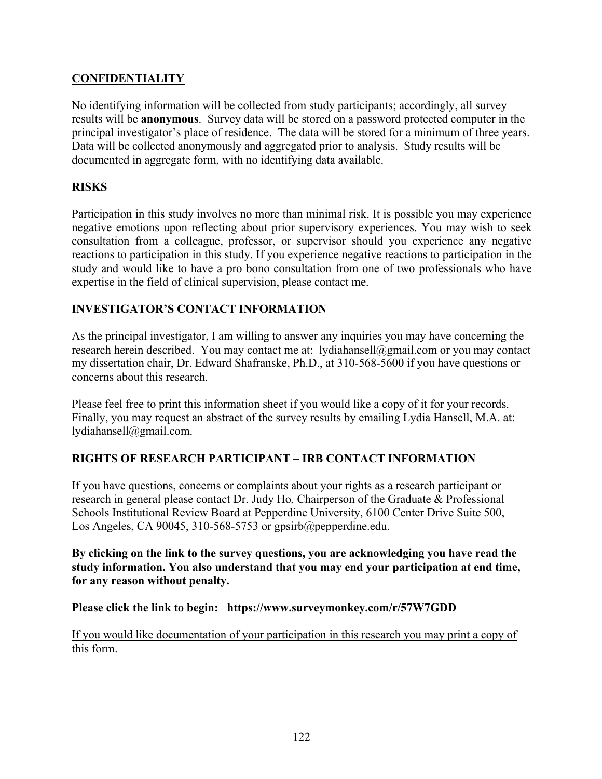### **CONFIDENTIALITY**

No identifying information will be collected from study participants; accordingly, all survey results will be **anonymous**. Survey data will be stored on a password protected computer in the principal investigator's place of residence. The data will be stored for a minimum of three years. Data will be collected anonymously and aggregated prior to analysis. Study results will be documented in aggregate form, with no identifying data available.

### **RISKS**

Participation in this study involves no more than minimal risk. It is possible you may experience negative emotions upon reflecting about prior supervisory experiences. You may wish to seek consultation from a colleague, professor, or supervisor should you experience any negative reactions to participation in this study. If you experience negative reactions to participation in the study and would like to have a pro bono consultation from one of two professionals who have expertise in the field of clinical supervision, please contact me.

### **INVESTIGATOR'S CONTACT INFORMATION**

As the principal investigator, I am willing to answer any inquiries you may have concerning the research herein described. You may contact me at: lydiahansell@gmail.com or you may contact my dissertation chair, Dr. Edward Shafranske, Ph.D., at 310-568-5600 if you have questions or concerns about this research.

Please feel free to print this information sheet if you would like a copy of it for your records. Finally, you may request an abstract of the survey results by emailing Lydia Hansell, M.A. at: lydiahansell@gmail.com.

### **RIGHTS OF RESEARCH PARTICIPANT – IRB CONTACT INFORMATION**

If you have questions, concerns or complaints about your rights as a research participant or research in general please contact Dr. Judy Ho*,* Chairperson of the Graduate & Professional Schools Institutional Review Board at Pepperdine University, 6100 Center Drive Suite 500, Los Angeles, CA 90045, 310-568-5753 or gpsirb@pepperdine.edu.

**By clicking on the link to the survey questions, you are acknowledging you have read the study information. You also understand that you may end your participation at end time, for any reason without penalty.** 

**Please click the link to begin: https://www.surveymonkey.com/r/57W7GDD**

If you would like documentation of your participation in this research you may print a copy of this form.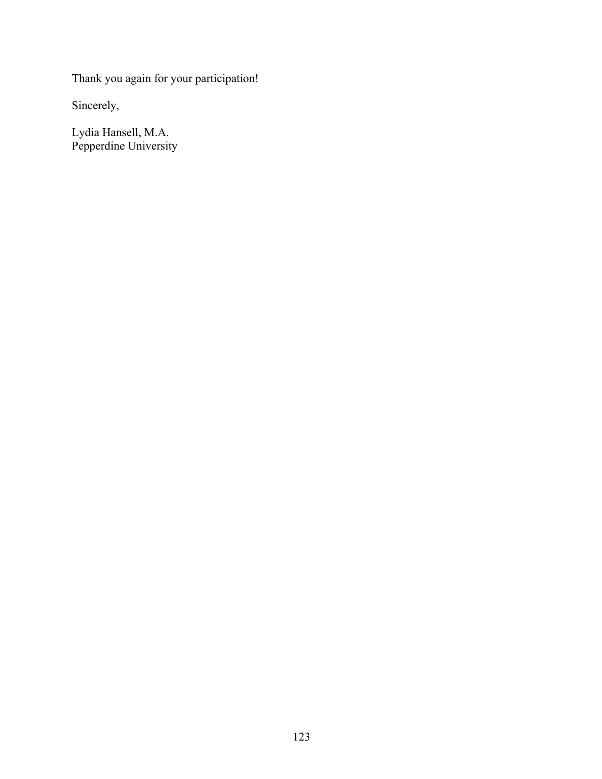Thank you again for your participation!

Sincerely,

Lydia Hansell, M.A. Pepperdine University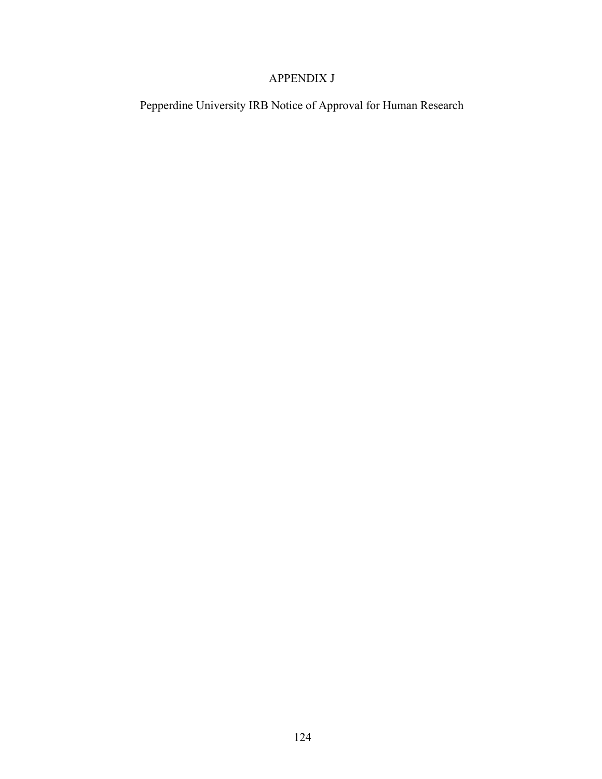### APPENDIX J

Pepperdine University IRB Notice of Approval for Human Research